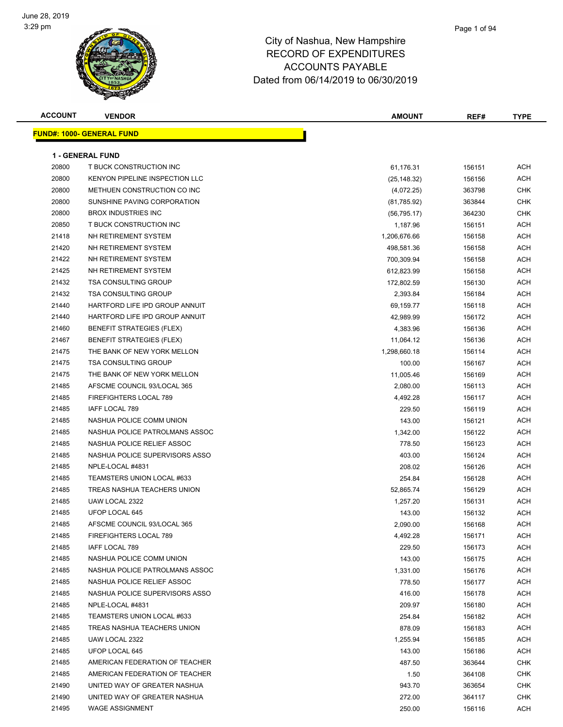

| <b>ACCOUNT</b> | <b>VENDOR</b>                     | <b>AMOUNT</b> | REF#   | <b>TYPE</b> |
|----------------|-----------------------------------|---------------|--------|-------------|
|                | <u> FUND#: 1000- GENERAL FUND</u> |               |        |             |
|                |                                   |               |        |             |
|                | <b>1 - GENERAL FUND</b>           |               |        |             |
| 20800          | T BUCK CONSTRUCTION INC           | 61,176.31     | 156151 | ACH         |
| 20800          | KENYON PIPELINE INSPECTION LLC    | (25, 148.32)  | 156156 | ACH         |
| 20800          | METHUEN CONSTRUCTION CO INC       | (4,072.25)    | 363798 | <b>CHK</b>  |
| 20800          | SUNSHINE PAVING CORPORATION       | (81,785.92)   | 363844 | <b>CHK</b>  |
| 20800          | <b>BROX INDUSTRIES INC</b>        | (56, 795.17)  | 364230 | <b>CHK</b>  |
| 20850          | T BUCK CONSTRUCTION INC           | 1,187.96      | 156151 | ACH         |
| 21418          | NH RETIREMENT SYSTEM              | 1,206,676.66  | 156158 | ACH         |
| 21420          | NH RETIREMENT SYSTEM              | 498,581.36    | 156158 | ACH         |
| 21422          | NH RETIREMENT SYSTEM              | 700,309.94    | 156158 | ACH         |
| 21425          | NH RETIREMENT SYSTEM              | 612,823.99    | 156158 | ACH         |
| 21432          | <b>TSA CONSULTING GROUP</b>       | 172,802.59    | 156130 | ACH         |
| 21432          | <b>TSA CONSULTING GROUP</b>       | 2,393.84      | 156184 | ACH         |
| 21440          | HARTFORD LIFE IPD GROUP ANNUIT    | 69,159.77     | 156118 | ACH         |
| 21440          | HARTFORD LIFE IPD GROUP ANNUIT    | 42,989.99     | 156172 | ACH         |
| 21460          | <b>BENEFIT STRATEGIES (FLEX)</b>  | 4,383.96      | 156136 | ACH         |
| 21467          | <b>BENEFIT STRATEGIES (FLEX)</b>  | 11,064.12     | 156136 | ACH         |
| 21475          | THE BANK OF NEW YORK MELLON       | 1,298,660.18  | 156114 | ACH         |
| 21475          | <b>TSA CONSULTING GROUP</b>       | 100.00        | 156167 | ACH         |
| 21475          | THE BANK OF NEW YORK MELLON       | 11,005.46     | 156169 | ACH         |
| 21485          | AFSCME COUNCIL 93/LOCAL 365       | 2,080.00      | 156113 | ACH         |
| 21485          | FIREFIGHTERS LOCAL 789            | 4,492.28      | 156117 | ACH         |
| 21485          | IAFF LOCAL 789                    | 229.50        | 156119 | ACH         |
| 21485          | NASHUA POLICE COMM UNION          | 143.00        | 156121 | ACH         |
| 21485          | NASHUA POLICE PATROLMANS ASSOC    | 1,342.00      | 156122 | ACH         |
| 21485          | NASHUA POLICE RELIEF ASSOC        | 778.50        | 156123 | ACH         |
| 21485          | NASHUA POLICE SUPERVISORS ASSO    | 403.00        | 156124 | ACH         |
| 21485          | NPLE-LOCAL #4831                  | 208.02        | 156126 | ACH         |
| 21485          | TEAMSTERS UNION LOCAL #633        | 254.84        | 156128 | ACH         |
| 21485          | TREAS NASHUA TEACHERS UNION       | 52,865.74     | 156129 | ACH         |
| 21485          | UAW LOCAL 2322                    | 1,257.20      | 156131 | ACH         |
| 21485          | UFOP LOCAL 645                    | 143.00        | 156132 | ACH         |
| 21485          | AFSCME COUNCIL 93/LOCAL 365       | 2,090.00      | 156168 | ACH         |
| 21485          | FIREFIGHTERS LOCAL 789            | 4,492.28      | 156171 | ACH         |
| 21485          | IAFF LOCAL 789                    | 229.50        | 156173 | ACH         |
| 21485          | NASHUA POLICE COMM UNION          | 143.00        | 156175 | ACH         |
| 21485          | NASHUA POLICE PATROLMANS ASSOC    | 1,331.00      | 156176 | ACH         |
| 21485          | NASHUA POLICE RELIEF ASSOC        | 778.50        | 156177 | ACH         |
| 21485          | NASHUA POLICE SUPERVISORS ASSO    | 416.00        | 156178 | ACH         |
| 21485          | NPLE-LOCAL #4831                  | 209.97        | 156180 | ACH         |
| 21485          | TEAMSTERS UNION LOCAL #633        | 254.84        | 156182 | ACH         |
| 21485          | TREAS NASHUA TEACHERS UNION       | 878.09        | 156183 | ACH         |
| 21485          | UAW LOCAL 2322                    | 1,255.94      | 156185 | ACH         |
| 21485          | UFOP LOCAL 645                    | 143.00        | 156186 | ACH         |
| 21485          | AMERICAN FEDERATION OF TEACHER    | 487.50        | 363644 | <b>CHK</b>  |
| 21485          | AMERICAN FEDERATION OF TEACHER    | 1.50          | 364108 | CHK         |
| 21490          | UNITED WAY OF GREATER NASHUA      | 943.70        | 363654 | <b>CHK</b>  |
| 21490          | UNITED WAY OF GREATER NASHUA      | 272.00        | 364117 | <b>CHK</b>  |
| 21495          | <b>WAGE ASSIGNMENT</b>            | 250.00        | 156116 | <b>ACH</b>  |
|                |                                   |               |        |             |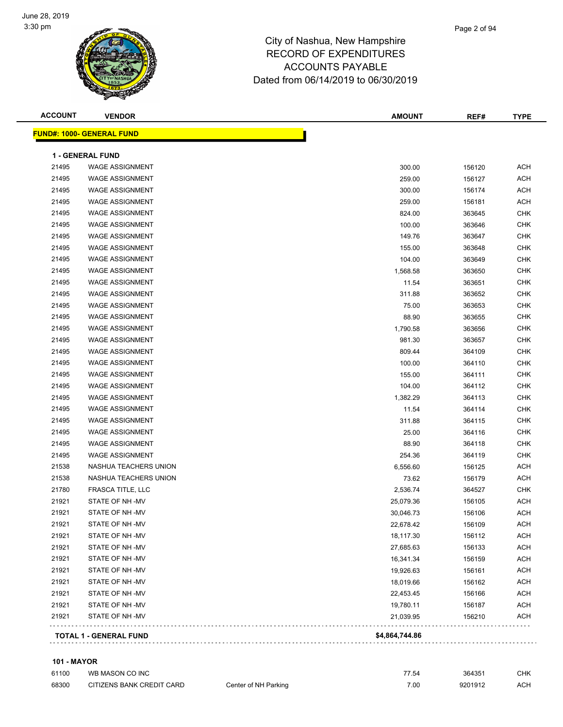

| <b>ACCOUNT</b> | <b>VENDOR</b>                    | <b>AMOUNT</b>  | REF#   | <b>TYPE</b> |
|----------------|----------------------------------|----------------|--------|-------------|
|                | <b>FUND#: 1000- GENERAL FUND</b> |                |        |             |
|                |                                  |                |        |             |
|                | <b>1 - GENERAL FUND</b>          |                |        |             |
| 21495          | <b>WAGE ASSIGNMENT</b>           | 300.00         | 156120 | ACH         |
| 21495          | <b>WAGE ASSIGNMENT</b>           | 259.00         | 156127 | ACH         |
| 21495          | <b>WAGE ASSIGNMENT</b>           | 300.00         | 156174 | <b>ACH</b>  |
| 21495          | <b>WAGE ASSIGNMENT</b>           | 259.00         | 156181 | <b>ACH</b>  |
| 21495          | <b>WAGE ASSIGNMENT</b>           | 824.00         | 363645 | <b>CHK</b>  |
| 21495          | <b>WAGE ASSIGNMENT</b>           | 100.00         | 363646 | <b>CHK</b>  |
| 21495          | <b>WAGE ASSIGNMENT</b>           | 149.76         | 363647 | <b>CHK</b>  |
| 21495          | <b>WAGE ASSIGNMENT</b>           | 155.00         | 363648 | <b>CHK</b>  |
| 21495          | <b>WAGE ASSIGNMENT</b>           | 104.00         | 363649 | CHK         |
| 21495          | <b>WAGE ASSIGNMENT</b>           | 1,568.58       | 363650 | CHK         |
| 21495          | <b>WAGE ASSIGNMENT</b>           | 11.54          | 363651 | <b>CHK</b>  |
| 21495          | <b>WAGE ASSIGNMENT</b>           | 311.88         | 363652 | <b>CHK</b>  |
| 21495          | <b>WAGE ASSIGNMENT</b>           | 75.00          | 363653 | CHK         |
| 21495          | <b>WAGE ASSIGNMENT</b>           | 88.90          | 363655 | <b>CHK</b>  |
| 21495          | <b>WAGE ASSIGNMENT</b>           | 1,790.58       | 363656 | CHK         |
| 21495          | <b>WAGE ASSIGNMENT</b>           | 981.30         | 363657 | <b>CHK</b>  |
| 21495          | <b>WAGE ASSIGNMENT</b>           | 809.44         | 364109 | <b>CHK</b>  |
| 21495          | <b>WAGE ASSIGNMENT</b>           | 100.00         | 364110 | CHK         |
| 21495          | <b>WAGE ASSIGNMENT</b>           | 155.00         | 364111 | <b>CHK</b>  |
| 21495          | <b>WAGE ASSIGNMENT</b>           | 104.00         | 364112 | CHK         |
| 21495          | <b>WAGE ASSIGNMENT</b>           | 1,382.29       | 364113 | CHK         |
| 21495          | <b>WAGE ASSIGNMENT</b>           | 11.54          | 364114 | <b>CHK</b>  |
| 21495          | <b>WAGE ASSIGNMENT</b>           | 311.88         | 364115 | CHK         |
| 21495          | <b>WAGE ASSIGNMENT</b>           | 25.00          | 364116 | <b>CHK</b>  |
| 21495          | <b>WAGE ASSIGNMENT</b>           | 88.90          | 364118 | <b>CHK</b>  |
| 21495          | <b>WAGE ASSIGNMENT</b>           | 254.36         | 364119 | CHK         |
| 21538          | NASHUA TEACHERS UNION            | 6,556.60       | 156125 | <b>ACH</b>  |
| 21538          | NASHUA TEACHERS UNION            | 73.62          | 156179 | <b>ACH</b>  |
| 21780          | FRASCA TITLE, LLC                | 2,536.74       | 364527 | CHK         |
| 21921          | STATE OF NH-MV                   | 25,079.36      | 156105 | ACH         |
| 21921          | STATE OF NH-MV                   | 30,046.73      | 156106 | ACH         |
| 21921          | STATE OF NH-MV                   | 22,678.42      | 156109 | ACH         |
| 21921          | STATE OF NH-MV                   | 18,117.30      | 156112 | <b>ACH</b>  |
| 21921          | STATE OF NH-MV                   | 27,685.63      | 156133 | <b>ACH</b>  |
| 21921          | STATE OF NH-MV                   | 16,341.34      | 156159 | <b>ACH</b>  |
| 21921          | STATE OF NH-MV                   | 19,926.63      | 156161 | <b>ACH</b>  |
| 21921          | STATE OF NH-MV                   | 18,019.66      | 156162 | <b>ACH</b>  |
| 21921          | STATE OF NH-MV                   | 22,453.45      | 156166 | <b>ACH</b>  |
| 21921          | STATE OF NH-MV                   | 19,780.11      | 156187 | <b>ACH</b>  |
| 21921          | STATE OF NH-MV                   | 21,039.95      | 156210 | <b>ACH</b>  |
|                | <b>TOTAL 1 - GENERAL FUND</b>    | \$4,864,744.86 |        |             |
|                |                                  |                |        |             |

#### **101 - MAYOR**

| 61100 | WB MASON CO INC           |                      | 77.54 | 364351  | CHK. |
|-------|---------------------------|----------------------|-------|---------|------|
| 68300 | CITIZENS BANK CREDIT CARD | Center of NH Parking | 7.00  | 9201912 | ACH  |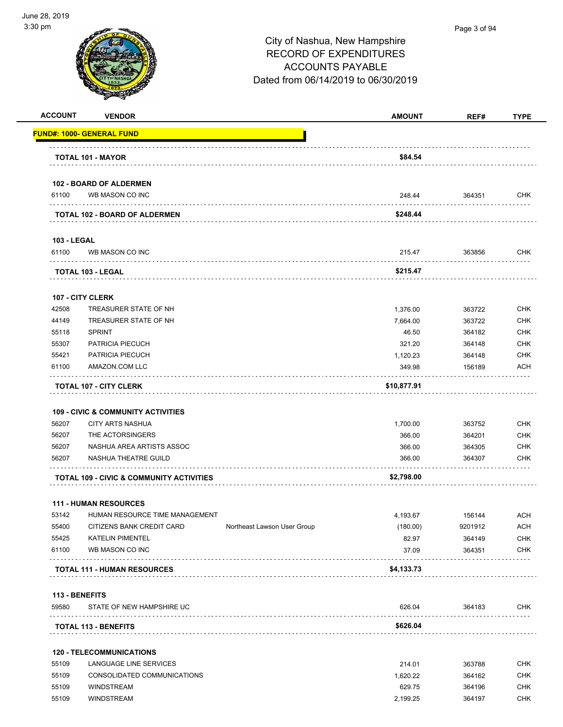

| <b>ACCOUNT</b>     | <b>VENDOR</b>                                     |                             | <b>AMOUNT</b> | REF#    | <b>TYPE</b> |
|--------------------|---------------------------------------------------|-----------------------------|---------------|---------|-------------|
|                    | <b>FUND#: 1000- GENERAL FUND</b>                  |                             |               |         |             |
|                    | <b>TOTAL 101 - MAYOR</b>                          |                             | \$84.54       |         |             |
|                    |                                                   |                             |               |         |             |
| 61100              | <b>102 - BOARD OF ALDERMEN</b><br>WB MASON CO INC |                             | 248.44        | 364351  | <b>CHK</b>  |
|                    |                                                   |                             |               |         |             |
|                    | <b>TOTAL 102 - BOARD OF ALDERMEN</b>              |                             | \$248.44      |         |             |
| <b>103 - LEGAL</b> |                                                   |                             |               |         |             |
| 61100              | WB MASON CO INC                                   |                             | 215.47        | 363856  | CHK         |
|                    | TOTAL 103 - LEGAL                                 |                             | \$215.47      |         |             |
|                    | <b>107 - CITY CLERK</b>                           |                             |               |         |             |
| 42508              | TREASURER STATE OF NH                             |                             | 1,376.00      | 363722  | <b>CHK</b>  |
| 44149              | TREASURER STATE OF NH                             |                             | 7,664.00      | 363722  | <b>CHK</b>  |
| 55118              | <b>SPRINT</b>                                     |                             | 46.50         | 364182  | <b>CHK</b>  |
| 55307              | PATRICIA PIECUCH                                  |                             | 321.20        | 364148  | <b>CHK</b>  |
| 55421              | PATRICIA PIECUCH                                  |                             | 1,120.23      | 364148  | <b>CHK</b>  |
| 61100              | AMAZON.COM LLC                                    |                             | 349.98        | 156189  | ACH         |
|                    | <b>TOTAL 107 - CITY CLERK</b>                     |                             | \$10,877.91   |         |             |
|                    | <b>109 - CIVIC &amp; COMMUNITY ACTIVITIES</b>     |                             |               |         |             |
| 56207              | <b>CITY ARTS NASHUA</b>                           |                             | 1,700.00      | 363752  | <b>CHK</b>  |
| 56207              | THE ACTORSINGERS                                  |                             | 366.00        | 364201  | <b>CHK</b>  |
| 56207              | NASHUA AREA ARTISTS ASSOC                         |                             | 366.00        | 364305  | <b>CHK</b>  |
| 56207              | NASHUA THEATRE GUILD                              |                             | 366.00        | 364307  | <b>CHK</b>  |
|                    | TOTAL 109 - CIVIC & COMMUNITY ACTIVITIES          |                             | \$2,798.00    |         |             |
|                    |                                                   |                             |               |         |             |
|                    | <b>111 - HUMAN RESOURCES</b>                      |                             |               |         |             |
| 53142              | HUMAN RESOURCE TIME MANAGEMENT                    |                             | 4,193.67      | 156144  | <b>ACH</b>  |
| 55400              | CITIZENS BANK CREDIT CARD                         | Northeast Lawson User Group | (180.00)      | 9201912 | <b>ACH</b>  |
| 55425              | <b>KATELIN PIMENTEL</b>                           |                             | 82.97         | 364149  | <b>CHK</b>  |
| 61100              | WB MASON CO INC                                   |                             | 37.09         | 364351  | <b>CHK</b>  |
|                    | <b>TOTAL 111 - HUMAN RESOURCES</b>                |                             | \$4,133.73    |         |             |
| 113 - BENEFITS     |                                                   |                             |               |         |             |
| 59580              | STATE OF NEW HAMPSHIRE UC                         |                             | 626.04        | 364183  | <b>CHK</b>  |
|                    | <b>TOTAL 113 - BENEFITS</b>                       |                             | \$626.04      |         |             |
|                    |                                                   |                             |               |         |             |
|                    | <b>120 - TELECOMMUNICATIONS</b>                   |                             |               |         |             |
| 55109              | LANGUAGE LINE SERVICES                            |                             | 214.01        | 363788  | <b>CHK</b>  |
| 55109              | CONSOLIDATED COMMUNICATIONS                       |                             | 1,620.22      | 364162  | <b>CHK</b>  |
| 55109              | <b>WINDSTREAM</b>                                 |                             | 629.75        | 364196  | <b>CHK</b>  |

55109 WINDSTREAM 2,199.25 364197 CHK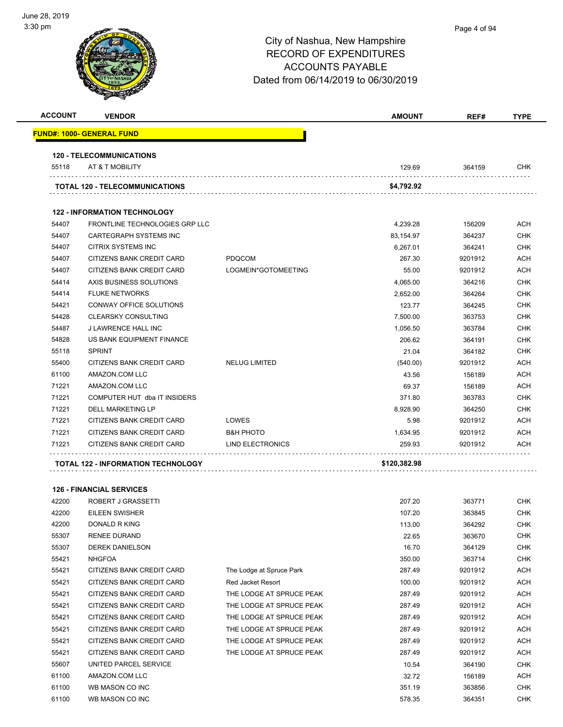# City of Nashua, New Hampshire RECORD OF EXPENDITURES ACCOUNTS PAYABLE Dated from 06/14/2019 to 06/30/2019 **ACCOUNT VENDOR AMOUNT REF# TYPE FUND#: 1000- GENERAL FUND 120 - TELECOMMUNICATIONS** 55118 AT & T MOBILITY 129.69 364159 CHK **TOTAL 120 - TELECOMMUNICATIONS \$4,792.92**

|       | <b>122 - INFORMATION TECHNOLOGY</b>       |                         |              |         |            |
|-------|-------------------------------------------|-------------------------|--------------|---------|------------|
| 54407 | FRONTLINE TECHNOLOGIES GRP LLC            |                         | 4.239.28     | 156209  | <b>ACH</b> |
| 54407 | <b>CARTEGRAPH SYSTEMS INC</b>             |                         | 83,154.97    | 364237  | <b>CHK</b> |
| 54407 | CITRIX SYSTEMS INC                        |                         | 6.267.01     | 364241  | <b>CHK</b> |
| 54407 | CITIZENS BANK CREDIT CARD                 | <b>PDQCOM</b>           | 267.30       | 9201912 | <b>ACH</b> |
| 54407 | <b>CITIZENS BANK CREDIT CARD</b>          | LOGMEIN*GOTOMEETING     | 55.00        | 9201912 | <b>ACH</b> |
| 54414 | AXIS BUSINESS SOLUTIONS                   |                         | 4,065.00     | 364216  | <b>CHK</b> |
| 54414 | <b>FLUKE NETWORKS</b>                     |                         | 2,652.00     | 364264  | <b>CHK</b> |
| 54421 | CONWAY OFFICE SOLUTIONS                   |                         | 123.77       | 364245  | <b>CHK</b> |
| 54428 | <b>CLEARSKY CONSULTING</b>                |                         | 7,500.00     | 363753  | <b>CHK</b> |
| 54487 | <b>J LAWRENCE HALL INC</b>                |                         | 1,056.50     | 363784  | <b>CHK</b> |
| 54828 | US BANK EQUIPMENT FINANCE                 |                         | 206.62       | 364191  | <b>CHK</b> |
| 55118 | <b>SPRINT</b>                             |                         | 21.04        | 364182  | <b>CHK</b> |
| 55400 | CITIZENS BANK CREDIT CARD                 | <b>NELUG LIMITED</b>    | (540.00)     | 9201912 | <b>ACH</b> |
| 61100 | AMAZON.COM LLC                            |                         | 43.56        | 156189  | <b>ACH</b> |
| 71221 | AMAZON.COM LLC                            |                         | 69.37        | 156189  | <b>ACH</b> |
| 71221 | COMPUTER HUT dba IT INSIDERS              |                         | 371.80       | 363783  | <b>CHK</b> |
| 71221 | <b>DELL MARKETING LP</b>                  |                         | 8,928.90     | 364250  | <b>CHK</b> |
| 71221 | CITIZENS BANK CREDIT CARD                 | LOWES                   | 5.98         | 9201912 | <b>ACH</b> |
| 71221 | CITIZENS BANK CREDIT CARD                 | <b>B&amp;H PHOTO</b>    | 1,634.95     | 9201912 | <b>ACH</b> |
| 71221 | CITIZENS BANK CREDIT CARD                 | <b>LIND ELECTRONICS</b> | 259.93       | 9201912 | <b>ACH</b> |
|       | <b>TOTAL 122 - INFORMATION TECHNOLOGY</b> |                         | \$120,382.98 |         |            |

|       | <b>126 - FINANCIAL SERVICES</b> |                          |        |         |            |
|-------|---------------------------------|--------------------------|--------|---------|------------|
| 42200 | ROBERT J GRASSETTI              |                          | 207.20 | 363771  | <b>CHK</b> |
| 42200 | <b>EILEEN SWISHER</b>           |                          | 107.20 | 363845  | <b>CHK</b> |
| 42200 | <b>DONALD R KING</b>            |                          | 113.00 | 364292  | <b>CHK</b> |
| 55307 | <b>RENEE DURAND</b>             |                          | 22.65  | 363670  | <b>CHK</b> |
| 55307 | <b>DEREK DANIELSON</b>          |                          | 16.70  | 364129  | <b>CHK</b> |
| 55421 | <b>NHGFOA</b>                   |                          | 350.00 | 363714  | <b>CHK</b> |
| 55421 | CITIZENS BANK CREDIT CARD       | The Lodge at Spruce Park | 287.49 | 9201912 | ACH        |
| 55421 | CITIZENS BANK CREDIT CARD       | Red Jacket Resort        | 100.00 | 9201912 | <b>ACH</b> |
| 55421 | CITIZENS BANK CREDIT CARD       | THE LODGE AT SPRUCE PEAK | 287.49 | 9201912 | <b>ACH</b> |
| 55421 | CITIZENS BANK CREDIT CARD       | THE LODGE AT SPRUCE PEAK | 287.49 | 9201912 | <b>ACH</b> |
| 55421 | CITIZENS BANK CREDIT CARD       | THE LODGE AT SPRUCE PEAK | 287.49 | 9201912 | <b>ACH</b> |
| 55421 | CITIZENS BANK CREDIT CARD       | THE LODGE AT SPRUCE PEAK | 287.49 | 9201912 | <b>ACH</b> |
| 55421 | CITIZENS BANK CREDIT CARD       | THE LODGE AT SPRUCE PEAK | 287.49 | 9201912 | <b>ACH</b> |
| 55421 | CITIZENS BANK CREDIT CARD       | THE LODGE AT SPRUCE PEAK | 287.49 | 9201912 | <b>ACH</b> |
| 55607 | UNITED PARCEL SERVICE           |                          | 10.54  | 364190  | <b>CHK</b> |
| 61100 | AMAZON.COM LLC                  |                          | 32.72  | 156189  | <b>ACH</b> |
| 61100 | WB MASON CO INC                 |                          | 351.19 | 363856  | <b>CHK</b> |
| 61100 | WB MASON CO INC                 |                          | 578.35 | 364351  | <b>CHK</b> |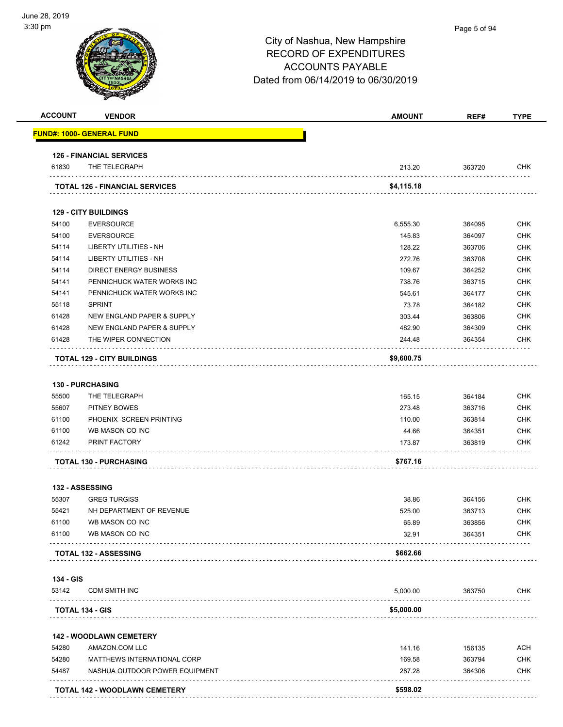#### Page 5 of 94

| <b>ACCOUNT</b> | <b>VENDOR</b>                         | <b>AMOUNT</b> | REF#   | <b>TYPE</b> |
|----------------|---------------------------------------|---------------|--------|-------------|
|                | <u> FUND#: 1000- GENERAL FUND</u>     |               |        |             |
|                | <b>126 - FINANCIAL SERVICES</b>       |               |        |             |
| 61830          | THE TELEGRAPH                         | 213.20        | 363720 | <b>CHK</b>  |
|                | <b>TOTAL 126 - FINANCIAL SERVICES</b> | \$4,115.18    |        |             |
|                |                                       |               |        |             |
|                | <b>129 - CITY BUILDINGS</b>           |               |        |             |
| 54100          | <b>EVERSOURCE</b>                     | 6,555.30      | 364095 | <b>CHK</b>  |
| 54100          | <b>EVERSOURCE</b>                     | 145.83        | 364097 | <b>CHK</b>  |
| 54114          | <b>LIBERTY UTILITIES - NH</b>         | 128.22        | 363706 | <b>CHK</b>  |
| 54114          | <b>LIBERTY UTILITIES - NH</b>         | 272.76        | 363708 | <b>CHK</b>  |
| 54114          | <b>DIRECT ENERGY BUSINESS</b>         | 109.67        | 364252 | <b>CHK</b>  |
| 54141          | PENNICHUCK WATER WORKS INC            | 738.76        | 363715 | <b>CHK</b>  |
| 54141          | PENNICHUCK WATER WORKS INC            | 545.61        | 364177 | <b>CHK</b>  |
| 55118          | <b>SPRINT</b>                         | 73.78         | 364182 | <b>CHK</b>  |
| 61428          | NEW ENGLAND PAPER & SUPPLY            | 303.44        | 363806 | <b>CHK</b>  |
| 61428          | <b>NEW ENGLAND PAPER &amp; SUPPLY</b> | 482.90        | 364309 | <b>CHK</b>  |
| 61428          | THE WIPER CONNECTION                  | 244.48        | 364354 | CHK         |
|                | <b>TOTAL 129 - CITY BUILDINGS</b>     | \$9,600.75    |        |             |
|                |                                       |               |        |             |
|                | <b>130 - PURCHASING</b>               |               |        |             |
| 55500          | THE TELEGRAPH                         | 165.15        | 364184 | <b>CHK</b>  |
| 55607          | PITNEY BOWES                          | 273.48        | 363716 | <b>CHK</b>  |
| 61100          | PHOENIX SCREEN PRINTING               | 110.00        | 363814 | <b>CHK</b>  |
| 61100          | WB MASON CO INC                       | 44.66         | 364351 | <b>CHK</b>  |
| 61242          | PRINT FACTORY                         | 173.87        | 363819 | CHK         |
|                | <b>TOTAL 130 - PURCHASING</b>         | \$767.16      |        |             |
|                | 132 - ASSESSING                       |               |        |             |
| 55307          | <b>GREG TURGISS</b>                   | 38.86         | 364156 | <b>CHK</b>  |
| 55421          | NH DEPARTMENT OF REVENUE              | 525.00        | 363713 | <b>CHK</b>  |
| 61100          | WB MASON CO INC                       | 65.89         | 363856 | CHK         |
| 61100          | WB MASON CO INC                       | 32.91         | 364351 | CHK         |
|                | TOTAL 132 - ASSESSING                 | \$662.66      |        |             |
| 134 - GIS      |                                       |               |        |             |
| 53142          | <b>CDM SMITH INC</b>                  | 5,000.00      | 363750 | <b>CHK</b>  |
|                | TOTAL 134 - GIS                       | \$5,000.00    |        |             |
|                | <b>142 - WOODLAWN CEMETERY</b>        |               |        |             |
| 54280          | AMAZON.COM LLC                        | 141.16        | 156135 | <b>ACH</b>  |
| 54280          | MATTHEWS INTERNATIONAL CORP           | 169.58        | 363794 | <b>CHK</b>  |
| 54487          | NASHUA OUTDOOR POWER EQUIPMENT        | 287.28        | 364306 | <b>CHK</b>  |
|                |                                       |               |        |             |
|                | TOTAL 142 - WOODLAWN CEMETERY         | \$598.02      |        |             |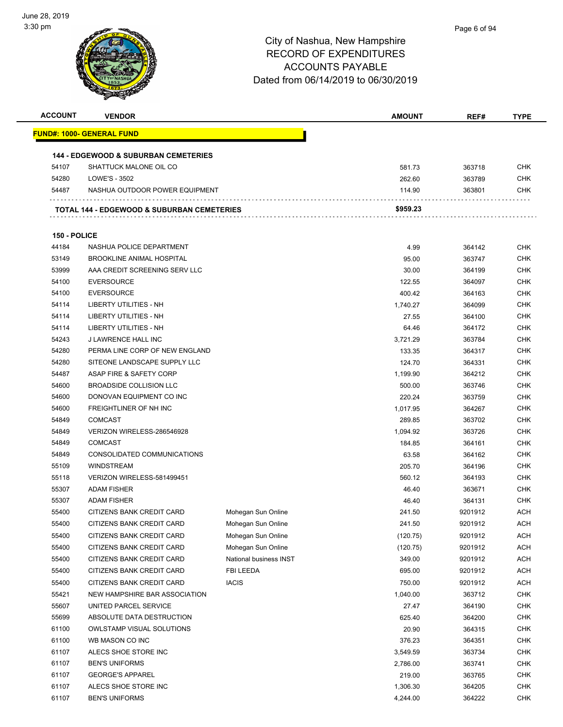

| <b>ACCOUNT</b> | <b>VENDOR</b>                                                             |                        | <b>AMOUNT</b>      | REF#             | <b>TYPE</b>              |
|----------------|---------------------------------------------------------------------------|------------------------|--------------------|------------------|--------------------------|
|                | <u> FUND#: 1000- GENERAL FUND</u>                                         |                        |                    |                  |                          |
|                |                                                                           |                        |                    |                  |                          |
| 54107          | <b>144 - EDGEWOOD &amp; SUBURBAN CEMETERIES</b><br>SHATTUCK MALONE OIL CO |                        | 581.73             | 363718           | <b>CHK</b>               |
| 54280          | LOWE'S - 3502                                                             |                        | 262.60             | 363789           | <b>CHK</b>               |
| 54487          |                                                                           |                        |                    |                  |                          |
|                | NASHUA OUTDOOR POWER EQUIPMENT                                            |                        | 114.90             | 363801           | <b>CHK</b>               |
|                | <b>TOTAL 144 - EDGEWOOD &amp; SUBURBAN CEMETERIES</b>                     |                        | \$959.23           |                  |                          |
| 150 - POLICE   |                                                                           |                        |                    |                  |                          |
| 44184          | NASHUA POLICE DEPARTMENT                                                  |                        | 4.99               | 364142           | <b>CHK</b>               |
| 53149          | <b>BROOKLINE ANIMAL HOSPITAL</b>                                          |                        | 95.00              | 363747           | <b>CHK</b>               |
| 53999          | AAA CREDIT SCREENING SERV LLC                                             |                        | 30.00              | 364199           | <b>CHK</b>               |
| 54100          | <b>EVERSOURCE</b>                                                         |                        | 122.55             | 364097           | <b>CHK</b>               |
| 54100          | <b>EVERSOURCE</b>                                                         |                        | 400.42             | 364163           | <b>CHK</b>               |
| 54114          | LIBERTY UTILITIES - NH                                                    |                        | 1,740.27           | 364099           | <b>CHK</b>               |
| 54114          | LIBERTY UTILITIES - NH                                                    |                        | 27.55              | 364100           | <b>CHK</b>               |
| 54114          | <b>LIBERTY UTILITIES - NH</b>                                             |                        | 64.46              | 364172           | <b>CHK</b>               |
| 54243          | J LAWRENCE HALL INC                                                       |                        | 3,721.29           | 363784           | <b>CHK</b>               |
| 54280          | PERMA LINE CORP OF NEW ENGLAND                                            |                        | 133.35             | 364317           | <b>CHK</b>               |
| 54280          | SITEONE LANDSCAPE SUPPLY LLC                                              |                        | 124.70             | 364331           | <b>CHK</b>               |
| 54487          | ASAP FIRE & SAFETY CORP                                                   |                        |                    | 364212           | <b>CHK</b>               |
| 54600          | <b>BROADSIDE COLLISION LLC</b>                                            |                        | 1,199.90<br>500.00 | 363746           | <b>CHK</b>               |
| 54600          | DONOVAN EQUIPMENT CO INC                                                  |                        | 220.24             |                  | <b>CHK</b>               |
| 54600          | FREIGHTLINER OF NH INC                                                    |                        |                    | 363759           | <b>CHK</b>               |
| 54849          | <b>COMCAST</b>                                                            |                        | 1,017.95<br>289.85 | 364267<br>363702 | <b>CHK</b>               |
| 54849          | VERIZON WIRELESS-286546928                                                |                        |                    |                  |                          |
| 54849          | <b>COMCAST</b>                                                            |                        | 1,094.92           | 363726           | <b>CHK</b><br><b>CHK</b> |
| 54849          | CONSOLIDATED COMMUNICATIONS                                               |                        | 184.85             | 364161           |                          |
|                |                                                                           |                        | 63.58              | 364162           | <b>CHK</b>               |
| 55109          | <b>WINDSTREAM</b>                                                         |                        | 205.70             | 364196           | <b>CHK</b>               |
| 55118          | VERIZON WIRELESS-581499451                                                |                        | 560.12             | 364193           | <b>CHK</b>               |
| 55307          | <b>ADAM FISHER</b>                                                        |                        | 46.40              | 363671           | <b>CHK</b>               |
| 55307          | <b>ADAM FISHER</b>                                                        |                        | 46.40              | 364131           | <b>CHK</b>               |
| 55400          | CITIZENS BANK CREDIT CARD                                                 | Mohegan Sun Online     | 241.50             | 9201912          | <b>ACH</b>               |
| 55400          | CITIZENS BANK CREDIT CARD                                                 | Mohegan Sun Online     | 241.50             | 9201912          | <b>ACH</b>               |
| 55400          | CITIZENS BANK CREDIT CARD                                                 | Mohegan Sun Online     | (120.75)           | 9201912          | <b>ACH</b>               |
| 55400          | CITIZENS BANK CREDIT CARD                                                 | Mohegan Sun Online     | (120.75)           | 9201912          | <b>ACH</b>               |
| 55400          | CITIZENS BANK CREDIT CARD                                                 | National business INST | 349.00             | 9201912          | <b>ACH</b>               |
| 55400          | CITIZENS BANK CREDIT CARD                                                 | FBI LEEDA              | 695.00             | 9201912          | <b>ACH</b>               |
| 55400          | CITIZENS BANK CREDIT CARD                                                 | <b>IACIS</b>           | 750.00             | 9201912          | <b>ACH</b>               |
| 55421          | NEW HAMPSHIRE BAR ASSOCIATION                                             |                        | 1,040.00           | 363712           | <b>CHK</b>               |
| 55607          | UNITED PARCEL SERVICE                                                     |                        | 27.47              | 364190           | <b>CHK</b>               |
| 55699          | ABSOLUTE DATA DESTRUCTION                                                 |                        | 625.40             | 364200           | CHK                      |
| 61100          | <b>OWLSTAMP VISUAL SOLUTIONS</b>                                          |                        | 20.90              | 364315           | <b>CHK</b>               |
| 61100          | WB MASON CO INC                                                           |                        | 376.23             | 364351           | <b>CHK</b>               |
| 61107          | ALECS SHOE STORE INC                                                      |                        | 3,549.59           | 363734           | <b>CHK</b>               |
| 61107          | <b>BEN'S UNIFORMS</b>                                                     |                        | 2,786.00           | 363741           | <b>CHK</b>               |
| 61107          | <b>GEORGE'S APPAREL</b>                                                   |                        | 219.00             | 363765           | <b>CHK</b>               |
| 61107          | ALECS SHOE STORE INC                                                      |                        | 1,306.30           | 364205           | <b>CHK</b>               |
| 61107          | <b>BEN'S UNIFORMS</b>                                                     |                        | 4,244.00           | 364222           | <b>CHK</b>               |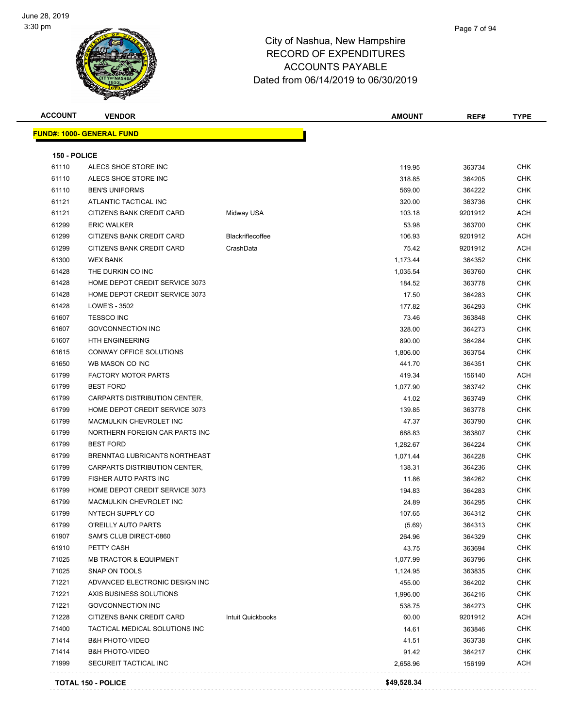

| <b>ACCOUNT</b> | <b>VENDOR</b>                     |                         | <b>AMOUNT</b> | REF#    | <b>TYPE</b> |
|----------------|-----------------------------------|-------------------------|---------------|---------|-------------|
|                | <b>FUND#: 1000- GENERAL FUND</b>  |                         |               |         |             |
| 150 - POLICE   |                                   |                         |               |         |             |
| 61110          | ALECS SHOE STORE INC              |                         | 119.95        | 363734  | <b>CHK</b>  |
| 61110          | ALECS SHOE STORE INC              |                         | 318.85        | 364205  | <b>CHK</b>  |
| 61110          | <b>BEN'S UNIFORMS</b>             |                         | 569.00        | 364222  | <b>CHK</b>  |
| 61121          | ATLANTIC TACTICAL INC             |                         | 320.00        | 363736  | <b>CHK</b>  |
| 61121          | CITIZENS BANK CREDIT CARD         | Midway USA              | 103.18        | 9201912 | <b>ACH</b>  |
| 61299          | <b>ERIC WALKER</b>                |                         | 53.98         | 363700  | <b>CHK</b>  |
| 61299          | CITIZENS BANK CREDIT CARD         | <b>Blackriflecoffee</b> | 106.93        | 9201912 | <b>ACH</b>  |
| 61299          | CITIZENS BANK CREDIT CARD         | CrashData               | 75.42         | 9201912 | ACH         |
| 61300          | <b>WEX BANK</b>                   |                         | 1,173.44      | 364352  | <b>CHK</b>  |
| 61428          | THE DURKIN CO INC                 |                         | 1,035.54      | 363760  | <b>CHK</b>  |
| 61428          | HOME DEPOT CREDIT SERVICE 3073    |                         | 184.52        | 363778  | <b>CHK</b>  |
| 61428          | HOME DEPOT CREDIT SERVICE 3073    |                         | 17.50         | 364283  | <b>CHK</b>  |
| 61428          | LOWE'S - 3502                     |                         | 177.82        | 364293  | <b>CHK</b>  |
| 61607          | <b>TESSCO INC</b>                 |                         | 73.46         | 363848  | <b>CHK</b>  |
| 61607          | <b>GOVCONNECTION INC</b>          |                         | 328.00        | 364273  | <b>CHK</b>  |
| 61607          | <b>HTH ENGINEERING</b>            |                         | 890.00        | 364284  | <b>CHK</b>  |
| 61615          | CONWAY OFFICE SOLUTIONS           |                         | 1,806.00      | 363754  | <b>CHK</b>  |
| 61650          | WB MASON CO INC                   |                         | 441.70        | 364351  | CHK         |
| 61799          | <b>FACTORY MOTOR PARTS</b>        |                         | 419.34        | 156140  | ACH         |
| 61799          | <b>BEST FORD</b>                  |                         | 1,077.90      | 363742  | <b>CHK</b>  |
| 61799          | CARPARTS DISTRIBUTION CENTER,     |                         | 41.02         | 363749  | <b>CHK</b>  |
| 61799          | HOME DEPOT CREDIT SERVICE 3073    |                         | 139.85        | 363778  | <b>CHK</b>  |
| 61799          | MACMULKIN CHEVROLET INC           |                         | 47.37         | 363790  | <b>CHK</b>  |
| 61799          | NORTHERN FOREIGN CAR PARTS INC    |                         | 688.83        | 363807  | <b>CHK</b>  |
| 61799          | <b>BEST FORD</b>                  |                         | 1,282.67      | 364224  | <b>CHK</b>  |
| 61799          | BRENNTAG LUBRICANTS NORTHEAST     |                         | 1,071.44      | 364228  | <b>CHK</b>  |
| 61799          | CARPARTS DISTRIBUTION CENTER,     |                         | 138.31        | 364236  | <b>CHK</b>  |
| 61799          | FISHER AUTO PARTS INC             |                         | 11.86         | 364262  | <b>CHK</b>  |
| 61799          | HOME DEPOT CREDIT SERVICE 3073    |                         | 194.83        | 364283  | <b>CHK</b>  |
| 61799          | MACMULKIN CHEVROLET INC           |                         | 24.89         | 364295  | <b>CHK</b>  |
| 61799          | NYTECH SUPPLY CO                  |                         | 107.65        | 364312  | <b>CHK</b>  |
| 61799          | O'REILLY AUTO PARTS               |                         | (5.69)        | 364313  | <b>CHK</b>  |
| 61907          | SAM'S CLUB DIRECT-0860            |                         | 264.96        | 364329  | <b>CHK</b>  |
| 61910          | PETTY CASH                        |                         | 43.75         | 363694  | <b>CHK</b>  |
| 71025          | <b>MB TRACTOR &amp; EQUIPMENT</b> |                         | 1,077.99      | 363796  | <b>CHK</b>  |
| 71025          | SNAP ON TOOLS                     |                         | 1,124.95      | 363835  | <b>CHK</b>  |
| 71221          | ADVANCED ELECTRONIC DESIGN INC    |                         | 455.00        | 364202  | <b>CHK</b>  |
| 71221          | AXIS BUSINESS SOLUTIONS           |                         | 1,996.00      | 364216  | <b>CHK</b>  |
| 71221          | <b>GOVCONNECTION INC</b>          |                         | 538.75        | 364273  | <b>CHK</b>  |
| 71228          | CITIZENS BANK CREDIT CARD         | Intuit Quickbooks       | 60.00         | 9201912 | ACH         |
| 71400          | TACTICAL MEDICAL SOLUTIONS INC    |                         | 14.61         | 363846  | <b>CHK</b>  |
| 71414          | <b>B&amp;H PHOTO-VIDEO</b>        |                         | 41.51         | 363738  | CHK         |
| 71414          | <b>B&amp;H PHOTO-VIDEO</b>        |                         | 91.42         | 364217  | <b>CHK</b>  |
| 71999          | SECUREIT TACTICAL INC             |                         | 2,658.96      | 156199  | ACH         |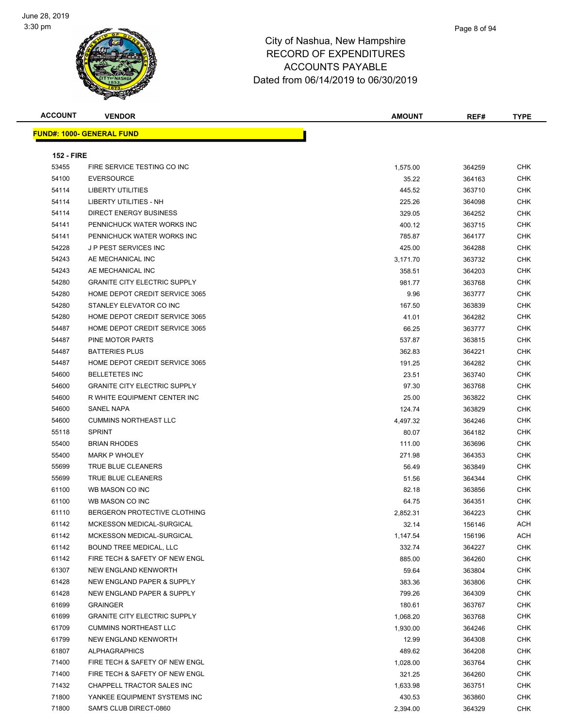

| <b>ACCOUNT</b>    | <b>VENDOR</b>                       | <b>AMOUNT</b> | REF#   | <b>TYPE</b> |
|-------------------|-------------------------------------|---------------|--------|-------------|
|                   | <u> FUND#: 1000- GENERAL FUND</u>   |               |        |             |
|                   |                                     |               |        |             |
| <b>152 - FIRE</b> |                                     |               |        |             |
| 53455             | FIRE SERVICE TESTING CO INC         | 1,575.00      | 364259 | <b>CHK</b>  |
| 54100             | <b>EVERSOURCE</b>                   | 35.22         | 364163 | <b>CHK</b>  |
| 54114             | <b>LIBERTY UTILITIES</b>            | 445.52        | 363710 | CHK         |
| 54114             | LIBERTY UTILITIES - NH              | 225.26        | 364098 | <b>CHK</b>  |
| 54114             | <b>DIRECT ENERGY BUSINESS</b>       | 329.05        | 364252 | CHK         |
| 54141             | PENNICHUCK WATER WORKS INC          | 400.12        | 363715 | CHK         |
| 54141             | PENNICHUCK WATER WORKS INC          | 785.87        | 364177 | CHK         |
| 54228             | J P PEST SERVICES INC               | 425.00        | 364288 | CHK         |
| 54243             | AE MECHANICAL INC                   | 3,171.70      | 363732 | <b>CHK</b>  |
| 54243             | AE MECHANICAL INC                   | 358.51        | 364203 | <b>CHK</b>  |
| 54280             | <b>GRANITE CITY ELECTRIC SUPPLY</b> | 981.77        | 363768 | CHK         |
| 54280             | HOME DEPOT CREDIT SERVICE 3065      | 9.96          | 363777 | <b>CHK</b>  |
| 54280             | STANLEY ELEVATOR CO INC             | 167.50        | 363839 | CHK         |
| 54280             | HOME DEPOT CREDIT SERVICE 3065      | 41.01         | 364282 | CHK         |
| 54487             | HOME DEPOT CREDIT SERVICE 3065      | 66.25         | 363777 | CHK         |
| 54487             | PINE MOTOR PARTS                    | 537.87        | 363815 | CHK         |
| 54487             | <b>BATTERIES PLUS</b>               | 362.83        | 364221 | CHK         |
| 54487             | HOME DEPOT CREDIT SERVICE 3065      | 191.25        | 364282 | <b>CHK</b>  |
| 54600             | <b>BELLETETES INC</b>               | 23.51         | 363740 | CHK         |
| 54600             | <b>GRANITE CITY ELECTRIC SUPPLY</b> | 97.30         | 363768 | CHK         |
| 54600             | R WHITE EQUIPMENT CENTER INC        | 25.00         | 363822 | <b>CHK</b>  |
| 54600             | SANEL NAPA                          | 124.74        | 363829 | CHK         |
| 54600             | <b>CUMMINS NORTHEAST LLC</b>        | 4,497.32      | 364246 | <b>CHK</b>  |
| 55118             | <b>SPRINT</b>                       | 80.07         | 364182 | CHK         |
| 55400             | <b>BRIAN RHODES</b>                 | 111.00        | 363696 | <b>CHK</b>  |
| 55400             | <b>MARK P WHOLEY</b>                | 271.98        | 364353 | <b>CHK</b>  |
| 55699             | TRUE BLUE CLEANERS                  | 56.49         | 363849 | CHK         |
| 55699             | TRUE BLUE CLEANERS                  | 51.56         | 364344 | CHK         |
| 61100             | WB MASON CO INC                     | 82.18         | 363856 | <b>CHK</b>  |
| 61100             | WB MASON CO INC                     | 64.75         | 364351 | <b>CHK</b>  |
| 61110             | BERGERON PROTECTIVE CLOTHING        | 2,852.31      | 364223 | <b>CHK</b>  |
| 61142             | MCKESSON MEDICAL-SURGICAL           | 32.14         | 156146 | ACH         |
| 61142             | MCKESSON MEDICAL-SURGICAL           | 1,147.54      | 156196 | ACH         |
| 61142             | BOUND TREE MEDICAL, LLC             | 332.74        | 364227 | <b>CHK</b>  |
| 61142             | FIRE TECH & SAFETY OF NEW ENGL      | 885.00        | 364260 | <b>CHK</b>  |
| 61307             | NEW ENGLAND KENWORTH                | 59.64         | 363804 | <b>CHK</b>  |
| 61428             | NEW ENGLAND PAPER & SUPPLY          | 383.36        | 363806 | <b>CHK</b>  |
| 61428             | NEW ENGLAND PAPER & SUPPLY          | 799.26        | 364309 | <b>CHK</b>  |
| 61699             | <b>GRAINGER</b>                     | 180.61        | 363767 | <b>CHK</b>  |
| 61699             | <b>GRANITE CITY ELECTRIC SUPPLY</b> | 1,068.20      | 363768 | <b>CHK</b>  |
| 61709             | <b>CUMMINS NORTHEAST LLC</b>        | 1,930.00      | 364246 | <b>CHK</b>  |
| 61799             | NEW ENGLAND KENWORTH                | 12.99         | 364308 | <b>CHK</b>  |
| 61807             | <b>ALPHAGRAPHICS</b>                | 489.62        | 364208 | <b>CHK</b>  |
| 71400             | FIRE TECH & SAFETY OF NEW ENGL      | 1,028.00      | 363764 | <b>CHK</b>  |
| 71400             | FIRE TECH & SAFETY OF NEW ENGL      | 321.25        | 364260 | <b>CHK</b>  |
| 71432             | CHAPPELL TRACTOR SALES INC          | 1,633.98      | 363751 | CHK         |
| 71800             | YANKEE EQUIPMENT SYSTEMS INC        | 430.53        | 363860 | <b>CHK</b>  |
| 71800             | SAM'S CLUB DIRECT-0860              | 2,394.00      | 364329 | <b>CHK</b>  |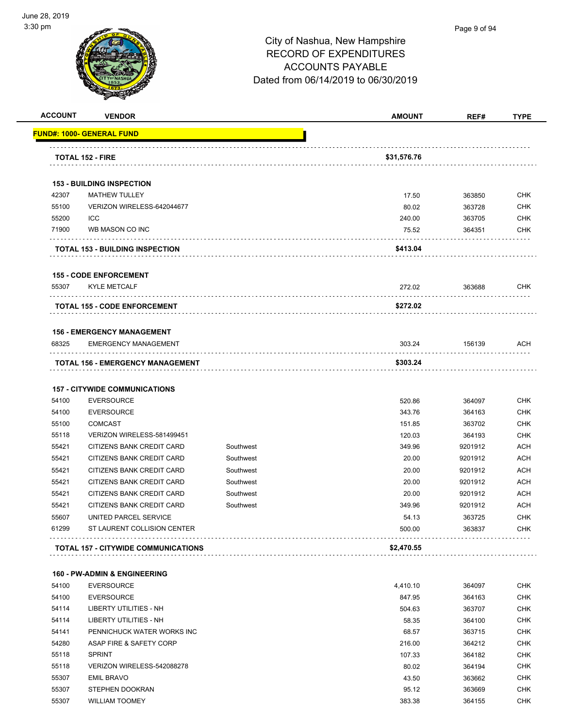

#### Page 9 of 94

| <b>ACCOUNT</b> | <b>VENDOR</b>                              |           | <b>AMOUNT</b> | REF#    | <b>TYPE</b> |
|----------------|--------------------------------------------|-----------|---------------|---------|-------------|
|                | <b>FUND#: 1000- GENERAL FUND</b>           |           |               |         |             |
|                | <b>TOTAL 152 - FIRE</b>                    |           | \$31,576.76   |         |             |
|                |                                            |           |               |         |             |
|                | <b>153 - BUILDING INSPECTION</b>           |           |               |         |             |
| 42307          | <b>MATHEW TULLEY</b>                       |           | 17.50         | 363850  | <b>CHK</b>  |
| 55100          | VERIZON WIRELESS-642044677                 |           | 80.02         | 363728  | <b>CHK</b>  |
| 55200          | ICC                                        |           | 240.00        | 363705  | <b>CHK</b>  |
| 71900          | WB MASON CO INC                            |           | 75.52         | 364351  | <b>CHK</b>  |
|                | <b>TOTAL 153 - BUILDING INSPECTION</b>     |           | \$413.04      |         |             |
|                | <b>155 - CODE ENFORCEMENT</b>              |           |               |         |             |
| 55307          | <b>KYLE METCALF</b>                        |           | 272.02        | 363688  | <b>CHK</b>  |
|                | <b>TOTAL 155 - CODE ENFORCEMENT</b>        |           | \$272.02      |         |             |
|                | <b>156 - EMERGENCY MANAGEMENT</b>          |           |               |         |             |
| 68325          | <b>EMERGENCY MANAGEMENT</b>                |           | 303.24        | 156139  | ACH         |
|                | <b>TOTAL 156 - EMERGENCY MANAGEMENT</b>    |           | \$303.24      |         |             |
|                |                                            |           |               |         |             |
|                | <b>157 - CITYWIDE COMMUNICATIONS</b>       |           |               |         |             |
| 54100          | <b>EVERSOURCE</b>                          |           | 520.86        | 364097  | <b>CHK</b>  |
| 54100          | <b>EVERSOURCE</b>                          |           | 343.76        | 364163  | <b>CHK</b>  |
| 55100          | <b>COMCAST</b>                             |           | 151.85        | 363702  | <b>CHK</b>  |
| 55118          | VERIZON WIRELESS-581499451                 |           | 120.03        | 364193  | <b>CHK</b>  |
| 55421          | CITIZENS BANK CREDIT CARD                  | Southwest | 349.96        | 9201912 | <b>ACH</b>  |
| 55421          | CITIZENS BANK CREDIT CARD                  | Southwest | 20.00         | 9201912 | <b>ACH</b>  |
| 55421          | CITIZENS BANK CREDIT CARD                  | Southwest | 20.00         | 9201912 | <b>ACH</b>  |
| 55421          | CITIZENS BANK CREDIT CARD                  | Southwest | 20.00         | 9201912 | <b>ACH</b>  |
| 55421          | CITIZENS BANK CREDIT CARD                  | Southwest | 20.00         | 9201912 | <b>ACH</b>  |
| 55421          | CITIZENS BANK CREDIT CARD                  | Southwest | 349.96        | 9201912 | <b>ACH</b>  |
| 55607          | UNITED PARCEL SERVICE                      |           | 54.13         | 363725  | CHK         |
| 61299          | ST LAURENT COLLISION CENTER                |           | 500.00        | 363837  | CHK         |
|                | <b>TOTAL 157 - CITYWIDE COMMUNICATIONS</b> |           | \$2,470.55    |         |             |
|                | <b>160 - PW-ADMIN &amp; ENGINEERING</b>    |           |               |         |             |
| 54100          | <b>EVERSOURCE</b>                          |           | 4,410.10      | 364097  | <b>CHK</b>  |
| 54100          | <b>EVERSOURCE</b>                          |           | 847.95        | 364163  | <b>CHK</b>  |
| 54114          | LIBERTY UTILITIES - NH                     |           | 504.63        | 363707  | <b>CHK</b>  |
| 54114          | LIBERTY UTILITIES - NH                     |           | 58.35         | 364100  | <b>CHK</b>  |
| 54141          | PENNICHUCK WATER WORKS INC                 |           | 68.57         | 363715  | <b>CHK</b>  |
| 54280          | ASAP FIRE & SAFETY CORP                    |           | 216.00        | 364212  | <b>CHK</b>  |
| 55118          | <b>SPRINT</b>                              |           | 107.33        | 364182  | <b>CHK</b>  |
| 55118          | VERIZON WIRELESS-542088278                 |           | 80.02         | 364194  | <b>CHK</b>  |
| 55307          | <b>EMIL BRAVO</b>                          |           | 43.50         | 363662  | <b>CHK</b>  |
| 55307          | STEPHEN DOOKRAN                            |           | 95.12         | 363669  | <b>CHK</b>  |
|                |                                            |           |               |         |             |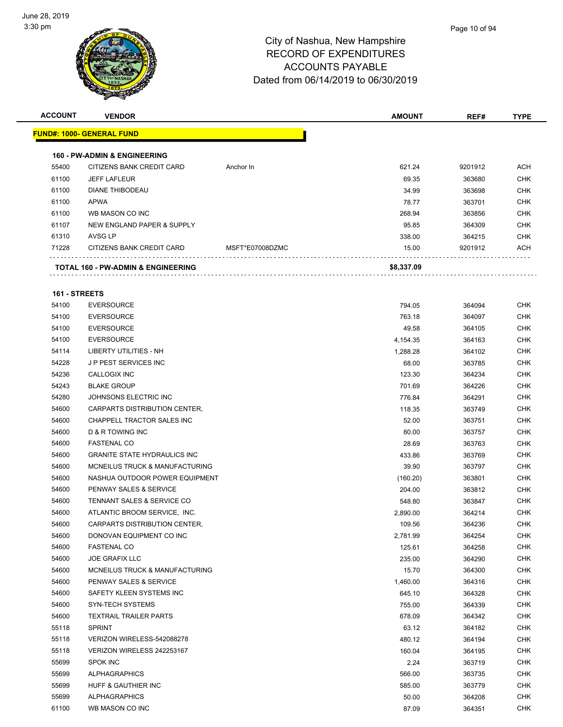

| <b>ACCOUNT</b> | <b>VENDOR</b>                                 |                 | <b>AMOUNT</b> | REF#    | <b>TYPE</b> |
|----------------|-----------------------------------------------|-----------------|---------------|---------|-------------|
|                | <b>FUND#: 1000- GENERAL FUND</b>              |                 |               |         |             |
|                | <b>160 - PW-ADMIN &amp; ENGINEERING</b>       |                 |               |         |             |
| 55400          | CITIZENS BANK CREDIT CARD                     | Anchor In       | 621.24        | 9201912 | <b>ACH</b>  |
| 61100          | <b>JEFF LAFLEUR</b>                           |                 | 69.35         | 363680  | <b>CHK</b>  |
| 61100          | DIANE THIBODEAU                               |                 | 34.99         | 363698  | <b>CHK</b>  |
| 61100          | <b>APWA</b>                                   |                 | 78.77         | 363701  | <b>CHK</b>  |
| 61100          | WB MASON CO INC                               |                 | 268.94        | 363856  | <b>CHK</b>  |
| 61107          | NEW ENGLAND PAPER & SUPPLY                    |                 | 95.85         | 364309  | <b>CHK</b>  |
| 61310          | AVSG LP                                       |                 | 338.00        | 364215  | <b>CHK</b>  |
| 71228          | CITIZENS BANK CREDIT CARD                     | MSFT*E07008DZMC | 15.00         | 9201912 | <b>ACH</b>  |
|                | <b>TOTAL 160 - PW-ADMIN &amp; ENGINEERING</b> |                 | \$8,337.09    |         |             |
| 161 - STREETS  |                                               |                 |               |         |             |
| 54100          | <b>EVERSOURCE</b>                             |                 | 794.05        | 364094  | <b>CHK</b>  |
| 54100          | <b>EVERSOURCE</b>                             |                 | 763.18        | 364097  | <b>CHK</b>  |
| 54100          | <b>EVERSOURCE</b>                             |                 | 49.58         | 364105  | <b>CHK</b>  |
| 54100          | <b>EVERSOURCE</b>                             |                 | 4,154.35      | 364163  | <b>CHK</b>  |
| 54114          | <b>LIBERTY UTILITIES - NH</b>                 |                 | 1,288.28      | 364102  | <b>CHK</b>  |
| 54228          | J P PEST SERVICES INC                         |                 | 68.00         | 363785  | <b>CHK</b>  |
| 54236          | <b>CALLOGIX INC</b>                           |                 | 123.30        | 364234  | <b>CHK</b>  |

| 54114 | LIBERTY UTILITIES - NH                | 1,288.28 | 364102 | CHK        |
|-------|---------------------------------------|----------|--------|------------|
| 54228 | <b>JP PEST SERVICES INC</b>           | 68.00    | 363785 | CHK        |
| 54236 | CALLOGIX INC                          | 123.30   | 364234 | CHK        |
| 54243 | <b>BLAKE GROUP</b>                    | 701.69   | 364226 | CHK        |
| 54280 | JOHNSONS ELECTRIC INC                 | 776.84   | 364291 | CHK        |
| 54600 | CARPARTS DISTRIBUTION CENTER,         | 118.35   | 363749 | CHK        |
| 54600 | CHAPPELL TRACTOR SALES INC            | 52.00    | 363751 | CHK        |
| 54600 | D & R TOWING INC                      | 80.00    | 363757 | CHK        |
| 54600 | <b>FASTENAL CO</b>                    | 28.69    | 363763 | CHK        |
| 54600 | <b>GRANITE STATE HYDRAULICS INC</b>   | 433.86   | 363769 | CHK        |
| 54600 | MCNEILUS TRUCK & MANUFACTURING        | 39.90    | 363797 | CHK        |
| 54600 | NASHUA OUTDOOR POWER EQUIPMENT        | (160.20) | 363801 | CHK        |
| 54600 | PENWAY SALES & SERVICE                | 204.00   | 363812 | CHK        |
| 54600 | <b>TENNANT SALES &amp; SERVICE CO</b> | 548.80   | 363847 | CHK        |
| 54600 | ATLANTIC BROOM SERVICE, INC.          | 2,890.00 | 364214 | CHK        |
| 54600 | CARPARTS DISTRIBUTION CENTER,         | 109.56   | 364236 | CHK        |
| 54600 | DONOVAN EQUIPMENT CO INC              | 2,781.99 | 364254 | CHK        |
| 54600 | <b>FASTENAL CO</b>                    | 125.61   | 364258 | <b>CHK</b> |
| 54600 | <b>JOE GRAFIX LLC</b>                 | 235.00   | 364290 | CHK        |
| 54600 | MCNEILUS TRUCK & MANUFACTURING        | 15.70    | 364300 | CHK        |
| 54600 | PENWAY SALES & SERVICE                | 1,460.00 | 364316 | CHK        |
| 54600 | SAFETY KLEEN SYSTEMS INC              | 645.10   | 364328 | CHK        |
| 54600 | SYN-TECH SYSTEMS                      | 755.00   | 364339 | CHK        |
| 54600 | <b>TEXTRAIL TRAILER PARTS</b>         | 678.09   | 364342 | CHK        |
| 55118 | <b>SPRINT</b>                         | 63.12    | 364182 | CHK        |
| 55118 | VERIZON WIRELESS-542088278            | 480.12   | 364194 | CHK        |
| 55118 | VERIZON WIRELESS 242253167            | 160.04   | 364195 | CHK        |
| 55699 | <b>SPOK INC</b>                       | 2.24     | 363719 | CHK        |
| 55699 | <b>ALPHAGRAPHICS</b>                  | 566.00   | 363735 | CHK        |
| 55699 | HUFF & GAUTHIER INC                   | 585.00   | 363779 | CHK        |
| 55699 | <b>ALPHAGRAPHICS</b>                  | 50.00    | 364208 | CHK        |
| 61100 | WB MASON CO INC                       | 87.09    | 364351 | CHK        |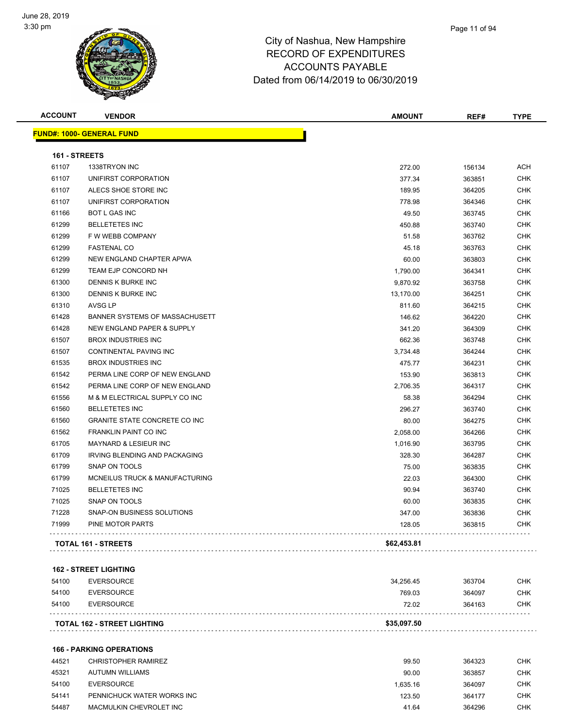

| <b>ACCOUNT</b> | <b>VENDOR</b>                             | <b>AMOUNT</b> | REF#   | <b>TYPE</b> |
|----------------|-------------------------------------------|---------------|--------|-------------|
|                | <u> FUND#: 1000- GENERAL FUND</u>         |               |        |             |
| 161 - STREETS  |                                           |               |        |             |
| 61107          | 1338TRYON INC                             | 272.00        | 156134 | <b>ACH</b>  |
| 61107          | UNIFIRST CORPORATION                      | 377.34        | 363851 | <b>CHK</b>  |
| 61107          | ALECS SHOE STORE INC                      | 189.95        | 364205 | <b>CHK</b>  |
| 61107          | UNIFIRST CORPORATION                      | 778.98        | 364346 | <b>CHK</b>  |
| 61166          | <b>BOT L GAS INC</b>                      | 49.50         | 363745 | <b>CHK</b>  |
| 61299          | <b>BELLETETES INC</b>                     | 450.88        | 363740 | <b>CHK</b>  |
| 61299          | F W WEBB COMPANY                          | 51.58         | 363762 | <b>CHK</b>  |
| 61299          | <b>FASTENAL CO</b>                        | 45.18         | 363763 | <b>CHK</b>  |
| 61299          | NEW ENGLAND CHAPTER APWA                  | 60.00         | 363803 | <b>CHK</b>  |
| 61299          | TEAM EJP CONCORD NH                       | 1,790.00      | 364341 | <b>CHK</b>  |
| 61300          | DENNIS K BURKE INC                        | 9,870.92      | 363758 | <b>CHK</b>  |
| 61300          | DENNIS K BURKE INC                        | 13,170.00     | 364251 | <b>CHK</b>  |
| 61310          | AVSG LP                                   | 811.60        | 364215 | <b>CHK</b>  |
| 61428          | BANNER SYSTEMS OF MASSACHUSETT            | 146.62        | 364220 | <b>CHK</b>  |
| 61428          | NEW ENGLAND PAPER & SUPPLY                | 341.20        | 364309 | <b>CHK</b>  |
| 61507          | <b>BROX INDUSTRIES INC</b>                | 662.36        | 363748 | <b>CHK</b>  |
| 61507          | <b>CONTINENTAL PAVING INC</b>             | 3,734.48      | 364244 | <b>CHK</b>  |
| 61535          | <b>BROX INDUSTRIES INC</b>                | 475.77        | 364231 | <b>CHK</b>  |
| 61542          | PERMA LINE CORP OF NEW ENGLAND            | 153.90        | 363813 | <b>CHK</b>  |
| 61542          | PERMA LINE CORP OF NEW ENGLAND            | 2,706.35      | 364317 | <b>CHK</b>  |
| 61556          | M & M ELECTRICAL SUPPLY CO INC            | 58.38         | 364294 | <b>CHK</b>  |
| 61560          | <b>BELLETETES INC</b>                     | 296.27        | 363740 | <b>CHK</b>  |
| 61560          | <b>GRANITE STATE CONCRETE CO INC</b>      | 80.00         | 364275 | <b>CHK</b>  |
| 61562          | FRANKLIN PAINT CO INC                     | 2,058.00      | 364266 | <b>CHK</b>  |
| 61705          | MAYNARD & LESIEUR INC                     | 1,016.90      | 363795 | <b>CHK</b>  |
| 61709          | <b>IRVING BLENDING AND PACKAGING</b>      | 328.30        | 364287 | <b>CHK</b>  |
| 61799          | SNAP ON TOOLS                             | 75.00         | 363835 | <b>CHK</b>  |
| 61799          | <b>MCNEILUS TRUCK &amp; MANUFACTURING</b> | 22.03         | 364300 | <b>CHK</b>  |
| 71025          | <b>BELLETETES INC</b>                     | 90.94         | 363740 | <b>CHK</b>  |
| 71025          | SNAP ON TOOLS                             | 60.00         | 363835 | <b>CHK</b>  |
| 71228          | SNAP-ON BUSINESS SOLUTIONS                | 347.00        | 363836 | <b>CHK</b>  |
| 71999          | PINE MOTOR PARTS                          | 128.05        | 363815 | CHK         |
|                | <b>TOTAL 161 - STREETS</b>                | \$62,453.81   |        |             |

#### **162 - STREET LIGHTING**

|       | <b>TOTAL 162 - STREET LIGHTING</b> | \$35,097.50 |        |            |
|-------|------------------------------------|-------------|--------|------------|
| 54100 | EVERSOURCE                         | 72.02       | 364163 | <b>CHK</b> |
| 54100 | EVERSOURCE                         | 769.03      | 364097 | <b>CHK</b> |
| 54100 | EVERSOURCE                         | 34.256.45   | 363704 | <b>CHK</b> |

#### **166 - PARKING OPERATIONS**

| 44521 | CHRISTOPHER RAMIREZ        | 99.50    | 364323 | СНК        |
|-------|----------------------------|----------|--------|------------|
| 45321 | AUTUMN WILLIAMS            | 90.00    | 363857 | СНК        |
| 54100 | EVERSOURCE                 | 1.635.16 | 364097 | СНК        |
| 54141 | PENNICHUCK WATER WORKS INC | 123.50   | 364177 | <b>CHK</b> |
| 54487 | MACMULKIN CHEVROLET INC    | 41.64    | 364296 | <b>CHK</b> |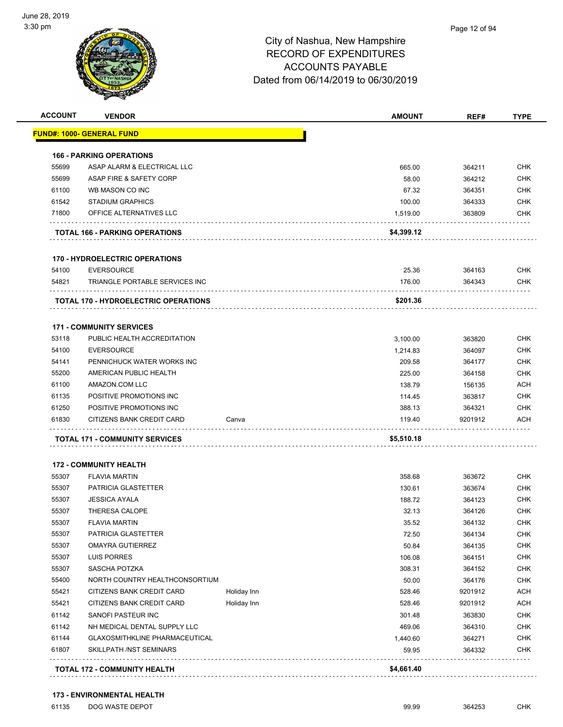

| <b>ACCOUNT</b> | <b>VENDOR</b>                               |             | <b>AMOUNT</b> | REF#    | <b>TYPE</b> |
|----------------|---------------------------------------------|-------------|---------------|---------|-------------|
|                | <u> FUND#: 1000- GENERAL FUND</u>           |             |               |         |             |
|                | <b>166 - PARKING OPERATIONS</b>             |             |               |         |             |
| 55699          | ASAP ALARM & ELECTRICAL LLC                 |             | 665.00        | 364211  | <b>CHK</b>  |
| 55699          | ASAP FIRE & SAFETY CORP                     |             | 58.00         | 364212  | <b>CHK</b>  |
| 61100          | WB MASON CO INC                             |             | 67.32         | 364351  | <b>CHK</b>  |
| 61542          | <b>STADIUM GRAPHICS</b>                     |             | 100.00        | 364333  | <b>CHK</b>  |
| 71800          | OFFICE ALTERNATIVES LLC                     |             | 1,519.00      | 363809  | CHK         |
|                | <b>TOTAL 166 - PARKING OPERATIONS</b>       |             | \$4,399.12    |         |             |
|                | <b>170 - HYDROELECTRIC OPERATIONS</b>       |             |               |         |             |
| 54100          | <b>EVERSOURCE</b>                           |             | 25.36         | 364163  | <b>CHK</b>  |
| 54821          | TRIANGLE PORTABLE SERVICES INC              |             | 176.00        | 364343  | CHK         |
|                | <b>TOTAL 170 - HYDROELECTRIC OPERATIONS</b> |             | \$201.36      |         |             |
|                |                                             |             |               |         |             |
|                | <b>171 - COMMUNITY SERVICES</b>             |             |               |         |             |
| 53118          | PUBLIC HEALTH ACCREDITATION                 |             | 3,100.00      | 363820  | <b>CHK</b>  |
| 54100          | <b>EVERSOURCE</b>                           |             | 1,214.83      | 364097  | <b>CHK</b>  |
| 54141          | PENNICHUCK WATER WORKS INC                  |             | 209.58        | 364177  | CHK         |
| 55200          | AMERICAN PUBLIC HEALTH                      |             | 225.00        | 364158  | CHK         |
| 61100          | AMAZON.COM LLC                              |             | 138.79        | 156135  | <b>ACH</b>  |
| 61135          | POSITIVE PROMOTIONS INC                     |             | 114.45        | 363817  | <b>CHK</b>  |
| 61250          | POSITIVE PROMOTIONS INC                     |             | 388.13        | 364321  | <b>CHK</b>  |
| 61830          | CITIZENS BANK CREDIT CARD                   | Canva       | 119.40        | 9201912 | <b>ACH</b>  |
|                | <b>TOTAL 171 - COMMUNITY SERVICES</b>       |             | \$5,510.18    |         |             |
|                | <b>172 - COMMUNITY HEALTH</b>               |             |               |         |             |
| 55307          | <b>FLAVIA MARTIN</b>                        |             | 358.68        | 363672  | <b>CHK</b>  |
| 55307          | PATRICIA GLASTETTER                         |             | 130.61        | 363674  | <b>CHK</b>  |
| 55307          | <b>JESSICA AYALA</b>                        |             | 188.72        | 364123  | CHK         |
| 55307          | <b>THERESA CALOPE</b>                       |             | 32.13         | 364126  | <b>CHK</b>  |
| 55307          | <b>FLAVIA MARTIN</b>                        |             | 35.52         | 364132  | CHK         |
| 55307          | PATRICIA GLASTETTER                         |             | 72.50         | 364134  | <b>CHK</b>  |
| 55307          | <b>OMAYRA GUTIERREZ</b>                     |             | 50.84         | 364135  | <b>CHK</b>  |
| 55307          | LUIS PORRES                                 |             | 106.08        | 364151  | <b>CHK</b>  |
| 55307          | <b>SASCHA POTZKA</b>                        |             | 308.31        | 364152  | <b>CHK</b>  |
| 55400          | NORTH COUNTRY HEALTHCONSORTIUM              |             | 50.00         | 364176  | <b>CHK</b>  |
| 55421          | CITIZENS BANK CREDIT CARD                   | Holiday Inn | 528.46        | 9201912 | ACH         |
| 55421          | CITIZENS BANK CREDIT CARD                   | Holiday Inn | 528.46        | 9201912 | ACH         |
| 61142          | SANOFI PASTEUR INC                          |             | 301.48        | 363830  | <b>CHK</b>  |
| 61142          | NH MEDICAL DENTAL SUPPLY LLC                |             | 469.06        | 364310  | <b>CHK</b>  |
| 61144          | <b>GLAXOSMITHKLINE PHARMACEUTICAL</b>       |             | 1,440.60      | 364271  | <b>CHK</b>  |
| 61807          | SKILLPATH /NST SEMINARS                     |             | 59.95         | 364332  | <b>CHK</b>  |
|                |                                             |             |               |         |             |
|                | <b>TOTAL 172 - COMMUNITY HEALTH</b>         |             | \$4,661.40    |         |             |

er and the set of the set of the set of the set of the set of the set of the set of the set of the set of the set of the set of the set of the set of the set of the set of the set of the set of the set of the set of the se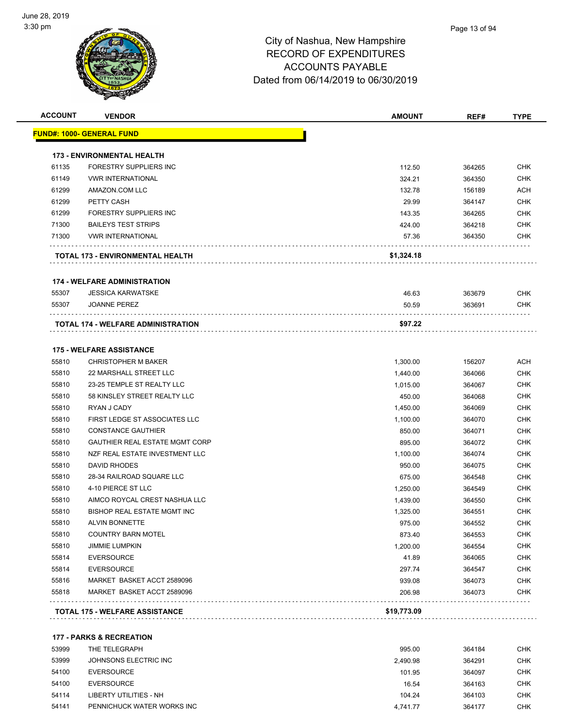

| <u> FUND#: 1000- GENERAL FUND</u> |                                           |             |        |            |
|-----------------------------------|-------------------------------------------|-------------|--------|------------|
|                                   |                                           |             |        |            |
|                                   | <b>173 - ENVIRONMENTAL HEALTH</b>         |             |        |            |
| 61135                             | FORESTRY SUPPLIERS INC                    | 112.50      | 364265 | <b>CHK</b> |
| 61149                             | <b>VWR INTERNATIONAL</b>                  | 324.21      | 364350 | <b>CHK</b> |
| 61299                             | AMAZON.COM LLC                            | 132.78      | 156189 | <b>ACH</b> |
| 61299                             | PETTY CASH                                | 29.99       | 364147 | <b>CHK</b> |
| 61299                             | FORESTRY SUPPLIERS INC                    | 143.35      | 364265 | <b>CHK</b> |
| 71300                             | <b>BAILEYS TEST STRIPS</b>                | 424.00      | 364218 | <b>CHK</b> |
| 71300                             | <b>VWR INTERNATIONAL</b>                  | 57.36       | 364350 | CHK        |
|                                   | TOTAL 173 - ENVIRONMENTAL HEALTH          | \$1,324.18  |        |            |
|                                   | <b>174 - WELFARE ADMINISTRATION</b>       |             |        |            |
| 55307                             | <b>JESSICA KARWATSKE</b>                  | 46.63       | 363679 | <b>CHK</b> |
| 55307                             | <b>JOANNE PEREZ</b>                       | 50.59       | 363691 | <b>CHK</b> |
|                                   | <b>TOTAL 174 - WELFARE ADMINISTRATION</b> | \$97.22     |        |            |
|                                   | <b>175 - WELFARE ASSISTANCE</b>           |             |        |            |
| 55810                             | <b>CHRISTOPHER M BAKER</b>                | 1,300.00    | 156207 | <b>ACH</b> |
| 55810                             | 22 MARSHALL STREET LLC                    | 1,440.00    | 364066 | <b>CHK</b> |
| 55810                             | 23-25 TEMPLE ST REALTY LLC                | 1,015.00    | 364067 | <b>CHK</b> |
| 55810                             | 58 KINSLEY STREET REALTY LLC              | 450.00      | 364068 | CHK        |
| 55810                             | RYAN J CADY                               | 1,450.00    | 364069 | <b>CHK</b> |
| 55810                             | FIRST LEDGE ST ASSOCIATES LLC             | 1,100.00    | 364070 | <b>CHK</b> |
| 55810                             | <b>CONSTANCE GAUTHIER</b>                 | 850.00      | 364071 | <b>CHK</b> |
| 55810                             | <b>GAUTHIER REAL ESTATE MGMT CORP</b>     | 895.00      | 364072 | <b>CHK</b> |
| 55810                             | NZF REAL ESTATE INVESTMENT LLC            | 1,100.00    | 364074 | CHK        |
| 55810                             | DAVID RHODES                              | 950.00      | 364075 | <b>CHK</b> |
| 55810                             | 28-34 RAILROAD SQUARE LLC                 | 675.00      | 364548 | <b>CHK</b> |
| 55810                             | 4-10 PIERCE ST LLC                        | 1,250.00    | 364549 | <b>CHK</b> |
| 55810                             | AIMCO ROYCAL CREST NASHUA LLC             | 1,439.00    | 364550 | <b>CHK</b> |
| 55810                             | <b>BISHOP REAL ESTATE MGMT INC</b>        | 1,325.00    | 364551 | <b>CHK</b> |
| 55810                             | <b>ALVIN BONNETTE</b>                     | 975.00      | 364552 | <b>CHK</b> |
| 55810                             | <b>COUNTRY BARN MOTEL</b>                 | 873.40      | 364553 | <b>CHK</b> |
| 55810                             | <b>JIMMIE LUMPKIN</b>                     | 1,200.00    | 364554 | <b>CHK</b> |
| 55814                             | <b>EVERSOURCE</b>                         | 41.89       | 364065 | <b>CHK</b> |
| 55814                             | <b>EVERSOURCE</b>                         | 297.74      | 364547 | <b>CHK</b> |
| 55816                             | MARKET BASKET ACCT 2589096                | 939.08      | 364073 | CHK        |
| 55818                             | MARKET BASKET ACCT 2589096                | 206.98      | 364073 | <b>CHK</b> |
|                                   | <b>TOTAL 175 - WELFARE ASSISTANCE</b>     | \$19,773.09 |        |            |

#### **177 - PARKS & RECREATION**

| 53999 | THE TELEGRAPH              | 995.00   | 364184 | <b>CHK</b> |
|-------|----------------------------|----------|--------|------------|
| 53999 | JOHNSONS ELECTRIC INC      | 2.490.98 | 364291 | <b>CHK</b> |
| 54100 | EVERSOURCE                 | 101.95   | 364097 | <b>CHK</b> |
| 54100 | EVERSOURCE                 | 16.54    | 364163 | <b>CHK</b> |
| 54114 | LIBERTY UTILITIES - NH     | 104.24   | 364103 | <b>CHK</b> |
| 54141 | PENNICHUCK WATER WORKS INC | 4.741.77 | 364177 | <b>CHK</b> |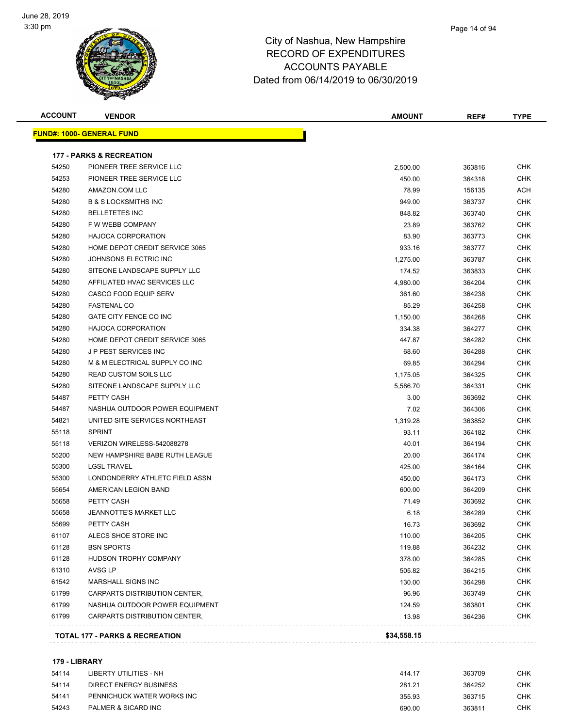

| <b>ACCOUNT</b> | <b>VENDOR</b>                       | <b>AMOUNT</b> | REF#   | <b>TYPE</b> |
|----------------|-------------------------------------|---------------|--------|-------------|
|                | <u> FUND#: 1000- GENERAL FUND</u>   |               |        |             |
|                | <b>177 - PARKS &amp; RECREATION</b> |               |        |             |
| 54250          | PIONEER TREE SERVICE LLC            | 2,500.00      | 363816 | CHK         |
| 54253          | PIONEER TREE SERVICE LLC            | 450.00        | 364318 | CHK         |
| 54280          | AMAZON.COM LLC                      | 78.99         | 156135 | ACH         |
| 54280          | <b>B &amp; S LOCKSMITHS INC</b>     | 949.00        | 363737 | CHK         |
| 54280          | <b>BELLETETES INC</b>               | 848.82        | 363740 | <b>CHK</b>  |
| 54280          | F W WEBB COMPANY                    | 23.89         | 363762 | <b>CHK</b>  |
| 54280          | <b>HAJOCA CORPORATION</b>           | 83.90         | 363773 | CHK         |
| 54280          | HOME DEPOT CREDIT SERVICE 3065      | 933.16        | 363777 | CHK         |
| 54280          | JOHNSONS ELECTRIC INC               | 1,275.00      | 363787 | CHK         |
| 54280          | SITEONE LANDSCAPE SUPPLY LLC        | 174.52        | 363833 | CHK         |
| 54280          | AFFILIATED HVAC SERVICES LLC        | 4,980.00      | 364204 | CHK         |
| 54280          | <b>CASCO FOOD EQUIP SERV</b>        | 361.60        | 364238 | CHK         |
| 54280          | <b>FASTENAL CO</b>                  | 85.29         | 364258 | CHK         |
| 54280          | GATE CITY FENCE CO INC              | 1,150.00      | 364268 | CHK         |
| 54280          | <b>HAJOCA CORPORATION</b>           | 334.38        | 364277 | CHK         |
| 54280          | HOME DEPOT CREDIT SERVICE 3065      | 447.87        | 364282 | <b>CHK</b>  |
| 54280          | J P PEST SERVICES INC               | 68.60         | 364288 | <b>CHK</b>  |
| 54280          | M & M ELECTRICAL SUPPLY CO INC      | 69.85         | 364294 | CHK         |
| 54280          | <b>READ CUSTOM SOILS LLC</b>        | 1,175.05      | 364325 | CHK         |
| 54280          | SITEONE LANDSCAPE SUPPLY LLC        | 5,586.70      | 364331 | CHK         |
| 54487          | PETTY CASH                          | 3.00          | 363692 | CHK         |
| 54487          | NASHUA OUTDOOR POWER EQUIPMENT      | 7.02          | 364306 | CHK         |
| 54821          | UNITED SITE SERVICES NORTHEAST      | 1,319.28      | 363852 | CHK         |
| 55118          | <b>SPRINT</b>                       | 93.11         | 364182 | CHK         |
| 55118          | VERIZON WIRELESS-542088278          | 40.01         | 364194 | CHK         |
| 55200          | NEW HAMPSHIRE BABE RUTH LEAGUE      | 20.00         | 364174 | CHK         |
| 55300          | <b>LGSL TRAVEL</b>                  | 425.00        | 364164 | CHK         |
| 55300          | LONDONDERRY ATHLETC FIELD ASSN      | 450.00        | 364173 | CHK         |
| 55654          | AMERICAN LEGION BAND                | 600.00        | 364209 | CHK         |
| 55658          | PETTY CASH                          | 71.49         | 363692 | CHK         |
| 55658          | JEANNOTTE'S MARKET LLC              | 6.18          | 364289 | CHK         |
| 55699          | PETTY CASH                          | 16.73         | 363692 | <b>CHK</b>  |
| 61107          | ALECS SHOE STORE INC                | 110.00        | 364205 | <b>CHK</b>  |
| 61128          | <b>BSN SPORTS</b>                   | 119.88        | 364232 | CHK         |
| 61128          | HUDSON TROPHY COMPANY               | 378.00        | 364285 | CHK         |
| 61310          | AVSG LP                             | 505.82        | 364215 | CHK         |
| 61542          | MARSHALL SIGNS INC                  | 130.00        | 364298 | CHK         |
| 61799          | CARPARTS DISTRIBUTION CENTER,       | 96.96         | 363749 | CHK         |
| 61799          | NASHUA OUTDOOR POWER EQUIPMENT      | 124.59        | 363801 | <b>CHK</b>  |
| 61799          | CARPARTS DISTRIBUTION CENTER,       | 13.98         | 364236 | CHK         |

#### **179 - LIBRARY**

| 54114 | LIBERTY UTILITIES - NH     | 414.17 | 363709 | снк |
|-------|----------------------------|--------|--------|-----|
| 54114 | DIRECT ENERGY BUSINESS     | 281.21 | 364252 | CHK |
| 54141 | PENNICHUCK WATER WORKS INC | 355.93 | 363715 | снк |
| 54243 | PALMER & SICARD INC        | 690.00 | 363811 | СНК |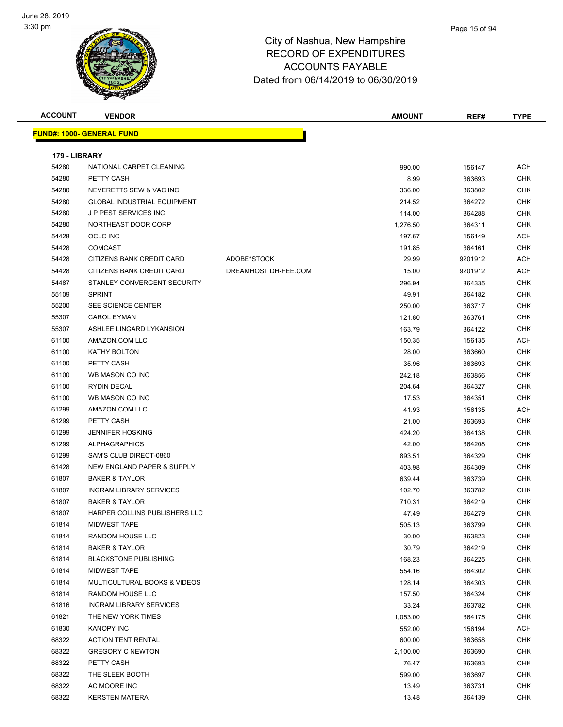

| <b>ACCOUNT</b> | <b>VENDOR</b>                      |                      | <b>AMOUNT</b> | REF#    | <b>TYPE</b> |
|----------------|------------------------------------|----------------------|---------------|---------|-------------|
|                | <b>FUND#: 1000- GENERAL FUND</b>   |                      |               |         |             |
| 179 - LIBRARY  |                                    |                      |               |         |             |
| 54280          | NATIONAL CARPET CLEANING           |                      | 990.00        | 156147  | <b>ACH</b>  |
| 54280          | PETTY CASH                         |                      | 8.99          | 363693  | <b>CHK</b>  |
| 54280          | NEVERETTS SEW & VAC INC            |                      | 336.00        | 363802  | <b>CHK</b>  |
| 54280          | <b>GLOBAL INDUSTRIAL EQUIPMENT</b> |                      | 214.52        | 364272  | <b>CHK</b>  |
| 54280          | J P PEST SERVICES INC              |                      | 114.00        | 364288  | <b>CHK</b>  |
| 54280          | NORTHEAST DOOR CORP                |                      | 1,276.50      | 364311  | <b>CHK</b>  |
| 54428          | <b>OCLC INC</b>                    |                      | 197.67        | 156149  | <b>ACH</b>  |
| 54428          | <b>COMCAST</b>                     |                      | 191.85        | 364161  | <b>CHK</b>  |
| 54428          | CITIZENS BANK CREDIT CARD          | ADOBE*STOCK          | 29.99         | 9201912 | <b>ACH</b>  |
| 54428          | CITIZENS BANK CREDIT CARD          | DREAMHOST DH-FEE.COM | 15.00         | 9201912 | ACH         |
| 54487          | STANLEY CONVERGENT SECURITY        |                      | 296.94        | 364335  | <b>CHK</b>  |
| 55109          | <b>SPRINT</b>                      |                      | 49.91         | 364182  | <b>CHK</b>  |
| 55200          | SEE SCIENCE CENTER                 |                      | 250.00        | 363717  | <b>CHK</b>  |
| 55307          | <b>CAROL EYMAN</b>                 |                      | 121.80        | 363761  | <b>CHK</b>  |
| 55307          | ASHLEE LINGARD LYKANSION           |                      | 163.79        | 364122  | <b>CHK</b>  |
| 61100          | AMAZON.COM LLC                     |                      | 150.35        | 156135  | <b>ACH</b>  |
| 61100          | <b>KATHY BOLTON</b>                |                      | 28.00         | 363660  | CHK         |
| 61100          | PETTY CASH                         |                      | 35.96         | 363693  | <b>CHK</b>  |
| 61100          | WB MASON CO INC                    |                      | 242.18        | 363856  | <b>CHK</b>  |
| 61100          | <b>RYDIN DECAL</b>                 |                      | 204.64        | 364327  | <b>CHK</b>  |
| 61100          | WB MASON CO INC                    |                      | 17.53         | 364351  | <b>CHK</b>  |
| 61299          | AMAZON.COM LLC                     |                      | 41.93         | 156135  | ACH         |
| 61299          | PETTY CASH                         |                      | 21.00         | 363693  | CHK         |
| 61299          | <b>JENNIFER HOSKING</b>            |                      | 424.20        | 364138  | <b>CHK</b>  |
| 61299          | <b>ALPHAGRAPHICS</b>               |                      | 42.00         | 364208  | <b>CHK</b>  |
| 61299          | SAM'S CLUB DIRECT-0860             |                      | 893.51        | 364329  | <b>CHK</b>  |
| 61428          | NEW ENGLAND PAPER & SUPPLY         |                      | 403.98        | 364309  | <b>CHK</b>  |
| 61807          | <b>BAKER &amp; TAYLOR</b>          |                      | 639.44        | 363739  | CHK         |
| 61807          | <b>INGRAM LIBRARY SERVICES</b>     |                      | 102.70        | 363782  | CHK         |
| 61807          | <b>BAKER &amp; TAYLOR</b>          |                      | 710.31        | 364219  | <b>CHK</b>  |
| 61807          | HARPER COLLINS PUBLISHERS LLC      |                      | 47.49         | 364279  | <b>CHK</b>  |
| 61814          | MIDWEST TAPE                       |                      | 505.13        | 363799  | <b>CHK</b>  |
| 61814          | RANDOM HOUSE LLC                   |                      | 30.00         | 363823  | CHK         |
| 61814          | <b>BAKER &amp; TAYLOR</b>          |                      | 30.79         | 364219  | <b>CHK</b>  |
| 61814          | <b>BLACKSTONE PUBLISHING</b>       |                      | 168.23        | 364225  | <b>CHK</b>  |
| 61814          | MIDWEST TAPE                       |                      | 554.16        | 364302  | <b>CHK</b>  |
| 61814          | MULTICULTURAL BOOKS & VIDEOS       |                      | 128.14        | 364303  | <b>CHK</b>  |
| 61814          | RANDOM HOUSE LLC                   |                      | 157.50        | 364324  | <b>CHK</b>  |
| 61816          | <b>INGRAM LIBRARY SERVICES</b>     |                      | 33.24         | 363782  | CHK         |
| 61821          | THE NEW YORK TIMES                 |                      | 1,053.00      | 364175  | <b>CHK</b>  |
| 61830          | KANOPY INC                         |                      | 552.00        | 156194  | <b>ACH</b>  |
| 68322          | <b>ACTION TENT RENTAL</b>          |                      | 600.00        | 363658  | <b>CHK</b>  |
| 68322          | <b>GREGORY C NEWTON</b>            |                      | 2,100.00      | 363690  | <b>CHK</b>  |
| 68322          | PETTY CASH                         |                      | 76.47         | 363693  | CHK         |
| 68322          | THE SLEEK BOOTH                    |                      | 599.00        | 363697  | <b>CHK</b>  |
| 68322          | AC MOORE INC                       |                      | 13.49         | 363731  | <b>CHK</b>  |
| 68322          | <b>KERSTEN MATERA</b>              |                      | 13.48         | 364139  | <b>CHK</b>  |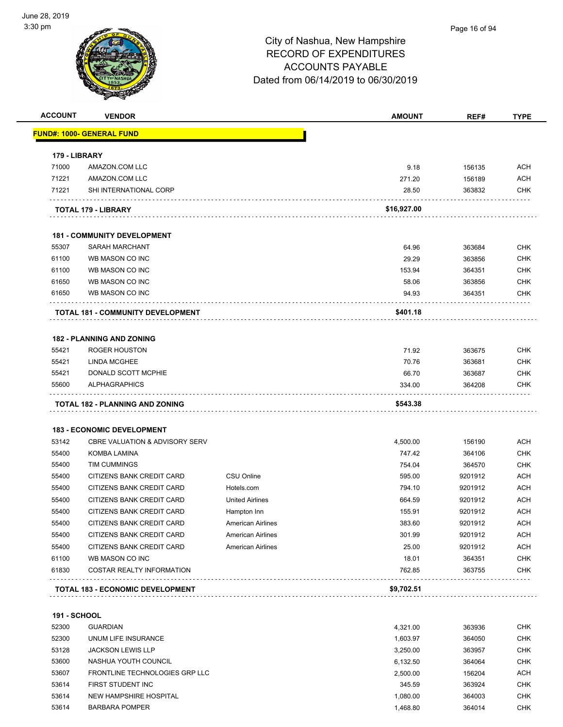

**ACCOUNT VENDOR AMOUNT REF# TYPE**

|                                                                                                                                                                              | <u> FUND#: 1000- GENERAL FUND</u>         |                          |             |         |                                                                                                                                                                                                                                                                        |
|------------------------------------------------------------------------------------------------------------------------------------------------------------------------------|-------------------------------------------|--------------------------|-------------|---------|------------------------------------------------------------------------------------------------------------------------------------------------------------------------------------------------------------------------------------------------------------------------|
| 179 - LIBRARY                                                                                                                                                                |                                           |                          |             |         |                                                                                                                                                                                                                                                                        |
| 71000                                                                                                                                                                        | AMAZON.COM LLC                            |                          | 9.18        | 156135  | <b>ACH</b>                                                                                                                                                                                                                                                             |
| 71221                                                                                                                                                                        | AMAZON.COM LLC                            |                          | 271.20      | 156189  | <b>ACH</b>                                                                                                                                                                                                                                                             |
| 71221                                                                                                                                                                        | SHI INTERNATIONAL CORP                    |                          | 28.50       | 363832  | <b>CHK</b>                                                                                                                                                                                                                                                             |
|                                                                                                                                                                              | TOTAL 179 - LIBRARY                       |                          | \$16,927.00 |         |                                                                                                                                                                                                                                                                        |
|                                                                                                                                                                              | <b>181 - COMMUNITY DEVELOPMENT</b>        |                          |             |         |                                                                                                                                                                                                                                                                        |
| 55307                                                                                                                                                                        | <b>SARAH MARCHANT</b>                     |                          | 64.96       | 363684  | <b>CHK</b>                                                                                                                                                                                                                                                             |
| 61100                                                                                                                                                                        | WB MASON CO INC                           |                          | 29.29       | 363856  | <b>CHK</b>                                                                                                                                                                                                                                                             |
| 61100                                                                                                                                                                        | WB MASON CO INC                           |                          | 153.94      | 364351  | <b>CHK</b>                                                                                                                                                                                                                                                             |
| 61650                                                                                                                                                                        | WB MASON CO INC                           |                          | 58.06       | 363856  | <b>CHK</b>                                                                                                                                                                                                                                                             |
| 61650                                                                                                                                                                        | WB MASON CO INC                           |                          | 94.93       | 364351  | <b>CHK</b>                                                                                                                                                                                                                                                             |
|                                                                                                                                                                              | TOTAL 181 - COMMUNITY DEVELOPMENT         |                          | \$401.18    |         |                                                                                                                                                                                                                                                                        |
|                                                                                                                                                                              |                                           |                          |             |         |                                                                                                                                                                                                                                                                        |
|                                                                                                                                                                              | <b>182 - PLANNING AND ZONING</b>          |                          |             |         |                                                                                                                                                                                                                                                                        |
| 55421                                                                                                                                                                        | ROGER HOUSTON                             |                          | 71.92       | 363675  | <b>CHK</b>                                                                                                                                                                                                                                                             |
| 55421                                                                                                                                                                        | <b>LINDA MCGHEE</b>                       |                          | 70.76       | 363681  | <b>CHK</b>                                                                                                                                                                                                                                                             |
| 55421                                                                                                                                                                        | DONALD SCOTT MCPHIE                       |                          | 66.70       | 363687  | <b>CHK</b>                                                                                                                                                                                                                                                             |
| 55600                                                                                                                                                                        | <b>ALPHAGRAPHICS</b>                      |                          | 334.00      | 364208  | <b>CHK</b>                                                                                                                                                                                                                                                             |
|                                                                                                                                                                              |                                           |                          |             |         |                                                                                                                                                                                                                                                                        |
|                                                                                                                                                                              | <b>TOTAL 182 - PLANNING AND ZONING</b>    |                          | \$543.38    |         |                                                                                                                                                                                                                                                                        |
|                                                                                                                                                                              | <b>183 - ECONOMIC DEVELOPMENT</b>         |                          |             |         |                                                                                                                                                                                                                                                                        |
|                                                                                                                                                                              | <b>CBRE VALUATION &amp; ADVISORY SERV</b> |                          | 4,500.00    | 156190  |                                                                                                                                                                                                                                                                        |
| 53142<br>55400                                                                                                                                                               | KOMBA LAMINA                              |                          | 747.42      | 364106  |                                                                                                                                                                                                                                                                        |
|                                                                                                                                                                              | <b>TIM CUMMINGS</b>                       |                          | 754.04      | 364570  |                                                                                                                                                                                                                                                                        |
|                                                                                                                                                                              | CITIZENS BANK CREDIT CARD                 | CSU Online               | 595.00      | 9201912 |                                                                                                                                                                                                                                                                        |
|                                                                                                                                                                              | CITIZENS BANK CREDIT CARD                 | Hotels.com               | 794.10      | 9201912 |                                                                                                                                                                                                                                                                        |
|                                                                                                                                                                              | CITIZENS BANK CREDIT CARD                 | <b>United Airlines</b>   | 664.59      | 9201912 |                                                                                                                                                                                                                                                                        |
|                                                                                                                                                                              | CITIZENS BANK CREDIT CARD                 | Hampton Inn              | 155.91      | 9201912 |                                                                                                                                                                                                                                                                        |
|                                                                                                                                                                              | CITIZENS BANK CREDIT CARD                 | <b>American Airlines</b> | 383.60      | 9201912 |                                                                                                                                                                                                                                                                        |
|                                                                                                                                                                              | CITIZENS BANK CREDIT CARD                 | American Airlines        | 301.99      | 9201912 |                                                                                                                                                                                                                                                                        |
|                                                                                                                                                                              | CITIZENS BANK CREDIT CARD                 | <b>American Airlines</b> | 25.00       | 9201912 |                                                                                                                                                                                                                                                                        |
|                                                                                                                                                                              | WB MASON CO INC                           |                          | 18.01       | 364351  |                                                                                                                                                                                                                                                                        |
|                                                                                                                                                                              | <b>COSTAR REALTY INFORMATION</b>          |                          | 762.85      | 363755  |                                                                                                                                                                                                                                                                        |
|                                                                                                                                                                              | <b>TOTAL 183 - ECONOMIC DEVELOPMENT</b>   |                          | \$9,702.51  |         |                                                                                                                                                                                                                                                                        |
|                                                                                                                                                                              |                                           |                          |             |         |                                                                                                                                                                                                                                                                        |
|                                                                                                                                                                              | <b>GUARDIAN</b>                           |                          | 4,321.00    | 363936  |                                                                                                                                                                                                                                                                        |
|                                                                                                                                                                              | UNUM LIFE INSURANCE                       |                          | 1,603.97    | 364050  |                                                                                                                                                                                                                                                                        |
|                                                                                                                                                                              | <b>JACKSON LEWIS LLP</b>                  |                          | 3,250.00    | 363957  |                                                                                                                                                                                                                                                                        |
|                                                                                                                                                                              | NASHUA YOUTH COUNCIL                      |                          | 6,132.50    | 364064  |                                                                                                                                                                                                                                                                        |
|                                                                                                                                                                              | FRONTLINE TECHNOLOGIES GRP LLC            |                          | 2,500.00    | 156204  |                                                                                                                                                                                                                                                                        |
|                                                                                                                                                                              | FIRST STUDENT INC                         |                          | 345.59      | 363924  |                                                                                                                                                                                                                                                                        |
| 55400<br>55400<br>55400<br>55400<br>55400<br>55400<br>55400<br>55400<br>61100<br>61830<br><b>191 - SCHOOL</b><br>52300<br>52300<br>53128<br>53600<br>53607<br>53614<br>53614 | NEW HAMPSHIRE HOSPITAL                    |                          | 1,080.00    | 364003  | <b>ACH</b><br><b>CHK</b><br><b>CHK</b><br><b>ACH</b><br><b>ACH</b><br><b>ACH</b><br><b>ACH</b><br><b>ACH</b><br><b>ACH</b><br><b>ACH</b><br><b>CHK</b><br><b>CHK</b><br><b>CHK</b><br><b>CHK</b><br><b>CHK</b><br><b>CHK</b><br><b>ACH</b><br><b>CHK</b><br><b>CHK</b> |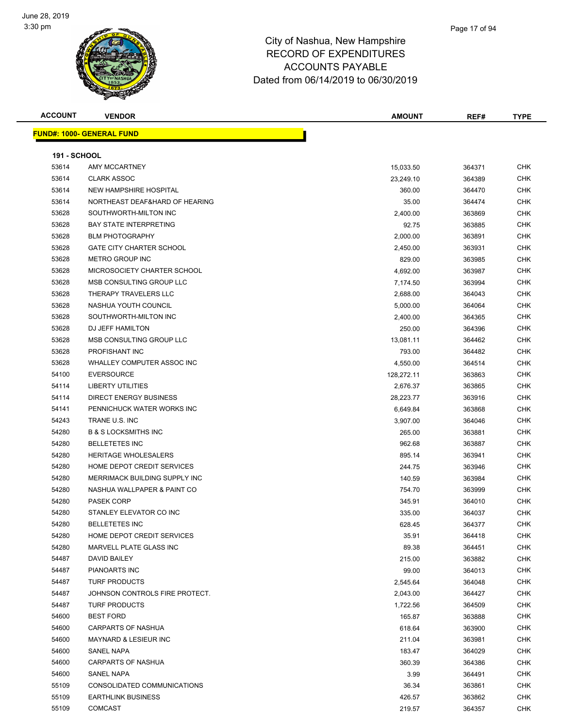

| <b>ACCOUNT</b>      | <b>VENDOR</b>                                 | <b>AMOUNT</b>     | REF#             | <b>TYPE</b>       |
|---------------------|-----------------------------------------------|-------------------|------------------|-------------------|
|                     | <b>FUND#: 1000- GENERAL FUND</b>              |                   |                  |                   |
|                     |                                               |                   |                  |                   |
| <b>191 - SCHOOL</b> |                                               |                   |                  |                   |
| 53614               | AMY MCCARTNEY                                 | 15,033.50         | 364371           | CHK               |
| 53614               | <b>CLARK ASSOC</b>                            | 23,249.10         | 364389           | <b>CHK</b>        |
| 53614               | NEW HAMPSHIRE HOSPITAL                        | 360.00            | 364470           | <b>CHK</b>        |
| 53614               | NORTHEAST DEAF&HARD OF HEARING                | 35.00             | 364474           | CHK               |
| 53628               | SOUTHWORTH-MILTON INC                         | 2,400.00          | 363869           | <b>CHK</b>        |
| 53628               | <b>BAY STATE INTERPRETING</b>                 | 92.75             | 363885           | CHK               |
| 53628               | <b>BLM PHOTOGRAPHY</b>                        | 2,000.00          | 363891           | CHK               |
| 53628               | <b>GATE CITY CHARTER SCHOOL</b>               | 2,450.00          | 363931           | CHK               |
| 53628               | <b>METRO GROUP INC</b>                        | 829.00            | 363985           | CHK               |
| 53628               | MICROSOCIETY CHARTER SCHOOL                   | 4,692.00          | 363987           | CHK               |
| 53628               | MSB CONSULTING GROUP LLC                      | 7,174.50          | 363994           | <b>CHK</b>        |
| 53628               | THERAPY TRAVELERS LLC                         | 2,688.00          | 364043           | CHK               |
| 53628               | NASHUA YOUTH COUNCIL                          | 5,000.00          | 364064           | <b>CHK</b>        |
| 53628               | SOUTHWORTH-MILTON INC                         | 2,400.00          | 364365           | CHK               |
| 53628               | DJ JEFF HAMILTON                              | 250.00            | 364396           | CHK               |
| 53628               | MSB CONSULTING GROUP LLC                      | 13,081.11         | 364462           | <b>CHK</b>        |
| 53628               | PROFISHANT INC                                | 793.00            | 364482           | CHK               |
| 53628               | WHALLEY COMPUTER ASSOC INC                    | 4,550.00          | 364514           | CHK               |
| 54100               | <b>EVERSOURCE</b>                             | 128,272.11        | 363863           | CHK               |
| 54114               | <b>LIBERTY UTILITIES</b>                      | 2,676.37          | 363865           | CHK               |
| 54114               | <b>DIRECT ENERGY BUSINESS</b>                 | 28,223.77         | 363916           | CHK               |
| 54141               | PENNICHUCK WATER WORKS INC                    | 6,649.84          | 363868           | <b>CHK</b>        |
| 54243               | TRANE U.S. INC                                | 3,907.00          | 364046           | CHK               |
| 54280               | <b>B &amp; S LOCKSMITHS INC</b>               | 265.00            | 363881           | <b>CHK</b>        |
| 54280               | <b>BELLETETES INC</b>                         | 962.68            | 363887           | CHK               |
| 54280               | <b>HERITAGE WHOLESALERS</b>                   | 895.14            | 363941           | CHK               |
| 54280               | HOME DEPOT CREDIT SERVICES                    | 244.75            | 363946           | <b>CHK</b>        |
| 54280               | MERRIMACK BUILDING SUPPLY INC                 | 140.59            | 363984           | CHK               |
| 54280               | NASHUA WALLPAPER & PAINT CO                   | 754.70            | 363999           | CHK               |
| 54280               | <b>PASEK CORP</b>                             | 345.91            |                  | CHK               |
| 54280               | STANLEY ELEVATOR CO INC                       | 335.00            | 364010<br>364037 | CHK               |
| 54280               | <b>BELLETETES INC</b>                         |                   |                  | <b>CHK</b>        |
| 54280               | HOME DEPOT CREDIT SERVICES                    | 628.45            | 364377           | <b>CHK</b>        |
| 54280               | MARVELL PLATE GLASS INC                       | 35.91<br>89.38    | 364418           | <b>CHK</b>        |
| 54487               | DAVID BAILEY                                  | 215.00            | 364451<br>363882 | <b>CHK</b>        |
| 54487               | PIANOARTS INC                                 |                   |                  | <b>CHK</b>        |
| 54487               | <b>TURF PRODUCTS</b>                          | 99.00<br>2,545.64 | 364013<br>364048 | <b>CHK</b>        |
| 54487               | JOHNSON CONTROLS FIRE PROTECT.                |                   |                  | <b>CHK</b>        |
| 54487               | <b>TURF PRODUCTS</b>                          | 2,043.00          | 364427           |                   |
|                     |                                               | 1,722.56          | 364509           | CHK<br><b>CHK</b> |
| 54600               | <b>BEST FORD</b><br><b>CARPARTS OF NASHUA</b> | 165.87            | 363888           | <b>CHK</b>        |
| 54600               |                                               | 618.64            | 363900           |                   |
| 54600               | MAYNARD & LESIEUR INC                         | 211.04            | 363981           | CHK               |
| 54600               | SANEL NAPA                                    | 183.47            | 364029           | CHK               |
| 54600               | <b>CARPARTS OF NASHUA</b>                     | 360.39            | 364386           | <b>CHK</b>        |
| 54600               | SANEL NAPA                                    | 3.99              | 364491           | <b>CHK</b>        |
| 55109               | CONSOLIDATED COMMUNICATIONS                   | 36.34             | 363861           | <b>CHK</b>        |
| 55109               | <b>EARTHLINK BUSINESS</b>                     | 426.57            | 363862           | <b>CHK</b>        |
| 55109               | <b>COMCAST</b>                                | 219.57            | 364357           | <b>CHK</b>        |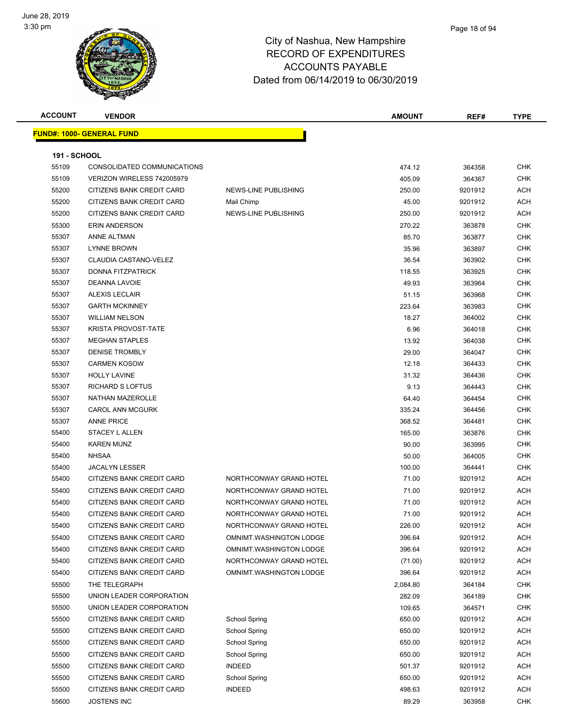

| <b>ACCOUNT</b>      | <b>VENDOR</b>                    |                         | <b>AMOUNT</b>   | REF#             | <b>TYPE</b> |
|---------------------|----------------------------------|-------------------------|-----------------|------------------|-------------|
|                     | <b>FUND#: 1000- GENERAL FUND</b> |                         |                 |                  |             |
|                     |                                  |                         |                 |                  |             |
| <b>191 - SCHOOL</b> |                                  |                         |                 |                  |             |
| 55109               | CONSOLIDATED COMMUNICATIONS      |                         | 474.12          | 364358           | <b>CHK</b>  |
| 55109               | VERIZON WIRELESS 742005979       |                         | 405.09          | 364367           | <b>CHK</b>  |
| 55200               | CITIZENS BANK CREDIT CARD        | NEWS-LINE PUBLISHING    | 250.00          | 9201912          | ACH         |
| 55200               | <b>CITIZENS BANK CREDIT CARD</b> | Mail Chimp              | 45.00           | 9201912          | ACH         |
| 55200               | CITIZENS BANK CREDIT CARD        | NEWS-LINE PUBLISHING    | 250.00          | 9201912          | ACH         |
| 55300               | <b>ERIN ANDERSON</b>             |                         | 270.22          | 363878           | CHK         |
| 55307               | ANNE ALTMAN                      |                         | 85.70           | 363877           | CHK         |
| 55307               | <b>LYNNE BROWN</b>               |                         | 35.96           | 363897           | <b>CHK</b>  |
| 55307               | CLAUDIA CASTANO-VELEZ            |                         | 36.54           | 363902           | CHK         |
| 55307               | <b>DONNA FITZPATRICK</b>         |                         | 118.55          | 363925           | <b>CHK</b>  |
| 55307               | <b>DEANNA LAVOIE</b>             |                         | 49.93           | 363964           | <b>CHK</b>  |
| 55307               | <b>ALEXIS LECLAIR</b>            |                         | 51.15           | 363968           | CHK         |
| 55307               | <b>GARTH MCKINNEY</b>            |                         | 223.64          | 363983           | <b>CHK</b>  |
| 55307               | <b>WILLIAM NELSON</b>            |                         | 18.27           | 364002           | CHK         |
| 55307               | <b>KRISTA PROVOST-TATE</b>       |                         | 6.96            | 364018           | CHK         |
| 55307               | <b>MEGHAN STAPLES</b>            |                         | 13.92           | 364038           | <b>CHK</b>  |
| 55307               | <b>DENISE TROMBLY</b>            |                         | 29.00           | 364047           | CHK         |
| 55307               | <b>CARMEN KOSOW</b>              |                         | 12.18           | 364433           | CHK         |
| 55307               | <b>HOLLY LAVINE</b>              |                         | 31.32           | 364436           | <b>CHK</b>  |
| 55307               | RICHARD S LOFTUS                 |                         | 9.13            | 364443           | CHK         |
| 55307               | NATHAN MAZEROLLE                 |                         |                 |                  | CHK         |
| 55307               | <b>CAROL ANN MCGURK</b>          |                         | 64.40<br>335.24 | 364454<br>364456 | CHK         |
| 55307               | <b>ANNE PRICE</b>                |                         | 368.52          | 364481           | CHK         |
| 55400               | STACEY L ALLEN                   |                         | 165.00          | 363876           | <b>CHK</b>  |
| 55400               | <b>KAREN MUNZ</b>                |                         | 90.00           | 363995           | <b>CHK</b>  |
| 55400               | <b>NHSAA</b>                     |                         | 50.00           | 364005           | CHK         |
| 55400               | <b>JACALYN LESSER</b>            |                         | 100.00          | 364441           | <b>CHK</b>  |
| 55400               | CITIZENS BANK CREDIT CARD        | NORTHCONWAY GRAND HOTEL | 71.00           | 9201912          | ACH         |
| 55400               | CITIZENS BANK CREDIT CARD        | NORTHCONWAY GRAND HOTEL | 71.00           | 9201912          | ACH         |
| 55400               | <b>CITIZENS BANK CREDIT CARD</b> | NORTHCONWAY GRAND HOTEL | 71.00           | 9201912          | ACH         |
|                     | CITIZENS BANK CREDIT CARD        |                         |                 |                  |             |
| 55400               |                                  | NORTHCONWAY GRAND HOTEL | 71.00           | 9201912          | ACH         |
| 55400               | CITIZENS BANK CREDIT CARD        | NORTHCONWAY GRAND HOTEL | 226.00          | 9201912          | <b>ACH</b>  |
| 55400               | CITIZENS BANK CREDIT CARD        | OMNIMT.WASHINGTON LODGE | 396.64          | 9201912          | <b>ACH</b>  |
| 55400               | CITIZENS BANK CREDIT CARD        | OMNIMT.WASHINGTON LODGE | 396.64          | 9201912          | ACH         |
| 55400               | CITIZENS BANK CREDIT CARD        | NORTHCONWAY GRAND HOTEL | (71.00)         | 9201912          | ACH         |
| 55400               | CITIZENS BANK CREDIT CARD        | OMNIMT.WASHINGTON LODGE | 396.64          | 9201912          | ACH         |
| 55500               | THE TELEGRAPH                    |                         | 2,084.80        | 364184           | <b>CHK</b>  |
| 55500               | UNION LEADER CORPORATION         |                         | 282.09          | 364189           | CHK         |
| 55500               | UNION LEADER CORPORATION         |                         | 109.65          | 364571           | <b>CHK</b>  |
| 55500               | CITIZENS BANK CREDIT CARD        | School Spring           | 650.00          | 9201912          | ACH         |
| 55500               | CITIZENS BANK CREDIT CARD        | School Spring           | 650.00          | 9201912          | ACH         |
| 55500               | CITIZENS BANK CREDIT CARD        | School Spring           | 650.00          | 9201912          | ACH         |
| 55500               | CITIZENS BANK CREDIT CARD        | <b>School Spring</b>    | 650.00          | 9201912          | ACH         |
| 55500               | CITIZENS BANK CREDIT CARD        | <b>INDEED</b>           | 501.37          | 9201912          | ACH         |
| 55500               | CITIZENS BANK CREDIT CARD        | <b>School Spring</b>    | 650.00          | 9201912          | ACH         |
| 55500               | CITIZENS BANK CREDIT CARD        | <b>INDEED</b>           | 498.63          | 9201912          | ACH         |
| 55600               | <b>JOSTENS INC</b>               |                         | 89.29           | 363958           | <b>CHK</b>  |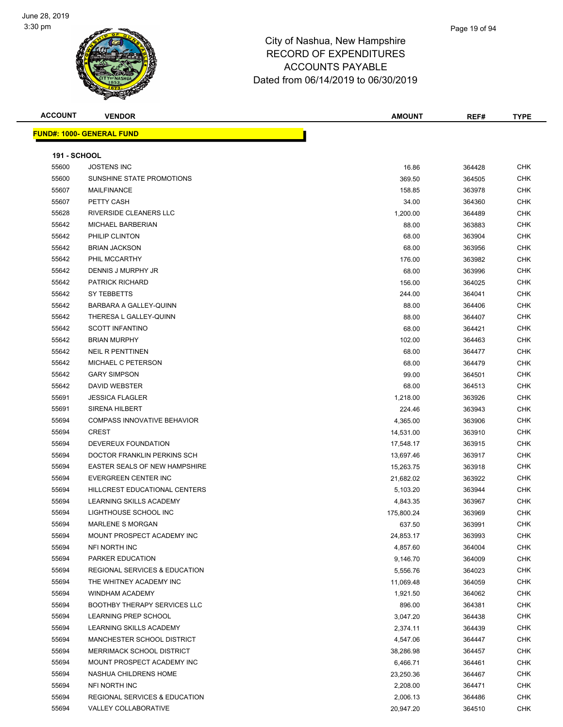

| <b>ACCOUNT</b>      | <b>VENDOR</b>                            | <b>AMOUNT</b> | REF#   | TYPE       |
|---------------------|------------------------------------------|---------------|--------|------------|
|                     | <b>FUND#: 1000- GENERAL FUND</b>         |               |        |            |
|                     |                                          |               |        |            |
| <b>191 - SCHOOL</b> |                                          |               |        |            |
| 55600               | <b>JOSTENS INC</b>                       | 16.86         | 364428 | <b>CHK</b> |
| 55600               | SUNSHINE STATE PROMOTIONS                | 369.50        | 364505 | CHK        |
| 55607               | <b>MAILFINANCE</b>                       | 158.85        | 363978 | <b>CHK</b> |
| 55607               | PETTY CASH                               | 34.00         | 364360 | <b>CHK</b> |
| 55628               | RIVERSIDE CLEANERS LLC                   | 1,200.00      | 364489 | <b>CHK</b> |
| 55642               | MICHAEL BARBERIAN                        | 88.00         | 363883 | <b>CHK</b> |
| 55642               | PHILIP CLINTON                           | 68.00         | 363904 | <b>CHK</b> |
| 55642               | <b>BRIAN JACKSON</b>                     | 68.00         | 363956 | <b>CHK</b> |
| 55642               | PHIL MCCARTHY                            | 176.00        | 363982 | <b>CHK</b> |
| 55642               | DENNIS J MURPHY JR                       | 68.00         | 363996 | CHK        |
| 55642               | <b>PATRICK RICHARD</b>                   | 156.00        | 364025 | <b>CHK</b> |
| 55642               | SY TEBBETTS                              | 244.00        | 364041 | <b>CHK</b> |
| 55642               | BARBARA A GALLEY-QUINN                   | 88.00         | 364406 | <b>CHK</b> |
| 55642               | THERESA L GALLEY-QUINN                   | 88.00         | 364407 | <b>CHK</b> |
| 55642               | <b>SCOTT INFANTINO</b>                   | 68.00         | 364421 | <b>CHK</b> |
| 55642               | <b>BRIAN MURPHY</b>                      | 102.00        | 364463 | <b>CHK</b> |
| 55642               | <b>NEIL R PENTTINEN</b>                  | 68.00         | 364477 | <b>CHK</b> |
| 55642               | MICHAEL C PETERSON                       | 68.00         | 364479 | <b>CHK</b> |
| 55642               | <b>GARY SIMPSON</b>                      | 99.00         | 364501 | <b>CHK</b> |
| 55642               | DAVID WEBSTER                            | 68.00         | 364513 | <b>CHK</b> |
| 55691               | <b>JESSICA FLAGLER</b>                   | 1,218.00      | 363926 | CHK        |
| 55691               | <b>SIRENA HILBERT</b>                    | 224.46        | 363943 | <b>CHK</b> |
| 55694               | <b>COMPASS INNOVATIVE BEHAVIOR</b>       | 4,365.00      | 363906 | <b>CHK</b> |
| 55694               | <b>CREST</b>                             | 14,531.00     | 363910 | <b>CHK</b> |
| 55694               | DEVEREUX FOUNDATION                      | 17,548.17     | 363915 | <b>CHK</b> |
| 55694               | DOCTOR FRANKLIN PERKINS SCH              | 13,697.46     | 363917 | <b>CHK</b> |
| 55694               | <b>EASTER SEALS OF NEW HAMPSHIRE</b>     | 15,263.75     | 363918 | <b>CHK</b> |
| 55694               | EVERGREEN CENTER INC                     | 21,682.02     | 363922 | <b>CHK</b> |
| 55694               | HILLCREST EDUCATIONAL CENTERS            | 5,103.20      | 363944 | <b>CHK</b> |
| 55694               | LEARNING SKILLS ACADEMY                  | 4,843.35      | 363967 | <b>CHK</b> |
| 55694               | LIGHTHOUSE SCHOOL INC                    | 175,800.24    | 363969 | CHK        |
| 55694               | MARLENE S MORGAN                         | 637.50        | 363991 | <b>CHK</b> |
| 55694               | MOUNT PROSPECT ACADEMY INC               | 24,853.17     | 363993 | CHK        |
| 55694               | NFI NORTH INC                            | 4,857.60      | 364004 | <b>CHK</b> |
| 55694               | PARKER EDUCATION                         | 9,146.70      | 364009 | <b>CHK</b> |
| 55694               | <b>REGIONAL SERVICES &amp; EDUCATION</b> | 5,556.76      | 364023 | <b>CHK</b> |
| 55694               | THE WHITNEY ACADEMY INC                  | 11,069.48     | 364059 | <b>CHK</b> |
| 55694               | WINDHAM ACADEMY                          | 1,921.50      | 364062 | CHK        |
| 55694               | <b>BOOTHBY THERAPY SERVICES LLC</b>      | 896.00        | 364381 | <b>CHK</b> |
| 55694               | LEARNING PREP SCHOOL                     | 3,047.20      | 364438 | <b>CHK</b> |
| 55694               | LEARNING SKILLS ACADEMY                  | 2,374.11      | 364439 | <b>CHK</b> |
| 55694               | MANCHESTER SCHOOL DISTRICT               | 4,547.06      | 364447 | <b>CHK</b> |
| 55694               | <b>MERRIMACK SCHOOL DISTRICT</b>         | 38,286.98     | 364457 | CHK        |
| 55694               | MOUNT PROSPECT ACADEMY INC               | 6,466.71      | 364461 | <b>CHK</b> |
| 55694               | NASHUA CHILDRENS HOME                    | 23,250.36     | 364467 | <b>CHK</b> |
| 55694               | NFI NORTH INC                            | 2,208.00      | 364471 | <b>CHK</b> |
| 55694               | <b>REGIONAL SERVICES &amp; EDUCATION</b> | 2,006.13      | 364486 | <b>CHK</b> |
| 55694               | VALLEY COLLABORATIVE                     | 20,947.20     | 364510 | <b>CHK</b> |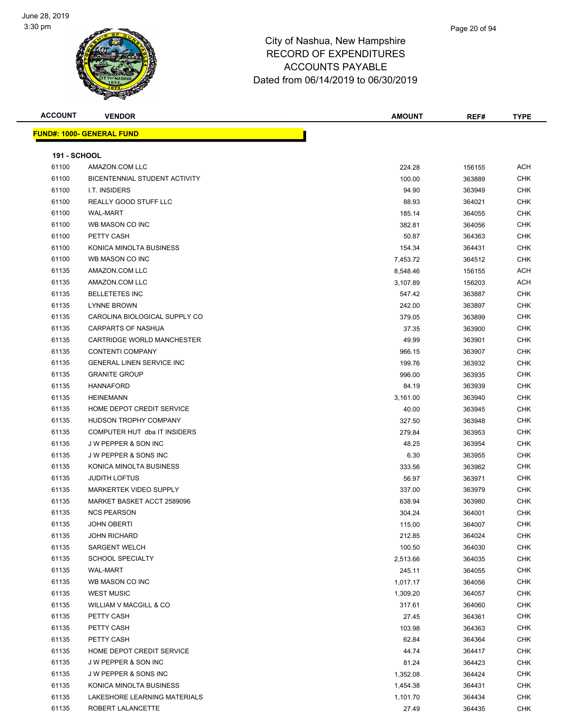

| <b>ACCOUNT</b>      | <b>VENDOR</b>                        | <b>AMOUNT</b> | REF#   | <b>TYPE</b> |
|---------------------|--------------------------------------|---------------|--------|-------------|
|                     | <b>FUND#: 1000- GENERAL FUND</b>     |               |        |             |
| <b>191 - SCHOOL</b> |                                      |               |        |             |
| 61100               | AMAZON.COM LLC                       | 224.28        | 156155 | <b>ACH</b>  |
| 61100               | <b>BICENTENNIAL STUDENT ACTIVITY</b> | 100.00        | 363889 | <b>CHK</b>  |
| 61100               | I.T. INSIDERS                        | 94.90         | 363949 | <b>CHK</b>  |
| 61100               | REALLY GOOD STUFF LLC                | 88.93         | 364021 | <b>CHK</b>  |
| 61100               | <b>WAL-MART</b>                      | 185.14        | 364055 | <b>CHK</b>  |
| 61100               | WB MASON CO INC                      | 382.81        | 364056 | <b>CHK</b>  |
| 61100               | PETTY CASH                           | 50.87         | 364363 | <b>CHK</b>  |
| 61100               | KONICA MINOLTA BUSINESS              | 154.34        | 364431 | <b>CHK</b>  |
| 61100               | WB MASON CO INC                      | 7,453.72      | 364512 | <b>CHK</b>  |
| 61135               | AMAZON.COM LLC                       | 8,548.46      | 156155 | ACH         |
| 61135               | AMAZON.COM LLC                       | 3,107.89      | 156203 | ACH         |
| 61135               | <b>BELLETETES INC</b>                | 547.42        | 363887 | <b>CHK</b>  |
| 61135               | <b>LYNNE BROWN</b>                   | 242.00        | 363897 | <b>CHK</b>  |
| 61135               | CAROLINA BIOLOGICAL SUPPLY CO        | 379.05        | 363899 | <b>CHK</b>  |
| 61135               | <b>CARPARTS OF NASHUA</b>            | 37.35         | 363900 | <b>CHK</b>  |
| 61135               | CARTRIDGE WORLD MANCHESTER           | 49.99         | 363901 | <b>CHK</b>  |
| 61135               | <b>CONTENTI COMPANY</b>              | 966.15        | 363907 | <b>CHK</b>  |
| 61135               | <b>GENERAL LINEN SERVICE INC</b>     | 199.76        | 363932 | <b>CHK</b>  |
| 61135               | <b>GRANITE GROUP</b>                 | 996.00        | 363935 | <b>CHK</b>  |
| 61135               | <b>HANNAFORD</b>                     | 84.19         | 363939 | <b>CHK</b>  |
| 61135               | <b>HEINEMANN</b>                     | 3,161.00      | 363940 | <b>CHK</b>  |
| 61135               | HOME DEPOT CREDIT SERVICE            | 40.00         | 363945 | <b>CHK</b>  |
| 61135               | HUDSON TROPHY COMPANY                | 327.50        | 363948 | <b>CHK</b>  |
| 61135               | COMPUTER HUT dba IT INSIDERS         | 279.84        | 363953 | <b>CHK</b>  |
| 61135               | <b>JW PEPPER &amp; SON INC</b>       | 48.25         | 363954 | <b>CHK</b>  |
| 61135               | <b>JW PEPPER &amp; SONS INC</b>      | 6.30          | 363955 | <b>CHK</b>  |
| 61135               | KONICA MINOLTA BUSINESS              | 333.56        | 363962 | <b>CHK</b>  |
| 61135               | <b>JUDITH LOFTUS</b>                 | 56.97         | 363971 | <b>CHK</b>  |
| 61135               | <b>MARKERTEK VIDEO SUPPLY</b>        | 337.00        | 363979 | <b>CHK</b>  |
| 61135               | MARKET BASKET ACCT 2589096           | 638.94        | 363980 | <b>CHK</b>  |
| 61135               | <b>NCS PEARSON</b>                   | 304.24        | 364001 | <b>CHK</b>  |
| 61135               | <b>JOHN OBERTI</b>                   | 115.00        | 364007 | <b>CHK</b>  |
| 61135               | <b>JOHN RICHARD</b>                  | 212.85        | 364024 | <b>CHK</b>  |
| 61135               | <b>SARGENT WELCH</b>                 | 100.50        | 364030 | <b>CHK</b>  |
| 61135               | <b>SCHOOL SPECIALTY</b>              | 2,513.66      | 364035 | <b>CHK</b>  |
| 61135               | <b>WAL-MART</b>                      | 245.11        | 364055 | <b>CHK</b>  |
| 61135               | WB MASON CO INC                      | 1,017.17      | 364056 | <b>CHK</b>  |
| 61135               | <b>WEST MUSIC</b>                    | 1,309.20      | 364057 | <b>CHK</b>  |
| 61135               | WILLIAM V MACGILL & CO               | 317.61        | 364060 | <b>CHK</b>  |
| 61135               | PETTY CASH                           | 27.45         | 364361 | <b>CHK</b>  |
| 61135               | PETTY CASH                           | 103.98        | 364363 | <b>CHK</b>  |
| 61135               | PETTY CASH                           | 62.84         | 364364 | <b>CHK</b>  |
| 61135               | HOME DEPOT CREDIT SERVICE            | 44.74         | 364417 | <b>CHK</b>  |
| 61135               | J W PEPPER & SON INC                 | 81.24         | 364423 | <b>CHK</b>  |
| 61135               | J W PEPPER & SONS INC                | 1,352.08      | 364424 | <b>CHK</b>  |
| 61135               | KONICA MINOLTA BUSINESS              | 1,454.38      | 364431 | <b>CHK</b>  |
| 61135               | LAKESHORE LEARNING MATERIALS         | 1,101.70      | 364434 | <b>CHK</b>  |
| 61135               | ROBERT LALANCETTE                    | 27.49         | 364435 | <b>CHK</b>  |
|                     |                                      |               |        |             |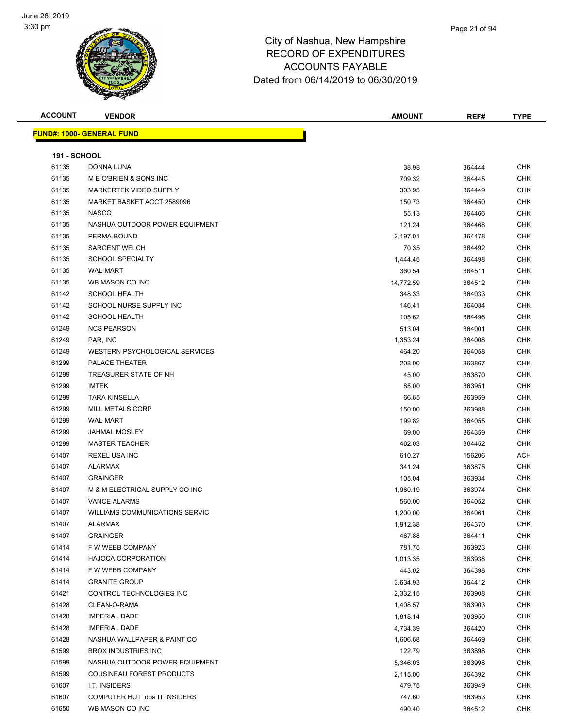

| <b>ACCOUNT</b>      | <b>VENDOR</b>                         | <b>AMOUNT</b> | REF#   | <b>TYPE</b> |
|---------------------|---------------------------------------|---------------|--------|-------------|
|                     | <u> FUND#: 1000- GENERAL FUND</u>     |               |        |             |
|                     |                                       |               |        |             |
| <b>191 - SCHOOL</b> |                                       |               |        |             |
| 61135               | DONNA LUNA                            | 38.98         | 364444 | <b>CHK</b>  |
| 61135               | M E O'BRIEN & SONS INC                | 709.32        | 364445 | <b>CHK</b>  |
| 61135               | MARKERTEK VIDEO SUPPLY                | 303.95        | 364449 | <b>CHK</b>  |
| 61135               | MARKET BASKET ACCT 2589096            | 150.73        | 364450 | <b>CHK</b>  |
| 61135               | <b>NASCO</b>                          | 55.13         | 364466 | <b>CHK</b>  |
| 61135               | NASHUA OUTDOOR POWER EQUIPMENT        | 121.24        | 364468 | <b>CHK</b>  |
| 61135               | PERMA-BOUND                           | 2,197.01      | 364478 | <b>CHK</b>  |
| 61135               | <b>SARGENT WELCH</b>                  | 70.35         | 364492 | <b>CHK</b>  |
| 61135               | <b>SCHOOL SPECIALTY</b>               | 1,444.45      | 364498 | <b>CHK</b>  |
| 61135               | <b>WAL-MART</b>                       | 360.54        | 364511 | <b>CHK</b>  |
| 61135               | WB MASON CO INC                       | 14,772.59     | 364512 | <b>CHK</b>  |
| 61142               | <b>SCHOOL HEALTH</b>                  | 348.33        | 364033 | <b>CHK</b>  |
| 61142               | SCHOOL NURSE SUPPLY INC               | 146.41        | 364034 | <b>CHK</b>  |
| 61142               | <b>SCHOOL HEALTH</b>                  | 105.62        | 364496 | <b>CHK</b>  |
| 61249               | <b>NCS PEARSON</b>                    | 513.04        | 364001 | <b>CHK</b>  |
| 61249               | PAR, INC                              | 1,353.24      | 364008 | <b>CHK</b>  |
| 61249               | <b>WESTERN PSYCHOLOGICAL SERVICES</b> | 464.20        | 364058 | <b>CHK</b>  |
| 61299               | <b>PALACE THEATER</b>                 | 208.00        | 363867 | <b>CHK</b>  |
| 61299               | TREASURER STATE OF NH                 | 45.00         | 363870 | <b>CHK</b>  |
| 61299               | <b>IMTEK</b>                          | 85.00         | 363951 | <b>CHK</b>  |
| 61299               | <b>TARA KINSELLA</b>                  | 66.65         | 363959 | <b>CHK</b>  |
| 61299               | <b>MILL METALS CORP</b>               | 150.00        | 363988 | <b>CHK</b>  |
| 61299               | <b>WAL-MART</b>                       | 199.82        | 364055 | <b>CHK</b>  |
| 61299               | <b>JAHMAL MOSLEY</b>                  | 69.00         | 364359 | <b>CHK</b>  |
| 61299               | <b>MASTER TEACHER</b>                 | 462.03        | 364452 | <b>CHK</b>  |
| 61407               | <b>REXEL USA INC</b>                  | 610.27        | 156206 | <b>ACH</b>  |
| 61407               | <b>ALARMAX</b>                        | 341.24        | 363875 | <b>CHK</b>  |
| 61407               | <b>GRAINGER</b>                       | 105.04        | 363934 | <b>CHK</b>  |
| 61407               | M & M ELECTRICAL SUPPLY CO INC        | 1,960.19      | 363974 | <b>CHK</b>  |
| 61407               | <b>VANCE ALARMS</b>                   | 560.00        | 364052 | <b>CHK</b>  |
| 61407               | WILLIAMS COMMUNICATIONS SERVIC        | 1,200.00      | 364061 | <b>CHK</b>  |
| 61407               | ALARMAX                               | 1,912.38      | 364370 | <b>CHK</b>  |
| 61407               | <b>GRAINGER</b>                       | 467.88        | 364411 | CHK         |
| 61414               | F W WEBB COMPANY                      | 781.75        | 363923 | <b>CHK</b>  |
| 61414               | <b>HAJOCA CORPORATION</b>             | 1,013.35      | 363938 | <b>CHK</b>  |
| 61414               | F W WEBB COMPANY                      | 443.02        | 364398 | <b>CHK</b>  |
| 61414               | <b>GRANITE GROUP</b>                  | 3,634.93      | 364412 | <b>CHK</b>  |
| 61421               | CONTROL TECHNOLOGIES INC              | 2,332.15      | 363908 | <b>CHK</b>  |
| 61428               | CLEAN-O-RAMA                          | 1,408.57      | 363903 | <b>CHK</b>  |
| 61428               | <b>IMPERIAL DADE</b>                  | 1,818.14      | 363950 | <b>CHK</b>  |
| 61428               | <b>IMPERIAL DADE</b>                  | 4,734.39      | 364420 | <b>CHK</b>  |
| 61428               | NASHUA WALLPAPER & PAINT CO           | 1,606.68      | 364469 | <b>CHK</b>  |
| 61599               | <b>BROX INDUSTRIES INC</b>            | 122.79        | 363898 | <b>CHK</b>  |
| 61599               | NASHUA OUTDOOR POWER EQUIPMENT        | 5,346.03      | 363998 | <b>CHK</b>  |
| 61599               | COUSINEAU FOREST PRODUCTS             | 2,115.00      | 364392 | <b>CHK</b>  |
| 61607               | I.T. INSIDERS                         | 479.75        | 363949 | <b>CHK</b>  |
| 61607               | COMPUTER HUT dba IT INSIDERS          | 747.60        | 363953 | <b>CHK</b>  |
| 61650               | WB MASON CO INC                       | 490.40        | 364512 | <b>CHK</b>  |
|                     |                                       |               |        |             |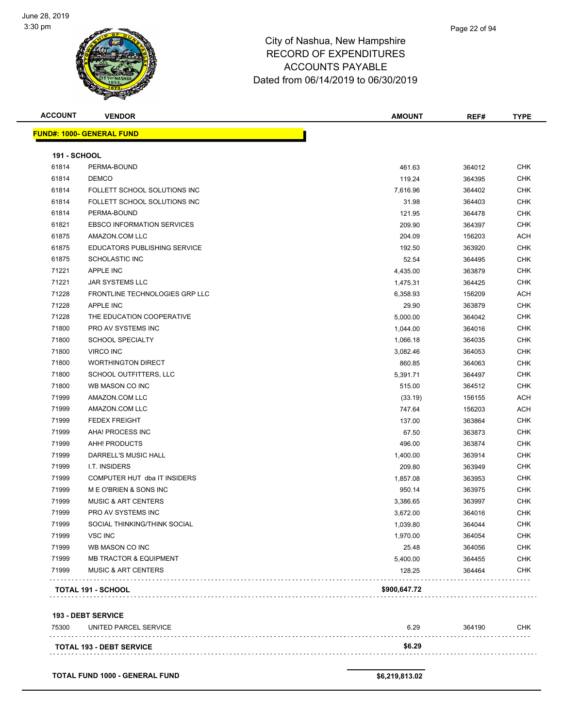

| <b>ACCOUNT</b>      | <b>VENDOR</b>                     | <b>AMOUNT</b> | REF#   | <b>TYPE</b> |
|---------------------|-----------------------------------|---------------|--------|-------------|
|                     | <u> FUND#: 1000- GENERAL FUND</u> |               |        |             |
| <b>191 - SCHOOL</b> |                                   |               |        |             |
| 61814               | PERMA-BOUND                       | 461.63        | 364012 | <b>CHK</b>  |
| 61814               | <b>DEMCO</b>                      | 119.24        | 364395 | <b>CHK</b>  |
| 61814               | FOLLETT SCHOOL SOLUTIONS INC      | 7,616.96      | 364402 | <b>CHK</b>  |
| 61814               | FOLLETT SCHOOL SOLUTIONS INC      | 31.98         | 364403 | <b>CHK</b>  |
| 61814               | PERMA-BOUND                       | 121.95        | 364478 | <b>CHK</b>  |
| 61821               | <b>EBSCO INFORMATION SERVICES</b> | 209.90        | 364397 | <b>CHK</b>  |
| 61875               | AMAZON.COM LLC                    | 204.09        | 156203 | <b>ACH</b>  |
| 61875               | EDUCATORS PUBLISHING SERVICE      | 192.50        | 363920 | <b>CHK</b>  |
| 61875               | <b>SCHOLASTIC INC</b>             | 52.54         | 364495 | <b>CHK</b>  |
| 71221               | APPLE INC                         | 4,435.00      | 363879 | <b>CHK</b>  |
| 71221               | JAR SYSTEMS LLC                   | 1,475.31      | 364425 | <b>CHK</b>  |
| 71228               | FRONTLINE TECHNOLOGIES GRP LLC    | 6,358.93      | 156209 | <b>ACH</b>  |
| 71228               | <b>APPLE INC</b>                  | 29.90         | 363879 | <b>CHK</b>  |
| 71228               | THE EDUCATION COOPERATIVE         | 5,000.00      | 364042 | <b>CHK</b>  |
| 71800               | PRO AV SYSTEMS INC                | 1,044.00      | 364016 | <b>CHK</b>  |
| 71800               | <b>SCHOOL SPECIALTY</b>           | 1,066.18      | 364035 | <b>CHK</b>  |
| 71800               | <b>VIRCO INC</b>                  | 3,082.46      | 364053 | <b>CHK</b>  |
| 71800               | <b>WORTHINGTON DIRECT</b>         | 860.85        | 364063 | <b>CHK</b>  |
| 71800               | SCHOOL OUTFITTERS, LLC            | 5,391.71      | 364497 | <b>CHK</b>  |
| 71800               | WB MASON CO INC                   | 515.00        | 364512 | <b>CHK</b>  |
| 71999               | AMAZON.COM LLC                    | (33.19)       | 156155 | ACH         |
| 71999               | AMAZON.COM LLC                    | 747.64        | 156203 | ACH         |
| 71999               | <b>FEDEX FREIGHT</b>              | 137.00        | 363864 | <b>CHK</b>  |
| 71999               | AHA! PROCESS INC                  | 67.50         | 363873 | <b>CHK</b>  |
| 71999               | AHH! PRODUCTS                     | 496.00        | 363874 | <b>CHK</b>  |
| 71999               | DARRELL'S MUSIC HALL              | 1,400.00      | 363914 | <b>CHK</b>  |
| 71999               | I.T. INSIDERS                     | 209.80        | 363949 | <b>CHK</b>  |
| 71999               | COMPUTER HUT dba IT INSIDERS      | 1,857.08      | 363953 | <b>CHK</b>  |
| 71999               | ME O'BRIEN & SONS INC             | 950.14        | 363975 | <b>CHK</b>  |
| 71999               | <b>MUSIC &amp; ART CENTERS</b>    | 3,386.65      | 363997 | <b>CHK</b>  |
| 71999               | PRO AV SYSTEMS INC                | 3,672.00      | 364016 | CHK         |
| 71999               | SOCIAL THINKING/THINK SOCIAL      | 1,039.80      | 364044 | <b>CHK</b>  |
| 71999               | VSC INC                           | 1,970.00      | 364054 | <b>CHK</b>  |
| 71999               | WB MASON CO INC                   | 25.48         | 364056 | <b>CHK</b>  |
| 71999               | <b>MB TRACTOR &amp; EQUIPMENT</b> | 5,400.00      | 364455 | <b>CHK</b>  |
| 71999               | <b>MUSIC &amp; ART CENTERS</b>    | 128.25        | 364464 | <b>CHK</b>  |
|                     | TOTAL 191 - SCHOOL                | \$900,647.72  |        |             |
|                     | <b>193 - DEBT SERVICE</b>         |               |        |             |
| 75300               | UNITED PARCEL SERVICE             | 6.29          | 364190 | <b>CHK</b>  |
|                     | <b>TOTAL 193 - DEBT SERVICE</b>   | \$6.29        |        |             |
|                     |                                   |               |        |             |

**TOTAL FUND 1000 - GENERAL FUND \$6,219,813.02**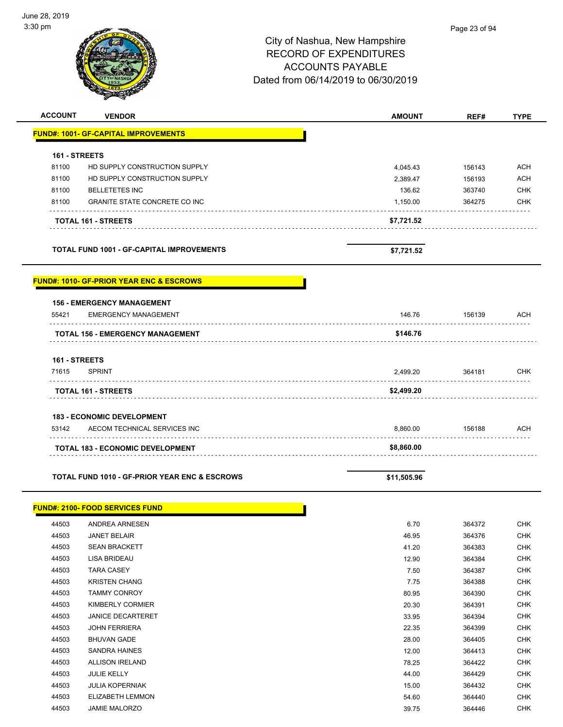| <b>ACCOUNT</b> | <b>VENDOR</b>                                            | <b>AMOUNT</b> | REF#   | <b>TYPE</b> |
|----------------|----------------------------------------------------------|---------------|--------|-------------|
|                | <b>FUND#: 1001- GF-CAPITAL IMPROVEMENTS</b>              |               |        |             |
|                |                                                          |               |        |             |
| 161 - STREETS  |                                                          |               |        |             |
| 81100          | HD SUPPLY CONSTRUCTION SUPPLY                            | 4,045.43      | 156143 | <b>ACH</b>  |
| 81100          | HD SUPPLY CONSTRUCTION SUPPLY                            | 2,389.47      | 156193 | <b>ACH</b>  |
| 81100          | <b>BELLETETES INC</b>                                    | 136.62        | 363740 | <b>CHK</b>  |
| 81100          | <b>GRANITE STATE CONCRETE CO INC</b>                     | 1,150.00      | 364275 | <b>CHK</b>  |
|                | <b>TOTAL 161 - STREETS</b>                               | \$7,721.52    |        |             |
|                |                                                          |               |        |             |
|                | <b>TOTAL FUND 1001 - GF-CAPITAL IMPROVEMENTS</b>         | \$7,721.52    |        |             |
|                | <b>FUND#: 1010- GF-PRIOR YEAR ENC &amp; ESCROWS</b>      |               |        |             |
|                | <b>156 - EMERGENCY MANAGEMENT</b>                        |               |        |             |
| 55421          | <b>EMERGENCY MANAGEMENT</b>                              | 146.76        | 156139 | <b>ACH</b>  |
|                | <b>TOTAL 156 - EMERGENCY MANAGEMENT</b>                  | \$146.76      |        |             |
| 161 - STREETS  |                                                          |               |        |             |
| 71615          | <b>SPRINT</b>                                            | 2,499.20      | 364181 | <b>CHK</b>  |
|                | <b>TOTAL 161 - STREETS</b>                               | \$2,499.20    |        |             |
|                |                                                          |               |        |             |
|                | <b>183 - ECONOMIC DEVELOPMENT</b>                        |               |        |             |
| 53142          | AECOM TECHNICAL SERVICES INC                             | 8,860.00      | 156188 | <b>ACH</b>  |
|                | <b>TOTAL 183 - ECONOMIC DEVELOPMENT</b>                  | \$8,860.00    |        |             |
|                |                                                          |               |        |             |
|                | <b>TOTAL FUND 1010 - GF-PRIOR YEAR ENC &amp; ESCROWS</b> | \$11,505.96   |        |             |
|                | <b>FUND#: 2100- FOOD SERVICES FUND</b>                   |               |        |             |
| 44503          | ANDREA ARNESEN                                           | 6.70          | 364372 | <b>CHK</b>  |
| 44503          | <b>JANET BELAIR</b>                                      | 46.95         | 364376 | <b>CHK</b>  |
| 44503          | <b>SEAN BRACKETT</b>                                     | 41.20         | 364383 | <b>CHK</b>  |
| 44503          | <b>LISA BRIDEAU</b>                                      | 12.90         | 364384 | <b>CHK</b>  |
| 44503          | <b>TARA CASEY</b>                                        | 7.50          | 364387 | <b>CHK</b>  |
| 44503          | <b>KRISTEN CHANG</b>                                     | 7.75          | 364388 | <b>CHK</b>  |
| 44503          | <b>TAMMY CONROY</b>                                      | 80.95         | 364390 | <b>CHK</b>  |
| 44503          | KIMBERLY CORMIER                                         | 20.30         | 364391 | <b>CHK</b>  |
| 44503          | <b>JANICE DECARTERET</b>                                 | 33.95         | 364394 | <b>CHK</b>  |
| 44503          | <b>JOHN FERRIERA</b>                                     | 22.35         | 364399 | <b>CHK</b>  |
| 44503          | <b>BHUVAN GADE</b>                                       | 28.00         | 364405 | <b>CHK</b>  |
| 44503          | <b>SANDRA HAINES</b>                                     | 12.00         | 364413 | <b>CHK</b>  |
| 44503          | <b>ALLISON IRELAND</b>                                   | 78.25         | 364422 | <b>CHK</b>  |
| 44503          | JULIE KELLY                                              | 44.00         | 364429 | <b>CHK</b>  |
| 44503          | <b>JULIA KOPERNIAK</b>                                   | 15.00         | 364432 | <b>CHK</b>  |
| 44503          | ELIZABETH LEMMON                                         | 54.60         | 364440 | <b>CHK</b>  |
| 44503          | JAMIE MALORZO                                            | 39.75         | 364446 | CHK         |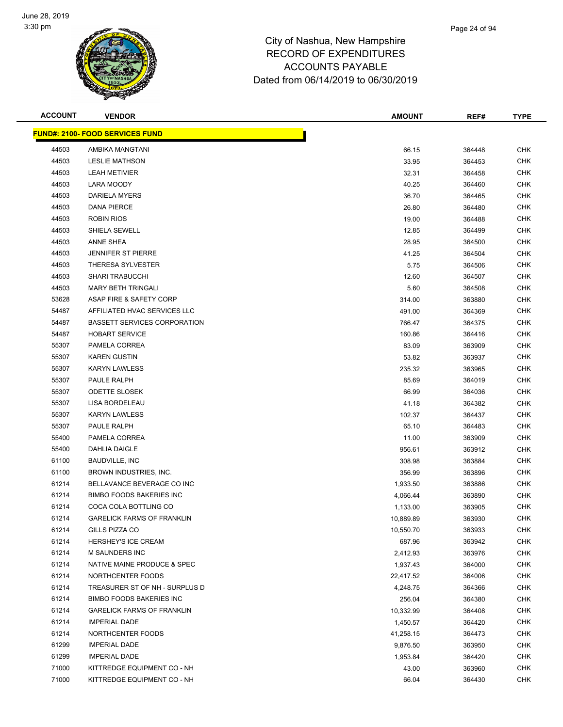

| <b>ACCOUNT</b> | <b>VENDOR</b>                          | <b>AMOUNT</b> | REF#   | <b>TYPE</b> |
|----------------|----------------------------------------|---------------|--------|-------------|
|                | <b>FUND#: 2100- FOOD SERVICES FUND</b> |               |        |             |
| 44503          | AMBIKA MANGTANI                        | 66.15         | 364448 | <b>CHK</b>  |
| 44503          | <b>LESLIE MATHSON</b>                  | 33.95         | 364453 | <b>CHK</b>  |
| 44503          | <b>LEAH METIVIER</b>                   | 32.31         | 364458 | <b>CHK</b>  |
| 44503          | LARA MOODY                             | 40.25         | 364460 | CHK         |
| 44503          | <b>DARIELA MYERS</b>                   | 36.70         | 364465 | <b>CHK</b>  |
| 44503          | <b>DANA PIERCE</b>                     | 26.80         | 364480 | <b>CHK</b>  |
| 44503          | <b>ROBIN RIOS</b>                      | 19.00         | 364488 | <b>CHK</b>  |
| 44503          | <b>SHIELA SEWELL</b>                   | 12.85         | 364499 | <b>CHK</b>  |
| 44503          | ANNE SHEA                              | 28.95         | 364500 | CHK         |
| 44503          | <b>JENNIFER ST PIERRE</b>              | 41.25         | 364504 | <b>CHK</b>  |
| 44503          | THERESA SYLVESTER                      | 5.75          | 364506 | <b>CHK</b>  |
| 44503          | <b>SHARI TRABUCCHI</b>                 | 12.60         | 364507 | CHK         |
| 44503          | <b>MARY BETH TRINGALI</b>              | 5.60          | 364508 | <b>CHK</b>  |
| 53628          | ASAP FIRE & SAFETY CORP                | 314.00        | 363880 | CHK         |
| 54487          | AFFILIATED HVAC SERVICES LLC           | 491.00        | 364369 | CHK         |
| 54487          | <b>BASSETT SERVICES CORPORATION</b>    | 766.47        | 364375 | <b>CHK</b>  |
| 54487          | <b>HOBART SERVICE</b>                  | 160.86        | 364416 | <b>CHK</b>  |
| 55307          | PAMELA CORREA                          | 83.09         | 363909 | <b>CHK</b>  |
| 55307          | <b>KAREN GUSTIN</b>                    | 53.82         | 363937 | <b>CHK</b>  |
| 55307          | <b>KARYN LAWLESS</b>                   | 235.32        | 363965 | <b>CHK</b>  |
| 55307          | PAULE RALPH                            | 85.69         | 364019 | <b>CHK</b>  |
| 55307          | <b>ODETTE SLOSEK</b>                   | 66.99         | 364036 | <b>CHK</b>  |
| 55307          | LISA BORDELEAU                         | 41.18         | 364382 | <b>CHK</b>  |
| 55307          | <b>KARYN LAWLESS</b>                   | 102.37        | 364437 | <b>CHK</b>  |
| 55307          | PAULE RALPH                            | 65.10         | 364483 | CHK         |
| 55400          | PAMELA CORREA                          | 11.00         | 363909 | CHK         |
| 55400          | DAHLIA DAIGLE                          | 956.61        | 363912 | <b>CHK</b>  |
| 61100          | <b>BAUDVILLE, INC</b>                  | 308.98        | 363884 | <b>CHK</b>  |
| 61100          | BROWN INDUSTRIES, INC.                 | 356.99        | 363896 | <b>CHK</b>  |
| 61214          | BELLAVANCE BEVERAGE CO INC             | 1,933.50      | 363886 | <b>CHK</b>  |
| 61214          | <b>BIMBO FOODS BAKERIES INC</b>        | 4,066.44      | 363890 | CHK         |
| 61214          | COCA COLA BOTTLING CO                  | 1,133.00      | 363905 | <b>CHK</b>  |
| 61214          | <b>GARELICK FARMS OF FRANKLIN</b>      | 10,889.89     | 363930 | <b>CHK</b>  |
| 61214          | <b>GILLS PIZZA CO</b>                  | 10,550.70     | 363933 | <b>CHK</b>  |
| 61214          | <b>HERSHEY'S ICE CREAM</b>             | 687.96        | 363942 | <b>CHK</b>  |
| 61214          | <b>M SAUNDERS INC</b>                  | 2,412.93      | 363976 | CHK         |
| 61214          | NATIVE MAINE PRODUCE & SPEC            | 1,937.43      | 364000 | <b>CHK</b>  |
| 61214          | NORTHCENTER FOODS                      | 22,417.52     | 364006 | <b>CHK</b>  |
| 61214          | TREASURER ST OF NH - SURPLUS D         | 4,248.75      | 364366 | <b>CHK</b>  |
| 61214          | <b>BIMBO FOODS BAKERIES INC</b>        | 256.04        | 364380 | <b>CHK</b>  |
| 61214          | <b>GARELICK FARMS OF FRANKLIN</b>      | 10,332.99     | 364408 | <b>CHK</b>  |
| 61214          | <b>IMPERIAL DADE</b>                   | 1,450.57      | 364420 | <b>CHK</b>  |
| 61214          | NORTHCENTER FOODS                      | 41,258.15     | 364473 | <b>CHK</b>  |
| 61299          | <b>IMPERIAL DADE</b>                   | 9,876.50      | 363950 | <b>CHK</b>  |
| 61299          | <b>IMPERIAL DADE</b>                   | 1,953.84      | 364420 | <b>CHK</b>  |
| 71000          | KITTREDGE EQUIPMENT CO - NH            | 43.00         | 363960 | <b>CHK</b>  |
| 71000          | KITTREDGE EQUIPMENT CO - NH            | 66.04         | 364430 | <b>CHK</b>  |
|                |                                        |               |        |             |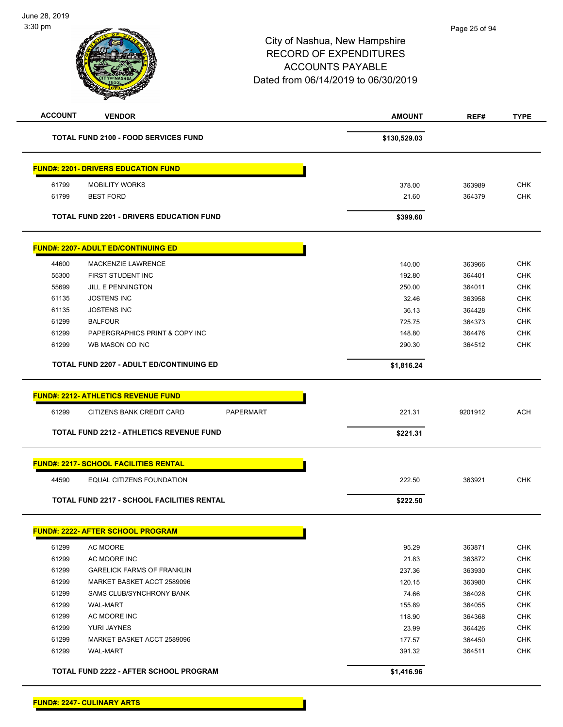| <b>ACCOUNT</b> | <b>VENDOR</b>                                   | <b>AMOUNT</b> | REF#    | <b>TYPE</b> |
|----------------|-------------------------------------------------|---------------|---------|-------------|
|                | <b>TOTAL FUND 2100 - FOOD SERVICES FUND</b>     | \$130,529.03  |         |             |
|                | <b>FUND#: 2201- DRIVERS EDUCATION FUND</b>      |               |         |             |
| 61799          | <b>MOBILITY WORKS</b>                           | 378.00        | 363989  | <b>CHK</b>  |
| 61799          | <b>BEST FORD</b>                                | 21.60         | 364379  | <b>CHK</b>  |
|                | <b>TOTAL FUND 2201 - DRIVERS EDUCATION FUND</b> | \$399.60      |         |             |
|                | <b>FUND#: 2207- ADULT ED/CONTINUING ED</b>      |               |         |             |
| 44600          | <b>MACKENZIE LAWRENCE</b>                       | 140.00        | 363966  | <b>CHK</b>  |
| 55300          | FIRST STUDENT INC                               | 192.80        | 364401  | <b>CHK</b>  |
| 55699          | <b>JILL E PENNINGTON</b>                        | 250.00        | 364011  | <b>CHK</b>  |
| 61135          | <b>JOSTENS INC</b>                              | 32.46         | 363958  | <b>CHK</b>  |
| 61135          | <b>JOSTENS INC</b>                              | 36.13         | 364428  | <b>CHK</b>  |
| 61299          | <b>BALFOUR</b>                                  | 725.75        | 364373  | <b>CHK</b>  |
| 61299          | PAPERGRAPHICS PRINT & COPY INC                  | 148.80        | 364476  | <b>CHK</b>  |
| 61299          | WB MASON CO INC                                 | 290.30        | 364512  | <b>CHK</b>  |
|                | <b>TOTAL FUND 2207 - ADULT ED/CONTINUING ED</b> | \$1,816.24    |         |             |
|                | <b>FUND#: 2212- ATHLETICS REVENUE FUND</b>      |               |         |             |
| 61299          | PAPERMART<br>CITIZENS BANK CREDIT CARD          | 221.31        | 9201912 | <b>ACH</b>  |
|                | <b>TOTAL FUND 2212 - ATHLETICS REVENUE FUND</b> | \$221.31      |         |             |
|                | <b>FUND#: 2217- SCHOOL FACILITIES RENTAL</b>    |               |         |             |
| 44590          | <b>EQUAL CITIZENS FOUNDATION</b>                | 222.50        | 363921  | <b>CHK</b>  |
|                | TOTAL FUND 2217 - SCHOOL FACILITIES RENTAL      | \$222.50      |         |             |
|                | FUND#: 2222- AFTER SCHOOL PROGRAM               |               |         |             |
| 61299          | AC MOORE                                        | 95.29         | 363871  | <b>CHK</b>  |
| 61299          | AC MOORE INC                                    | 21.83         | 363872  | <b>CHK</b>  |
| 61299          | <b>GARELICK FARMS OF FRANKLIN</b>               | 237.36        | 363930  | <b>CHK</b>  |
| 61299          | MARKET BASKET ACCT 2589096                      | 120.15        | 363980  | <b>CHK</b>  |
| 61299          | <b>SAMS CLUB/SYNCHRONY BANK</b>                 | 74.66         | 364028  | <b>CHK</b>  |
| 61299          | <b>WAL-MART</b>                                 | 155.89        | 364055  | <b>CHK</b>  |
| 61299          | AC MOORE INC                                    | 118.90        | 364368  | <b>CHK</b>  |
| 61299          | YURI JAYNES                                     | 23.99         | 364426  | <b>CHK</b>  |
| 61299          | MARKET BASKET ACCT 2589096                      | 177.57        | 364450  | <b>CHK</b>  |
| 61299          | <b>WAL-MART</b>                                 | 391.32        | 364511  | <b>CHK</b>  |
|                |                                                 |               |         |             |
|                | TOTAL FUND 2222 - AFTER SCHOOL PROGRAM          | \$1,416.96    |         |             |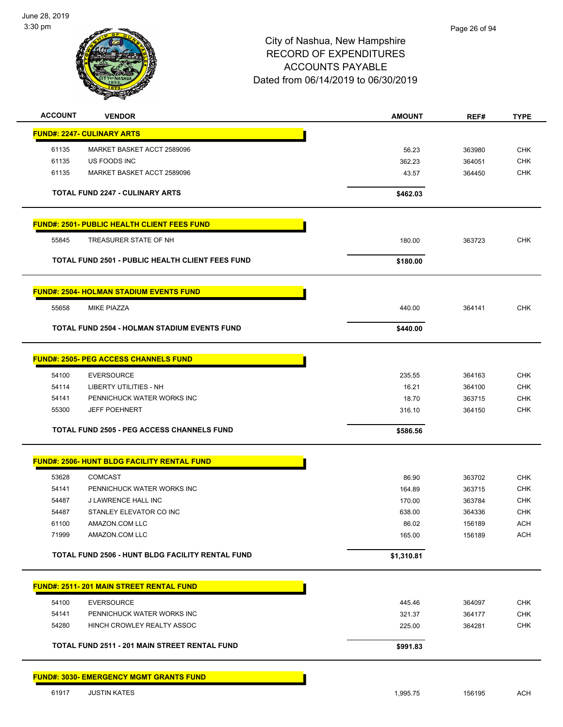

| <b>ACCOUNT</b> | <b>VENDOR</b>                                           | <b>AMOUNT</b> | REF#   | <b>TYPE</b>              |
|----------------|---------------------------------------------------------|---------------|--------|--------------------------|
|                | <b>FUND#: 2247- CULINARY ARTS</b>                       |               |        |                          |
| 61135          | MARKET BASKET ACCT 2589096                              | 56.23         | 363980 | <b>CHK</b>               |
| 61135          | US FOODS INC                                            | 362.23        | 364051 | CHK                      |
| 61135          | MARKET BASKET ACCT 2589096                              | 43.57         | 364450 | <b>CHK</b>               |
|                |                                                         |               |        |                          |
|                | <b>TOTAL FUND 2247 - CULINARY ARTS</b>                  | \$462.03      |        |                          |
|                | <b>FUND#: 2501- PUBLIC HEALTH CLIENT FEES FUND</b>      |               |        |                          |
| 55845          | TREASURER STATE OF NH                                   | 180.00        | 363723 | <b>CHK</b>               |
|                | <b>TOTAL FUND 2501 - PUBLIC HEALTH CLIENT FEES FUND</b> | \$180.00      |        |                          |
|                | <b>FUND#: 2504- HOLMAN STADIUM EVENTS FUND</b>          |               |        |                          |
| 55658          | <b>MIKE PIAZZA</b>                                      | 440.00        | 364141 | <b>CHK</b>               |
|                | <b>TOTAL FUND 2504 - HOLMAN STADIUM EVENTS FUND</b>     | \$440.00      |        |                          |
|                | <b>FUND#: 2505- PEG ACCESS CHANNELS FUND</b>            |               |        |                          |
| 54100          | <b>EVERSOURCE</b>                                       | 235.55        | 364163 | <b>CHK</b>               |
| 54114          | LIBERTY UTILITIES - NH                                  | 16.21         | 364100 | <b>CHK</b>               |
| 54141          | PENNICHUCK WATER WORKS INC                              | 18.70         | 363715 | <b>CHK</b>               |
| 55300          | <b>JEFF POEHNERT</b>                                    | 316.10        | 364150 | <b>CHK</b>               |
|                | <b>TOTAL FUND 2505 - PEG ACCESS CHANNELS FUND</b>       | \$586.56      |        |                          |
|                |                                                         |               |        |                          |
|                | <b>FUND#: 2506- HUNT BLDG FACILITY RENTAL FUND</b>      |               |        |                          |
| 53628          | <b>COMCAST</b>                                          | 86.90         | 363702 | <b>CHK</b>               |
| 54141          | PENNICHUCK WATER WORKS INC                              | 164.89        | 363715 | <b>CHK</b>               |
| 54487          | <b>J LAWRENCE HALL INC</b>                              | 170.00        | 363784 | <b>CHK</b>               |
| 54487          | STANLEY ELEVATOR CO INC                                 | 638.00        | 364336 | <b>CHK</b>               |
| 61100<br>71999 | AMAZON.COM LLC<br>AMAZON.COM LLC                        | 86.02         | 156189 | <b>ACH</b><br><b>ACH</b> |
|                |                                                         | 165.00        | 156189 |                          |
|                | TOTAL FUND 2506 - HUNT BLDG FACILITY RENTAL FUND        | \$1,310.81    |        |                          |
|                | <b>FUND#: 2511-201 MAIN STREET RENTAL FUND</b>          |               |        |                          |
| 54100          | <b>EVERSOURCE</b>                                       | 445.46        | 364097 | <b>CHK</b>               |
| 54141          | PENNICHUCK WATER WORKS INC                              | 321.37        | 364177 | CHK                      |
| 54280          | HINCH CROWLEY REALTY ASSOC                              | 225.00        | 364281 | <b>CHK</b>               |
|                | TOTAL FUND 2511 - 201 MAIN STREET RENTAL FUND           | \$991.83      |        |                          |
|                | <b>FUND#: 3030- EMERGENCY MGMT GRANTS FUND</b>          |               |        |                          |
| 61917          | <b>JUSTIN KATES</b>                                     | 1,995.75      | 156195 | <b>ACH</b>               |
|                |                                                         |               |        |                          |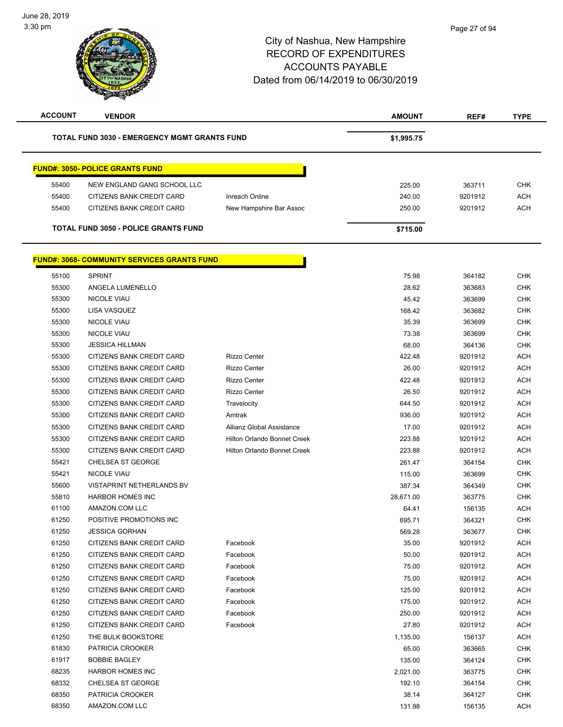-

| <b>ACCOUNT</b> | <b>VENDOR</b>                                       |                                    | <b>AMOUNT</b> | REF#    | <b>TYPE</b> |
|----------------|-----------------------------------------------------|------------------------------------|---------------|---------|-------------|
|                | <b>TOTAL FUND 3030 - EMERGENCY MGMT GRANTS FUND</b> |                                    | \$1,995.75    |         |             |
|                | <b>FUND#: 3050- POLICE GRANTS FUND</b>              |                                    |               |         |             |
| 55400          | NEW ENGLAND GANG SCHOOL LLC                         |                                    | 225.00        | 363711  | <b>CHK</b>  |
| 55400          | CITIZENS BANK CREDIT CARD                           | Inreach Online                     | 240.00        | 9201912 | <b>ACH</b>  |
| 55400          | CITIZENS BANK CREDIT CARD                           | New Hampshire Bar Assoc            | 250.00        | 9201912 | <b>ACH</b>  |
|                | <b>TOTAL FUND 3050 - POLICE GRANTS FUND</b>         |                                    | \$715.00      |         |             |
|                | <b>FUND#: 3068- COMMUNITY SERVICES GRANTS FUND</b>  |                                    |               |         |             |
| 55100          | <b>SPRINT</b>                                       |                                    | 75.98         | 364182  | <b>CHK</b>  |
| 55300          | ANGELA LUMENELLO                                    |                                    | 28.62         | 363683  | <b>CHK</b>  |
| 55300          | <b>NICOLE VIAU</b>                                  |                                    | 45.42         | 363699  | <b>CHK</b>  |
| 55300          | LISA VASQUEZ                                        |                                    | 168.42        | 363682  | <b>CHK</b>  |
| 55300          | <b>NICOLE VIAU</b>                                  |                                    | 35.39         | 363699  | <b>CHK</b>  |
| 55300          | <b>NICOLE VIAU</b>                                  |                                    | 73.38         | 363699  | <b>CHK</b>  |
| 55300          | <b>JESSICA HILLMAN</b>                              |                                    | 68.00         | 364136  | <b>CHK</b>  |
| 55300          | <b>CITIZENS BANK CREDIT CARD</b>                    | <b>Rizzo Center</b>                | 422.48        | 9201912 | <b>ACH</b>  |
| 55300          | CITIZENS BANK CREDIT CARD                           | <b>Rizzo Center</b>                | 26.00         | 9201912 | <b>ACH</b>  |
| 55300          | CITIZENS BANK CREDIT CARD                           | <b>Rizzo Center</b>                | 422.48        | 9201912 | <b>ACH</b>  |
| 55300          | CITIZENS BANK CREDIT CARD                           | <b>Rizzo Center</b>                | 26.50         | 9201912 | <b>ACH</b>  |
| 55300          | CITIZENS BANK CREDIT CARD                           | Travelocity                        | 644.50        | 9201912 | <b>ACH</b>  |
| 55300          | CITIZENS BANK CREDIT CARD                           | Amtrak                             | 936.00        | 9201912 | <b>ACH</b>  |
| 55300          | CITIZENS BANK CREDIT CARD                           | Allianz Global Assistance          | 17.00         | 9201912 | <b>ACH</b>  |
| 55300          | CITIZENS BANK CREDIT CARD                           | <b>Hilton Orlando Bonnet Creek</b> | 223.88        | 9201912 | <b>ACH</b>  |
| 55300          | CITIZENS BANK CREDIT CARD                           | <b>Hilton Orlando Bonnet Creek</b> | 223.88        | 9201912 | <b>ACH</b>  |
| 55421          | <b>CHELSEA ST GEORGE</b>                            |                                    | 261.47        | 364154  | <b>CHK</b>  |
| 55421          | <b>NICOLE VIAU</b>                                  |                                    | 115.00        | 363699  | CHK         |
| 55600          | VISTAPRINT NETHERLANDS BV                           |                                    | 387.34        | 364349  | <b>CHK</b>  |
| 55810          | <b>HARBOR HOMES INC</b>                             |                                    | 28,671.00     | 363775  | <b>CHK</b>  |
| 61100          | AMAZON.COM LLC                                      |                                    | 64.41         | 156135  | <b>ACH</b>  |
| 61250          | POSITIVE PROMOTIONS INC                             |                                    | 695.71        | 364321  | <b>CHK</b>  |
| 61250          | <b>JESSICA GORHAN</b>                               |                                    | 569.28        | 363677  | CHK         |
| 61250          | CITIZENS BANK CREDIT CARD                           | Facebook                           | 35.00         | 9201912 | ACH         |
| 61250          | CITIZENS BANK CREDIT CARD                           | Facebook                           | 50.00         | 9201912 | ACH         |
| 61250          | CITIZENS BANK CREDIT CARD                           | Facebook                           | 75.00         | 9201912 | ACH         |
| 61250          | CITIZENS BANK CREDIT CARD                           | Facebook                           | 75.00         | 9201912 | ACH         |
| 61250          | CITIZENS BANK CREDIT CARD                           | Facebook                           | 125.00        | 9201912 | ACH         |
| 61250          | CITIZENS BANK CREDIT CARD                           | Facebook                           | 175.00        | 9201912 | <b>ACH</b>  |
| 61250          | CITIZENS BANK CREDIT CARD                           | Facebook                           | 250.00        | 9201912 | <b>ACH</b>  |
| 61250          | CITIZENS BANK CREDIT CARD                           | Facebook                           | 27.80         | 9201912 | ACH         |
| 61250          | THE BULK BOOKSTORE                                  |                                    | 1,135.00      | 156137  | <b>ACH</b>  |
| 61830          | PATRICIA CROOKER                                    |                                    | 65.00         | 363665  | <b>CHK</b>  |
| 61917          | <b>BOBBIE BAGLEY</b>                                |                                    | 135.00        | 364124  | <b>CHK</b>  |
| 68235          | <b>HARBOR HOMES INC</b>                             |                                    | 2,021.00      | 363775  | CHK         |
| 68332          | <b>CHELSEA ST GEORGE</b>                            |                                    | 192.10        | 364154  | <b>CHK</b>  |
| 68350          | PATRICIA CROOKER                                    |                                    | 38.14         | 364127  | CHK         |
| 68350          | AMAZON.COM LLC                                      |                                    | 131.98        | 156135  | <b>ACH</b>  |
|                |                                                     |                                    |               |         |             |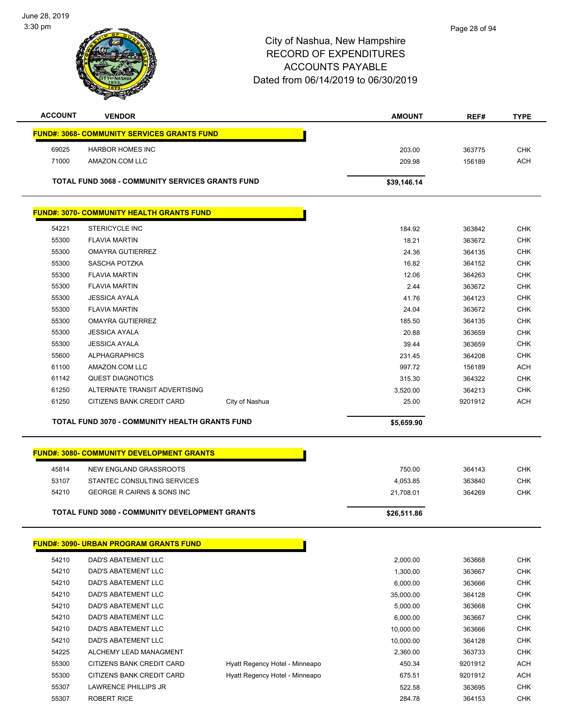

| <b>ACCOUNT</b> | <b>VENDOR</b>                                           | <b>AMOUNT</b> | REF#   | <b>TYPE</b> |
|----------------|---------------------------------------------------------|---------------|--------|-------------|
|                | <b>FUND#: 3068- COMMUNITY SERVICES GRANTS FUND</b>      |               |        |             |
| 69025          | <b>HARBOR HOMES INC</b>                                 | 203.00        | 363775 | <b>CHK</b>  |
| 71000          | AMAZON.COM LLC                                          | 209.98        | 156189 | <b>ACH</b>  |
|                | <b>TOTAL FUND 3068 - COMMUNITY SERVICES GRANTS FUND</b> | \$39,146.14   |        |             |
|                | <b>FUND#: 3070- COMMUNITY HEALTH GRANTS FUND</b>        |               |        |             |
| 54221          | <b>STERICYCLE INC</b>                                   | 184.92        | 363842 | <b>CHK</b>  |
| 55300          | <b>FLAVIA MARTIN</b>                                    | 18.21         | 363672 | <b>CHK</b>  |
| 55300          | OMAYRA GUTIERREZ                                        | 24.36         | 364135 | <b>CHK</b>  |
| 55300          | SASCHA POTZKA                                           | 16.82         | 364152 | <b>CHK</b>  |
| 55300          | <b>FLAVIA MARTIN</b>                                    | 12.06         | 364263 | <b>CHK</b>  |
| 55300          | <b>FLAVIA MARTIN</b>                                    | 2.44          | 363672 | <b>CHK</b>  |
| 55300          | <b>JESSICA AYALA</b>                                    | 41.76         | 364123 | <b>CHK</b>  |
| 55300          | <b>FLAVIA MARTIN</b>                                    | 24.04         | 363672 | <b>CHK</b>  |

 OMAYRA GUTIERREZ 185.50 364135 CHK JESSICA AYALA 20.88 363659 CHK JESSICA AYALA 39.44 363659 CHK ALPHAGRAPHICS 231.45 364208 CHK er and the state of the state of the state of the state of the state of the state of the state of the state of the state of the state of the state of the state of the state of the state of the state of the state of the sta QUEST DIAGNOTICS 315.30 364322 CHK ALTERNATE TRANSIT ADVERTISING 3,520.00 364213 CHK 61250 CITIZENS BANK CREDIT CARD City of Nashua 25.00 9201912 ACH

|       | <b>FUND#: 3080- COMMUNITY DEVELOPMENT GRANTS</b>      |             |        |            |
|-------|-------------------------------------------------------|-------------|--------|------------|
| 45814 | NEW ENGLAND GRASSROOTS                                | 750.00      | 364143 | снк        |
| 53107 | STANTEC CONSULTING SERVICES                           | 4,053.85    | 363840 | <b>CHK</b> |
| 54210 | GEORGE R CAIRNS & SONS INC                            | 21.708.01   | 364269 | CHK        |
|       | <b>TOTAL FUND 3080 - COMMUNITY DEVELOPMENT GRANTS</b> | \$26,511.86 |        |            |

**TOTAL FUND 3070 - COMMUNITY HEALTH GRANTS FUND \$5,659.90** 

|       | <b>FUND#: 3090- URBAN PROGRAM GRANTS FUND</b> |                                |           |         |            |
|-------|-----------------------------------------------|--------------------------------|-----------|---------|------------|
| 54210 | DAD'S ABATEMENT LLC                           |                                | 2,000.00  | 363668  | <b>CHK</b> |
| 54210 | DAD'S ABATEMENT LLC                           |                                | 1,300.00  | 363667  | <b>CHK</b> |
| 54210 | DAD'S ABATEMENT LLC                           |                                | 6,000.00  | 363666  | <b>CHK</b> |
| 54210 | DAD'S ABATEMENT LLC                           |                                | 35,000.00 | 364128  | <b>CHK</b> |
| 54210 | DAD'S ABATEMENT LLC                           |                                | 5,000.00  | 363668  | <b>CHK</b> |
| 54210 | DAD'S ABATEMENT LLC                           |                                | 6.000.00  | 363667  | <b>CHK</b> |
| 54210 | <b>DAD'S ABATEMENT LLC</b>                    |                                | 10,000.00 | 363666  | <b>CHK</b> |
| 54210 | DAD'S ABATEMENT LLC                           |                                | 10.000.00 | 364128  | <b>CHK</b> |
| 54225 | ALCHEMY LEAD MANAGMENT                        |                                | 2,360.00  | 363733  | <b>CHK</b> |
| 55300 | CITIZENS BANK CREDIT CARD                     | Hyatt Regency Hotel - Minneapo | 450.34    | 9201912 | <b>ACH</b> |
| 55300 | CITIZENS BANK CREDIT CARD                     | Hyatt Regency Hotel - Minneapo | 675.51    | 9201912 | <b>ACH</b> |
| 55307 | <b>LAWRENCE PHILLIPS JR</b>                   |                                | 522.58    | 363695  | <b>CHK</b> |
| 55307 | <b>ROBERT RICE</b>                            |                                | 284.78    | 364153  | <b>CHK</b> |
|       |                                               |                                |           |         |            |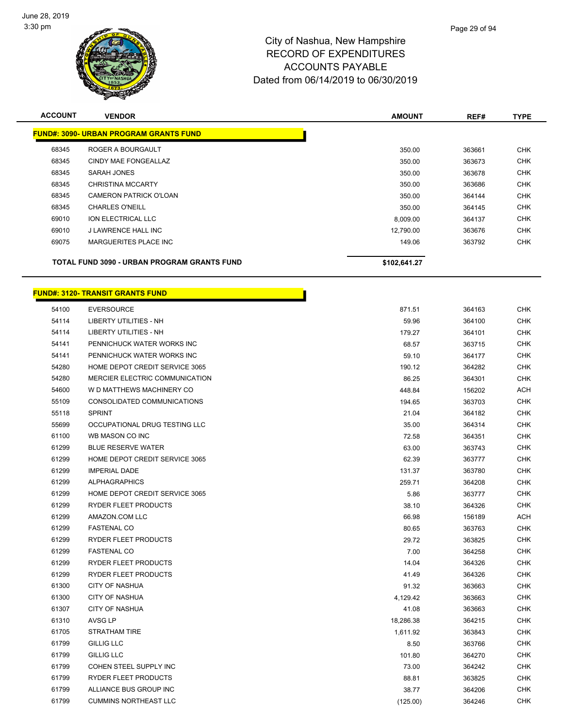

| <b>ACCOUNT</b> | <b>VENDOR</b>                                      | <b>AMOUNT</b> | REF#   | <b>TYPE</b> |
|----------------|----------------------------------------------------|---------------|--------|-------------|
|                | <b>FUND#: 3090- URBAN PROGRAM GRANTS FUND</b>      |               |        |             |
| 68345          | ROGER A BOURGAULT                                  | 350.00        | 363661 | <b>CHK</b>  |
| 68345          | CINDY MAE FONGEALLAZ                               | 350.00        | 363673 | <b>CHK</b>  |
| 68345          | SARAH JONES                                        | 350.00        | 363678 | <b>CHK</b>  |
| 68345          | <b>CHRISTINA MCCARTY</b>                           | 350.00        | 363686 | <b>CHK</b>  |
| 68345          | CAMERON PATRICK O'LOAN                             | 350.00        | 364144 | <b>CHK</b>  |
| 68345          | <b>CHARLES O'NEILL</b>                             | 350.00        | 364145 | <b>CHK</b>  |
| 69010          | ION ELECTRICAL LLC                                 | 8,009.00      | 364137 | <b>CHK</b>  |
| 69010          | J LAWRENCE HALL INC                                | 12.790.00     | 363676 | <b>CHK</b>  |
| 69075          | <b>MARGUERITES PLACE INC</b>                       | 149.06        | 363792 | <b>CHK</b>  |
|                | <b>TOTAL FUND 3090 - URBAN PROGRAM GRANTS FUND</b> | \$102,641.27  |        |             |

r

# **FUND#: 3120- TRANSIT GRANTS FUND**

| 54100 | <b>EVERSOURCE</b>              | 871.51    | 364163 | <b>CHK</b> |
|-------|--------------------------------|-----------|--------|------------|
| 54114 | <b>LIBERTY UTILITIES - NH</b>  | 59.96     | 364100 | <b>CHK</b> |
| 54114 | <b>LIBERTY UTILITIES - NH</b>  | 179.27    | 364101 | <b>CHK</b> |
| 54141 | PENNICHUCK WATER WORKS INC     | 68.57     | 363715 | CHK        |
| 54141 | PENNICHUCK WATER WORKS INC     | 59.10     | 364177 | <b>CHK</b> |
| 54280 | HOME DEPOT CREDIT SERVICE 3065 | 190.12    | 364282 | <b>CHK</b> |
| 54280 | MERCIER ELECTRIC COMMUNICATION | 86.25     | 364301 | <b>CHK</b> |
| 54600 | W D MATTHEWS MACHINERY CO      | 448.84    | 156202 | <b>ACH</b> |
| 55109 | CONSOLIDATED COMMUNICATIONS    | 194.65    | 363703 | <b>CHK</b> |
| 55118 | <b>SPRINT</b>                  | 21.04     | 364182 | <b>CHK</b> |
| 55699 | OCCUPATIONAL DRUG TESTING LLC  | 35.00     | 364314 | <b>CHK</b> |
| 61100 | WB MASON CO INC                | 72.58     | 364351 | <b>CHK</b> |
| 61299 | <b>BLUE RESERVE WATER</b>      | 63.00     | 363743 | <b>CHK</b> |
| 61299 | HOME DEPOT CREDIT SERVICE 3065 | 62.39     | 363777 | <b>CHK</b> |
| 61299 | <b>IMPERIAL DADE</b>           | 131.37    | 363780 | <b>CHK</b> |
| 61299 | <b>ALPHAGRAPHICS</b>           | 259.71    | 364208 | <b>CHK</b> |
| 61299 | HOME DEPOT CREDIT SERVICE 3065 | 5.86      | 363777 | <b>CHK</b> |
| 61299 | RYDER FLEET PRODUCTS           | 38.10     | 364326 | CHK        |
| 61299 | AMAZON.COM LLC                 | 66.98     | 156189 | ACH        |
| 61299 | <b>FASTENAL CO</b>             | 80.65     | 363763 | <b>CHK</b> |
| 61299 | RYDER FLEET PRODUCTS           | 29.72     | 363825 | <b>CHK</b> |
| 61299 | <b>FASTENAL CO</b>             | 7.00      | 364258 | <b>CHK</b> |
| 61299 | RYDER FLEET PRODUCTS           | 14.04     | 364326 | <b>CHK</b> |
| 61299 | RYDER FLEET PRODUCTS           | 41.49     | 364326 | <b>CHK</b> |
| 61300 | <b>CITY OF NASHUA</b>          | 91.32     | 363663 | <b>CHK</b> |
| 61300 | <b>CITY OF NASHUA</b>          | 4,129.42  | 363663 | <b>CHK</b> |
| 61307 | <b>CITY OF NASHUA</b>          | 41.08     | 363663 | CHK        |
| 61310 | AVSG LP                        | 18,286.38 | 364215 | <b>CHK</b> |
| 61705 | STRATHAM TIRE                  | 1,611.92  | 363843 | <b>CHK</b> |
| 61799 | <b>GILLIG LLC</b>              | 8.50      | 363766 | <b>CHK</b> |
| 61799 | <b>GILLIG LLC</b>              | 101.80    | 364270 | <b>CHK</b> |
| 61799 | COHEN STEEL SUPPLY INC         | 73.00     | 364242 | <b>CHK</b> |
| 61799 | RYDER FLEET PRODUCTS           | 88.81     | 363825 | <b>CHK</b> |
| 61799 | ALLIANCE BUS GROUP INC         | 38.77     | 364206 | <b>CHK</b> |
| 61799 | <b>CUMMINS NORTHEAST LLC</b>   | (125.00)  | 364246 | <b>CHK</b> |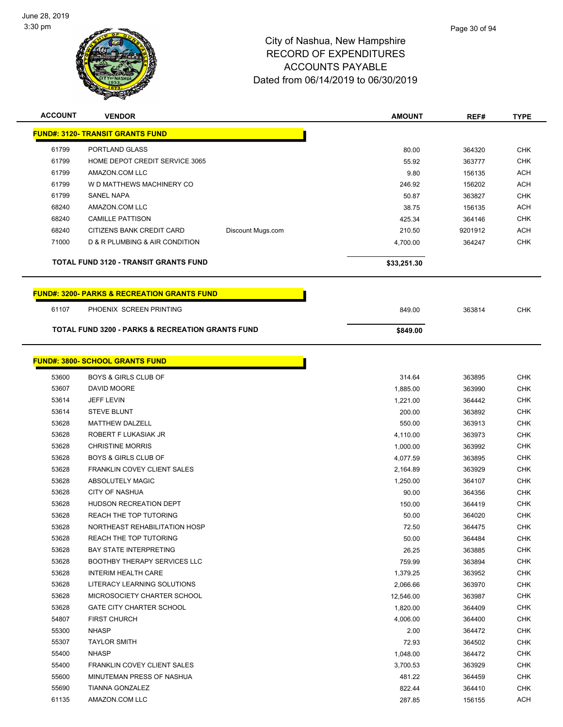

| <b>ACCOUNT</b> | <b>VENDOR</b>                                               |                   | <b>AMOUNT</b> | REF#    | <b>TYPE</b> |
|----------------|-------------------------------------------------------------|-------------------|---------------|---------|-------------|
|                | <b>FUND#: 3120- TRANSIT GRANTS FUND</b>                     |                   |               |         |             |
| 61799          | PORTLAND GLASS                                              |                   | 80.00         | 364320  | <b>CHK</b>  |
| 61799          | HOME DEPOT CREDIT SERVICE 3065                              |                   | 55.92         | 363777  | <b>CHK</b>  |
| 61799          | AMAZON.COM LLC                                              |                   | 9.80          | 156135  | <b>ACH</b>  |
| 61799          | W D MATTHEWS MACHINERY CO                                   |                   | 246.92        | 156202  | <b>ACH</b>  |
| 61799          | <b>SANEL NAPA</b>                                           |                   | 50.87         | 363827  | CHK         |
| 68240          | AMAZON.COM LLC                                              |                   | 38.75         | 156135  | <b>ACH</b>  |
| 68240          | <b>CAMILLE PATTISON</b>                                     |                   | 425.34        | 364146  | CHK         |
| 68240          | CITIZENS BANK CREDIT CARD                                   | Discount Mugs.com | 210.50        | 9201912 | <b>ACH</b>  |
| 71000          | D & R PLUMBING & AIR CONDITION                              |                   | 4,700.00      | 364247  | <b>CHK</b>  |
|                |                                                             |                   |               |         |             |
|                | TOTAL FUND 3120 - TRANSIT GRANTS FUND                       |                   | \$33,251.30   |         |             |
|                | <b>FUND#: 3200- PARKS &amp; RECREATION GRANTS FUND</b>      |                   |               |         |             |
| 61107          | PHOENIX SCREEN PRINTING                                     |                   | 849.00        | 363814  | <b>CHK</b>  |
|                | <b>TOTAL FUND 3200 - PARKS &amp; RECREATION GRANTS FUND</b> |                   | \$849.00      |         |             |
|                |                                                             |                   |               |         |             |
|                | <b>FUND#: 3800- SCHOOL GRANTS FUND</b>                      |                   |               |         |             |
| 53600          | <b>BOYS &amp; GIRLS CLUB OF</b>                             |                   | 314.64        | 363895  | <b>CHK</b>  |
| 53607          | DAVID MOORE                                                 |                   | 1,885.00      | 363990  | <b>CHK</b>  |
| 53614          | <b>JEFF LEVIN</b>                                           |                   | 1,221.00      | 364442  | <b>CHK</b>  |
| 53614          | <b>STEVE BLUNT</b>                                          |                   | 200.00        | 363892  | <b>CHK</b>  |
| 53628          | <b>MATTHEW DALZELL</b>                                      |                   | 550.00        | 363913  | <b>CHK</b>  |
| 53628          | ROBERT F LUKASIAK JR                                        |                   | 4,110.00      | 363973  | <b>CHK</b>  |
| 53628          | <b>CHRISTINE MORRIS</b>                                     |                   | 1,000.00      | 363992  | CHK         |
| 53628          | <b>BOYS &amp; GIRLS CLUB OF</b>                             |                   | 4,077.59      | 363895  | CHK         |
| 53628          | <b>FRANKLIN COVEY CLIENT SALES</b>                          |                   | 2,164.89      | 363929  | <b>CHK</b>  |
| 53628          | ABSOLUTELY MAGIC                                            |                   | 1,250.00      | 364107  | <b>CHK</b>  |
| 53628          | <b>CITY OF NASHUA</b>                                       |                   | 90.00         | 364356  | <b>CHK</b>  |
| 53628          | <b>HUDSON RECREATION DEPT</b>                               |                   | 150.00        | 364419  | <b>CHK</b>  |
| 53628          | <b>REACH THE TOP TUTORING</b>                               |                   | 50.00         | 364020  | <b>CHK</b>  |
| 53628          | NORTHEAST REHABILITATION HOSP                               |                   | 72.50         | 364475  | CHK         |
| 53628          | REACH THE TOP TUTORING                                      |                   | 50.00         | 364484  | <b>CHK</b>  |
| 53628          | <b>BAY STATE INTERPRETING</b>                               |                   | 26.25         | 363885  | CHK         |
| 53628          | <b>BOOTHBY THERAPY SERVICES LLC</b>                         |                   | 759.99        | 363894  | <b>CHK</b>  |
| 53628          | <b>INTERIM HEALTH CARE</b>                                  |                   | 1,379.25      | 363952  | <b>CHK</b>  |
| 53628          | LITERACY LEARNING SOLUTIONS                                 |                   | 2,066.66      | 363970  | <b>CHK</b>  |
| 53628          | MICROSOCIETY CHARTER SCHOOL                                 |                   | 12,546.00     | 363987  | <b>CHK</b>  |
| 53628          | <b>GATE CITY CHARTER SCHOOL</b>                             |                   | 1,820.00      | 364409  | CHK         |
| 54807          | <b>FIRST CHURCH</b>                                         |                   | 4,006.00      | 364400  | <b>CHK</b>  |
| 55300          | <b>NHASP</b>                                                |                   | 2.00          | 364472  | CHK         |
| 55307          | <b>TAYLOR SMITH</b>                                         |                   | 72.93         | 364502  | CHK         |
| 55400          | <b>NHASP</b>                                                |                   | 1,048.00      | 364472  | <b>CHK</b>  |
| 55400          | FRANKLIN COVEY CLIENT SALES                                 |                   | 3,700.53      | 363929  | CHK         |
| 55600          | MINUTEMAN PRESS OF NASHUA                                   |                   | 481.22        | 364459  | CHK         |
| 55690          | TIANNA GONZALEZ                                             |                   | 822.44        | 364410  | CHK         |
| 61135          | AMAZON.COM LLC                                              |                   | 287.85        | 156155  | ACH         |
|                |                                                             |                   |               |         |             |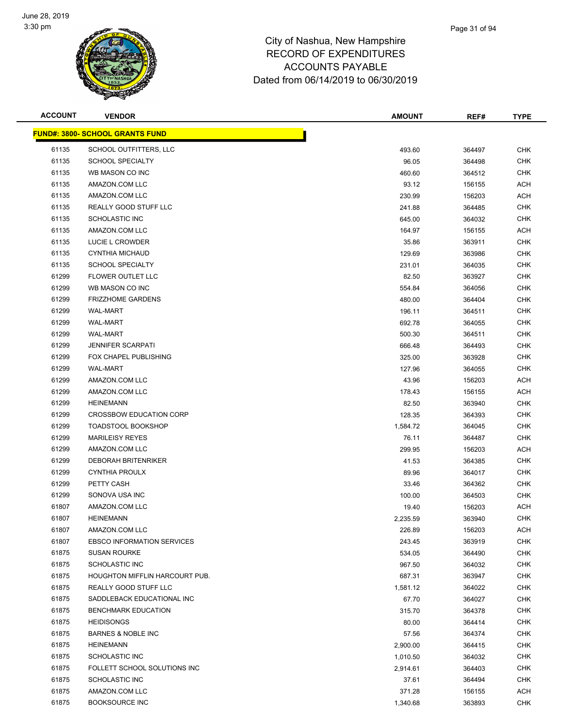

| <b>ACCOUNT</b> | <b>VENDOR</b>                          | <b>AMOUNT</b> | REF#   | <b>TYPE</b> |
|----------------|----------------------------------------|---------------|--------|-------------|
|                | <b>FUND#: 3800- SCHOOL GRANTS FUND</b> |               |        |             |
| 61135          | SCHOOL OUTFITTERS, LLC                 | 493.60        | 364497 | <b>CHK</b>  |
| 61135          | <b>SCHOOL SPECIALTY</b>                | 96.05         | 364498 | <b>CHK</b>  |
| 61135          | WB MASON CO INC                        | 460.60        | 364512 | <b>CHK</b>  |
| 61135          | AMAZON.COM LLC                         | 93.12         | 156155 | <b>ACH</b>  |
| 61135          | AMAZON.COM LLC                         | 230.99        | 156203 | <b>ACH</b>  |
| 61135          | REALLY GOOD STUFF LLC                  | 241.88        | 364485 | <b>CHK</b>  |
| 61135          | <b>SCHOLASTIC INC</b>                  | 645.00        | 364032 | <b>CHK</b>  |
| 61135          | AMAZON.COM LLC                         | 164.97        | 156155 | ACH         |
| 61135          | LUCIE L CROWDER                        | 35.86         | 363911 | <b>CHK</b>  |
| 61135          | <b>CYNTHIA MICHAUD</b>                 | 129.69        | 363986 | <b>CHK</b>  |
| 61135          | <b>SCHOOL SPECIALTY</b>                | 231.01        | 364035 | <b>CHK</b>  |
| 61299          | FLOWER OUTLET LLC                      | 82.50         | 363927 | <b>CHK</b>  |
| 61299          | WB MASON CO INC                        | 554.84        | 364056 | <b>CHK</b>  |
| 61299          | <b>FRIZZHOME GARDENS</b>               | 480.00        | 364404 | <b>CHK</b>  |
| 61299          | <b>WAL-MART</b>                        | 196.11        | 364511 | <b>CHK</b>  |
| 61299          | <b>WAL-MART</b>                        | 692.78        | 364055 | <b>CHK</b>  |
| 61299          | <b>WAL-MART</b>                        | 500.30        | 364511 | <b>CHK</b>  |
| 61299          | <b>JENNIFER SCARPATI</b>               | 666.48        | 364493 | <b>CHK</b>  |
| 61299          | <b>FOX CHAPEL PUBLISHING</b>           | 325.00        | 363928 | <b>CHK</b>  |
| 61299          | <b>WAL-MART</b>                        | 127.96        | 364055 | <b>CHK</b>  |
| 61299          | AMAZON.COM LLC                         | 43.96         | 156203 | <b>ACH</b>  |
| 61299          | AMAZON.COM LLC                         | 178.43        | 156155 | ACH         |
| 61299          | <b>HEINEMANN</b>                       | 82.50         | 363940 | <b>CHK</b>  |
| 61299          | <b>CROSSBOW EDUCATION CORP</b>         | 128.35        | 364393 | <b>CHK</b>  |
| 61299          | <b>TOADSTOOL BOOKSHOP</b>              | 1,584.72      | 364045 | <b>CHK</b>  |
| 61299          | <b>MARILEISY REYES</b>                 | 76.11         | 364487 | <b>CHK</b>  |
| 61299          | AMAZON.COM LLC                         | 299.95        | 156203 | <b>ACH</b>  |
| 61299          | <b>DEBORAH BRITENRIKER</b>             | 41.53         | 364385 | <b>CHK</b>  |
| 61299          | <b>CYNTHIA PROULX</b>                  | 89.96         | 364017 | <b>CHK</b>  |
| 61299          | PETTY CASH                             | 33.46         | 364362 | <b>CHK</b>  |
| 61299          | SONOVA USA INC                         | 100.00        | 364503 | <b>CHK</b>  |
| 61807          | AMAZON.COM LLC                         | 19.40         | 156203 | ACH         |
| 61807          | <b>HEINEMANN</b>                       | 2,235.59      | 363940 | <b>CHK</b>  |
| 61807          | AMAZON.COM LLC                         | 226.89        | 156203 | ACH         |
| 61807          | <b>EBSCO INFORMATION SERVICES</b>      | 243.45        | 363919 | <b>CHK</b>  |
| 61875          | <b>SUSAN ROURKE</b>                    | 534.05        | 364490 | <b>CHK</b>  |
| 61875          | <b>SCHOLASTIC INC</b>                  | 967.50        | 364032 | <b>CHK</b>  |
| 61875          | HOUGHTON MIFFLIN HARCOURT PUB.         | 687.31        | 363947 | <b>CHK</b>  |
| 61875          | REALLY GOOD STUFF LLC                  | 1,581.12      | 364022 | <b>CHK</b>  |
| 61875          | SADDLEBACK EDUCATIONAL INC             | 67.70         | 364027 | <b>CHK</b>  |
| 61875          | <b>BENCHMARK EDUCATION</b>             | 315.70        | 364378 | <b>CHK</b>  |
| 61875          | <b>HEIDISONGS</b>                      | 80.00         | 364414 | <b>CHK</b>  |
| 61875          | <b>BARNES &amp; NOBLE INC</b>          | 57.56         | 364374 | <b>CHK</b>  |
| 61875          | <b>HEINEMANN</b>                       | 2,900.00      | 364415 | <b>CHK</b>  |
| 61875          | <b>SCHOLASTIC INC</b>                  | 1,010.50      | 364032 | <b>CHK</b>  |
| 61875          | FOLLETT SCHOOL SOLUTIONS INC           | 2,914.61      | 364403 | <b>CHK</b>  |
| 61875          | <b>SCHOLASTIC INC</b>                  | 37.61         | 364494 | <b>CHK</b>  |
| 61875          | AMAZON.COM LLC                         | 371.28        | 156155 | ACH         |
| 61875          | <b>BOOKSOURCE INC</b>                  | 1,340.68      | 363893 | <b>CHK</b>  |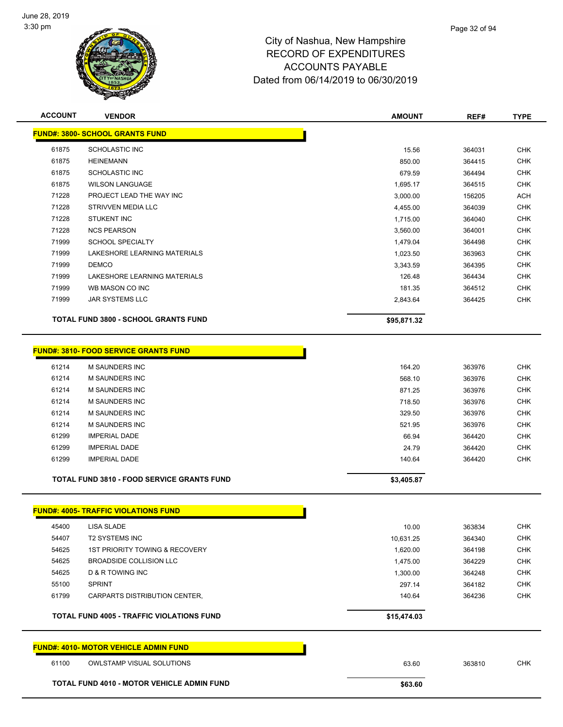

| <b>ACCOUNT</b> | <b>VENDOR</b>                                     | <b>AMOUNT</b> | REF#   | <b>TYPE</b> |
|----------------|---------------------------------------------------|---------------|--------|-------------|
|                | <b>FUND#: 3800- SCHOOL GRANTS FUND</b>            |               |        |             |
| 61875          | <b>SCHOLASTIC INC</b>                             | 15.56         | 364031 | <b>CHK</b>  |
| 61875          | <b>HEINEMANN</b>                                  | 850.00        | 364415 | <b>CHK</b>  |
| 61875          | <b>SCHOLASTIC INC</b>                             | 679.59        | 364494 | <b>CHK</b>  |
| 61875          | <b>WILSON LANGUAGE</b>                            | 1,695.17      | 364515 | <b>CHK</b>  |
| 71228          | PROJECT LEAD THE WAY INC                          | 3,000.00      | 156205 | <b>ACH</b>  |
| 71228          | STRIVVEN MEDIA LLC                                | 4,455.00      | 364039 | <b>CHK</b>  |
| 71228          | <b>STUKENT INC</b>                                | 1,715.00      | 364040 | <b>CHK</b>  |
| 71228          | <b>NCS PEARSON</b>                                | 3,560.00      | 364001 | <b>CHK</b>  |
| 71999          | <b>SCHOOL SPECIALTY</b>                           | 1,479.04      | 364498 | <b>CHK</b>  |
| 71999          | LAKESHORE LEARNING MATERIALS                      | 1,023.50      | 363963 | <b>CHK</b>  |
| 71999          | <b>DEMCO</b>                                      | 3,343.59      | 364395 | <b>CHK</b>  |
| 71999          | LAKESHORE LEARNING MATERIALS                      | 126.48        | 364434 | CHK         |
| 71999          | WB MASON CO INC                                   | 181.35        | 364512 | <b>CHK</b>  |
| 71999          | JAR SYSTEMS LLC                                   | 2,843.64      | 364425 | <b>CHK</b>  |
|                | TOTAL FUND 3800 - SCHOOL GRANTS FUND              | \$95,871.32   |        |             |
|                |                                                   |               |        |             |
|                | <b>FUND#: 3810- FOOD SERVICE GRANTS FUND</b>      |               |        |             |
|                |                                                   |               |        |             |
| 61214          | M SAUNDERS INC                                    | 164.20        | 363976 | <b>CHK</b>  |
| 61214          | <b>M SAUNDERS INC</b>                             | 568.10        | 363976 | <b>CHK</b>  |
| 61214          | <b>M SAUNDERS INC</b>                             | 871.25        | 363976 | <b>CHK</b>  |
| 61214          | <b>M SAUNDERS INC</b>                             | 718.50        | 363976 | <b>CHK</b>  |
| 61214          | <b>M SAUNDERS INC</b>                             | 329.50        | 363976 | <b>CHK</b>  |
| 61214          | <b>M SAUNDERS INC</b>                             | 521.95        | 363976 | <b>CHK</b>  |
| 61299          | <b>IMPERIAL DADE</b>                              | 66.94         | 364420 | <b>CHK</b>  |
| 61299          | <b>IMPERIAL DADE</b>                              | 24.79         | 364420 | <b>CHK</b>  |
| 61299          | <b>IMPERIAL DADE</b>                              | 140.64        | 364420 | <b>CHK</b>  |
|                | <b>TOTAL FUND 3810 - FOOD SERVICE GRANTS FUND</b> | \$3,405.87    |        |             |
|                |                                                   |               |        |             |
|                | <b>FUND#: 4005- TRAFFIC VIOLATIONS FUND</b>       |               |        |             |
| 45400          | LISA SLADE                                        | 10.00         | 363834 | CHK         |
| 54407          | <b>T2 SYSTEMS INC</b>                             | 10,631.25     | 364340 | <b>CHK</b>  |
| 54625          | <b>1ST PRIORITY TOWING &amp; RECOVERY</b>         | 1,620.00      | 364198 | <b>CHK</b>  |
| 54625          | BROADSIDE COLLISION LLC                           | 1,475.00      | 364229 | <b>CHK</b>  |
| 54625          | <b>D &amp; R TOWING INC</b>                       | 1,300.00      | 364248 | <b>CHK</b>  |
| 55100          | <b>SPRINT</b>                                     | 297.14        | 364182 | <b>CHK</b>  |
| 61799          | CARPARTS DISTRIBUTION CENTER,                     | 140.64        | 364236 | <b>CHK</b>  |
|                | <b>TOTAL FUND 4005 - TRAFFIC VIOLATIONS FUND</b>  | \$15,474.03   |        |             |
|                | <b>FUND#: 4010- MOTOR VEHICLE ADMIN FUND</b>      |               |        |             |
| 61100          | <b>OWLSTAMP VISUAL SOLUTIONS</b>                  | 63.60         | 363810 | <b>CHK</b>  |
|                |                                                   |               |        |             |
|                | <b>TOTAL FUND 4010 - MOTOR VEHICLE ADMIN FUND</b> | \$63.60       |        |             |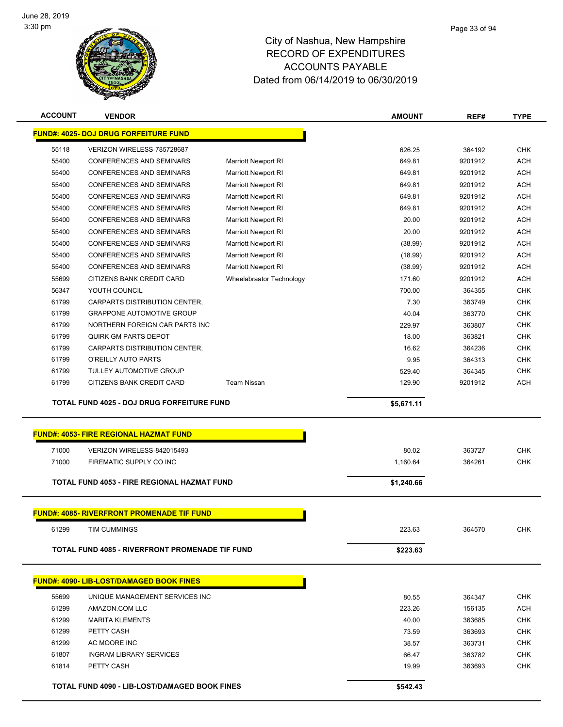

| <b>ACCOUNT</b>                               | <b>VENDOR</b>                                                      |                            | <b>AMOUNT</b>    | REF#              | <b>TYPE</b>              |
|----------------------------------------------|--------------------------------------------------------------------|----------------------------|------------------|-------------------|--------------------------|
| <b>FUND#: 4025- DOJ DRUG FORFEITURE FUND</b> |                                                                    |                            |                  |                   |                          |
| 55118                                        | VERIZON WIRELESS-785728687                                         |                            | 626.25           | 364192            | <b>CHK</b>               |
| 55400                                        | <b>CONFERENCES AND SEMINARS</b>                                    | <b>Marriott Newport RI</b> | 649.81           | 9201912           | <b>ACH</b>               |
| 55400                                        | <b>CONFERENCES AND SEMINARS</b>                                    | <b>Marriott Newport RI</b> | 649.81           | 9201912           | <b>ACH</b>               |
| 55400                                        | <b>CONFERENCES AND SEMINARS</b>                                    | <b>Marriott Newport RI</b> | 649.81           | 9201912           | <b>ACH</b>               |
| 55400                                        | <b>CONFERENCES AND SEMINARS</b>                                    | <b>Marriott Newport RI</b> | 649.81           | 9201912           | <b>ACH</b>               |
| 55400                                        | <b>CONFERENCES AND SEMINARS</b>                                    | <b>Marriott Newport RI</b> | 649.81           | 9201912           | <b>ACH</b>               |
| 55400                                        | <b>CONFERENCES AND SEMINARS</b>                                    | <b>Marriott Newport RI</b> | 20.00            | 9201912           | <b>ACH</b>               |
| 55400                                        | <b>CONFERENCES AND SEMINARS</b>                                    | <b>Marriott Newport RI</b> | 20.00            | 9201912           | <b>ACH</b>               |
| 55400                                        | <b>CONFERENCES AND SEMINARS</b>                                    | <b>Marriott Newport RI</b> | (38.99)          | 9201912           | <b>ACH</b>               |
| 55400                                        | <b>CONFERENCES AND SEMINARS</b>                                    | <b>Marriott Newport RI</b> | (18.99)          | 9201912           | <b>ACH</b>               |
| 55400                                        | <b>CONFERENCES AND SEMINARS</b>                                    | <b>Marriott Newport RI</b> | (38.99)          | 9201912           | <b>ACH</b>               |
| 55699                                        | CITIZENS BANK CREDIT CARD                                          |                            | 171.60           | 9201912           | <b>ACH</b>               |
| 56347                                        |                                                                    | Wheelabraator Technology   |                  |                   | <b>CHK</b>               |
| 61799                                        | YOUTH COUNCIL<br>CARPARTS DISTRIBUTION CENTER,                     |                            | 700.00<br>7.30   | 364355            | <b>CHK</b>               |
|                                              |                                                                    |                            |                  | 363749            |                          |
| 61799<br>61799                               | <b>GRAPPONE AUTOMOTIVE GROUP</b><br>NORTHERN FOREIGN CAR PARTS INC |                            | 40.04            | 363770            | <b>CHK</b>               |
|                                              | QUIRK GM PARTS DEPOT                                               |                            | 229.97           | 363807            | <b>CHK</b><br><b>CHK</b> |
| 61799<br>61799                               |                                                                    |                            | 18.00            | 363821            |                          |
|                                              | CARPARTS DISTRIBUTION CENTER,<br>O'REILLY AUTO PARTS               |                            | 16.62            | 364236            | <b>CHK</b>               |
| 61799                                        | <b>TULLEY AUTOMOTIVE GROUP</b>                                     |                            | 9.95             | 364313            | <b>CHK</b><br><b>CHK</b> |
| 61799<br>61799                               |                                                                    | <b>Team Nissan</b>         | 529.40<br>129.90 | 364345<br>9201912 |                          |
|                                              | CITIZENS BANK CREDIT CARD                                          |                            |                  |                   | <b>ACH</b>               |
|                                              | TOTAL FUND 4025 - DOJ DRUG FORFEITURE FUND                         |                            | \$5,671.11       |                   |                          |
|                                              |                                                                    |                            |                  |                   |                          |
|                                              | <b>FUND#: 4053- FIRE REGIONAL HAZMAT FUND</b>                      |                            |                  |                   |                          |
| 71000                                        | VERIZON WIRELESS-842015493                                         |                            | 80.02            | 363727            | <b>CHK</b>               |
| 71000                                        | FIREMATIC SUPPLY CO INC                                            |                            | 1,160.64         | 364261            | CHK                      |
|                                              | <b>TOTAL FUND 4053 - FIRE REGIONAL HAZMAT FUND</b>                 |                            | \$1,240.66       |                   |                          |
|                                              |                                                                    |                            |                  |                   |                          |
|                                              | <b>FUND#: 4085- RIVERFRONT PROMENADE TIF FUND</b>                  |                            |                  |                   |                          |
| 61299                                        | TIM CUMMINGS                                                       |                            | 223.63           | 364570            | CHK                      |
|                                              |                                                                    |                            |                  |                   |                          |
|                                              | <b>TOTAL FUND 4085 - RIVERFRONT PROMENADE TIF FUND</b>             |                            | \$223.63         |                   |                          |
|                                              |                                                                    |                            |                  |                   |                          |
|                                              | <b>FUND#: 4090- LIB-LOST/DAMAGED BOOK FINES</b>                    |                            |                  |                   |                          |
| 55699                                        | UNIQUE MANAGEMENT SERVICES INC                                     |                            | 80.55            | 364347            | <b>CHK</b>               |
| 61299                                        | AMAZON.COM LLC                                                     |                            | 223.26           | 156135            | <b>ACH</b>               |
| 61299                                        | <b>MARITA KLEMENTS</b>                                             |                            | 40.00            | 363685            | <b>CHK</b>               |
| 61299                                        | PETTY CASH                                                         |                            | 73.59            | 363693            | CHK                      |
| 61299                                        | AC MOORE INC                                                       |                            | 38.57            | 363731            | <b>CHK</b>               |
| 61807                                        | <b>INGRAM LIBRARY SERVICES</b>                                     |                            | 66.47            | 363782            | <b>CHK</b>               |
| 61814                                        | PETTY CASH                                                         |                            | 19.99            | 363693            | CHK                      |
|                                              | <b>TOTAL FUND 4090 - LIB-LOST/DAMAGED BOOK FINES</b>               |                            | \$542.43         |                   |                          |
|                                              |                                                                    |                            |                  |                   |                          |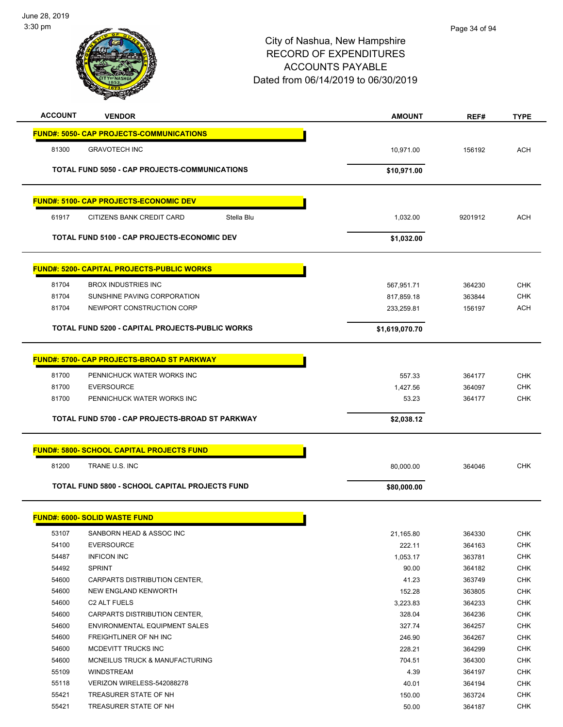

| <b>ACCOUNT</b> | <b>VENDOR</b>                                          | <b>AMOUNT</b>  | REF#    | <b>TYPE</b> |
|----------------|--------------------------------------------------------|----------------|---------|-------------|
|                | <b>FUND#: 5050- CAP PROJECTS-COMMUNICATIONS</b>        |                |         |             |
| 81300          | <b>GRAVOTECH INC</b>                                   | 10,971.00      | 156192  | <b>ACH</b>  |
|                |                                                        |                |         |             |
|                | TOTAL FUND 5050 - CAP PROJECTS-COMMUNICATIONS          | \$10,971.00    |         |             |
|                | <u> FUND#: 5100- CAP PROJECTS-ECONOMIC DEV</u>         |                |         |             |
| 61917          | CITIZENS BANK CREDIT CARD<br>Stella Blu                | 1,032.00       | 9201912 | <b>ACH</b>  |
|                | TOTAL FUND 5100 - CAP PROJECTS-ECONOMIC DEV            | \$1,032.00     |         |             |
|                | <u> FUND#: 5200- CAPITAL PROJECTS-PUBLIC WORKS</u>     |                |         |             |
| 81704          | <b>BROX INDUSTRIES INC</b>                             | 567,951.71     | 364230  | <b>CHK</b>  |
| 81704          | SUNSHINE PAVING CORPORATION                            | 817,859.18     | 363844  | <b>CHK</b>  |
| 81704          | NEWPORT CONSTRUCTION CORP                              | 233,259.81     | 156197  | <b>ACH</b>  |
|                | <b>TOTAL FUND 5200 - CAPITAL PROJECTS-PUBLIC WORKS</b> | \$1,619,070.70 |         |             |
|                | FUND#: 5700- CAP PROJECTS-BROAD ST PARKWAY             |                |         |             |
| 81700          | PENNICHUCK WATER WORKS INC                             | 557.33         | 364177  | <b>CHK</b>  |
| 81700          | <b>EVERSOURCE</b>                                      | 1,427.56       | 364097  | <b>CHK</b>  |
| 81700          | PENNICHUCK WATER WORKS INC                             | 53.23          | 364177  | <b>CHK</b>  |
|                |                                                        |                |         |             |
|                | TOTAL FUND 5700 - CAP PROJECTS-BROAD ST PARKWAY        | \$2,038.12     |         |             |
|                | <b>FUND#: 5800- SCHOOL CAPITAL PROJECTS FUND</b>       |                |         |             |
| 81200          | TRANE U.S. INC                                         | 80,000.00      | 364046  | <b>CHK</b>  |
|                | TOTAL FUND 5800 - SCHOOL CAPITAL PROJECTS FUND         | \$80,000.00    |         |             |
|                | <u> FUND#: 6000- SOLID WASTE FUND</u>                  |                |         |             |
|                |                                                        |                |         |             |
| 53107          | SANBORN HEAD & ASSOC INC                               | 21,165.80      | 364330  | <b>CHK</b>  |
| 54100          | <b>EVERSOURCE</b>                                      | 222.11         | 364163  | <b>CHK</b>  |
| 54487          | <b>INFICON INC</b>                                     | 1,053.17       | 363781  | <b>CHK</b>  |
| 54492          | <b>SPRINT</b>                                          | 90.00          | 364182  | <b>CHK</b>  |
| 54600          | CARPARTS DISTRIBUTION CENTER,                          | 41.23          | 363749  | <b>CHK</b>  |
| 54600          | NEW ENGLAND KENWORTH                                   | 152.28         | 363805  | <b>CHK</b>  |
| 54600          | C <sub>2</sub> ALT FUELS                               | 3,223.83       | 364233  | <b>CHK</b>  |
| 54600          | CARPARTS DISTRIBUTION CENTER,                          | 328.04         | 364236  | <b>CHK</b>  |
| 54600          | ENVIRONMENTAL EQUIPMENT SALES                          | 327.74         | 364257  | <b>CHK</b>  |
| 54600          | FREIGHTLINER OF NH INC                                 | 246.90         | 364267  | <b>CHK</b>  |
| 54600          | MCDEVITT TRUCKS INC                                    | 228.21         | 364299  | <b>CHK</b>  |
| 54600          | MCNEILUS TRUCK & MANUFACTURING                         | 704.51         | 364300  | <b>CHK</b>  |
| 55109          | WINDSTREAM                                             | 4.39           | 364197  | <b>CHK</b>  |
| 55118          | VERIZON WIRELESS-542088278                             | 40.01          | 364194  | <b>CHK</b>  |
| 55421          | TREASURER STATE OF NH                                  | 150.00         | 363724  | CHK         |
| 55421          | TREASURER STATE OF NH                                  | 50.00          | 364187  | <b>CHK</b>  |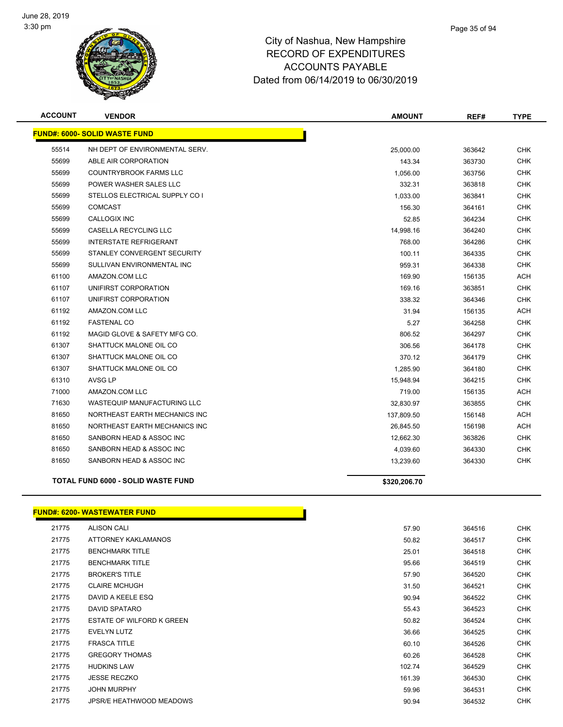

| <b>ACCOUNT</b> | <b>VENDOR</b>                             | <b>AMOUNT</b> | REF#   | <b>TYPE</b> |
|----------------|-------------------------------------------|---------------|--------|-------------|
|                | <b>FUND#: 6000- SOLID WASTE FUND</b>      |               |        |             |
| 55514          | NH DEPT OF ENVIRONMENTAL SERV.            | 25,000.00     | 363642 | <b>CHK</b>  |
| 55699          | ABLE AIR CORPORATION                      | 143.34        | 363730 | <b>CHK</b>  |
| 55699          | <b>COUNTRYBROOK FARMS LLC</b>             | 1,056.00      | 363756 | <b>CHK</b>  |
| 55699          | POWER WASHER SALES LLC                    | 332.31        | 363818 | <b>CHK</b>  |
| 55699          | STELLOS ELECTRICAL SUPPLY CO I            | 1,033.00      | 363841 | <b>CHK</b>  |
| 55699          | <b>COMCAST</b>                            | 156.30        | 364161 | <b>CHK</b>  |
| 55699          | CALLOGIX INC                              | 52.85         | 364234 | <b>CHK</b>  |
| 55699          | CASELLA RECYCLING LLC                     | 14,998.16     | 364240 | <b>CHK</b>  |
| 55699          | <b>INTERSTATE REFRIGERANT</b>             | 768.00        | 364286 | <b>CHK</b>  |
| 55699          | STANLEY CONVERGENT SECURITY               | 100.11        | 364335 | CHK         |
| 55699          | SULLIVAN ENVIRONMENTAL INC                | 959.31        | 364338 | <b>CHK</b>  |
| 61100          | AMAZON.COM LLC                            | 169.90        | 156135 | <b>ACH</b>  |
| 61107          | UNIFIRST CORPORATION                      | 169.16        | 363851 | <b>CHK</b>  |
| 61107          | UNIFIRST CORPORATION                      | 338.32        | 364346 | <b>CHK</b>  |
| 61192          | AMAZON.COM LLC                            | 31.94         | 156135 | ACH         |
| 61192          | <b>FASTENAL CO</b>                        | 5.27          | 364258 | <b>CHK</b>  |
| 61192          | MAGID GLOVE & SAFETY MFG CO.              | 806.52        | 364297 | <b>CHK</b>  |
| 61307          | SHATTUCK MALONE OIL CO                    | 306.56        | 364178 | <b>CHK</b>  |
| 61307          | SHATTUCK MALONE OIL CO                    | 370.12        | 364179 | <b>CHK</b>  |
| 61307          | SHATTUCK MALONE OIL CO                    | 1,285.90      | 364180 | <b>CHK</b>  |
| 61310          | AVSG LP                                   | 15,948.94     | 364215 | <b>CHK</b>  |
| 71000          | AMAZON.COM LLC                            | 719.00        | 156135 | ACH         |
| 71630          | <b>WASTEQUIP MANUFACTURING LLC</b>        | 32,830.97     | 363855 | <b>CHK</b>  |
| 81650          | NORTHEAST EARTH MECHANICS INC             | 137,809.50    | 156148 | <b>ACH</b>  |
| 81650          | NORTHEAST EARTH MECHANICS INC             | 26,845.50     | 156198 | <b>ACH</b>  |
| 81650          | SANBORN HEAD & ASSOC INC                  | 12,662.30     | 363826 | <b>CHK</b>  |
| 81650          | SANBORN HEAD & ASSOC INC                  | 4,039.60      | 364330 | <b>CHK</b>  |
| 81650          | SANBORN HEAD & ASSOC INC                  | 13,239.60     | 364330 | <b>CHK</b>  |
|                | <b>TOTAL FUND 6000 - SOLID WASTE FUND</b> | \$320,206.70  |        |             |

#### **FUND#: 6200- WASTEWATER FUND**

| 21775 | <b>ALISON CALI</b>        | 57.90  | 364516 | <b>CHK</b> |
|-------|---------------------------|--------|--------|------------|
| 21775 | ATTORNEY KAKLAMANOS       | 50.82  | 364517 | <b>CHK</b> |
| 21775 | <b>BENCHMARK TITLE</b>    | 25.01  | 364518 | <b>CHK</b> |
| 21775 | <b>BENCHMARK TITLE</b>    | 95.66  | 364519 | <b>CHK</b> |
| 21775 | <b>BROKER'S TITLE</b>     | 57.90  | 364520 | <b>CHK</b> |
| 21775 | <b>CLAIRE MCHUGH</b>      | 31.50  | 364521 | <b>CHK</b> |
| 21775 | DAVID A KEELE ESQ         | 90.94  | 364522 | <b>CHK</b> |
| 21775 | DAVID SPATARO             | 55.43  | 364523 | <b>CHK</b> |
| 21775 | ESTATE OF WILFORD K GREEN | 50.82  | 364524 | <b>CHK</b> |
| 21775 | <b>EVELYN LUTZ</b>        | 36.66  | 364525 | <b>CHK</b> |
| 21775 | <b>FRASCA TITLE</b>       | 60.10  | 364526 | <b>CHK</b> |
| 21775 | <b>GREGORY THOMAS</b>     | 60.26  | 364528 | <b>CHK</b> |
| 21775 | <b>HUDKINS LAW</b>        | 102.74 | 364529 | <b>CHK</b> |
| 21775 | <b>JESSE RECZKO</b>       | 161.39 | 364530 | <b>CHK</b> |
| 21775 | <b>JOHN MURPHY</b>        | 59.96  | 364531 | <b>CHK</b> |
| 21775 | JPSR/E HEATHWOOD MEADOWS  | 90.94  | 364532 | <b>CHK</b> |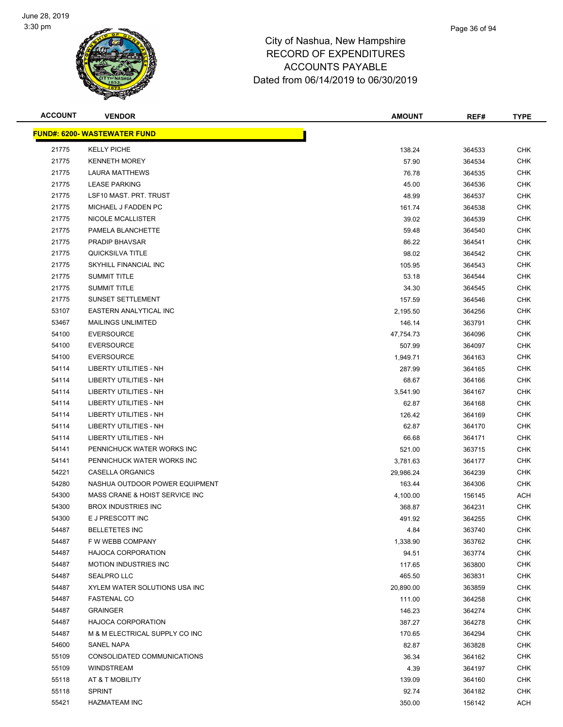

#### Page 36 of 94

| <b>ACCOUNT</b> | <b>VENDOR</b>                       | <b>AMOUNT</b> | REF#   | <b>TYPE</b> |
|----------------|-------------------------------------|---------------|--------|-------------|
|                | <b>FUND#: 6200- WASTEWATER FUND</b> |               |        |             |
| 21775          | <b>KELLY PICHE</b>                  | 138.24        | 364533 | <b>CHK</b>  |
| 21775          | <b>KENNETH MOREY</b>                | 57.90         | 364534 | <b>CHK</b>  |
| 21775          | <b>LAURA MATTHEWS</b>               | 76.78         | 364535 | <b>CHK</b>  |
| 21775          | <b>LEASE PARKING</b>                | 45.00         | 364536 | <b>CHK</b>  |
| 21775          | LSF10 MAST. PRT. TRUST              | 48.99         | 364537 | <b>CHK</b>  |
| 21775          | MICHAEL J FADDEN PC                 | 161.74        | 364538 | <b>CHK</b>  |
| 21775          | NICOLE MCALLISTER                   | 39.02         | 364539 | <b>CHK</b>  |
| 21775          | PAMELA BLANCHETTE                   | 59.48         | 364540 | <b>CHK</b>  |
| 21775          | <b>PRADIP BHAVSAR</b>               | 86.22         | 364541 | <b>CHK</b>  |
| 21775          | QUICKSILVA TITLE                    | 98.02         | 364542 | <b>CHK</b>  |
| 21775          | SKYHILL FINANCIAL INC               | 105.95        | 364543 | <b>CHK</b>  |
| 21775          | <b>SUMMIT TITLE</b>                 | 53.18         | 364544 | CHK         |
| 21775          | <b>SUMMIT TITLE</b>                 | 34.30         | 364545 | <b>CHK</b>  |
| 21775          | <b>SUNSET SETTLEMENT</b>            | 157.59        | 364546 | <b>CHK</b>  |
| 53107          | EASTERN ANALYTICAL INC              | 2,195.50      | 364256 | <b>CHK</b>  |
| 53467          | <b>MAILINGS UNLIMITED</b>           | 146.14        | 363791 | <b>CHK</b>  |
| 54100          | <b>EVERSOURCE</b>                   | 47,754.73     | 364096 | <b>CHK</b>  |
| 54100          | <b>EVERSOURCE</b>                   | 507.99        | 364097 | <b>CHK</b>  |
| 54100          | <b>EVERSOURCE</b>                   | 1,949.71      | 364163 | <b>CHK</b>  |
| 54114          | <b>LIBERTY UTILITIES - NH</b>       | 287.99        | 364165 | <b>CHK</b>  |
| 54114          | LIBERTY UTILITIES - NH              | 68.67         | 364166 | <b>CHK</b>  |
| 54114          | LIBERTY UTILITIES - NH              | 3,541.90      | 364167 | <b>CHK</b>  |
| 54114          | LIBERTY UTILITIES - NH              | 62.87         | 364168 | <b>CHK</b>  |
| 54114          | LIBERTY UTILITIES - NH              | 126.42        | 364169 | <b>CHK</b>  |
| 54114          | LIBERTY UTILITIES - NH              | 62.87         | 364170 | <b>CHK</b>  |
| 54114          | LIBERTY UTILITIES - NH              | 66.68         | 364171 | <b>CHK</b>  |
| 54141          | PENNICHUCK WATER WORKS INC          | 521.00        | 363715 | <b>CHK</b>  |
| 54141          | PENNICHUCK WATER WORKS INC          | 3,781.63      | 364177 | <b>CHK</b>  |
| 54221          | CASELLA ORGANICS                    | 29,986.24     | 364239 | <b>CHK</b>  |
| 54280          | NASHUA OUTDOOR POWER EQUIPMENT      | 163.44        | 364306 | <b>CHK</b>  |
| 54300          | MASS CRANE & HOIST SERVICE INC      | 4,100.00      | 156145 | ACH         |
| 54300          | <b>BROX INDUSTRIES INC</b>          | 368.87        | 364231 | <b>CHK</b>  |
| 54300          | E J PRESCOTT INC                    | 491.92        | 364255 | <b>CHK</b>  |
| 54487          | <b>BELLETETES INC</b>               | 4.84          | 363740 | <b>CHK</b>  |
| 54487          | F W WEBB COMPANY                    | 1,338.90      | 363762 | <b>CHK</b>  |
| 54487          | <b>HAJOCA CORPORATION</b>           | 94.51         | 363774 | <b>CHK</b>  |
| 54487          | <b>MOTION INDUSTRIES INC</b>        | 117.65        | 363800 | <b>CHK</b>  |
| 54487          | <b>SEALPRO LLC</b>                  | 465.50        | 363831 | <b>CHK</b>  |
| 54487          | XYLEM WATER SOLUTIONS USA INC       | 20,890.00     | 363859 | CHK         |
| 54487          | <b>FASTENAL CO</b>                  | 111.00        | 364258 | <b>CHK</b>  |
| 54487          | <b>GRAINGER</b>                     | 146.23        | 364274 | <b>CHK</b>  |
| 54487          | <b>HAJOCA CORPORATION</b>           | 387.27        | 364278 | <b>CHK</b>  |
| 54487          | M & M ELECTRICAL SUPPLY CO INC      | 170.65        | 364294 | <b>CHK</b>  |
| 54600          | SANEL NAPA                          | 82.87         | 363828 | <b>CHK</b>  |
| 55109          | CONSOLIDATED COMMUNICATIONS         | 36.34         | 364162 | <b>CHK</b>  |
| 55109          | <b>WINDSTREAM</b>                   | 4.39          | 364197 | <b>CHK</b>  |
| 55118          | AT & T MOBILITY                     | 139.09        | 364160 | CHK         |
| 55118          | <b>SPRINT</b>                       | 92.74         | 364182 | <b>CHK</b>  |
| 55421          | <b>HAZMATEAM INC</b>                | 350.00        | 156142 | ACH         |
|                |                                     |               |        |             |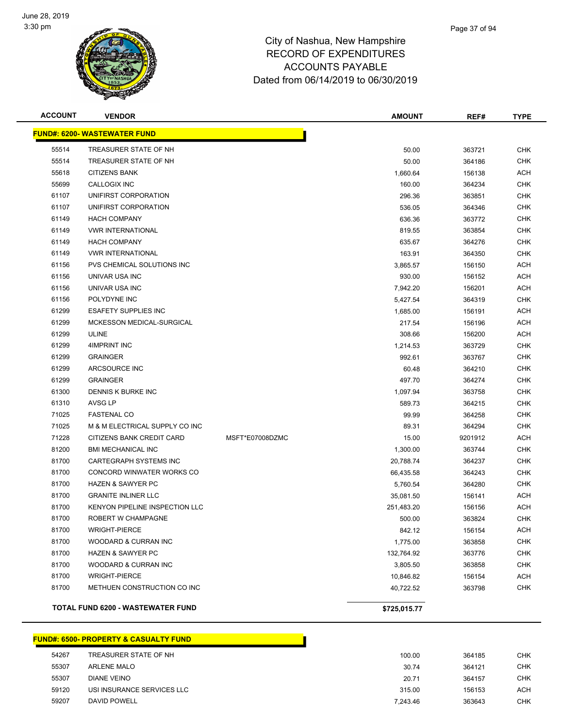

#### Page 37 of 94

## City of Nashua, New Hampshire RECORD OF EXPENDITURES ACCOUNTS PAYABLE Dated from 06/14/2019 to 06/30/2019

| <b>ACCOUNT</b> | <b>VENDOR</b>                            |                 | <b>AMOUNT</b> | REF#    | <b>TYPE</b> |
|----------------|------------------------------------------|-----------------|---------------|---------|-------------|
|                | <b>FUND#: 6200- WASTEWATER FUND</b>      |                 |               |         |             |
| 55514          | TREASURER STATE OF NH                    |                 | 50.00         | 363721  | <b>CHK</b>  |
| 55514          | TREASURER STATE OF NH                    |                 | 50.00         | 364186  | <b>CHK</b>  |
| 55618          | <b>CITIZENS BANK</b>                     |                 | 1,660.64      | 156138  | <b>ACH</b>  |
| 55699          | CALLOGIX INC                             |                 | 160.00        | 364234  | <b>CHK</b>  |
| 61107          | UNIFIRST CORPORATION                     |                 | 296.36        | 363851  | <b>CHK</b>  |
| 61107          | UNIFIRST CORPORATION                     |                 | 536.05        | 364346  | <b>CHK</b>  |
| 61149          | <b>HACH COMPANY</b>                      |                 | 636.36        | 363772  | <b>CHK</b>  |
| 61149          | <b>VWR INTERNATIONAL</b>                 |                 | 819.55        | 363854  | <b>CHK</b>  |
| 61149          | <b>HACH COMPANY</b>                      |                 | 635.67        | 364276  | <b>CHK</b>  |
| 61149          | <b>VWR INTERNATIONAL</b>                 |                 | 163.91        | 364350  | <b>CHK</b>  |
| 61156          | PVS CHEMICAL SOLUTIONS INC               |                 | 3,865.57      | 156150  | ACH         |
| 61156          | UNIVAR USA INC                           |                 | 930.00        | 156152  | ACH         |
| 61156          | UNIVAR USA INC                           |                 | 7,942.20      | 156201  | <b>ACH</b>  |
| 61156          | POLYDYNE INC                             |                 | 5,427.54      | 364319  | <b>CHK</b>  |
| 61299          | <b>ESAFETY SUPPLIES INC</b>              |                 | 1,685.00      | 156191  | <b>ACH</b>  |
| 61299          | MCKESSON MEDICAL-SURGICAL                |                 | 217.54        | 156196  | <b>ACH</b>  |
| 61299          | <b>ULINE</b>                             |                 | 308.66        | 156200  | ACH         |
| 61299          | 4IMPRINT INC                             |                 | 1,214.53      | 363729  | <b>CHK</b>  |
| 61299          | <b>GRAINGER</b>                          |                 | 992.61        | 363767  | <b>CHK</b>  |
| 61299          | ARCSOURCE INC                            |                 | 60.48         | 364210  | <b>CHK</b>  |
| 61299          | <b>GRAINGER</b>                          |                 | 497.70        | 364274  | <b>CHK</b>  |
| 61300          | DENNIS K BURKE INC                       |                 | 1,097.94      | 363758  | <b>CHK</b>  |
| 61310          | AVSG LP                                  |                 | 589.73        | 364215  | <b>CHK</b>  |
| 71025          | <b>FASTENAL CO</b>                       |                 | 99.99         | 364258  | <b>CHK</b>  |
| 71025          | M & M ELECTRICAL SUPPLY CO INC           |                 | 89.31         | 364294  | <b>CHK</b>  |
| 71228          | CITIZENS BANK CREDIT CARD                | MSFT*E07008DZMC | 15.00         | 9201912 | <b>ACH</b>  |
| 81200          | <b>BMI MECHANICAL INC</b>                |                 | 1,300.00      | 363744  | <b>CHK</b>  |
| 81700          | CARTEGRAPH SYSTEMS INC                   |                 | 20,788.74     | 364237  | <b>CHK</b>  |
| 81700          | CONCORD WINWATER WORKS CO                |                 | 66,435.58     | 364243  | <b>CHK</b>  |
| 81700          | <b>HAZEN &amp; SAWYER PC</b>             |                 | 5,760.54      | 364280  | <b>CHK</b>  |
| 81700          | <b>GRANITE INLINER LLC</b>               |                 | 35,081.50     | 156141  | ACH         |
| 81700          | KENYON PIPELINE INSPECTION LLC           |                 | 251,483.20    | 156156  | <b>ACH</b>  |
| 81700          | ROBERT W CHAMPAGNE                       |                 | 500.00        | 363824  | <b>CHK</b>  |
| 81700          | <b>WRIGHT-PIERCE</b>                     |                 | 842.12        | 156154  | ACH         |
| 81700          | WOODARD & CURRAN INC                     |                 | 1,775.00      | 363858  | <b>CHK</b>  |
| 81700          | <b>HAZEN &amp; SAWYER PC</b>             |                 | 132,764.92    | 363776  | <b>CHK</b>  |
| 81700          | WOODARD & CURRAN INC                     |                 | 3,805.50      | 363858  | <b>CHK</b>  |
| 81700          | <b>WRIGHT-PIERCE</b>                     |                 | 10,846.82     | 156154  | ACH         |
| 81700          | METHUEN CONSTRUCTION CO INC              |                 | 40,722.52     | 363798  | <b>CHK</b>  |
|                | <b>TOTAL FUND 6200 - WASTEWATER FUND</b> |                 | \$725,015.77  |         |             |

#### **FUND#: 6500- PROPERTY & CASUALTY FUND**

| 54267 | TREASURER STATE OF NH      | 100.00   | 364185 | <b>CHK</b> |
|-------|----------------------------|----------|--------|------------|
| 55307 | <b>ARLENE MALO</b>         | 30.74    | 364121 | <b>CHK</b> |
| 55307 | DIANE VEINO                | 20.71    | 364157 | СНК        |
| 59120 | USI INSURANCE SERVICES LLC | 315.00   | 156153 | <b>ACH</b> |
| 59207 | DAVID POWELL               | 7.243.46 | 363643 | СНК        |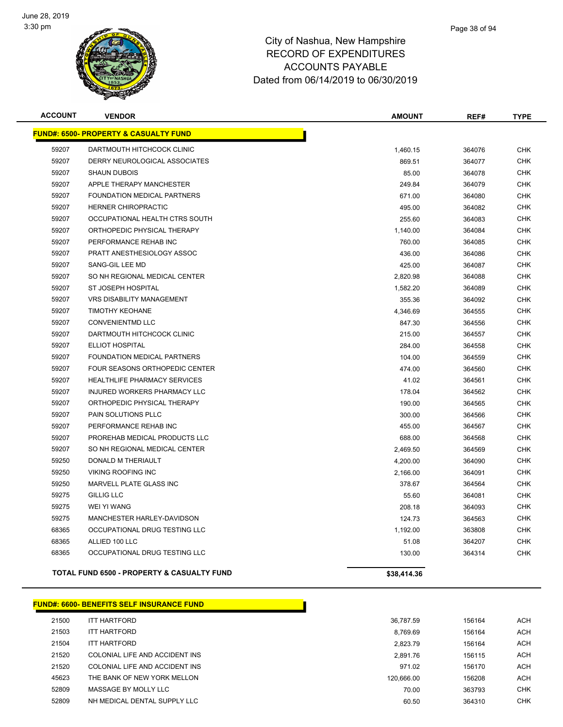

| <b>ACCOUNT</b> | <b>VENDOR</b>                                         | <b>AMOUNT</b> | REF#   | <b>TYPE</b> |
|----------------|-------------------------------------------------------|---------------|--------|-------------|
|                | <b>FUND#: 6500- PROPERTY &amp; CASUALTY FUND</b>      |               |        |             |
| 59207          | DARTMOUTH HITCHCOCK CLINIC                            | 1,460.15      | 364076 | <b>CHK</b>  |
| 59207          | DERRY NEUROLOGICAL ASSOCIATES                         | 869.51        | 364077 | <b>CHK</b>  |
| 59207          | <b>SHAUN DUBOIS</b>                                   | 85.00         | 364078 | <b>CHK</b>  |
| 59207          | <b>APPLE THERAPY MANCHESTER</b>                       | 249.84        | 364079 | <b>CHK</b>  |
| 59207          | <b>FOUNDATION MEDICAL PARTNERS</b>                    | 671.00        | 364080 | <b>CHK</b>  |
| 59207          | <b>HERNER CHIROPRACTIC</b>                            | 495.00        | 364082 | <b>CHK</b>  |
| 59207          | OCCUPATIONAL HEALTH CTRS SOUTH                        | 255.60        | 364083 | <b>CHK</b>  |
| 59207          | ORTHOPEDIC PHYSICAL THERAPY                           | 1,140.00      | 364084 | <b>CHK</b>  |
| 59207          | PERFORMANCE REHAB INC                                 | 760.00        | 364085 | <b>CHK</b>  |
| 59207          | PRATT ANESTHESIOLOGY ASSOC                            | 436.00        | 364086 | <b>CHK</b>  |
| 59207          | SANG-GIL LEE MD                                       | 425.00        | 364087 | <b>CHK</b>  |
| 59207          | SO NH REGIONAL MEDICAL CENTER                         | 2,820.98      | 364088 | <b>CHK</b>  |
| 59207          | ST JOSEPH HOSPITAL                                    | 1,582.20      | 364089 | <b>CHK</b>  |
| 59207          | <b>VRS DISABILITY MANAGEMENT</b>                      | 355.36        | 364092 | <b>CHK</b>  |
| 59207          | <b>TIMOTHY KEOHANE</b>                                | 4,346.69      | 364555 | <b>CHK</b>  |
| 59207          | <b>CONVENIENTMD LLC</b>                               | 847.30        | 364556 | <b>CHK</b>  |
| 59207          | DARTMOUTH HITCHCOCK CLINIC                            | 215.00        | 364557 | <b>CHK</b>  |
| 59207          | <b>ELLIOT HOSPITAL</b>                                | 284.00        | 364558 | <b>CHK</b>  |
| 59207          | FOUNDATION MEDICAL PARTNERS                           | 104.00        | 364559 | <b>CHK</b>  |
| 59207          | FOUR SEASONS ORTHOPEDIC CENTER                        | 474.00        | 364560 | <b>CHK</b>  |
| 59207          | <b>HEALTHLIFE PHARMACY SERVICES</b>                   | 41.02         | 364561 | <b>CHK</b>  |
| 59207          | <b>INJURED WORKERS PHARMACY LLC</b>                   | 178.04        | 364562 | <b>CHK</b>  |
| 59207          | ORTHOPEDIC PHYSICAL THERAPY                           | 190.00        | 364565 | <b>CHK</b>  |
| 59207          | PAIN SOLUTIONS PLLC                                   | 300.00        | 364566 | <b>CHK</b>  |
| 59207          | PERFORMANCE REHAB INC                                 | 455.00        | 364567 | <b>CHK</b>  |
| 59207          | PROREHAB MEDICAL PRODUCTS LLC                         | 688.00        | 364568 | <b>CHK</b>  |
| 59207          | SO NH REGIONAL MEDICAL CENTER                         | 2,469.50      | 364569 | <b>CHK</b>  |
| 59250          | DONALD M THERIAULT                                    | 4,200.00      | 364090 | <b>CHK</b>  |
| 59250          | <b>VIKING ROOFING INC</b>                             | 2,166.00      | 364091 | <b>CHK</b>  |
| 59250          | MARVELL PLATE GLASS INC                               | 378.67        | 364564 | <b>CHK</b>  |
| 59275          | <b>GILLIG LLC</b>                                     | 55.60         | 364081 | <b>CHK</b>  |
| 59275          | WEI YI WANG                                           | 208.18        | 364093 | <b>CHK</b>  |
| 59275          | MANCHESTER HARLEY-DAVIDSON                            | 124.73        | 364563 | <b>CHK</b>  |
| 68365          | OCCUPATIONAL DRUG TESTING LLC                         | 1,192.00      | 363808 | <b>CHK</b>  |
| 68365          | ALLIED 100 LLC                                        | 51.08         | 364207 | <b>CHK</b>  |
| 68365          | OCCUPATIONAL DRUG TESTING LLC                         | 130.00        | 364314 | <b>CHK</b>  |
|                | <b>TOTAL FUND 6500 - PROPERTY &amp; CASUALTY FUND</b> | \$38,414.36   |        |             |
|                |                                                       |               |        |             |

#### **FUND#: 6600- BENEFITS SELF INSURANCE FUND**

| 21500 | <b>ITT HARTFORD</b>            | 36,787.59  | 156164 | <b>ACH</b> |
|-------|--------------------------------|------------|--------|------------|
| 21503 | <b>ITT HARTFORD</b>            | 8.769.69   | 156164 | <b>ACH</b> |
| 21504 | <b>ITT HARTFORD</b>            | 2.823.79   | 156164 | <b>ACH</b> |
| 21520 | COLONIAL LIFE AND ACCIDENT INS | 2.891.76   | 156115 | <b>ACH</b> |
| 21520 | COLONIAL LIFE AND ACCIDENT INS | 971.02     | 156170 | <b>ACH</b> |
| 45623 | THE BANK OF NEW YORK MELLON    | 120.666.00 | 156208 | <b>ACH</b> |
| 52809 | MASSAGE BY MOLLY LLC           | 70.00      | 363793 | CHK        |
| 52809 | NH MEDICAL DENTAL SUPPLY LLC   | 60.50      | 364310 | CHK        |
|       |                                |            |        |            |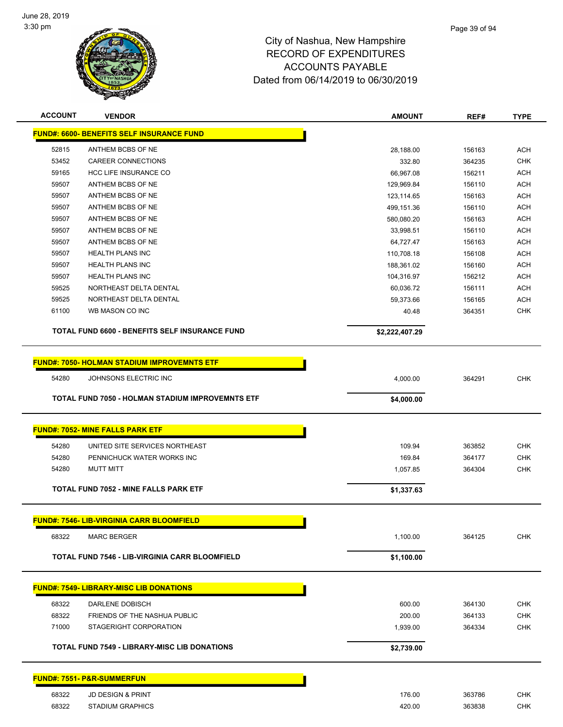

| <b>ACCOUNT</b> | <b>VENDOR</b>                                           | <b>AMOUNT</b>       | REF#   | <b>TYPE</b> |
|----------------|---------------------------------------------------------|---------------------|--------|-------------|
|                | FUND#: 6600- BENEFITS SELF INSURANCE FUND               |                     |        |             |
| 52815          | ANTHEM BCBS OF NE                                       |                     | 156163 | <b>ACH</b>  |
| 53452          | <b>CAREER CONNECTIONS</b>                               | 28,188.00<br>332.80 | 364235 | <b>CHK</b>  |
| 59165          | <b>HCC LIFE INSURANCE CO</b>                            | 66,967.08           | 156211 | <b>ACH</b>  |
| 59507          | ANTHEM BCBS OF NE                                       | 129,969.84          | 156110 | <b>ACH</b>  |
| 59507          | ANTHEM BCBS OF NE                                       | 123,114.65          | 156163 | <b>ACH</b>  |
| 59507          | ANTHEM BCBS OF NE                                       | 499,151.36          | 156110 | <b>ACH</b>  |
| 59507          | ANTHEM BCBS OF NE                                       | 580,080.20          | 156163 | <b>ACH</b>  |
| 59507          | ANTHEM BCBS OF NE                                       | 33,998.51           | 156110 | <b>ACH</b>  |
| 59507          | ANTHEM BCBS OF NE                                       | 64,727.47           | 156163 | <b>ACH</b>  |
| 59507          | <b>HEALTH PLANS INC</b>                                 | 110,708.18          | 156108 | <b>ACH</b>  |
| 59507          | <b>HEALTH PLANS INC</b>                                 | 188,361.02          | 156160 | <b>ACH</b>  |
| 59507          | <b>HEALTH PLANS INC</b>                                 | 104,316.97          | 156212 | <b>ACH</b>  |
| 59525          | NORTHEAST DELTA DENTAL                                  | 60,036.72           | 156111 | <b>ACH</b>  |
| 59525          | NORTHEAST DELTA DENTAL                                  | 59,373.66           | 156165 | <b>ACH</b>  |
| 61100          | WB MASON CO INC                                         | 40.48               | 364351 | <b>CHK</b>  |
|                | TOTAL FUND 6600 - BENEFITS SELF INSURANCE FUND          | \$2,222,407.29      |        |             |
|                |                                                         |                     |        |             |
|                | <b>FUND#: 7050- HOLMAN STADIUM IMPROVEMNTS ETF</b>      |                     |        |             |
| 54280          | JOHNSONS ELECTRIC INC                                   | 4,000.00            | 364291 | <b>CHK</b>  |
|                | <b>TOTAL FUND 7050 - HOLMAN STADIUM IMPROVEMNTS ETF</b> | \$4,000.00          |        |             |
|                |                                                         |                     |        |             |
|                | <b>FUND#: 7052- MINE FALLS PARK ETF</b>                 |                     |        |             |
|                |                                                         |                     |        |             |
| 54280          | UNITED SITE SERVICES NORTHEAST                          | 109.94              | 363852 | <b>CHK</b>  |
| 54280          | PENNICHUCK WATER WORKS INC                              | 169.84              | 364177 | <b>CHK</b>  |
| 54280          | <b>MUTT MITT</b>                                        | 1,057.85            | 364304 | <b>CHK</b>  |
|                | <b>TOTAL FUND 7052 - MINE FALLS PARK ETF</b>            | \$1,337.63          |        |             |
|                |                                                         |                     |        |             |
|                | <b>FUND#: 7546- LIB-VIRGINIA CARR BLOOMFIELD</b>        |                     |        |             |
| 68322          | <b>MARC BERGER</b>                                      | 1,100.00            | 364125 | <b>CHK</b>  |
|                | <b>TOTAL FUND 7546 - LIB-VIRGINIA CARR BLOOMFIELD</b>   | \$1,100.00          |        |             |
|                |                                                         |                     |        |             |
|                | <b>FUND#: 7549- LIBRARY-MISC LIB DONATIONS</b>          |                     |        |             |
| 68322          | DARLENE DOBISCH                                         | 600.00              | 364130 | CHK         |
| 68322          | FRIENDS OF THE NASHUA PUBLIC                            | 200.00              | 364133 | <b>CHK</b>  |
| 71000          | STAGERIGHT CORPORATION                                  | 1,939.00            | 364334 | <b>CHK</b>  |
|                | <b>TOTAL FUND 7549 - LIBRARY-MISC LIB DONATIONS</b>     | \$2,739.00          |        |             |
|                | FUND#: 7551- P&R-SUMMERFUN                              |                     |        |             |
| 68322          | <b>JD DESIGN &amp; PRINT</b>                            | 176.00              | 363786 | <b>CHK</b>  |
| 68322          | <b>STADIUM GRAPHICS</b>                                 | 420.00              | 363838 | <b>CHK</b>  |
|                |                                                         |                     |        |             |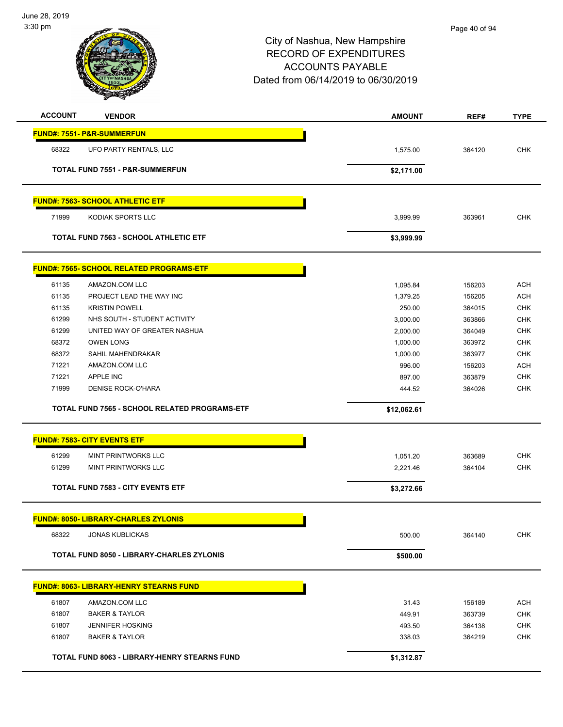

| <b>ACCOUNT</b> | <b>VENDOR</b>                                   | <b>AMOUNT</b> | REF#   | <b>TYPE</b> |
|----------------|-------------------------------------------------|---------------|--------|-------------|
|                | <b>FUND#: 7551- P&amp;R-SUMMERFUN</b>           |               |        |             |
| 68322          | UFO PARTY RENTALS, LLC                          | 1,575.00      | 364120 | <b>CHK</b>  |
|                | TOTAL FUND 7551 - P&R-SUMMERFUN                 | \$2,171.00    |        |             |
|                |                                                 |               |        |             |
|                | <b>FUND#: 7563- SCHOOL ATHLETIC ETF</b>         |               |        |             |
| 71999          | KODIAK SPORTS LLC                               | 3,999.99      | 363961 | <b>CHK</b>  |
|                | <b>TOTAL FUND 7563 - SCHOOL ATHLETIC ETF</b>    | \$3,999.99    |        |             |
|                | <b>FUND#: 7565- SCHOOL RELATED PROGRAMS-ETF</b> |               |        |             |
| 61135          | AMAZON.COM LLC                                  | 1,095.84      | 156203 | <b>ACH</b>  |
| 61135          | PROJECT LEAD THE WAY INC                        | 1,379.25      | 156205 | <b>ACH</b>  |
| 61135          | <b>KRISTIN POWELL</b>                           | 250.00        | 364015 | <b>CHK</b>  |
| 61299          | NHS SOUTH - STUDENT ACTIVITY                    | 3,000.00      | 363866 | <b>CHK</b>  |
| 61299          | UNITED WAY OF GREATER NASHUA                    | 2,000.00      | 364049 | <b>CHK</b>  |
| 68372          | <b>OWEN LONG</b>                                | 1,000.00      | 363972 | <b>CHK</b>  |
| 68372          | SAHIL MAHENDRAKAR                               | 1,000.00      | 363977 | <b>CHK</b>  |
| 71221          | AMAZON.COM LLC                                  | 996.00        | 156203 | <b>ACH</b>  |
| 71221          | APPLE INC                                       | 897.00        | 363879 | <b>CHK</b>  |
| 71999          | <b>DENISE ROCK-O'HARA</b>                       | 444.52        | 364026 | <b>CHK</b>  |
|                | TOTAL FUND 7565 - SCHOOL RELATED PROGRAMS-ETF   | \$12,062.61   |        |             |
|                | <b>FUND#: 7583- CITY EVENTS ETF</b>             |               |        |             |
| 61299          | MINT PRINTWORKS LLC                             | 1,051.20      | 363689 | <b>CHK</b>  |
| 61299          | MINT PRINTWORKS LLC                             | 2,221.46      | 364104 | <b>CHK</b>  |
|                | <b>TOTAL FUND 7583 - CITY EVENTS ETF</b>        | \$3,272.66    |        |             |
|                | <b>FUND#: 8050- LIBRARY-CHARLES ZYLONIS</b>     |               |        |             |
| 68322          | <b>JONAS KUBLICKAS</b>                          | 500.00        | 364140 | <b>CHK</b>  |
|                | TOTAL FUND 8050 - LIBRARY-CHARLES ZYLONIS       | \$500.00      |        |             |
|                | <b>FUND#: 8063- LIBRARY-HENRY STEARNS FUND</b>  |               |        |             |
| 61807          | AMAZON.COM LLC                                  | 31.43         | 156189 | <b>ACH</b>  |
| 61807          | <b>BAKER &amp; TAYLOR</b>                       | 449.91        | 363739 | <b>CHK</b>  |
| 61807          | <b>JENNIFER HOSKING</b>                         | 493.50        | 364138 | <b>CHK</b>  |
| 61807          | <b>BAKER &amp; TAYLOR</b>                       | 338.03        | 364219 | <b>CHK</b>  |
|                | TOTAL FUND 8063 - LIBRARY-HENRY STEARNS FUND    | \$1,312.87    |        |             |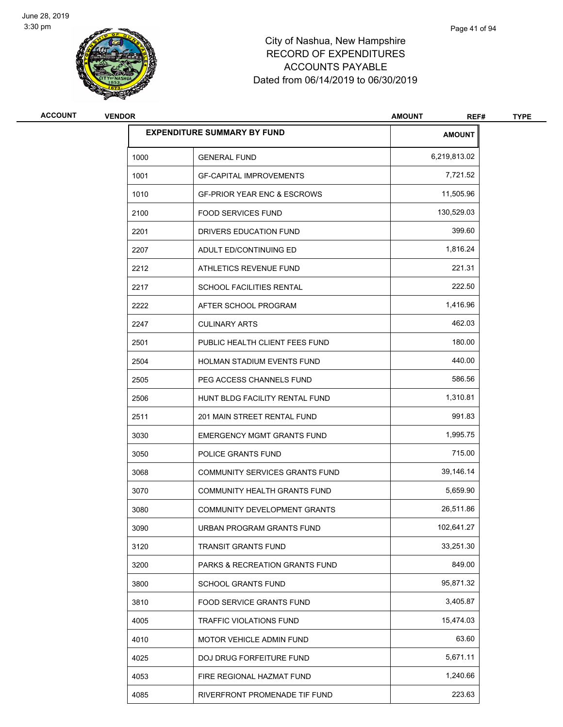

| <b>ACCOUNT</b> | <b>VENDOR</b> |                                        | <b>AMOUNT</b><br>REF# | <b>TYPE</b> |
|----------------|---------------|----------------------------------------|-----------------------|-------------|
|                |               | <b>EXPENDITURE SUMMARY BY FUND</b>     | <b>AMOUNT</b>         |             |
|                | 1000          | <b>GENERAL FUND</b>                    | 6,219,813.02          |             |
|                | 1001          | <b>GF-CAPITAL IMPROVEMENTS</b>         | 7,721.52              |             |
|                | 1010          | <b>GF-PRIOR YEAR ENC &amp; ESCROWS</b> | 11,505.96             |             |
|                | 2100          | <b>FOOD SERVICES FUND</b>              | 130,529.03            |             |
|                | 2201          | DRIVERS EDUCATION FUND                 | 399.60                |             |
|                | 2207          | ADULT ED/CONTINUING ED                 | 1,816.24              |             |
|                | 2212          | ATHLETICS REVENUE FUND                 | 221.31                |             |
|                | 2217          | <b>SCHOOL FACILITIES RENTAL</b>        | 222.50                |             |
|                | 2222          | AFTER SCHOOL PROGRAM                   | 1,416.96              |             |
|                | 2247          | <b>CULINARY ARTS</b>                   | 462.03                |             |
|                | 2501          | PUBLIC HEALTH CLIENT FEES FUND         | 180.00                |             |
|                | 2504          | HOLMAN STADIUM EVENTS FUND             | 440.00                |             |
|                | 2505          | PEG ACCESS CHANNELS FUND               | 586.56                |             |
|                | 2506          | HUNT BLDG FACILITY RENTAL FUND         | 1,310.81              |             |
|                | 2511          | 201 MAIN STREET RENTAL FUND            | 991.83                |             |
|                | 3030          | <b>EMERGENCY MGMT GRANTS FUND</b>      | 1,995.75              |             |
|                | 3050          | POLICE GRANTS FUND                     | 715.00                |             |
|                | 3068          | <b>COMMUNITY SERVICES GRANTS FUND</b>  | 39,146.14             |             |
|                | 3070          | COMMUNITY HEALTH GRANTS FUND           | 5,659.90              |             |
|                | 3080          | COMMUNITY DEVELOPMENT GRANTS           | 26,511.86             |             |
|                | 3090          | URBAN PROGRAM GRANTS FUND              | 102,641.27            |             |
|                | 3120          | <b>TRANSIT GRANTS FUND</b>             | 33,251.30             |             |
|                | 3200          | PARKS & RECREATION GRANTS FUND         | 849.00                |             |
|                | 3800          | <b>SCHOOL GRANTS FUND</b>              | 95,871.32             |             |
|                | 3810          | FOOD SERVICE GRANTS FUND               | 3,405.87              |             |
|                | 4005          | <b>TRAFFIC VIOLATIONS FUND</b>         | 15,474.03             |             |
|                | 4010          | MOTOR VEHICLE ADMIN FUND               | 63.60                 |             |
|                | 4025          | DOJ DRUG FORFEITURE FUND               | 5,671.11              |             |
|                | 4053          | FIRE REGIONAL HAZMAT FUND              | 1,240.66              |             |
|                | 4085          | RIVERFRONT PROMENADE TIF FUND          | 223.63                |             |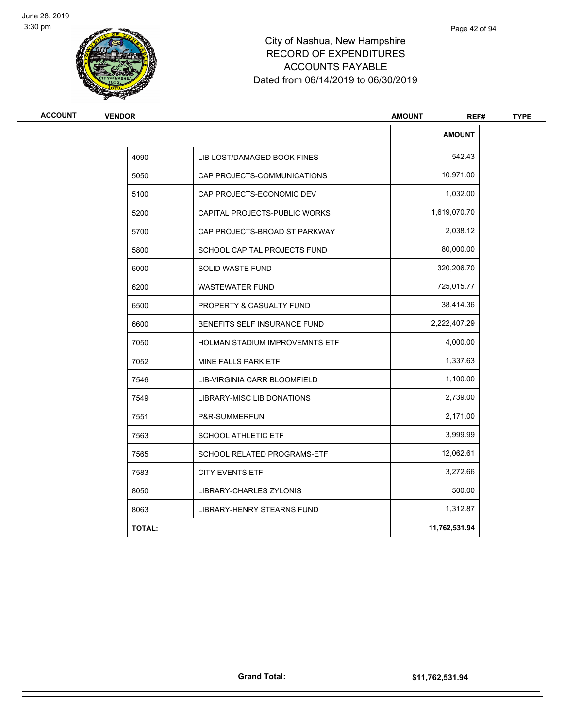

| <b>VENDOR</b> |                                       | <b>AMOUNT</b><br>REF# |  |
|---------------|---------------------------------------|-----------------------|--|
|               |                                       | <b>AMOUNT</b>         |  |
| 4090          | LIB-LOST/DAMAGED BOOK FINES           | 542.43                |  |
| 5050          | CAP PROJECTS-COMMUNICATIONS           | 10,971.00             |  |
| 5100          | CAP PROJECTS-ECONOMIC DEV             | 1,032.00              |  |
| 5200          | CAPITAL PROJECTS-PUBLIC WORKS         | 1,619,070.70          |  |
| 5700          | CAP PROJECTS-BROAD ST PARKWAY         | 2,038.12              |  |
| 5800          | SCHOOL CAPITAL PROJECTS FUND          | 80,000.00             |  |
| 6000          | SOLID WASTE FUND                      | 320,206.70            |  |
| 6200          | <b>WASTEWATER FUND</b>                | 725,015.77            |  |
| 6500          | PROPERTY & CASUALTY FUND              | 38,414.36             |  |
| 6600          | BENEFITS SELF INSURANCE FUND          | 2,222,407.29          |  |
| 7050          | <b>HOLMAN STADIUM IMPROVEMNTS ETF</b> | 4,000.00              |  |
| 7052          | MINE FALLS PARK ETF                   | 1,337.63              |  |
| 7546          | LIB-VIRGINIA CARR BLOOMFIELD          | 1,100.00              |  |
| 7549          | LIBRARY-MISC LIB DONATIONS            | 2,739.00              |  |
| 7551          | P&R-SUMMERFUN                         | 2,171.00              |  |
| 7563          | <b>SCHOOL ATHLETIC ETF</b>            | 3,999.99              |  |
| 7565          | SCHOOL RELATED PROGRAMS-ETF           | 12,062.61             |  |
| 7583          | <b>CITY EVENTS ETF</b>                | 3,272.66              |  |
| 8050          | LIBRARY-CHARLES ZYLONIS               | 500.00                |  |
| 8063          | <b>LIBRARY-HENRY STEARNS FUND</b>     | 1,312.87              |  |
| <b>TOTAL:</b> |                                       | 11,762,531.94         |  |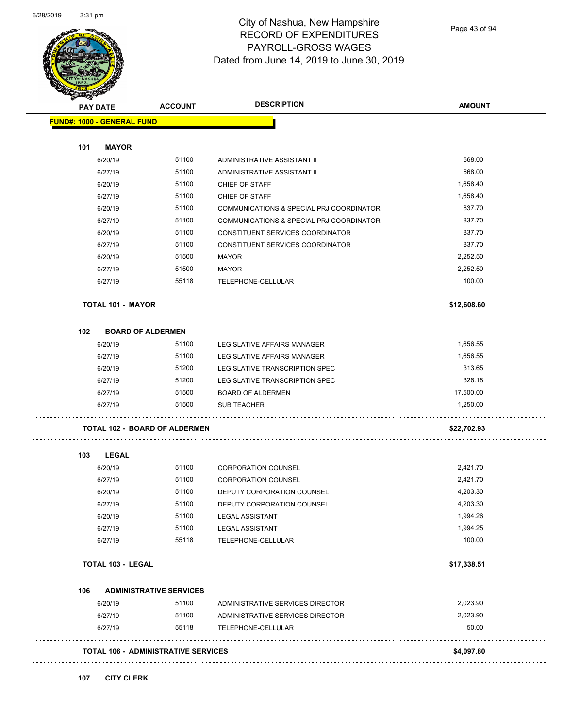

Page 43 of 94

| PAY DATE                             | <b>ACCOUNT</b>                             | <b>DESCRIPTION</b>                             | <b>AMOUNT</b>         |
|--------------------------------------|--------------------------------------------|------------------------------------------------|-----------------------|
| <b>FUND#: 1000 - GENERAL FUND</b>    |                                            |                                                |                       |
| 101<br><b>MAYOR</b>                  |                                            |                                                |                       |
| 6/20/19                              | 51100                                      | ADMINISTRATIVE ASSISTANT II                    | 668.00                |
| 6/27/19                              | 51100                                      | ADMINISTRATIVE ASSISTANT II                    | 668.00                |
| 6/20/19                              | 51100                                      | CHIEF OF STAFF                                 | 1,658.40              |
| 6/27/19                              | 51100                                      | CHIEF OF STAFF                                 | 1,658.40              |
| 6/20/19                              | 51100                                      | COMMUNICATIONS & SPECIAL PRJ COORDINATOR       | 837.70                |
| 6/27/19                              | 51100                                      | COMMUNICATIONS & SPECIAL PRJ COORDINATOR       | 837.70                |
| 6/20/19                              | 51100                                      | CONSTITUENT SERVICES COORDINATOR               | 837.70                |
| 6/27/19                              | 51100                                      | CONSTITUENT SERVICES COORDINATOR               | 837.70                |
| 6/20/19                              | 51500                                      | <b>MAYOR</b>                                   | 2,252.50              |
| 6/27/19                              | 51500                                      | <b>MAYOR</b>                                   | 2,252.50              |
| 6/27/19                              | 55118                                      | TELEPHONE-CELLULAR                             | 100.00                |
| <b>TOTAL 101 - MAYOR</b>             |                                            |                                                | \$12,608.60           |
|                                      |                                            |                                                |                       |
| 102                                  | <b>BOARD OF ALDERMEN</b>                   |                                                |                       |
| 6/20/19                              | 51100                                      | LEGISLATIVE AFFAIRS MANAGER                    | 1,656.55              |
| 6/27/19                              | 51100                                      | LEGISLATIVE AFFAIRS MANAGER                    | 1,656.55              |
| 6/20/19                              | 51200                                      | LEGISLATIVE TRANSCRIPTION SPEC                 | 313.65                |
| 6/27/19                              | 51200                                      | LEGISLATIVE TRANSCRIPTION SPEC                 | 326.18                |
| 6/27/19<br>6/27/19                   | 51500<br>51500                             | <b>BOARD OF ALDERMEN</b><br><b>SUB TEACHER</b> | 17,500.00<br>1,250.00 |
|                                      |                                            |                                                |                       |
| <b>TOTAL 102 - BOARD OF ALDERMEN</b> |                                            |                                                | \$22,702.93           |
| 103<br><b>LEGAL</b>                  |                                            |                                                |                       |
| 6/20/19                              | 51100                                      | <b>CORPORATION COUNSEL</b>                     | 2,421.70              |
| 6/27/19                              | 51100                                      | <b>CORPORATION COUNSEL</b>                     | 2,421.70              |
| 6/20/19                              | 51100                                      | DEPUTY CORPORATION COUNSEL                     | 4,203.30              |
| 6/27/19                              | 51100                                      | DEPUTY CORPORATION COUNSEL                     | 4,203.30              |
| 6/20/19                              | 51100                                      | <b>LEGAL ASSISTANT</b>                         | 1,994.26              |
| 6/27/19                              | 51100                                      | <b>LEGAL ASSISTANT</b>                         | 1,994.25              |
| 6/27/19                              | 55118                                      | TELEPHONE-CELLULAR                             | 100.00                |
| <b>TOTAL 103 - LEGAL</b>             |                                            |                                                | \$17,338.51           |
| 106                                  | <b>ADMINISTRATIVE SERVICES</b>             |                                                |                       |
| 6/20/19                              | 51100                                      | ADMINISTRATIVE SERVICES DIRECTOR               | 2,023.90              |
| 6/27/19                              | 51100                                      | ADMINISTRATIVE SERVICES DIRECTOR               | 2,023.90              |
| 6/27/19                              | 55118                                      | TELEPHONE-CELLULAR                             | 50.00                 |
|                                      | <b>TOTAL 106 - ADMINISTRATIVE SERVICES</b> |                                                | \$4,097.80            |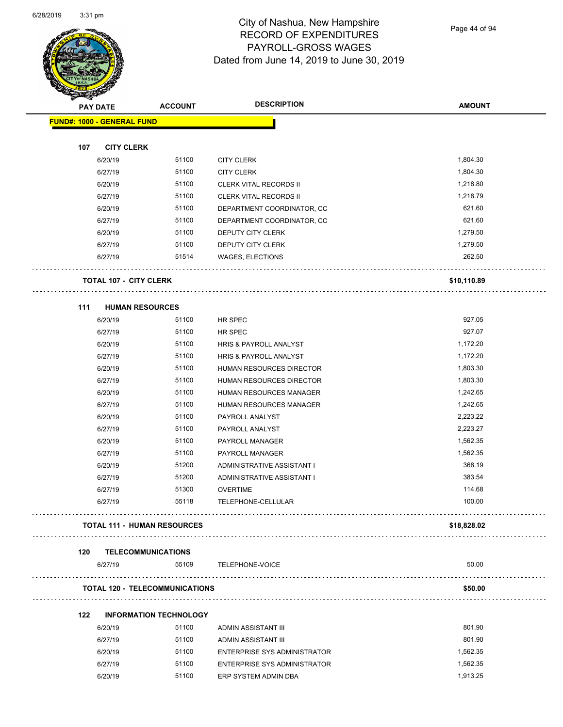

Page 44 of 94

| <b>Survivor</b> | <b>PAY DATE</b>                   | <b>ACCOUNT</b>                        | <b>DESCRIPTION</b>                  | <b>AMOUNT</b> |
|-----------------|-----------------------------------|---------------------------------------|-------------------------------------|---------------|
|                 | <b>FUND#: 1000 - GENERAL FUND</b> |                                       |                                     |               |
|                 |                                   |                                       |                                     |               |
| 107             | <b>CITY CLERK</b>                 |                                       |                                     |               |
|                 | 6/20/19                           | 51100                                 | <b>CITY CLERK</b>                   | 1,804.30      |
|                 | 6/27/19                           | 51100                                 | <b>CITY CLERK</b>                   | 1,804.30      |
|                 | 6/20/19                           | 51100                                 | <b>CLERK VITAL RECORDS II</b>       | 1,218.80      |
|                 | 6/27/19                           | 51100                                 | <b>CLERK VITAL RECORDS II</b>       | 1,218.79      |
|                 | 6/20/19                           | 51100                                 | DEPARTMENT COORDINATOR, CC          | 621.60        |
|                 | 6/27/19                           | 51100                                 | DEPARTMENT COORDINATOR, CC          | 621.60        |
|                 | 6/20/19                           | 51100                                 | DEPUTY CITY CLERK                   | 1,279.50      |
|                 | 6/27/19                           | 51100                                 | DEPUTY CITY CLERK                   | 1,279.50      |
|                 | 6/27/19                           | 51514                                 | <b>WAGES, ELECTIONS</b>             | 262.50        |
|                 | <b>TOTAL 107 - CITY CLERK</b>     |                                       |                                     | \$10,110.89   |
| 111             | <b>HUMAN RESOURCES</b>            |                                       |                                     |               |
|                 | 6/20/19                           | 51100                                 | HR SPEC                             | 927.05        |
|                 | 6/27/19                           | 51100                                 | HR SPEC                             | 927.07        |
|                 | 6/20/19                           | 51100                                 | HRIS & PAYROLL ANALYST              | 1,172.20      |
|                 | 6/27/19                           | 51100                                 | HRIS & PAYROLL ANALYST              | 1,172.20      |
|                 | 6/20/19                           | 51100                                 | HUMAN RESOURCES DIRECTOR            | 1,803.30      |
|                 | 6/27/19                           | 51100                                 | HUMAN RESOURCES DIRECTOR            | 1,803.30      |
|                 | 6/20/19                           | 51100                                 | HUMAN RESOURCES MANAGER             | 1,242.65      |
|                 | 6/27/19                           | 51100                                 | HUMAN RESOURCES MANAGER             | 1,242.65      |
|                 | 6/20/19                           | 51100                                 | PAYROLL ANALYST                     | 2,223.22      |
|                 | 6/27/19                           | 51100                                 | PAYROLL ANALYST                     | 2,223.27      |
|                 | 6/20/19                           | 51100                                 | PAYROLL MANAGER                     | 1,562.35      |
|                 | 6/27/19                           | 51100                                 | PAYROLL MANAGER                     | 1,562.35      |
|                 | 6/20/19                           | 51200                                 | ADMINISTRATIVE ASSISTANT I          | 368.19        |
|                 | 6/27/19                           | 51200                                 | ADMINISTRATIVE ASSISTANT I          | 383.54        |
|                 | 6/27/19                           | 51300                                 | <b>OVERTIME</b>                     | 114.68        |
|                 | 6/27/19                           | 55118                                 | <b>TELEPHONE-CELLULAR</b>           | 100.00        |
|                 |                                   | <b>TOTAL 111 - HUMAN RESOURCES</b>    |                                     | \$18,828.02   |
| 120             | <b>TELECOMMUNICATIONS</b>         |                                       |                                     | .             |
|                 | 6/27/19                           | 55109                                 | TELEPHONE-VOICE                     | 50.00         |
|                 |                                   | <b>TOTAL 120 - TELECOMMUNICATIONS</b> |                                     | \$50.00       |
| 122             |                                   | <b>INFORMATION TECHNOLOGY</b>         |                                     |               |
|                 | 6/20/19                           | 51100                                 | ADMIN ASSISTANT III                 | 801.90        |
|                 | 6/27/19                           | 51100                                 | ADMIN ASSISTANT III                 | 801.90        |
|                 | 6/20/19                           | 51100                                 | <b>ENTERPRISE SYS ADMINISTRATOR</b> | 1,562.35      |
|                 | 6/27/19                           | 51100                                 | ENTERPRISE SYS ADMINISTRATOR        | 1,562.35      |
|                 |                                   |                                       |                                     |               |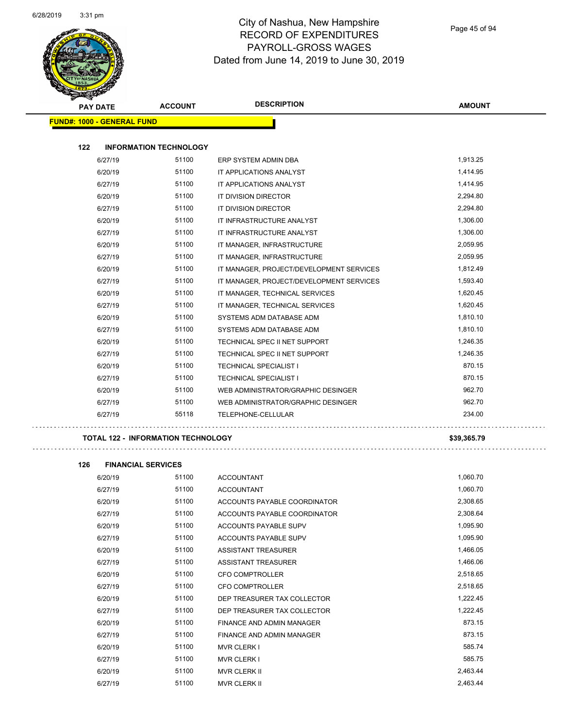

|     | <b>PAY DATE</b>                   | <b>ACCOUNT</b>                | <b>DESCRIPTION</b>                       | <b>AMOUNT</b> |
|-----|-----------------------------------|-------------------------------|------------------------------------------|---------------|
|     | <b>FUND#: 1000 - GENERAL FUND</b> |                               |                                          |               |
| 122 |                                   | <b>INFORMATION TECHNOLOGY</b> |                                          |               |
|     | 6/27/19                           | 51100                         | ERP SYSTEM ADMIN DBA                     | 1,913.25      |
|     | 6/20/19                           | 51100                         | IT APPLICATIONS ANALYST                  | 1,414.95      |
|     | 6/27/19                           | 51100                         | IT APPLICATIONS ANALYST                  | 1,414.95      |
|     | 6/20/19                           | 51100                         | IT DIVISION DIRECTOR                     | 2,294.80      |
|     | 6/27/19                           | 51100                         | IT DIVISION DIRECTOR                     | 2,294.80      |
|     | 6/20/19                           | 51100                         | IT INFRASTRUCTURE ANALYST                | 1,306.00      |
|     | 6/27/19                           | 51100                         | IT INFRASTRUCTURE ANALYST                | 1,306.00      |
|     | 6/20/19                           | 51100                         | IT MANAGER, INFRASTRUCTURE               | 2,059.95      |
|     | 6/27/19                           | 51100                         | IT MANAGER, INFRASTRUCTURE               | 2,059.95      |
|     | 6/20/19                           | 51100                         | IT MANAGER, PROJECT/DEVELOPMENT SERVICES | 1,812.49      |
|     | 6/27/19                           | 51100                         | IT MANAGER, PROJECT/DEVELOPMENT SERVICES | 1,593.40      |
|     | 6/20/19                           | 51100                         | IT MANAGER, TECHNICAL SERVICES           | 1,620.45      |
|     | 6/27/19                           | 51100                         | IT MANAGER, TECHNICAL SERVICES           | 1,620.45      |
|     | 6/20/19                           | 51100                         | SYSTEMS ADM DATABASE ADM                 | 1,810.10      |
|     | 6/27/19                           | 51100                         | SYSTEMS ADM DATABASE ADM                 | 1,810.10      |
|     | 6/20/19                           | 51100                         | TECHNICAL SPEC II NET SUPPORT            | 1,246.35      |
|     | 6/27/19                           | 51100                         | TECHNICAL SPEC II NET SUPPORT            | 1,246.35      |
|     | 6/20/19                           | 51100                         | TECHNICAL SPECIALIST I                   | 870.15        |
|     | 6/27/19                           | 51100                         | <b>TECHNICAL SPECIALIST I</b>            | 870.15        |
|     | 6/20/19                           | 51100                         | WEB ADMINISTRATOR/GRAPHIC DESINGER       | 962.70        |
|     | 6/27/19                           | 51100                         | WEB ADMINISTRATOR/GRAPHIC DESINGER       | 962.70        |
|     | 6/27/19                           | 55118                         | TELEPHONE-CELLULAR                       | 234.00        |

**TOTAL 122 - INFORMATION TECHNOLOGY \$39,365.79**

**126** 

| <b>FINANCIAL SERVICES</b> |       |                                  |          |
|---------------------------|-------|----------------------------------|----------|
| 6/20/19                   | 51100 | <b>ACCOUNTANT</b>                | 1,060.70 |
| 6/27/19                   | 51100 | <b>ACCOUNTANT</b>                | 1,060.70 |
| 6/20/19                   | 51100 | ACCOUNTS PAYABLE COORDINATOR     | 2,308.65 |
| 6/27/19                   | 51100 | ACCOUNTS PAYABLE COORDINATOR     | 2,308.64 |
| 6/20/19                   | 51100 | ACCOUNTS PAYABLE SUPV            | 1,095.90 |
| 6/27/19                   | 51100 | ACCOUNTS PAYABLE SUPV            | 1,095.90 |
| 6/20/19                   | 51100 | <b>ASSISTANT TREASURER</b>       | 1,466.05 |
| 6/27/19                   | 51100 | <b>ASSISTANT TREASURER</b>       | 1,466.06 |
| 6/20/19                   | 51100 | <b>CFO COMPTROLLER</b>           | 2,518.65 |
| 6/27/19                   | 51100 | <b>CFO COMPTROLLER</b>           | 2,518.65 |
| 6/20/19                   | 51100 | DEP TREASURER TAX COLLECTOR      | 1,222.45 |
| 6/27/19                   | 51100 | DEP TREASURER TAX COLLECTOR      | 1,222.45 |
| 6/20/19                   | 51100 | <b>FINANCE AND ADMIN MANAGER</b> | 873.15   |
| 6/27/19                   | 51100 | FINANCE AND ADMIN MANAGER        | 873.15   |
| 6/20/19                   | 51100 | <b>MVR CLERK I</b>               | 585.74   |
| 6/27/19                   | 51100 | <b>MVR CLERK I</b>               | 585.75   |
| 6/20/19                   | 51100 | <b>MVR CLERK II</b>              | 2,463.44 |
| 6/27/19                   | 51100 | <b>MVR CLERK II</b>              | 2,463.44 |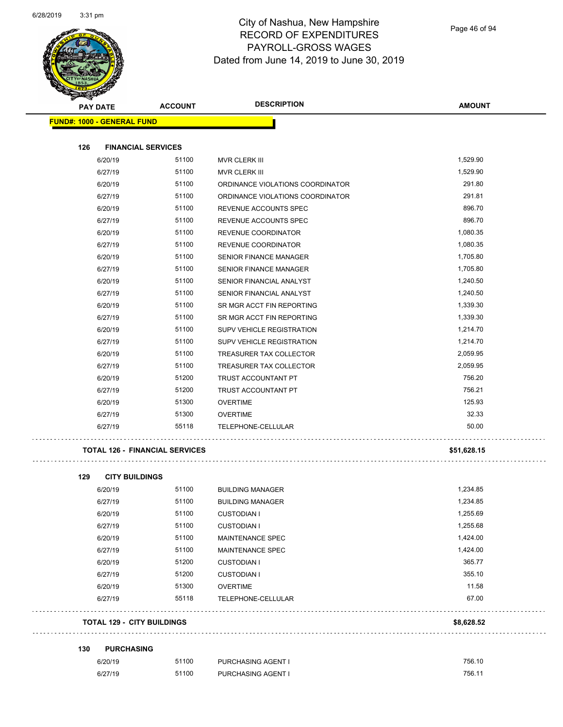

| <b>PAY DATE</b>                       | <b>ACCOUNT</b> | <b>DESCRIPTION</b>               | <b>AMOUNT</b> |
|---------------------------------------|----------------|----------------------------------|---------------|
| <b>FUND#: 1000 - GENERAL FUND</b>     |                |                                  |               |
|                                       |                |                                  |               |
| 126<br><b>FINANCIAL SERVICES</b>      |                |                                  |               |
| 6/20/19                               | 51100          | MVR CLERK III                    | 1,529.90      |
| 6/27/19                               | 51100          | MVR CLERK III                    | 1,529.90      |
| 6/20/19                               | 51100          | ORDINANCE VIOLATIONS COORDINATOR | 291.80        |
| 6/27/19                               | 51100          | ORDINANCE VIOLATIONS COORDINATOR | 291.81        |
| 6/20/19                               | 51100          | REVENUE ACCOUNTS SPEC            | 896.70        |
| 6/27/19                               | 51100          | REVENUE ACCOUNTS SPEC            | 896.70        |
| 6/20/19                               | 51100          | REVENUE COORDINATOR              | 1,080.35      |
| 6/27/19                               | 51100          | REVENUE COORDINATOR              | 1,080.35      |
| 6/20/19                               | 51100          | <b>SENIOR FINANCE MANAGER</b>    | 1,705.80      |
| 6/27/19                               | 51100          | <b>SENIOR FINANCE MANAGER</b>    | 1,705.80      |
| 6/20/19                               | 51100          | SENIOR FINANCIAL ANALYST         | 1,240.50      |
| 6/27/19                               | 51100          | SENIOR FINANCIAL ANALYST         | 1,240.50      |
| 6/20/19                               | 51100          | SR MGR ACCT FIN REPORTING        | 1,339.30      |
| 6/27/19                               | 51100          | SR MGR ACCT FIN REPORTING        | 1,339.30      |
| 6/20/19                               | 51100          | SUPV VEHICLE REGISTRATION        | 1.214.70      |
| 6/27/19                               | 51100          | SUPV VEHICLE REGISTRATION        | 1,214.70      |
| 6/20/19                               | 51100          | TREASURER TAX COLLECTOR          | 2,059.95      |
| 6/27/19                               | 51100          | TREASURER TAX COLLECTOR          | 2,059.95      |
| 6/20/19                               | 51200          | <b>TRUST ACCOUNTANT PT</b>       | 756.20        |
| 6/27/19                               | 51200          | TRUST ACCOUNTANT PT              | 756.21        |
| 6/20/19                               | 51300          | <b>OVERTIME</b>                  | 125.93        |
| 6/27/19                               | 51300          | <b>OVERTIME</b>                  | 32.33         |
| 6/27/19                               | 55118          | TELEPHONE-CELLULAR               | 50.00         |
| <b>TOTAL 126 - FINANCIAL SERVICES</b> |                |                                  | \$51,628.15   |
| 129<br><b>CITY BUILDINGS</b>          |                |                                  |               |
| 6/20/19                               | 51100          | <b>BUILDING MANAGER</b>          | 1.234.85      |
| 6/27/19                               | 51100          | <b>BUILDING MANAGER</b>          | 1,234.85      |
| 6/20/19                               | 51100          | <b>CUSTODIAN I</b>               | 1,255.69      |
| 6/27/19                               | 51100          | <b>CUSTODIAN I</b>               | 1,255.68      |
| 6/20/19                               | 51100          | MAINTENANCE SPEC                 | 1,424.00      |
| 6/27/19                               | 51100          | MAINTENANCE SPEC                 | 1,424.00      |
| 6/20/19                               | 51200          | <b>CUSTODIAN I</b>               | 365.77        |
| 6/27/19                               | 51200          | <b>CUSTODIAN I</b>               | 355.10        |
| 6/20/19                               | 51300          | <b>OVERTIME</b>                  | 11.58         |
| 6/27/19                               | 55118          | TELEPHONE-CELLULAR               | 67.00         |

**TOTAL 129 - CITY BUILDINGS \$8,628.52**

**130 PURCHASING**

| 6/20/19 | 51100 | <b>PURCHASING AGENT I</b> | 756.10 |
|---------|-------|---------------------------|--------|
| 6/27/19 | 51100 | <b>PURCHASING AGENT I</b> | 756.11 |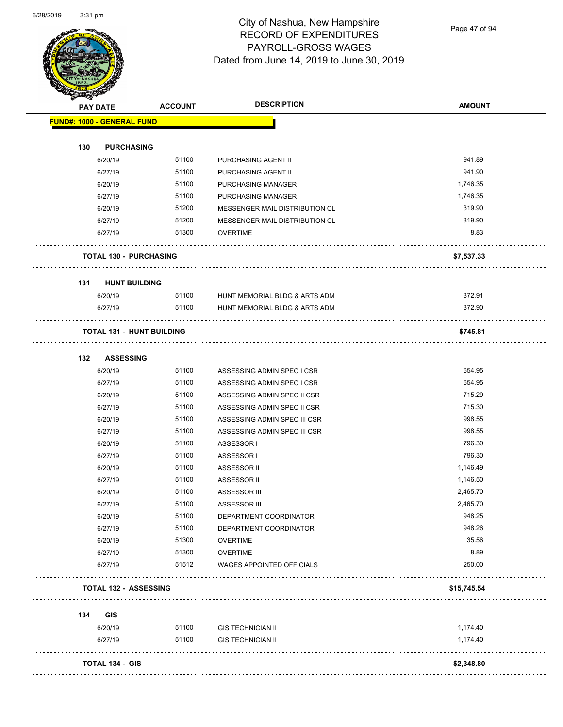

Page 47 of 94

|     | <b>PAY DATE</b>                   | <b>ACCOUNT</b> | <b>DESCRIPTION</b>                           | <b>AMOUNT</b>  |
|-----|-----------------------------------|----------------|----------------------------------------------|----------------|
|     | <b>FUND#: 1000 - GENERAL FUND</b> |                |                                              |                |
|     |                                   |                |                                              |                |
| 130 | <b>PURCHASING</b>                 |                |                                              |                |
|     | 6/20/19                           | 51100          | PURCHASING AGENT II                          | 941.89         |
|     | 6/27/19                           | 51100          | PURCHASING AGENT II                          | 941.90         |
|     | 6/20/19                           | 51100          | PURCHASING MANAGER                           | 1,746.35       |
|     | 6/27/19                           | 51100          | PURCHASING MANAGER                           | 1,746.35       |
|     | 6/20/19                           | 51200          | MESSENGER MAIL DISTRIBUTION CL               | 319.90         |
|     | 6/27/19                           | 51200          | MESSENGER MAIL DISTRIBUTION CL               | 319.90         |
|     | 6/27/19                           | 51300          | <b>OVERTIME</b>                              | 8.83           |
|     | <b>TOTAL 130 - PURCHASING</b>     |                |                                              | \$7,537.33     |
| 131 | <b>HUNT BUILDING</b>              |                |                                              |                |
|     | 6/20/19                           | 51100          | HUNT MEMORIAL BLDG & ARTS ADM                | 372.91         |
|     | 6/27/19                           | 51100          | HUNT MEMORIAL BLDG & ARTS ADM                | 372.90         |
|     | <b>TOTAL 131 - HUNT BUILDING</b>  |                |                                              | .<br>\$745.81  |
| 132 | <b>ASSESSING</b>                  |                |                                              |                |
|     | 6/20/19                           | 51100          | ASSESSING ADMIN SPEC I CSR                   | 654.95         |
|     | 6/27/19                           | 51100          | ASSESSING ADMIN SPEC I CSR                   | 654.95         |
|     | 6/20/19                           | 51100          | ASSESSING ADMIN SPEC II CSR                  | 715.29         |
|     | 6/27/19                           | 51100          | ASSESSING ADMIN SPEC II CSR                  | 715.30         |
|     | 6/20/19                           | 51100          | ASSESSING ADMIN SPEC III CSR                 | 998.55         |
|     | 6/27/19                           | 51100          | ASSESSING ADMIN SPEC III CSR                 | 998.55         |
|     | 6/20/19                           | 51100          | ASSESSOR I                                   | 796.30         |
|     | 6/27/19                           | 51100          | ASSESSOR I                                   | 796.30         |
|     | 6/20/19                           | 51100          | ASSESSOR II                                  | 1,146.49       |
|     | 6/27/19                           | 51100          | ASSESSOR II                                  | 1,146.50       |
|     | 6/20/19                           | 51100          | ASSESSOR III                                 | 2,465.70       |
|     | 6/27/19                           | 51100          | ASSESSOR III                                 | 2,465.70       |
|     | 6/20/19                           | 51100          | DEPARTMENT COORDINATOR                       | 948.25         |
|     | 6/27/19                           | 51100          | DEPARTMENT COORDINATOR                       | 948.26         |
|     |                                   | 51300          |                                              | 35.56          |
|     | 6/20/19                           |                | <b>OVERTIME</b>                              |                |
|     | 6/27/19<br>6/27/19                | 51300<br>51512 | <b>OVERTIME</b><br>WAGES APPOINTED OFFICIALS | 8.89<br>250.00 |
|     |                                   |                |                                              |                |
|     | <b>TOTAL 132 - ASSESSING</b>      |                |                                              | \$15,745.54    |
| 134 | <b>GIS</b>                        |                |                                              |                |
|     | 6/20/19                           | 51100          | <b>GIS TECHNICIAN II</b>                     | 1,174.40       |
|     | 6/27/19                           | 51100          | <b>GIS TECHNICIAN II</b>                     | 1,174.40       |
|     | <b>TOTAL 134 - GIS</b>            |                |                                              | \$2,348.80     |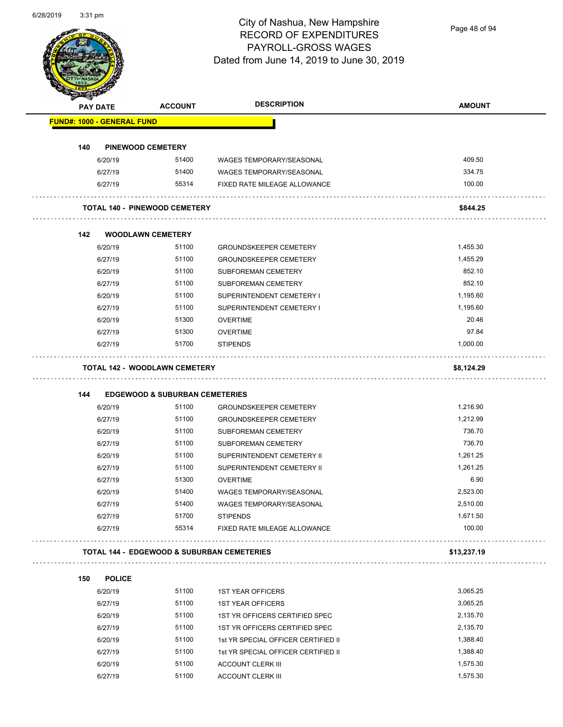

Page 48 of 94

|     | <b>PAY DATE</b>                      | <b>ACCOUNT</b>                            | <b>DESCRIPTION</b>                                              | <b>AMOUNT</b>        |
|-----|--------------------------------------|-------------------------------------------|-----------------------------------------------------------------|----------------------|
|     | <b>FUND#: 1000 - GENERAL FUND</b>    |                                           |                                                                 |                      |
| 140 | <b>PINEWOOD CEMETERY</b>             |                                           |                                                                 |                      |
|     | 6/20/19                              | 51400                                     | <b>WAGES TEMPORARY/SEASONAL</b>                                 | 409.50               |
|     | 6/27/19                              | 51400                                     | WAGES TEMPORARY/SEASONAL                                        | 334.75               |
|     | 6/27/19                              | 55314                                     | FIXED RATE MILEAGE ALLOWANCE                                    | 100.00               |
|     | <b>TOTAL 140 - PINEWOOD CEMETERY</b> |                                           |                                                                 | \$844.25             |
| 142 | <b>WOODLAWN CEMETERY</b>             |                                           |                                                                 |                      |
|     | 6/20/19                              | 51100                                     | <b>GROUNDSKEEPER CEMETERY</b>                                   | 1,455.30             |
|     | 6/27/19                              | 51100                                     | <b>GROUNDSKEEPER CEMETERY</b>                                   | 1,455.29             |
|     | 6/20/19                              | 51100                                     | SUBFOREMAN CEMETERY                                             | 852.10               |
|     | 6/27/19                              | 51100                                     | SUBFOREMAN CEMETERY                                             | 852.10               |
|     | 6/20/19                              | 51100                                     | SUPERINTENDENT CEMETERY I                                       | 1,195.60             |
|     | 6/27/19                              | 51100                                     | SUPERINTENDENT CEMETERY I                                       | 1,195.60             |
|     | 6/20/19                              | 51300                                     | <b>OVERTIME</b>                                                 | 20.46                |
|     | 6/27/19                              | 51300                                     | <b>OVERTIME</b>                                                 | 97.84                |
|     | 6/27/19                              | 51700                                     | <b>STIPENDS</b>                                                 | 1,000.00             |
|     | <b>TOTAL 142 - WOODLAWN CEMETERY</b> |                                           |                                                                 | \$8,124.29           |
|     |                                      |                                           |                                                                 |                      |
| 144 |                                      | <b>EDGEWOOD &amp; SUBURBAN CEMETERIES</b> |                                                                 |                      |
|     | 6/20/19                              | 51100                                     | <b>GROUNDSKEEPER CEMETERY</b>                                   | 1,216.90             |
|     | 6/27/19                              | 51100                                     | <b>GROUNDSKEEPER CEMETERY</b>                                   | 1,212.99             |
|     | 6/20/19                              | 51100                                     | SUBFOREMAN CEMETERY                                             | 736.70               |
|     | 6/27/19                              | 51100                                     | SUBFOREMAN CEMETERY                                             | 736.70               |
|     | 6/20/19                              | 51100                                     | SUPERINTENDENT CEMETERY II                                      | 1,261.25             |
|     | 6/27/19                              | 51100                                     | SUPERINTENDENT CEMETERY II                                      | 1,261.25             |
|     | 6/27/19                              | 51300                                     | <b>OVERTIME</b>                                                 | 6.90                 |
|     | 6/20/19                              | 51400                                     | WAGES TEMPORARY/SEASONAL                                        |                      |
|     |                                      |                                           |                                                                 | 2,523.00             |
|     | 6/27/19                              | 51400                                     | <b>WAGES TEMPORARY/SEASONAL</b>                                 | 2,510.00             |
|     | 6/27/19<br>6/27/19                   | 51700<br>55314                            | <b>STIPENDS</b><br>FIXED RATE MILEAGE ALLOWANCE                 | 1,671.50<br>100.00   |
|     |                                      |                                           |                                                                 |                      |
|     |                                      |                                           | <b>TOTAL 144 - EDGEWOOD &amp; SUBURBAN CEMETERIES</b>           | \$13,237.19          |
| 150 | <b>POLICE</b>                        |                                           |                                                                 |                      |
|     | 6/20/19                              | 51100                                     | <b>1ST YEAR OFFICERS</b>                                        | 3,065.25             |
|     | 6/27/19                              | 51100                                     | <b>1ST YEAR OFFICERS</b>                                        | 3,065.25             |
|     | 6/20/19                              | 51100                                     | 1ST YR OFFICERS CERTIFIED SPEC                                  | 2,135.70             |
|     | 6/27/19                              | 51100                                     | 1ST YR OFFICERS CERTIFIED SPEC                                  | 2,135.70             |
|     | 6/20/19                              | 51100                                     | 1st YR SPECIAL OFFICER CERTIFIED II                             | 1,388.40             |
|     | 6/27/19<br>6/20/19                   | 51100<br>51100                            | 1st YR SPECIAL OFFICER CERTIFIED II<br><b>ACCOUNT CLERK III</b> | 1,388.40<br>1,575.30 |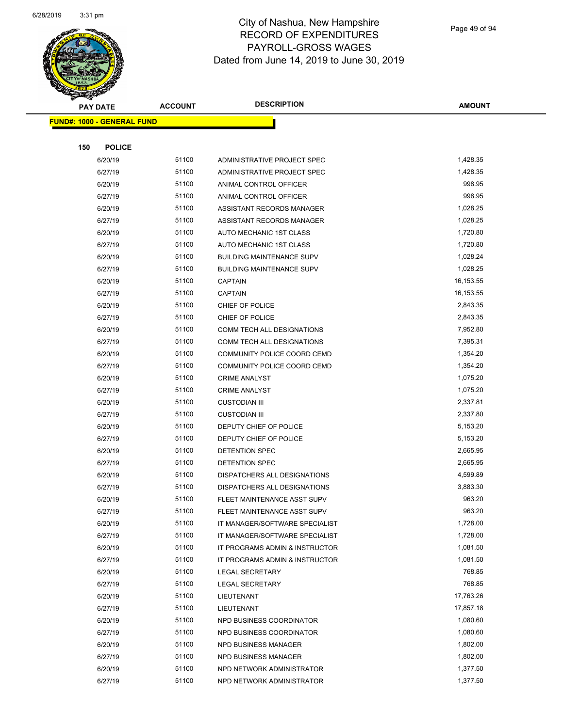

Page 49 of 94

| <b>PAY DATE</b>                   | <b>ACCOUNT</b> | <b>DESCRIPTION</b>               | <b>AMOUNT</b> |
|-----------------------------------|----------------|----------------------------------|---------------|
| <b>FUND#: 1000 - GENERAL FUND</b> |                |                                  |               |
|                                   |                |                                  |               |
| 150<br><b>POLICE</b>              |                |                                  |               |
| 6/20/19                           | 51100          | ADMINISTRATIVE PROJECT SPEC      | 1,428.35      |
| 6/27/19                           | 51100          | ADMINISTRATIVE PROJECT SPEC      | 1,428.35      |
| 6/20/19                           | 51100          | ANIMAL CONTROL OFFICER           | 998.95        |
| 6/27/19                           | 51100          | ANIMAL CONTROL OFFICER           | 998.95        |
| 6/20/19                           | 51100          | ASSISTANT RECORDS MANAGER        | 1,028.25      |
| 6/27/19                           | 51100          | ASSISTANT RECORDS MANAGER        | 1,028.25      |
| 6/20/19                           | 51100          | AUTO MECHANIC 1ST CLASS          | 1,720.80      |
| 6/27/19                           | 51100          | AUTO MECHANIC 1ST CLASS          | 1,720.80      |
| 6/20/19                           | 51100          | <b>BUILDING MAINTENANCE SUPV</b> | 1,028.24      |
| 6/27/19                           | 51100          | <b>BUILDING MAINTENANCE SUPV</b> | 1,028.25      |
| 6/20/19                           | 51100          | <b>CAPTAIN</b>                   | 16,153.55     |
| 6/27/19                           | 51100          | <b>CAPTAIN</b>                   | 16,153.55     |
| 6/20/19                           | 51100          | CHIEF OF POLICE                  | 2,843.35      |
| 6/27/19                           | 51100          | CHIEF OF POLICE                  | 2,843.35      |
| 6/20/19                           | 51100          | COMM TECH ALL DESIGNATIONS       | 7,952.80      |
| 6/27/19                           | 51100          | COMM TECH ALL DESIGNATIONS       | 7,395.31      |
| 6/20/19                           | 51100          | COMMUNITY POLICE COORD CEMD      | 1,354.20      |
| 6/27/19                           | 51100          | COMMUNITY POLICE COORD CEMD      | 1,354.20      |
| 6/20/19                           | 51100          | <b>CRIME ANALYST</b>             | 1,075.20      |
| 6/27/19                           | 51100          | <b>CRIME ANALYST</b>             | 1,075.20      |
| 6/20/19                           | 51100          | <b>CUSTODIAN III</b>             | 2,337.81      |
| 6/27/19                           | 51100          | <b>CUSTODIAN III</b>             | 2,337.80      |
| 6/20/19                           | 51100          | DEPUTY CHIEF OF POLICE           | 5,153.20      |
| 6/27/19                           | 51100          | DEPUTY CHIEF OF POLICE           | 5,153.20      |
| 6/20/19                           | 51100          | DETENTION SPEC                   | 2,665.95      |
| 6/27/19                           | 51100          | DETENTION SPEC                   | 2,665.95      |
| 6/20/19                           | 51100          | DISPATCHERS ALL DESIGNATIONS     | 4,599.89      |
| 6/27/19                           | 51100          | DISPATCHERS ALL DESIGNATIONS     | 3,883.30      |
| 6/20/19                           | 51100          | FLEET MAINTENANCE ASST SUPV      | 963.20        |
| 6/27/19                           | 51100          | FLEET MAINTENANCE ASST SUPV      | 963.20        |
| 6/20/19                           | 51100          | IT MANAGER/SOFTWARE SPECIALIST   | 1,728.00      |
| 6/27/19                           | 51100          | IT MANAGER/SOFTWARE SPECIALIST   | 1,728.00      |
| 6/20/19                           | 51100          | IT PROGRAMS ADMIN & INSTRUCTOR   | 1,081.50      |
| 6/27/19                           | 51100          | IT PROGRAMS ADMIN & INSTRUCTOR   | 1,081.50      |
| 6/20/19                           | 51100          | LEGAL SECRETARY                  | 768.85        |
| 6/27/19                           | 51100          | <b>LEGAL SECRETARY</b>           | 768.85        |
| 6/20/19                           | 51100          | LIEUTENANT                       | 17,763.26     |
| 6/27/19                           | 51100          | LIEUTENANT                       | 17,857.18     |
| 6/20/19                           | 51100          | NPD BUSINESS COORDINATOR         | 1,080.60      |
| 6/27/19                           | 51100          | NPD BUSINESS COORDINATOR         | 1,080.60      |
| 6/20/19                           | 51100          | NPD BUSINESS MANAGER             | 1,802.00      |
| 6/27/19                           | 51100          | NPD BUSINESS MANAGER             | 1,802.00      |
| 6/20/19                           | 51100          | NPD NETWORK ADMINISTRATOR        | 1,377.50      |
| 6/27/19                           | 51100          | NPD NETWORK ADMINISTRATOR        | 1,377.50      |
|                                   |                |                                  |               |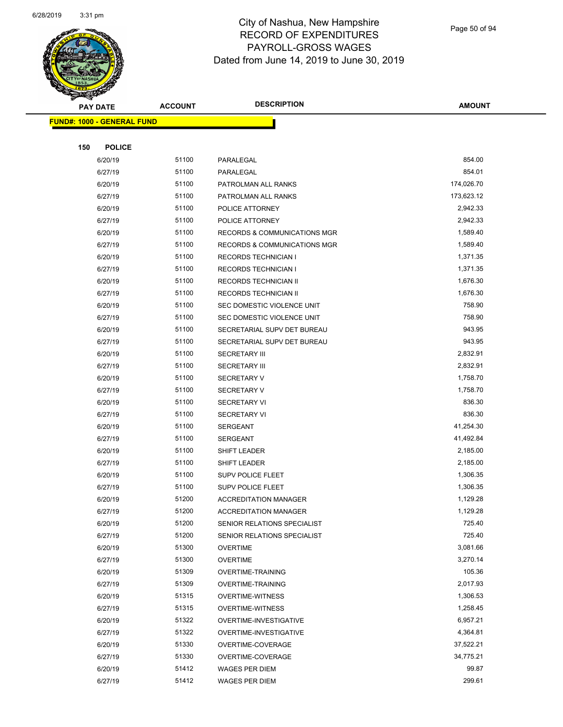

| $\sim$ | <b>PAY DATE</b>                   | <b>ACCOUNT</b> | <b>DESCRIPTION</b>                      | <b>AMOUNT</b> |
|--------|-----------------------------------|----------------|-----------------------------------------|---------------|
|        | <b>FUND#: 1000 - GENERAL FUND</b> |                |                                         |               |
|        |                                   |                |                                         |               |
| 150    | <b>POLICE</b>                     |                |                                         |               |
|        | 6/20/19                           | 51100          | PARALEGAL                               | 854.00        |
|        | 6/27/19                           | 51100          | PARALEGAL                               | 854.01        |
|        | 6/20/19                           | 51100          | PATROLMAN ALL RANKS                     | 174,026.70    |
|        | 6/27/19                           | 51100          | PATROLMAN ALL RANKS                     | 173,623.12    |
|        | 6/20/19                           | 51100          | POLICE ATTORNEY                         | 2,942.33      |
|        | 6/27/19                           | 51100          | POLICE ATTORNEY                         | 2,942.33      |
|        | 6/20/19                           | 51100          | RECORDS & COMMUNICATIONS MGR            | 1,589.40      |
|        | 6/27/19                           | 51100          | <b>RECORDS &amp; COMMUNICATIONS MGR</b> | 1,589.40      |
|        | 6/20/19                           | 51100          | <b>RECORDS TECHNICIAN I</b>             | 1,371.35      |
|        | 6/27/19                           | 51100          | RECORDS TECHNICIAN I                    | 1,371.35      |
|        | 6/20/19                           | 51100          | RECORDS TECHNICIAN II                   | 1,676.30      |
|        | 6/27/19                           | 51100          | RECORDS TECHNICIAN II                   | 1,676.30      |
|        | 6/20/19                           | 51100          | SEC DOMESTIC VIOLENCE UNIT              | 758.90        |
|        | 6/27/19                           | 51100          | SEC DOMESTIC VIOLENCE UNIT              | 758.90        |
|        | 6/20/19                           | 51100          | SECRETARIAL SUPV DET BUREAU             | 943.95        |
|        | 6/27/19                           | 51100          | SECRETARIAL SUPV DET BUREAU             | 943.95        |
|        | 6/20/19                           | 51100          | <b>SECRETARY III</b>                    | 2,832.91      |
|        | 6/27/19                           | 51100          | <b>SECRETARY III</b>                    | 2,832.91      |
|        | 6/20/19                           | 51100          | <b>SECRETARY V</b>                      | 1,758.70      |
|        | 6/27/19                           | 51100          | <b>SECRETARY V</b>                      | 1,758.70      |
|        | 6/20/19                           | 51100          | <b>SECRETARY VI</b>                     | 836.30        |
|        | 6/27/19                           | 51100          | <b>SECRETARY VI</b>                     | 836.30        |
|        | 6/20/19                           | 51100          | <b>SERGEANT</b>                         | 41,254.30     |
|        | 6/27/19                           | 51100          | <b>SERGEANT</b>                         | 41,492.84     |
|        | 6/20/19                           | 51100          | SHIFT LEADER                            | 2,185.00      |
|        | 6/27/19                           | 51100          | SHIFT LEADER                            | 2,185.00      |
|        | 6/20/19                           | 51100          | <b>SUPV POLICE FLEET</b>                | 1,306.35      |
|        | 6/27/19                           | 51100          | <b>SUPV POLICE FLEET</b>                | 1,306.35      |
|        | 6/20/19                           | 51200          | <b>ACCREDITATION MANAGER</b>            | 1,129.28      |
|        | 6/27/19                           | 51200          | <b>ACCREDITATION MANAGER</b>            | 1,129.28      |
|        | 6/20/19                           | 51200          | SENIOR RELATIONS SPECIALIST             | 725.40        |
|        | 6/27/19                           | 51200          | SENIOR RELATIONS SPECIALIST             | 725.40        |
|        | 6/20/19                           | 51300          | <b>OVERTIME</b>                         | 3,081.66      |
|        | 6/27/19                           | 51300          | <b>OVERTIME</b>                         | 3,270.14      |
|        | 6/20/19                           | 51309          | <b>OVERTIME-TRAINING</b>                | 105.36        |
|        | 6/27/19                           | 51309          | <b>OVERTIME-TRAINING</b>                | 2,017.93      |
|        | 6/20/19                           | 51315          | <b>OVERTIME-WITNESS</b>                 | 1,306.53      |
|        | 6/27/19                           | 51315          | <b>OVERTIME-WITNESS</b>                 | 1,258.45      |
|        | 6/20/19                           | 51322          | OVERTIME-INVESTIGATIVE                  | 6,957.21      |
|        | 6/27/19                           | 51322          | OVERTIME-INVESTIGATIVE                  | 4,364.81      |
|        | 6/20/19                           | 51330          | OVERTIME-COVERAGE                       | 37,522.21     |
|        | 6/27/19                           | 51330          | OVERTIME-COVERAGE                       | 34,775.21     |
|        | 6/20/19                           | 51412          | WAGES PER DIEM                          | 99.87         |
|        | 6/27/19                           | 51412          | WAGES PER DIEM                          | 299.61        |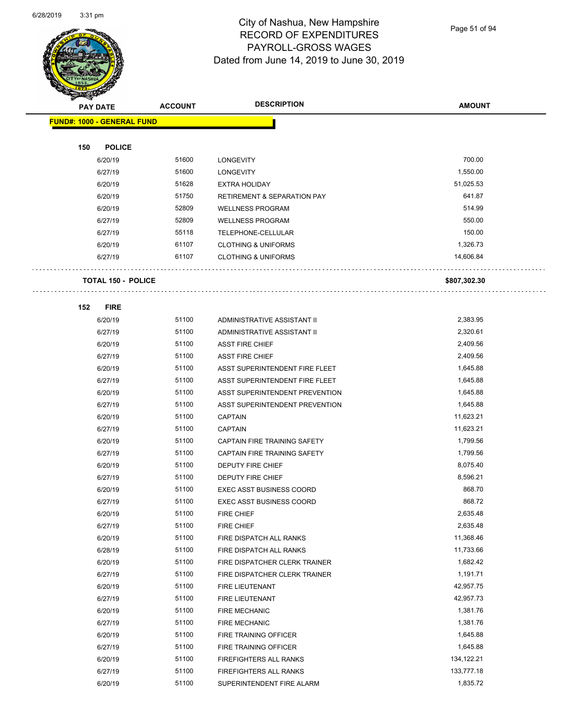

Page 51 of 94

| $\blacktriangleleft$ .<br><b>PAY DATE</b> | <b>ACCOUNT</b> | <b>DESCRIPTION</b>                     | <b>AMOUNT</b>         |
|-------------------------------------------|----------------|----------------------------------------|-----------------------|
| <b>FUND#: 1000 - GENERAL FUND</b>         |                |                                        |                       |
|                                           |                |                                        |                       |
| 150<br><b>POLICE</b>                      |                |                                        |                       |
| 6/20/19                                   | 51600          | <b>LONGEVITY</b>                       | 700.00                |
| 6/27/19                                   | 51600          | <b>LONGEVITY</b>                       | 1,550.00              |
| 6/20/19                                   | 51628          | <b>EXTRA HOLIDAY</b>                   | 51,025.53             |
| 6/20/19                                   | 51750          | <b>RETIREMENT &amp; SEPARATION PAY</b> | 641.87                |
| 6/20/19                                   | 52809          | <b>WELLNESS PROGRAM</b>                | 514.99                |
| 6/27/19                                   | 52809          | <b>WELLNESS PROGRAM</b>                | 550.00                |
| 6/27/19                                   | 55118          | TELEPHONE-CELLULAR                     | 150.00                |
| 6/20/19                                   | 61107          | <b>CLOTHING &amp; UNIFORMS</b>         | 1,326.73              |
| 6/27/19                                   | 61107          | <b>CLOTHING &amp; UNIFORMS</b>         | 14,606.84             |
|                                           |                |                                        |                       |
| <b>TOTAL 150 - POLICE</b>                 |                |                                        | \$807,302.30          |
|                                           |                |                                        |                       |
| <b>FIRE</b><br>152                        |                |                                        |                       |
| 6/20/19                                   | 51100          | ADMINISTRATIVE ASSISTANT II            | 2,383.95              |
| 6/27/19                                   | 51100          | ADMINISTRATIVE ASSISTANT II            | 2,320.61              |
| 6/20/19                                   | 51100          | <b>ASST FIRE CHIEF</b>                 | 2,409.56              |
| 6/27/19                                   | 51100          | <b>ASST FIRE CHIEF</b>                 | 2,409.56              |
| 6/20/19                                   | 51100          | ASST SUPERINTENDENT FIRE FLEET         | 1,645.88              |
| 6/27/19                                   | 51100          | ASST SUPERINTENDENT FIRE FLEET         | 1,645.88              |
| 6/20/19                                   | 51100<br>51100 | ASST SUPERINTENDENT PREVENTION         | 1,645.88              |
| 6/27/19                                   | 51100          | ASST SUPERINTENDENT PREVENTION         | 1,645.88<br>11,623.21 |
| 6/20/19<br>6/27/19                        | 51100          | <b>CAPTAIN</b><br><b>CAPTAIN</b>       | 11,623.21             |
| 6/20/19                                   | 51100          | CAPTAIN FIRE TRAINING SAFETY           | 1,799.56              |
| 6/27/19                                   | 51100          | CAPTAIN FIRE TRAINING SAFETY           | 1,799.56              |
| 6/20/19                                   | 51100          | DEPUTY FIRE CHIEF                      | 8,075.40              |
| 6/27/19                                   | 51100          | DEPUTY FIRE CHIEF                      | 8,596.21              |
| 6/20/19                                   | 51100          | <b>EXEC ASST BUSINESS COORD</b>        | 868.70                |
| 6/27/19                                   | 51100          | <b>EXEC ASST BUSINESS COORD</b>        | 868.72                |
| 6/20/19                                   | 51100          | FIRE CHIEF                             | 2,635.48              |
| 6/27/19                                   | 51100          | FIRE CHIEF                             | 2,635.48              |
| 6/20/19                                   | 51100          | FIRE DISPATCH ALL RANKS                | 11,368.46             |
| 6/28/19                                   | 51100          | FIRE DISPATCH ALL RANKS                | 11,733.66             |
| 6/20/19                                   | 51100          | FIRE DISPATCHER CLERK TRAINER          | 1,682.42              |
| 6/27/19                                   | 51100          | FIRE DISPATCHER CLERK TRAINER          | 1,191.71              |
| 6/20/19                                   | 51100          | FIRE LIEUTENANT                        | 42,957.75             |
| 6/27/19                                   | 51100          | FIRE LIEUTENANT                        | 42,957.73             |
| 6/20/19                                   | 51100          | <b>FIRE MECHANIC</b>                   | 1,381.76              |
| 6/27/19                                   | 51100          | <b>FIRE MECHANIC</b>                   | 1,381.76              |
| 6/20/19                                   | 51100          | FIRE TRAINING OFFICER                  | 1,645.88              |
| 6/27/19                                   | 51100          | FIRE TRAINING OFFICER                  | 1,645.88              |
| 6/20/19                                   | 51100          | FIREFIGHTERS ALL RANKS                 | 134,122.21            |
| 6/27/19                                   | 51100          | FIREFIGHTERS ALL RANKS                 | 133,777.18            |
| 6/20/19                                   | 51100          | SUPERINTENDENT FIRE ALARM              | 1,835.72              |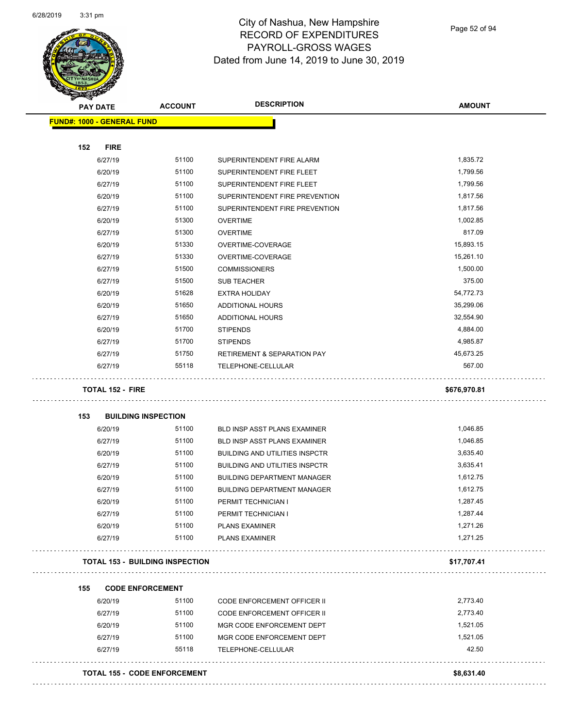

|     | <b>PAY DATE</b>                   | <b>ACCOUNT</b>                         | <b>DESCRIPTION</b>                     | <b>AMOUNT</b> |
|-----|-----------------------------------|----------------------------------------|----------------------------------------|---------------|
|     | <b>FUND#: 1000 - GENERAL FUND</b> |                                        |                                        |               |
|     |                                   |                                        |                                        |               |
| 152 | <b>FIRE</b>                       |                                        |                                        |               |
|     | 6/27/19                           | 51100                                  | SUPERINTENDENT FIRE ALARM              | 1,835.72      |
|     | 6/20/19                           | 51100                                  | SUPERINTENDENT FIRE FLEET              | 1,799.56      |
|     | 6/27/19                           | 51100                                  | SUPERINTENDENT FIRE FLEET              | 1,799.56      |
|     | 6/20/19                           | 51100                                  | SUPERINTENDENT FIRE PREVENTION         | 1,817.56      |
|     | 6/27/19                           | 51100                                  | SUPERINTENDENT FIRE PREVENTION         | 1,817.56      |
|     | 6/20/19                           | 51300                                  | <b>OVERTIME</b>                        | 1,002.85      |
|     | 6/27/19                           | 51300                                  | <b>OVERTIME</b>                        | 817.09        |
|     | 6/20/19                           | 51330                                  | OVERTIME-COVERAGE                      | 15,893.15     |
|     | 6/27/19                           | 51330                                  | OVERTIME-COVERAGE                      | 15,261.10     |
|     | 6/27/19                           | 51500                                  | <b>COMMISSIONERS</b>                   | 1,500.00      |
|     | 6/27/19                           | 51500                                  | <b>SUB TEACHER</b>                     | 375.00        |
|     | 6/20/19                           | 51628                                  | <b>EXTRA HOLIDAY</b>                   | 54,772.73     |
|     | 6/20/19                           | 51650                                  | ADDITIONAL HOURS                       | 35,299.06     |
|     | 6/27/19                           | 51650                                  | ADDITIONAL HOURS                       | 32,554.90     |
|     | 6/20/19                           | 51700                                  | <b>STIPENDS</b>                        | 4,884.00      |
|     | 6/27/19                           | 51700                                  | <b>STIPENDS</b>                        | 4,985.87      |
|     | 6/27/19                           | 51750                                  | <b>RETIREMENT &amp; SEPARATION PAY</b> | 45,673.25     |
|     | 6/27/19                           | 55118                                  | TELEPHONE-CELLULAR                     | 567.00        |
| 153 |                                   | <b>BUILDING INSPECTION</b>             |                                        |               |
|     | 6/20/19                           | 51100                                  | <b>BLD INSP ASST PLANS EXAMINER</b>    | 1,046.85      |
|     | 6/27/19                           | 51100                                  | BLD INSP ASST PLANS EXAMINER           | 1,046.85      |
|     | 6/20/19                           | 51100                                  | <b>BUILDING AND UTILITIES INSPCTR</b>  | 3,635.40      |
|     | 6/27/19                           | 51100                                  | <b>BUILDING AND UTILITIES INSPCTR</b>  | 3,635.41      |
|     | 6/20/19                           | 51100                                  | <b>BUILDING DEPARTMENT MANAGER</b>     | 1,612.75      |
|     | 6/27/19                           | 51100                                  | <b>BUILDING DEPARTMENT MANAGER</b>     | 1,612.75      |
|     | 6/20/19                           | 51100                                  | PERMIT TECHNICIAN I                    | 1,287.45      |
|     | 6/27/19                           | 51100                                  | PERMIT TECHNICIAN I                    | 1,287.44      |
|     | 6/20/19                           | 51100                                  | <b>PLANS EXAMINER</b>                  | 1,271.26      |
|     | 6/27/19                           | 51100                                  | <b>PLANS EXAMINER</b>                  | 1,271.25      |
|     |                                   | <b>TOTAL 153 - BUILDING INSPECTION</b> |                                        | \$17,707.41   |
| 155 |                                   | <b>CODE ENFORCEMENT</b>                |                                        |               |
|     | 6/20/19                           | 51100                                  | <b>CODE ENFORCEMENT OFFICER II</b>     | 2,773.40      |
|     | 6/27/19                           | 51100                                  | CODE ENFORCEMENT OFFICER II            | 2,773.40      |
|     | 6/20/19                           | 51100                                  | MGR CODE ENFORCEMENT DEPT              | 1,521.05      |
|     | 6/27/19                           | 51100                                  | MGR CODE ENFORCEMENT DEPT              | 1,521.05      |
|     | 6/27/19                           | 55118                                  | TELEPHONE-CELLULAR                     | 42.50         |
|     |                                   | <b>TOTAL 155 - CODE ENFORCEMENT</b>    |                                        | \$8,631.40    |
|     |                                   |                                        |                                        |               |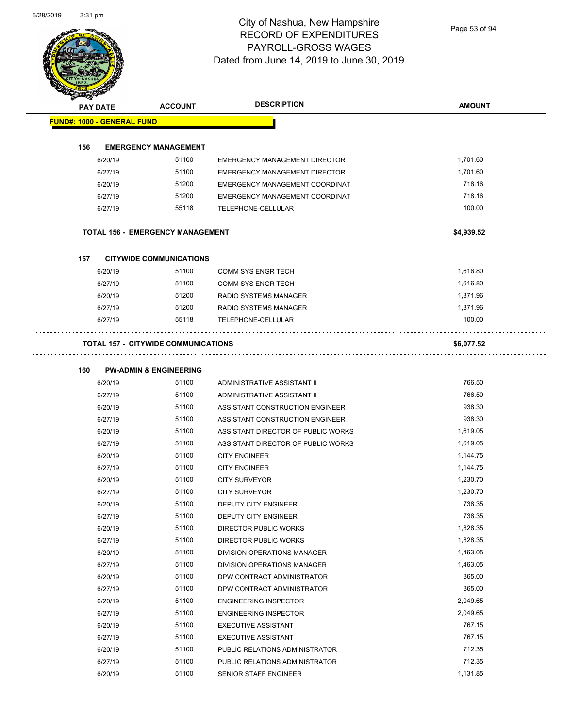Page 53 of 94

| <b>FUND#: 1000 - GENERAL FUND</b><br>156<br><b>EMERGENCY MANAGEMENT</b><br>51100<br>6/20/19<br><b>EMERGENCY MANAGEMENT DIRECTOR</b><br>51100<br>6/27/19<br><b>EMERGENCY MANAGEMENT DIRECTOR</b><br>6/20/19<br>51200<br>EMERGENCY MANAGEMENT COORDINAT<br>6/27/19<br>51200<br>EMERGENCY MANAGEMENT COORDINAT<br>55118<br>6/27/19<br>TELEPHONE-CELLULAR<br>TOTAL 156 - EMERGENCY MANAGEMENT<br>157<br><b>CITYWIDE COMMUNICATIONS</b><br>51100<br>6/20/19<br><b>COMM SYS ENGR TECH</b><br>51100<br>6/27/19<br><b>COMM SYS ENGR TECH</b><br>51200<br>6/20/19<br>RADIO SYSTEMS MANAGER<br>6/27/19<br>51200<br><b>RADIO SYSTEMS MANAGER</b><br>6/27/19<br>55118<br>TELEPHONE-CELLULAR<br><b>TOTAL 157 - CITYWIDE COMMUNICATIONS</b><br>160<br><b>PW-ADMIN &amp; ENGINEERING</b><br>51100<br>6/20/19<br>ADMINISTRATIVE ASSISTANT II<br>6/27/19<br>51100<br>ADMINISTRATIVE ASSISTANT II<br>51100<br>6/20/19<br>ASSISTANT CONSTRUCTION ENGINEER<br>6/27/19<br>51100<br>ASSISTANT CONSTRUCTION ENGINEER<br>51100<br>6/20/19<br>ASSISTANT DIRECTOR OF PUBLIC WORKS<br>6/27/19<br>51100<br>ASSISTANT DIRECTOR OF PUBLIC WORKS<br>51100<br>6/20/19<br><b>CITY ENGINEER</b><br>51100<br>6/27/19<br><b>CITY ENGINEER</b><br>51100<br><b>CITY SURVEYOR</b><br>6/20/19<br>51100<br>6/27/19<br><b>CITY SURVEYOR</b><br>51100<br>6/20/19<br><b>DEPUTY CITY ENGINEER</b> | 1,701.60<br>1,701.60<br>718.16<br>718.16<br>100.00<br>\$4,939.52<br>1,616.80<br>1,616.80<br>1,371.96<br>1,371.96<br>100.00<br>\$6,077.52 |
|------------------------------------------------------------------------------------------------------------------------------------------------------------------------------------------------------------------------------------------------------------------------------------------------------------------------------------------------------------------------------------------------------------------------------------------------------------------------------------------------------------------------------------------------------------------------------------------------------------------------------------------------------------------------------------------------------------------------------------------------------------------------------------------------------------------------------------------------------------------------------------------------------------------------------------------------------------------------------------------------------------------------------------------------------------------------------------------------------------------------------------------------------------------------------------------------------------------------------------------------------------------------------------------------------------------------------------------------------|------------------------------------------------------------------------------------------------------------------------------------------|
|                                                                                                                                                                                                                                                                                                                                                                                                                                                                                                                                                                                                                                                                                                                                                                                                                                                                                                                                                                                                                                                                                                                                                                                                                                                                                                                                                      |                                                                                                                                          |
|                                                                                                                                                                                                                                                                                                                                                                                                                                                                                                                                                                                                                                                                                                                                                                                                                                                                                                                                                                                                                                                                                                                                                                                                                                                                                                                                                      |                                                                                                                                          |
|                                                                                                                                                                                                                                                                                                                                                                                                                                                                                                                                                                                                                                                                                                                                                                                                                                                                                                                                                                                                                                                                                                                                                                                                                                                                                                                                                      |                                                                                                                                          |
|                                                                                                                                                                                                                                                                                                                                                                                                                                                                                                                                                                                                                                                                                                                                                                                                                                                                                                                                                                                                                                                                                                                                                                                                                                                                                                                                                      |                                                                                                                                          |
|                                                                                                                                                                                                                                                                                                                                                                                                                                                                                                                                                                                                                                                                                                                                                                                                                                                                                                                                                                                                                                                                                                                                                                                                                                                                                                                                                      |                                                                                                                                          |
|                                                                                                                                                                                                                                                                                                                                                                                                                                                                                                                                                                                                                                                                                                                                                                                                                                                                                                                                                                                                                                                                                                                                                                                                                                                                                                                                                      |                                                                                                                                          |
|                                                                                                                                                                                                                                                                                                                                                                                                                                                                                                                                                                                                                                                                                                                                                                                                                                                                                                                                                                                                                                                                                                                                                                                                                                                                                                                                                      |                                                                                                                                          |
|                                                                                                                                                                                                                                                                                                                                                                                                                                                                                                                                                                                                                                                                                                                                                                                                                                                                                                                                                                                                                                                                                                                                                                                                                                                                                                                                                      |                                                                                                                                          |
|                                                                                                                                                                                                                                                                                                                                                                                                                                                                                                                                                                                                                                                                                                                                                                                                                                                                                                                                                                                                                                                                                                                                                                                                                                                                                                                                                      |                                                                                                                                          |
|                                                                                                                                                                                                                                                                                                                                                                                                                                                                                                                                                                                                                                                                                                                                                                                                                                                                                                                                                                                                                                                                                                                                                                                                                                                                                                                                                      |                                                                                                                                          |
|                                                                                                                                                                                                                                                                                                                                                                                                                                                                                                                                                                                                                                                                                                                                                                                                                                                                                                                                                                                                                                                                                                                                                                                                                                                                                                                                                      |                                                                                                                                          |
|                                                                                                                                                                                                                                                                                                                                                                                                                                                                                                                                                                                                                                                                                                                                                                                                                                                                                                                                                                                                                                                                                                                                                                                                                                                                                                                                                      |                                                                                                                                          |
|                                                                                                                                                                                                                                                                                                                                                                                                                                                                                                                                                                                                                                                                                                                                                                                                                                                                                                                                                                                                                                                                                                                                                                                                                                                                                                                                                      |                                                                                                                                          |
|                                                                                                                                                                                                                                                                                                                                                                                                                                                                                                                                                                                                                                                                                                                                                                                                                                                                                                                                                                                                                                                                                                                                                                                                                                                                                                                                                      |                                                                                                                                          |
|                                                                                                                                                                                                                                                                                                                                                                                                                                                                                                                                                                                                                                                                                                                                                                                                                                                                                                                                                                                                                                                                                                                                                                                                                                                                                                                                                      |                                                                                                                                          |
|                                                                                                                                                                                                                                                                                                                                                                                                                                                                                                                                                                                                                                                                                                                                                                                                                                                                                                                                                                                                                                                                                                                                                                                                                                                                                                                                                      |                                                                                                                                          |
|                                                                                                                                                                                                                                                                                                                                                                                                                                                                                                                                                                                                                                                                                                                                                                                                                                                                                                                                                                                                                                                                                                                                                                                                                                                                                                                                                      |                                                                                                                                          |
|                                                                                                                                                                                                                                                                                                                                                                                                                                                                                                                                                                                                                                                                                                                                                                                                                                                                                                                                                                                                                                                                                                                                                                                                                                                                                                                                                      | 766.50                                                                                                                                   |
|                                                                                                                                                                                                                                                                                                                                                                                                                                                                                                                                                                                                                                                                                                                                                                                                                                                                                                                                                                                                                                                                                                                                                                                                                                                                                                                                                      | 766.50                                                                                                                                   |
|                                                                                                                                                                                                                                                                                                                                                                                                                                                                                                                                                                                                                                                                                                                                                                                                                                                                                                                                                                                                                                                                                                                                                                                                                                                                                                                                                      | 938.30                                                                                                                                   |
|                                                                                                                                                                                                                                                                                                                                                                                                                                                                                                                                                                                                                                                                                                                                                                                                                                                                                                                                                                                                                                                                                                                                                                                                                                                                                                                                                      | 938.30                                                                                                                                   |
|                                                                                                                                                                                                                                                                                                                                                                                                                                                                                                                                                                                                                                                                                                                                                                                                                                                                                                                                                                                                                                                                                                                                                                                                                                                                                                                                                      | 1,619.05                                                                                                                                 |
|                                                                                                                                                                                                                                                                                                                                                                                                                                                                                                                                                                                                                                                                                                                                                                                                                                                                                                                                                                                                                                                                                                                                                                                                                                                                                                                                                      | 1,619.05                                                                                                                                 |
|                                                                                                                                                                                                                                                                                                                                                                                                                                                                                                                                                                                                                                                                                                                                                                                                                                                                                                                                                                                                                                                                                                                                                                                                                                                                                                                                                      | 1,144.75                                                                                                                                 |
|                                                                                                                                                                                                                                                                                                                                                                                                                                                                                                                                                                                                                                                                                                                                                                                                                                                                                                                                                                                                                                                                                                                                                                                                                                                                                                                                                      | 1,144.75                                                                                                                                 |
|                                                                                                                                                                                                                                                                                                                                                                                                                                                                                                                                                                                                                                                                                                                                                                                                                                                                                                                                                                                                                                                                                                                                                                                                                                                                                                                                                      | 1,230.70                                                                                                                                 |
|                                                                                                                                                                                                                                                                                                                                                                                                                                                                                                                                                                                                                                                                                                                                                                                                                                                                                                                                                                                                                                                                                                                                                                                                                                                                                                                                                      | 1,230.70                                                                                                                                 |
|                                                                                                                                                                                                                                                                                                                                                                                                                                                                                                                                                                                                                                                                                                                                                                                                                                                                                                                                                                                                                                                                                                                                                                                                                                                                                                                                                      | 738.35                                                                                                                                   |
| 51100<br>6/27/19<br>DEPUTY CITY ENGINEER                                                                                                                                                                                                                                                                                                                                                                                                                                                                                                                                                                                                                                                                                                                                                                                                                                                                                                                                                                                                                                                                                                                                                                                                                                                                                                             | 738.35                                                                                                                                   |
| 51100<br>6/20/19<br>DIRECTOR PUBLIC WORKS                                                                                                                                                                                                                                                                                                                                                                                                                                                                                                                                                                                                                                                                                                                                                                                                                                                                                                                                                                                                                                                                                                                                                                                                                                                                                                            | 1,828.35                                                                                                                                 |
| 51100<br>6/27/19<br>DIRECTOR PUBLIC WORKS                                                                                                                                                                                                                                                                                                                                                                                                                                                                                                                                                                                                                                                                                                                                                                                                                                                                                                                                                                                                                                                                                                                                                                                                                                                                                                            | 1,828.35                                                                                                                                 |
| 6/20/19<br>51100<br>DIVISION OPERATIONS MANAGER                                                                                                                                                                                                                                                                                                                                                                                                                                                                                                                                                                                                                                                                                                                                                                                                                                                                                                                                                                                                                                                                                                                                                                                                                                                                                                      | 1,463.05                                                                                                                                 |
| 51100<br>6/27/19<br>DIVISION OPERATIONS MANAGER                                                                                                                                                                                                                                                                                                                                                                                                                                                                                                                                                                                                                                                                                                                                                                                                                                                                                                                                                                                                                                                                                                                                                                                                                                                                                                      | 1,463.05                                                                                                                                 |
| 51100<br>6/20/19<br>DPW CONTRACT ADMINISTRATOR                                                                                                                                                                                                                                                                                                                                                                                                                                                                                                                                                                                                                                                                                                                                                                                                                                                                                                                                                                                                                                                                                                                                                                                                                                                                                                       | 365.00                                                                                                                                   |
| 51100<br>6/27/19<br>DPW CONTRACT ADMINISTRATOR                                                                                                                                                                                                                                                                                                                                                                                                                                                                                                                                                                                                                                                                                                                                                                                                                                                                                                                                                                                                                                                                                                                                                                                                                                                                                                       | 365.00                                                                                                                                   |
| 6/20/19<br>51100<br><b>ENGINEERING INSPECTOR</b>                                                                                                                                                                                                                                                                                                                                                                                                                                                                                                                                                                                                                                                                                                                                                                                                                                                                                                                                                                                                                                                                                                                                                                                                                                                                                                     | 2,049.65                                                                                                                                 |
| 6/27/19<br>51100<br><b>ENGINEERING INSPECTOR</b>                                                                                                                                                                                                                                                                                                                                                                                                                                                                                                                                                                                                                                                                                                                                                                                                                                                                                                                                                                                                                                                                                                                                                                                                                                                                                                     | 2,049.65                                                                                                                                 |
| 51100<br>6/20/19<br><b>EXECUTIVE ASSISTANT</b>                                                                                                                                                                                                                                                                                                                                                                                                                                                                                                                                                                                                                                                                                                                                                                                                                                                                                                                                                                                                                                                                                                                                                                                                                                                                                                       | 767.15                                                                                                                                   |
| 51100<br>6/27/19<br><b>EXECUTIVE ASSISTANT</b>                                                                                                                                                                                                                                                                                                                                                                                                                                                                                                                                                                                                                                                                                                                                                                                                                                                                                                                                                                                                                                                                                                                                                                                                                                                                                                       | 767.15                                                                                                                                   |
| 51100<br>6/20/19<br>PUBLIC RELATIONS ADMINISTRATOR                                                                                                                                                                                                                                                                                                                                                                                                                                                                                                                                                                                                                                                                                                                                                                                                                                                                                                                                                                                                                                                                                                                                                                                                                                                                                                   | 712.35                                                                                                                                   |
| 51100<br>6/27/19<br>PUBLIC RELATIONS ADMINISTRATOR                                                                                                                                                                                                                                                                                                                                                                                                                                                                                                                                                                                                                                                                                                                                                                                                                                                                                                                                                                                                                                                                                                                                                                                                                                                                                                   |                                                                                                                                          |
| 51100<br>6/20/19<br>SENIOR STAFF ENGINEER                                                                                                                                                                                                                                                                                                                                                                                                                                                                                                                                                                                                                                                                                                                                                                                                                                                                                                                                                                                                                                                                                                                                                                                                                                                                                                            | 712.35                                                                                                                                   |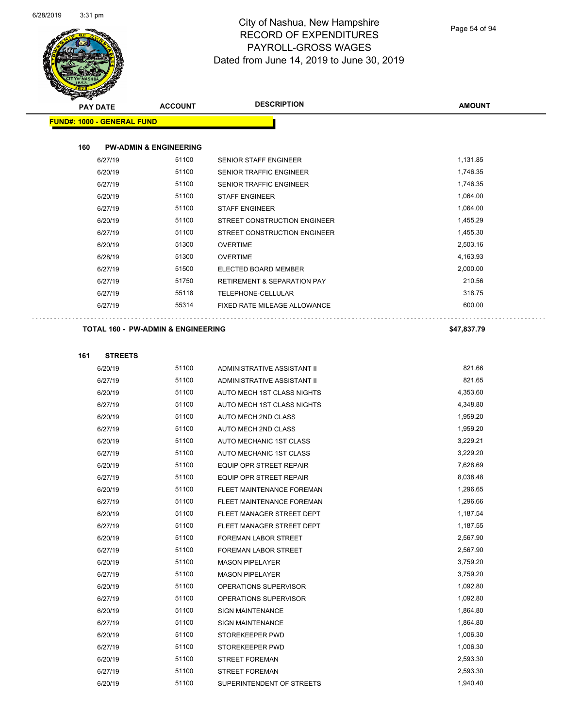

|     | <b>PAY DATE</b>                   | <b>ACCOUNT</b>                    | <b>DESCRIPTION</b>                     | <b>AMOUNT</b> |
|-----|-----------------------------------|-----------------------------------|----------------------------------------|---------------|
|     | <b>FUND#: 1000 - GENERAL FUND</b> |                                   |                                        |               |
| 160 |                                   | <b>PW-ADMIN &amp; ENGINEERING</b> |                                        |               |
|     | 6/27/19                           | 51100                             | <b>SENIOR STAFF ENGINEER</b>           | 1,131.85      |
|     | 6/20/19                           | 51100                             | <b>SENIOR TRAFFIC ENGINEER</b>         | 1,746.35      |
|     | 6/27/19                           | 51100                             | SENIOR TRAFFIC ENGINEER                | 1,746.35      |
|     | 6/20/19                           | 51100                             | <b>STAFF ENGINEER</b>                  | 1,064.00      |
|     | 6/27/19                           | 51100                             | <b>STAFF ENGINEER</b>                  | 1,064.00      |
|     | 6/20/19                           | 51100                             | STREET CONSTRUCTION ENGINEER           | 1,455.29      |
|     | 6/27/19                           | 51100                             | STREET CONSTRUCTION ENGINEER           | 1,455.30      |
|     | 6/20/19                           | 51300                             | <b>OVERTIME</b>                        | 2,503.16      |
|     | 6/28/19                           | 51300                             | <b>OVERTIME</b>                        | 4,163.93      |
|     | 6/27/19                           | 51500                             | ELECTED BOARD MEMBER                   | 2,000.00      |
|     | 6/27/19                           | 51750                             | <b>RETIREMENT &amp; SEPARATION PAY</b> | 210.56        |
|     | 6/27/19                           | 55118                             | TELEPHONE-CELLULAR                     | 318.75        |
|     | 6/27/19                           | 55314                             | FIXED RATE MILEAGE ALLOWANCE           | 600.00        |

| 161 | <b>STREETS</b> |
|-----|----------------|

| 6/20/19 | 51100 | ADMINISTRATIVE ASSISTANT II      | 821.66   |
|---------|-------|----------------------------------|----------|
| 6/27/19 | 51100 | ADMINISTRATIVE ASSISTANT II      | 821.65   |
| 6/20/19 | 51100 | AUTO MECH 1ST CLASS NIGHTS       | 4,353.60 |
| 6/27/19 | 51100 | AUTO MECH 1ST CLASS NIGHTS       | 4,348.80 |
| 6/20/19 | 51100 | <b>AUTO MECH 2ND CLASS</b>       | 1,959.20 |
| 6/27/19 | 51100 | AUTO MECH 2ND CLASS              | 1,959.20 |
| 6/20/19 | 51100 | AUTO MECHANIC 1ST CLASS          | 3,229.21 |
| 6/27/19 | 51100 | <b>AUTO MECHANIC 1ST CLASS</b>   | 3,229.20 |
| 6/20/19 | 51100 | <b>EQUIP OPR STREET REPAIR</b>   | 7,628.69 |
| 6/27/19 | 51100 | <b>EQUIP OPR STREET REPAIR</b>   | 8,038.48 |
| 6/20/19 | 51100 | FLEET MAINTENANCE FOREMAN        | 1,296.65 |
| 6/27/19 | 51100 | <b>FLEET MAINTENANCE FOREMAN</b> | 1,296.66 |
| 6/20/19 | 51100 | FLEET MANAGER STREET DEPT        | 1,187.54 |
| 6/27/19 | 51100 | FLEET MANAGER STREET DEPT        | 1,187.55 |
| 6/20/19 | 51100 | FOREMAN LABOR STREET             | 2,567.90 |
| 6/27/19 | 51100 | FOREMAN LABOR STREET             | 2,567.90 |
| 6/20/19 | 51100 | <b>MASON PIPELAYER</b>           | 3,759.20 |
| 6/27/19 | 51100 | <b>MASON PIPELAYER</b>           | 3,759.20 |
| 6/20/19 | 51100 | OPERATIONS SUPERVISOR            | 1,092.80 |
| 6/27/19 | 51100 | OPERATIONS SUPERVISOR            | 1,092.80 |
| 6/20/19 | 51100 | <b>SIGN MAINTENANCE</b>          | 1,864.80 |
| 6/27/19 | 51100 | <b>SIGN MAINTENANCE</b>          | 1,864.80 |
| 6/20/19 | 51100 | STOREKEEPER PWD                  | 1,006.30 |
| 6/27/19 | 51100 | STOREKEEPER PWD                  | 1,006.30 |
| 6/20/19 | 51100 | <b>STREET FOREMAN</b>            | 2,593.30 |
| 6/27/19 | 51100 | <b>STREET FOREMAN</b>            | 2,593.30 |
| 6/20/19 | 51100 | SUPERINTENDENT OF STREETS        | 1,940.40 |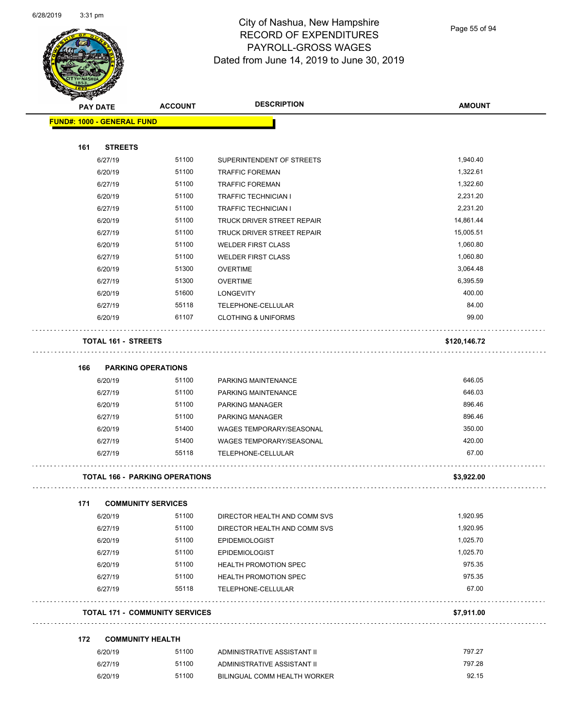

Page 55 of 94

| <b>STATERS</b> |                                   |                                       |                                   |               |
|----------------|-----------------------------------|---------------------------------------|-----------------------------------|---------------|
|                | <b>PAY DATE</b>                   | <b>ACCOUNT</b>                        | <b>DESCRIPTION</b>                | <b>AMOUNT</b> |
|                | <b>FUND#: 1000 - GENERAL FUND</b> |                                       |                                   |               |
|                |                                   |                                       |                                   |               |
| 161            | <b>STREETS</b>                    |                                       |                                   |               |
|                | 6/27/19                           | 51100                                 | SUPERINTENDENT OF STREETS         | 1,940.40      |
|                | 6/20/19                           | 51100                                 | <b>TRAFFIC FOREMAN</b>            | 1,322.61      |
|                | 6/27/19                           | 51100                                 | <b>TRAFFIC FOREMAN</b>            | 1,322.60      |
|                | 6/20/19                           | 51100                                 | <b>TRAFFIC TECHNICIAN I</b>       | 2,231.20      |
|                | 6/27/19                           | 51100                                 | <b>TRAFFIC TECHNICIAN I</b>       | 2,231.20      |
|                | 6/20/19                           | 51100                                 | TRUCK DRIVER STREET REPAIR        | 14,861.44     |
|                | 6/27/19                           | 51100                                 | <b>TRUCK DRIVER STREET REPAIR</b> | 15,005.51     |
|                | 6/20/19                           | 51100                                 | <b>WELDER FIRST CLASS</b>         | 1,060.80      |
|                | 6/27/19                           | 51100                                 | <b>WELDER FIRST CLASS</b>         | 1,060.80      |
|                | 6/20/19                           | 51300                                 | <b>OVERTIME</b>                   | 3,064.48      |
|                | 6/27/19                           | 51300                                 | <b>OVERTIME</b>                   | 6,395.59      |
|                | 6/20/19                           | 51600                                 | <b>LONGEVITY</b>                  | 400.00        |
|                | 6/27/19                           | 55118                                 | TELEPHONE-CELLULAR                | 84.00         |
|                | 6/20/19                           | 61107                                 | <b>CLOTHING &amp; UNIFORMS</b>    | 99.00         |
|                | <b>TOTAL 161 - STREETS</b>        |                                       |                                   | \$120,146.72  |
|                |                                   |                                       |                                   |               |
| 166            |                                   | <b>PARKING OPERATIONS</b>             |                                   |               |
|                | 6/20/19                           | 51100                                 | PARKING MAINTENANCE               | 646.05        |
|                | 6/27/19                           | 51100                                 | PARKING MAINTENANCE               | 646.03        |
|                | 6/20/19                           | 51100                                 | PARKING MANAGER                   | 896.46        |
|                | 6/27/19                           | 51100                                 | PARKING MANAGER                   | 896.46        |
|                | 6/20/19                           | 51400                                 | WAGES TEMPORARY/SEASONAL          | 350.00        |
|                | 6/27/19                           | 51400                                 | <b>WAGES TEMPORARY/SEASONAL</b>   | 420.00        |
|                | 6/27/19                           | 55118                                 | TELEPHONE-CELLULAR                | 67.00         |
|                |                                   | <b>TOTAL 166 - PARKING OPERATIONS</b> |                                   | \$3,922.00    |
| 171            |                                   | <b>COMMUNITY SERVICES</b>             |                                   |               |
|                | 6/20/19                           | 51100                                 | DIRECTOR HEALTH AND COMM SVS      | 1,920.95      |
|                | 6/27/19                           | 51100                                 | DIRECTOR HEALTH AND COMM SVS      | 1,920.95      |
|                | 6/20/19                           | 51100                                 | <b>EPIDEMIOLOGIST</b>             | 1,025.70      |
|                | 6/27/19                           | 51100                                 | <b>EPIDEMIOLOGIST</b>             | 1,025.70      |
|                | 6/20/19                           | 51100                                 | <b>HEALTH PROMOTION SPEC</b>      | 975.35        |
|                | 6/27/19                           | 51100                                 | <b>HEALTH PROMOTION SPEC</b>      | 975.35        |
|                | 6/27/19                           | 55118                                 | TELEPHONE-CELLULAR                | 67.00         |
|                |                                   | <b>TOTAL 171 - COMMUNITY SERVICES</b> |                                   | \$7,911.00    |
| 172            |                                   | <b>COMMUNITY HEALTH</b>               |                                   |               |
|                | 6/20/19                           | 51100                                 | ADMINISTRATIVE ASSISTANT II       | 797.27        |
|                | 6/27/19                           | 51100                                 | ADMINISTRATIVE ASSISTANT II       | 797.28        |
|                | 6/20/19                           | 51100                                 | BILINGUAL COMM HEALTH WORKER      | 92.15         |
|                |                                   |                                       |                                   |               |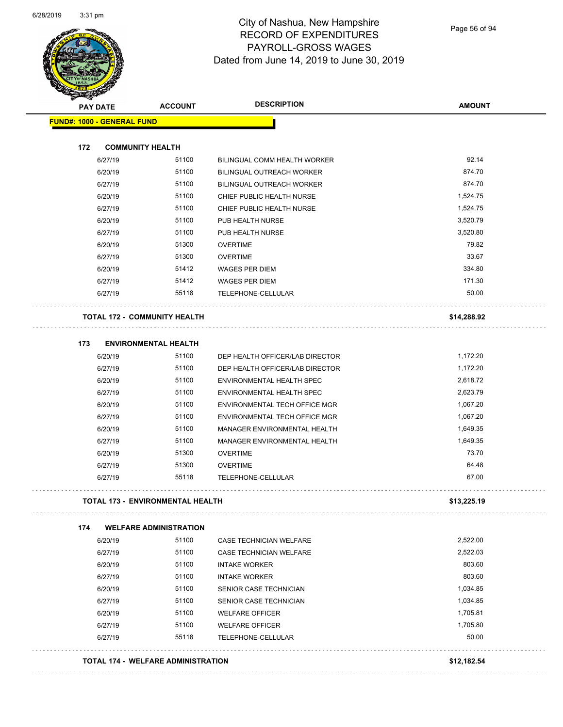

Page 56 of 94

| <b>PAY DATE</b>                   | <b>ACCOUNT</b>                          | <b>DESCRIPTION</b>               | <b>AMOUNT</b> |
|-----------------------------------|-----------------------------------------|----------------------------------|---------------|
| <b>FUND#: 1000 - GENERAL FUND</b> |                                         |                                  |               |
| 172                               | <b>COMMUNITY HEALTH</b>                 |                                  |               |
| 6/27/19                           | 51100                                   | BILINGUAL COMM HEALTH WORKER     | 92.14         |
| 6/20/19                           | 51100                                   | BILINGUAL OUTREACH WORKER        | 874.70        |
| 6/27/19                           | 51100                                   | <b>BILINGUAL OUTREACH WORKER</b> | 874.70        |
| 6/20/19                           | 51100                                   | CHIEF PUBLIC HEALTH NURSE        | 1,524.75      |
| 6/27/19                           | 51100                                   | CHIEF PUBLIC HEALTH NURSE        | 1,524.75      |
| 6/20/19                           | 51100                                   | PUB HEALTH NURSE                 | 3,520.79      |
| 6/27/19                           | 51100                                   | PUB HEALTH NURSE                 | 3,520.80      |
| 6/20/19                           | 51300                                   | <b>OVERTIME</b>                  | 79.82         |
| 6/27/19                           | 51300                                   | <b>OVERTIME</b>                  | 33.67         |
| 6/20/19                           | 51412                                   | <b>WAGES PER DIEM</b>            | 334.80        |
| 6/27/19                           | 51412                                   | <b>WAGES PER DIEM</b>            | 171.30        |
| 6/27/19                           | 55118                                   | TELEPHONE-CELLULAR               | 50.00         |
|                                   | <b>TOTAL 172 - COMMUNITY HEALTH</b>     |                                  | \$14,288.92   |
| 173                               | <b>ENVIRONMENTAL HEALTH</b>             |                                  |               |
| 6/20/19                           | 51100                                   | DEP HEALTH OFFICER/LAB DIRECTOR  | 1,172.20      |
| 6/27/19                           | 51100                                   | DEP HEALTH OFFICER/LAB DIRECTOR  | 1,172.20      |
| 6/20/19                           | 51100                                   | ENVIRONMENTAL HEALTH SPEC        | 2,618.72      |
| 6/27/19                           | 51100                                   | ENVIRONMENTAL HEALTH SPEC        | 2,623.79      |
| 6/20/19                           | 51100                                   | ENVIRONMENTAL TECH OFFICE MGR    | 1,067.20      |
| 6/27/19                           | 51100                                   | ENVIRONMENTAL TECH OFFICE MGR    | 1,067.20      |
| 6/20/19                           | 51100                                   | MANAGER ENVIRONMENTAL HEALTH     | 1,649.35      |
| 6/27/19                           | 51100                                   | MANAGER ENVIRONMENTAL HEALTH     | 1,649.35      |
| 6/20/19                           | 51300                                   | <b>OVERTIME</b>                  | 73.70         |
| 6/27/19                           | 51300                                   | <b>OVERTIME</b>                  | 64.48         |
| 6/27/19                           | 55118                                   | TELEPHONE-CELLULAR               | 67.00         |
|                                   | <b>TOTAL 173 - ENVIRONMENTAL HEALTH</b> |                                  | \$13,225.19   |
| 174                               | <b>WELFARE ADMINISTRATION</b>           |                                  |               |
| 6/20/19                           | 51100                                   | CASE TECHNICIAN WELFARE          | 2,522.00      |
| 6/27/19                           | 51100                                   | CASE TECHNICIAN WELFARE          | 2,522.03      |
| 6/20/19                           | 51100                                   | <b>INTAKE WORKER</b>             | 803.60        |
| 6/27/19                           | 51100                                   | <b>INTAKE WORKER</b>             | 803.60        |
| 6/20/19                           | 51100                                   | SENIOR CASE TECHNICIAN           | 1,034.85      |
| 6/27/19                           | 51100                                   | SENIOR CASE TECHNICIAN           | 1,034.85      |
| 6/20/19                           | 51100                                   | <b>WELFARE OFFICER</b>           | 1,705.81      |
| 6/27/19                           | 51100                                   | <b>WELFARE OFFICER</b>           | 1,705.80      |
| 6/27/19                           | 55118                                   | TELEPHONE-CELLULAR               | 50.00         |
|                                   |                                         |                                  |               |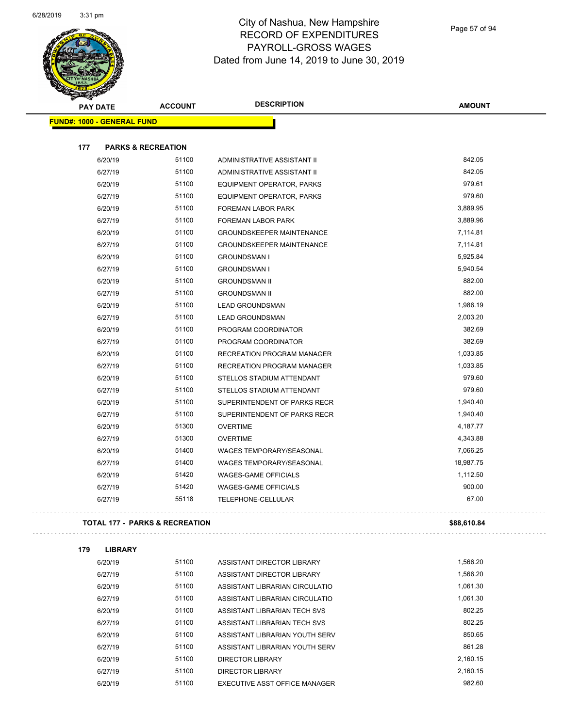

| <b>STARRA</b><br><b>PAY DATE</b>  | <b>ACCOUNT</b>                            | <b>DESCRIPTION</b>                | <b>AMOUNT</b> |
|-----------------------------------|-------------------------------------------|-----------------------------------|---------------|
| <b>FUND#: 1000 - GENERAL FUND</b> |                                           |                                   |               |
|                                   |                                           |                                   |               |
| 177                               | <b>PARKS &amp; RECREATION</b>             |                                   |               |
| 6/20/19                           | 51100                                     | ADMINISTRATIVE ASSISTANT II       | 842.05        |
| 6/27/19                           | 51100                                     | ADMINISTRATIVE ASSISTANT II       | 842.05        |
| 6/20/19                           | 51100                                     | <b>EQUIPMENT OPERATOR, PARKS</b>  | 979.61        |
| 6/27/19                           | 51100                                     | <b>EQUIPMENT OPERATOR, PARKS</b>  | 979.60        |
| 6/20/19                           | 51100                                     | FOREMAN LABOR PARK                | 3,889.95      |
| 6/27/19                           | 51100                                     | FOREMAN LABOR PARK                | 3,889.96      |
| 6/20/19                           | 51100                                     | <b>GROUNDSKEEPER MAINTENANCE</b>  | 7,114.81      |
| 6/27/19                           | 51100                                     | <b>GROUNDSKEEPER MAINTENANCE</b>  | 7,114.81      |
| 6/20/19                           | 51100                                     | <b>GROUNDSMAN I</b>               | 5,925.84      |
| 6/27/19                           | 51100                                     | <b>GROUNDSMAN I</b>               | 5,940.54      |
| 6/20/19                           | 51100                                     | <b>GROUNDSMAN II</b>              | 882.00        |
| 6/27/19                           | 51100                                     | <b>GROUNDSMAN II</b>              | 882.00        |
| 6/20/19                           | 51100                                     | <b>LEAD GROUNDSMAN</b>            | 1,986.19      |
| 6/27/19                           | 51100                                     | <b>LEAD GROUNDSMAN</b>            | 2,003.20      |
| 6/20/19                           | 51100                                     | PROGRAM COORDINATOR               | 382.69        |
| 6/27/19                           | 51100                                     | PROGRAM COORDINATOR               | 382.69        |
| 6/20/19                           | 51100                                     | <b>RECREATION PROGRAM MANAGER</b> | 1,033.85      |
| 6/27/19                           | 51100                                     | <b>RECREATION PROGRAM MANAGER</b> | 1,033.85      |
| 6/20/19                           | 51100                                     | STELLOS STADIUM ATTENDANT         | 979.60        |
| 6/27/19                           | 51100                                     | STELLOS STADIUM ATTENDANT         | 979.60        |
| 6/20/19                           | 51100                                     | SUPERINTENDENT OF PARKS RECR      | 1,940.40      |
| 6/27/19                           | 51100                                     | SUPERINTENDENT OF PARKS RECR      | 1,940.40      |
| 6/20/19                           | 51300                                     | <b>OVERTIME</b>                   | 4,187.77      |
| 6/27/19                           | 51300                                     | <b>OVERTIME</b>                   | 4,343.88      |
| 6/20/19                           | 51400                                     | <b>WAGES TEMPORARY/SEASONAL</b>   | 7,066.25      |
| 6/27/19                           | 51400                                     | <b>WAGES TEMPORARY/SEASONAL</b>   | 18,987.75     |
| 6/20/19                           | 51420                                     | <b>WAGES-GAME OFFICIALS</b>       | 1,112.50      |
| 6/27/19                           | 51420                                     | <b>WAGES-GAME OFFICIALS</b>       | 900.00        |
| 6/27/19                           | 55118                                     | TELEPHONE-CELLULAR                | 67.00         |
|                                   | <b>TOTAL 177 - PARKS &amp; RECREATION</b> |                                   | \$88,610.84   |

# 

**179 LIBRARY**

| 6/20/19 | 51100 | ASSISTANT DIRECTOR LIBRARY     | 1.566.20 |
|---------|-------|--------------------------------|----------|
| 6/27/19 | 51100 | ASSISTANT DIRECTOR LIBRARY     | 1.566.20 |
| 6/20/19 | 51100 | ASSISTANT LIBRARIAN CIRCULATIO | 1.061.30 |
| 6/27/19 | 51100 | ASSISTANT LIBRARIAN CIRCULATIO | 1.061.30 |
| 6/20/19 | 51100 | ASSISTANT LIBRARIAN TECH SVS   | 802.25   |
| 6/27/19 | 51100 | ASSISTANT LIBRARIAN TECH SVS   | 802.25   |
| 6/20/19 | 51100 | ASSISTANT LIBRARIAN YOUTH SERV | 850.65   |
| 6/27/19 | 51100 | ASSISTANT LIBRARIAN YOUTH SERV | 861.28   |
| 6/20/19 | 51100 | DIRECTOR LIBRARY               | 2.160.15 |
| 6/27/19 | 51100 | <b>DIRECTOR LIBRARY</b>        | 2.160.15 |
| 6/20/19 | 51100 | EXECUTIVE ASST OFFICE MANAGER  | 982.60   |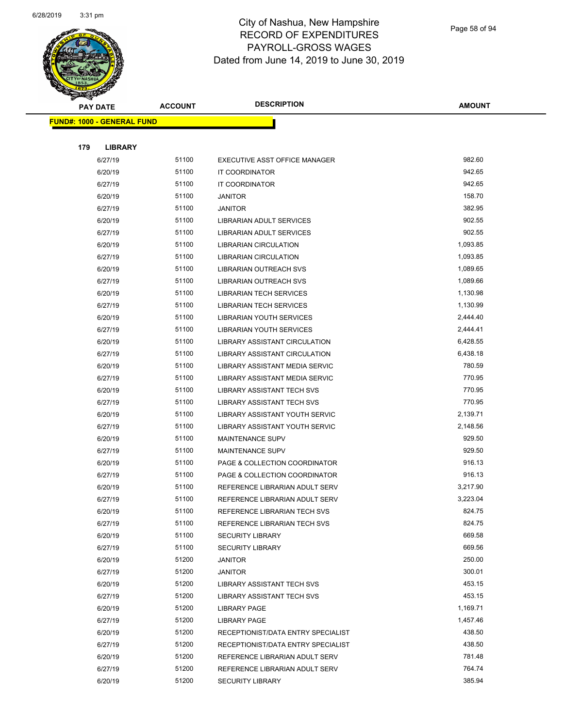

| <b>PAY DATE</b> |                                   | <b>DESCRIPTION</b><br><b>ACCOUNT</b> |                                    | <b>AMOUNT</b> |
|-----------------|-----------------------------------|--------------------------------------|------------------------------------|---------------|
|                 | <b>FUND#: 1000 - GENERAL FUND</b> |                                      |                                    |               |
|                 |                                   |                                      |                                    |               |
| 179             | <b>LIBRARY</b>                    |                                      |                                    |               |
|                 | 6/27/19                           | 51100                                | EXECUTIVE ASST OFFICE MANAGER      | 982.60        |
|                 | 6/20/19                           | 51100                                | IT COORDINATOR                     | 942.65        |
|                 | 6/27/19                           | 51100                                | IT COORDINATOR                     | 942.65        |
|                 | 6/20/19                           | 51100                                | <b>JANITOR</b>                     | 158.70        |
|                 | 6/27/19                           | 51100                                | <b>JANITOR</b>                     | 382.95        |
|                 | 6/20/19                           | 51100                                | LIBRARIAN ADULT SERVICES           | 902.55        |
|                 | 6/27/19                           | 51100                                | LIBRARIAN ADULT SERVICES           | 902.55        |
|                 | 6/20/19                           | 51100                                | <b>LIBRARIAN CIRCULATION</b>       | 1,093.85      |
|                 | 6/27/19                           | 51100                                | LIBRARIAN CIRCULATION              | 1,093.85      |
|                 | 6/20/19                           | 51100                                | LIBRARIAN OUTREACH SVS             | 1,089.65      |
|                 | 6/27/19                           | 51100                                | LIBRARIAN OUTREACH SVS             | 1,089.66      |
|                 | 6/20/19                           | 51100                                | <b>LIBRARIAN TECH SERVICES</b>     | 1,130.98      |
|                 | 6/27/19                           | 51100                                | <b>LIBRARIAN TECH SERVICES</b>     | 1,130.99      |
|                 | 6/20/19                           | 51100                                | <b>LIBRARIAN YOUTH SERVICES</b>    | 2,444.40      |
|                 | 6/27/19                           | 51100                                | <b>LIBRARIAN YOUTH SERVICES</b>    | 2,444.41      |
|                 | 6/20/19                           | 51100                                | LIBRARY ASSISTANT CIRCULATION      | 6,428.55      |
|                 | 6/27/19                           | 51100                                | LIBRARY ASSISTANT CIRCULATION      | 6,438.18      |
|                 | 6/20/19                           | 51100                                | LIBRARY ASSISTANT MEDIA SERVIC     | 780.59        |
|                 | 6/27/19                           | 51100                                | LIBRARY ASSISTANT MEDIA SERVIC     | 770.95        |
|                 | 6/20/19                           | 51100                                | LIBRARY ASSISTANT TECH SVS         | 770.95        |
|                 | 6/27/19                           | 51100                                | LIBRARY ASSISTANT TECH SVS         | 770.95        |
|                 | 6/20/19                           | 51100                                | LIBRARY ASSISTANT YOUTH SERVIC     | 2,139.71      |
|                 | 6/27/19                           | 51100                                | LIBRARY ASSISTANT YOUTH SERVIC     | 2,148.56      |
|                 | 6/20/19                           | 51100                                | MAINTENANCE SUPV                   | 929.50        |
|                 | 6/27/19                           | 51100                                | <b>MAINTENANCE SUPV</b>            | 929.50        |
|                 | 6/20/19                           | 51100                                | PAGE & COLLECTION COORDINATOR      | 916.13        |
|                 | 6/27/19                           | 51100                                | PAGE & COLLECTION COORDINATOR      | 916.13        |
|                 | 6/20/19                           | 51100                                | REFERENCE LIBRARIAN ADULT SERV     | 3,217.90      |
|                 | 6/27/19                           | 51100                                | REFERENCE LIBRARIAN ADULT SERV     | 3,223.04      |
|                 | 6/20/19                           | 51100                                | REFERENCE LIBRARIAN TECH SVS       | 824.75        |
|                 | 6/27/19                           | 51100                                | REFERENCE LIBRARIAN TECH SVS       | 824.75        |
|                 | 6/20/19                           | 51100                                | <b>SECURITY LIBRARY</b>            | 669.58        |
|                 | 6/27/19                           | 51100                                | <b>SECURITY LIBRARY</b>            | 669.56        |
|                 | 6/20/19                           | 51200                                | <b>JANITOR</b>                     | 250.00        |
|                 | 6/27/19                           | 51200                                | <b>JANITOR</b>                     | 300.01        |
|                 | 6/20/19                           | 51200                                | LIBRARY ASSISTANT TECH SVS         | 453.15        |
|                 | 6/27/19                           | 51200                                | <b>LIBRARY ASSISTANT TECH SVS</b>  | 453.15        |
|                 | 6/20/19                           | 51200                                | <b>LIBRARY PAGE</b>                | 1,169.71      |
|                 | 6/27/19                           | 51200                                | <b>LIBRARY PAGE</b>                | 1,457.46      |
|                 | 6/20/19                           | 51200                                | RECEPTIONIST/DATA ENTRY SPECIALIST | 438.50        |
|                 | 6/27/19                           | 51200                                | RECEPTIONIST/DATA ENTRY SPECIALIST | 438.50        |
|                 | 6/20/19                           | 51200                                | REFERENCE LIBRARIAN ADULT SERV     | 781.48        |
|                 | 6/27/19                           | 51200                                | REFERENCE LIBRARIAN ADULT SERV     | 764.74        |
|                 | 6/20/19                           | 51200                                | <b>SECURITY LIBRARY</b>            | 385.94        |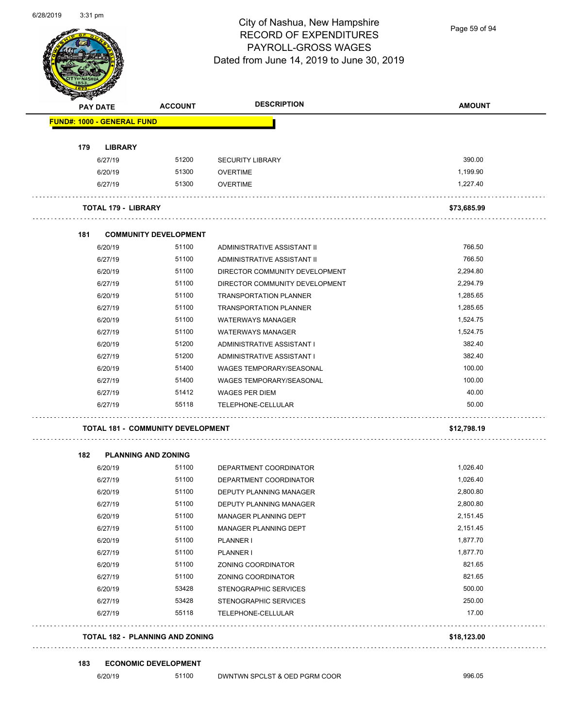

Page 59 of 94

|     | <b>PAY DATE</b>                   | <b>ACCOUNT</b>                           | <b>DESCRIPTION</b>              | <b>AMOUNT</b> |
|-----|-----------------------------------|------------------------------------------|---------------------------------|---------------|
|     | <b>FUND#: 1000 - GENERAL FUND</b> |                                          |                                 |               |
| 179 | <b>LIBRARY</b>                    |                                          |                                 |               |
|     | 6/27/19                           | 51200                                    | <b>SECURITY LIBRARY</b>         | 390.00        |
|     | 6/20/19                           | 51300                                    | <b>OVERTIME</b>                 | 1,199.90      |
|     | 6/27/19                           | 51300                                    | <b>OVERTIME</b>                 | 1,227.40      |
|     | <b>TOTAL 179 - LIBRARY</b>        |                                          |                                 | \$73,685.99   |
| 181 |                                   | <b>COMMUNITY DEVELOPMENT</b>             |                                 |               |
|     | 6/20/19                           | 51100                                    | ADMINISTRATIVE ASSISTANT II     | 766.50        |
|     | 6/27/19                           | 51100                                    | ADMINISTRATIVE ASSISTANT II     | 766.50        |
|     | 6/20/19                           | 51100                                    | DIRECTOR COMMUNITY DEVELOPMENT  | 2,294.80      |
|     | 6/27/19                           | 51100                                    | DIRECTOR COMMUNITY DEVELOPMENT  | 2,294.79      |
|     | 6/20/19                           | 51100                                    | <b>TRANSPORTATION PLANNER</b>   | 1,285.65      |
|     | 6/27/19                           | 51100                                    | <b>TRANSPORTATION PLANNER</b>   | 1,285.65      |
|     | 6/20/19                           | 51100                                    | <b>WATERWAYS MANAGER</b>        | 1,524.75      |
|     | 6/27/19                           | 51100                                    | <b>WATERWAYS MANAGER</b>        | 1,524.75      |
|     | 6/20/19                           | 51200                                    | ADMINISTRATIVE ASSISTANT I      | 382.40        |
|     | 6/27/19                           | 51200                                    | ADMINISTRATIVE ASSISTANT I      | 382.40        |
|     | 6/20/19                           | 51400                                    | <b>WAGES TEMPORARY/SEASONAL</b> | 100.00        |
|     | 6/27/19                           | 51400                                    | <b>WAGES TEMPORARY/SEASONAL</b> | 100.00        |
|     | 6/27/19                           | 51412                                    | <b>WAGES PER DIEM</b>           | 40.00         |
|     | 6/27/19                           | 55118                                    | TELEPHONE-CELLULAR              | 50.00         |
|     |                                   | <b>TOTAL 181 - COMMUNITY DEVELOPMENT</b> |                                 | \$12,798.19   |
| 182 |                                   | <b>PLANNING AND ZONING</b>               |                                 |               |
|     | 6/20/19                           | 51100                                    | DEPARTMENT COORDINATOR          | 1,026.40      |
|     | 6/27/19                           | 51100                                    | DEPARTMENT COORDINATOR          | 1,026.40      |
|     | 6/20/19                           | 51100                                    | DEPUTY PLANNING MANAGER         | 2,800.80      |
|     | 6/27/19                           | 51100                                    | DEPUTY PLANNING MANAGER         | 2,800.80      |
|     | 6/20/19                           | 51100                                    | MANAGER PLANNING DEPT           | 2,151.45      |
|     | 6/27/19                           | 51100                                    | MANAGER PLANNING DEPT           | 2,151.45      |
|     | 6/20/19                           | 51100                                    | PLANNER I                       | 1,877.70      |
|     | 6/27/19                           | 51100                                    | PLANNER I                       | 1,877.70      |
|     | 6/20/19                           | 51100                                    | ZONING COORDINATOR              | 821.65        |
|     | 6/27/19                           | 51100                                    | ZONING COORDINATOR              | 821.65        |
|     | 6/20/19                           | 53428                                    | <b>STENOGRAPHIC SERVICES</b>    | 500.00        |
|     | 6/27/19                           | 53428                                    | STENOGRAPHIC SERVICES           | 250.00        |
|     | 6/27/19                           | 55118                                    | TELEPHONE-CELLULAR              | 17.00         |
|     |                                   |                                          |                                 |               |

**183 ECONOMIC DEVELOPMENT**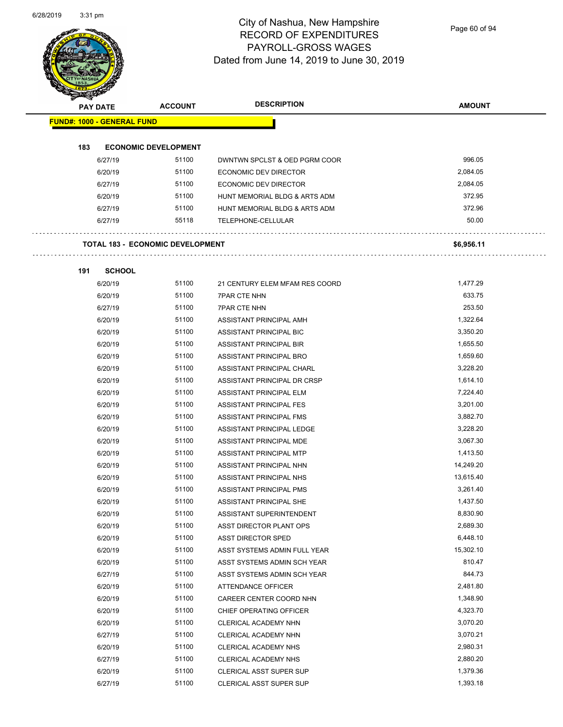

Page 60 of 94

| <b>PAY DATE</b>                   | <b>ACCOUNT</b>                          | <b>DESCRIPTION</b>             | <b>AMOUNT</b> |
|-----------------------------------|-----------------------------------------|--------------------------------|---------------|
| <b>FUND#: 1000 - GENERAL FUND</b> |                                         |                                |               |
| 183                               | <b>ECONOMIC DEVELOPMENT</b>             |                                |               |
| 6/27/19                           | 51100                                   | DWNTWN SPCLST & OED PGRM COOR  | 996.05        |
| 6/20/19                           | 51100                                   | ECONOMIC DEV DIRECTOR          | 2,084.05      |
| 6/27/19                           | 51100                                   | <b>ECONOMIC DEV DIRECTOR</b>   | 2,084.05      |
| 6/20/19                           | 51100                                   | HUNT MEMORIAL BLDG & ARTS ADM  | 372.95        |
| 6/27/19                           | 51100                                   | HUNT MEMORIAL BLDG & ARTS ADM  | 372.96        |
| 6/27/19                           | 55118                                   | TELEPHONE-CELLULAR             | 50.00         |
|                                   | <b>TOTAL 183 - ECONOMIC DEVELOPMENT</b> |                                | \$6,956.11    |
|                                   |                                         |                                |               |
| 191                               | <b>SCHOOL</b>                           |                                |               |
| 6/20/19                           | 51100                                   | 21 CENTURY ELEM MFAM RES COORD | 1,477.29      |
| 6/20/19                           | 51100                                   | <b>7PAR CTE NHN</b>            | 633.75        |
| 6/27/19                           | 51100                                   | <b>7PAR CTE NHN</b>            | 253.50        |
| 6/20/19                           | 51100                                   | ASSISTANT PRINCIPAL AMH        | 1,322.64      |
| 6/20/19                           | 51100                                   | ASSISTANT PRINCIPAL BIC        | 3,350.20      |
| 6/20/19                           | 51100                                   | ASSISTANT PRINCIPAL BIR        | 1,655.50      |
| 6/20/19                           | 51100                                   | ASSISTANT PRINCIPAL BRO        | 1,659.60      |
| 6/20/19                           | 51100                                   | ASSISTANT PRINCIPAL CHARL      | 3,228.20      |
| 6/20/19                           | 51100                                   | ASSISTANT PRINCIPAL DR CRSP    | 1,614.10      |
| 6/20/19                           | 51100                                   | ASSISTANT PRINCIPAL ELM        | 7,224.40      |
| 6/20/19                           | 51100                                   | ASSISTANT PRINCIPAL FES        | 3,201.00      |
| 6/20/19                           | 51100                                   | ASSISTANT PRINCIPAL FMS        | 3,882.70      |
| 6/20/19                           | 51100                                   | ASSISTANT PRINCIPAL LEDGE      | 3,228.20      |
| 6/20/19                           | 51100                                   | ASSISTANT PRINCIPAL MDE        | 3,067.30      |
| 6/20/19                           | 51100                                   | ASSISTANT PRINCIPAL MTP        | 1,413.50      |
| 6/20/19                           | 51100                                   | ASSISTANT PRINCIPAL NHN        | 14,249.20     |
| 6/20/19                           | 51100                                   | ASSISTANT PRINCIPAL NHS        | 13,615.40     |
| 6/20/19                           | 51100                                   | ASSISTANT PRINCIPAL PMS        | 3,261.40      |
| 6/20/19                           | 51100                                   | ASSISTANT PRINCIPAL SHE        | 1,437.50      |
| 6/20/19                           | 51100                                   | ASSISTANT SUPERINTENDENT       | 8,830.90      |
| 6/20/19                           | 51100                                   | ASST DIRECTOR PLANT OPS        | 2,689.30      |
| 6/20/19                           | 51100                                   | ASST DIRECTOR SPED             | 6,448.10      |
| 6/20/19                           | 51100                                   | ASST SYSTEMS ADMIN FULL YEAR   | 15,302.10     |
| 6/20/19                           | 51100                                   | ASST SYSTEMS ADMIN SCH YEAR    | 810.47        |
| 6/27/19                           | 51100                                   | ASST SYSTEMS ADMIN SCH YEAR    | 844.73        |
| 6/20/19                           | 51100                                   | ATTENDANCE OFFICER             | 2,481.80      |
| 6/20/19                           | 51100                                   | CAREER CENTER COORD NHN        | 1,348.90      |
| 6/20/19                           | 51100                                   | CHIEF OPERATING OFFICER        | 4,323.70      |
| 6/20/19                           | 51100                                   | CLERICAL ACADEMY NHN           | 3,070.20      |
| 6/27/19                           | 51100                                   | CLERICAL ACADEMY NHN           | 3,070.21      |
| 6/20/19                           | 51100                                   | CLERICAL ACADEMY NHS           | 2,980.31      |
| 6/27/19                           | 51100                                   | CLERICAL ACADEMY NHS           | 2,880.20      |
| 6/20/19                           | 51100                                   | <b>CLERICAL ASST SUPER SUP</b> | 1,379.36      |
| 6/27/19                           | 51100                                   | <b>CLERICAL ASST SUPER SUP</b> | 1,393.18      |
|                                   |                                         |                                |               |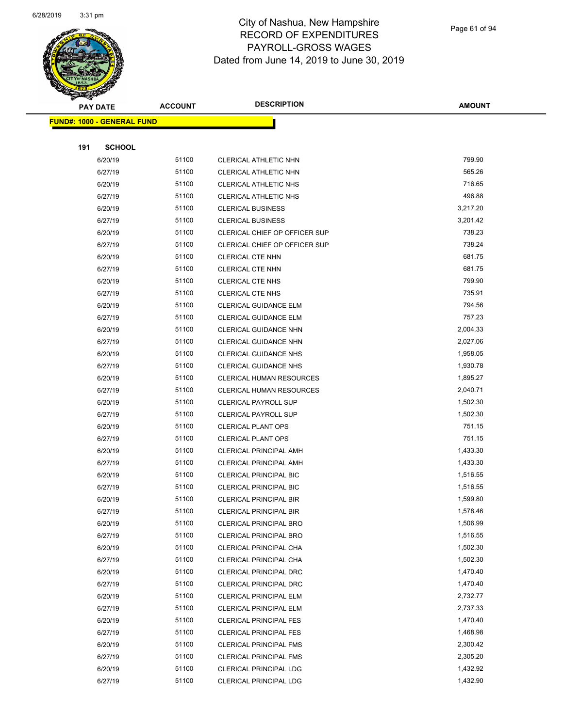

Page 61 of 94

| <b>PAY DATE</b> |                                   | <b>ACCOUNT</b> | <b>DESCRIPTION</b>              | <b>AMOUNT</b> |
|-----------------|-----------------------------------|----------------|---------------------------------|---------------|
|                 | <b>FUND#: 1000 - GENERAL FUND</b> |                |                                 |               |
|                 |                                   |                |                                 |               |
| 191             | <b>SCHOOL</b>                     |                |                                 |               |
| 6/20/19         |                                   | 51100          | CLERICAL ATHLETIC NHN           | 799.90        |
| 6/27/19         |                                   | 51100          | CLERICAL ATHLETIC NHN           | 565.26        |
| 6/20/19         |                                   | 51100          | <b>CLERICAL ATHLETIC NHS</b>    | 716.65        |
| 6/27/19         |                                   | 51100          | <b>CLERICAL ATHLETIC NHS</b>    | 496.88        |
| 6/20/19         |                                   | 51100          | <b>CLERICAL BUSINESS</b>        | 3,217.20      |
| 6/27/19         |                                   | 51100          | <b>CLERICAL BUSINESS</b>        | 3,201.42      |
| 6/20/19         |                                   | 51100          | CLERICAL CHIEF OP OFFICER SUP   | 738.23        |
| 6/27/19         |                                   | 51100          | CLERICAL CHIEF OP OFFICER SUP   | 738.24        |
| 6/20/19         |                                   | 51100          | CLERICAL CTE NHN                | 681.75        |
| 6/27/19         |                                   | 51100          | <b>CLERICAL CTE NHN</b>         | 681.75        |
| 6/20/19         |                                   | 51100          | <b>CLERICAL CTE NHS</b>         | 799.90        |
| 6/27/19         |                                   | 51100          | <b>CLERICAL CTE NHS</b>         | 735.91        |
| 6/20/19         |                                   | 51100          | CLERICAL GUIDANCE ELM           | 794.56        |
| 6/27/19         |                                   | 51100          | <b>CLERICAL GUIDANCE ELM</b>    | 757.23        |
| 6/20/19         |                                   | 51100          | CLERICAL GUIDANCE NHN           | 2,004.33      |
| 6/27/19         |                                   | 51100          | CLERICAL GUIDANCE NHN           | 2,027.06      |
| 6/20/19         |                                   | 51100          | CLERICAL GUIDANCE NHS           | 1,958.05      |
| 6/27/19         |                                   | 51100          | CLERICAL GUIDANCE NHS           | 1,930.78      |
| 6/20/19         |                                   | 51100          | <b>CLERICAL HUMAN RESOURCES</b> | 1,895.27      |
| 6/27/19         |                                   | 51100          | <b>CLERICAL HUMAN RESOURCES</b> | 2,040.71      |
| 6/20/19         |                                   | 51100          | <b>CLERICAL PAYROLL SUP</b>     | 1,502.30      |
| 6/27/19         |                                   | 51100          | <b>CLERICAL PAYROLL SUP</b>     | 1,502.30      |
| 6/20/19         |                                   | 51100          | <b>CLERICAL PLANT OPS</b>       | 751.15        |
| 6/27/19         |                                   | 51100          | <b>CLERICAL PLANT OPS</b>       | 751.15        |
| 6/20/19         |                                   | 51100          | <b>CLERICAL PRINCIPAL AMH</b>   | 1,433.30      |
| 6/27/19         |                                   | 51100          | <b>CLERICAL PRINCIPAL AMH</b>   | 1,433.30      |
| 6/20/19         |                                   | 51100          | <b>CLERICAL PRINCIPAL BIC</b>   | 1,516.55      |
| 6/27/19         |                                   | 51100          | CLERICAL PRINCIPAL BIC          | 1,516.55      |
| 6/20/19         |                                   | 51100          | <b>CLERICAL PRINCIPAL BIR</b>   | 1,599.80      |
| 6/27/19         |                                   | 51100          | CLERICAL PRINCIPAL BIR          | 1,578.46      |
| 6/20/19         |                                   | 51100          | <b>CLERICAL PRINCIPAL BRO</b>   | 1,506.99      |
| 6/27/19         |                                   | 51100          | CLERICAL PRINCIPAL BRO          | 1,516.55      |
| 6/20/19         |                                   | 51100          | CLERICAL PRINCIPAL CHA          | 1,502.30      |
| 6/27/19         |                                   | 51100          | CLERICAL PRINCIPAL CHA          | 1,502.30      |
| 6/20/19         |                                   | 51100          | CLERICAL PRINCIPAL DRC          | 1,470.40      |
| 6/27/19         |                                   | 51100          | CLERICAL PRINCIPAL DRC          | 1,470.40      |
| 6/20/19         |                                   | 51100          | <b>CLERICAL PRINCIPAL ELM</b>   | 2,732.77      |
| 6/27/19         |                                   | 51100          | <b>CLERICAL PRINCIPAL ELM</b>   | 2,737.33      |
| 6/20/19         |                                   | 51100          | <b>CLERICAL PRINCIPAL FES</b>   | 1,470.40      |
| 6/27/19         |                                   | 51100          | <b>CLERICAL PRINCIPAL FES</b>   | 1,468.98      |
| 6/20/19         |                                   | 51100          | <b>CLERICAL PRINCIPAL FMS</b>   | 2,300.42      |
| 6/27/19         |                                   | 51100          | <b>CLERICAL PRINCIPAL FMS</b>   | 2,305.20      |
| 6/20/19         |                                   | 51100          | CLERICAL PRINCIPAL LDG          | 1,432.92      |
| 6/27/19         |                                   | 51100          | <b>CLERICAL PRINCIPAL LDG</b>   | 1,432.90      |
|                 |                                   |                |                                 |               |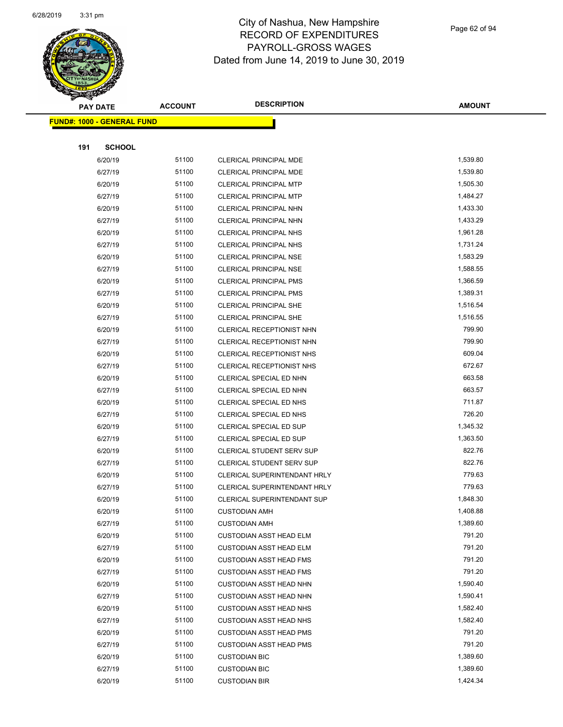

Page 62 of 94

|     | <b>PAY DATE</b>                   | <b>ACCOUNT</b> | <b>DESCRIPTION</b>                                               | <b>AMOUNT</b>      |
|-----|-----------------------------------|----------------|------------------------------------------------------------------|--------------------|
|     | <b>FUND#: 1000 - GENERAL FUND</b> |                |                                                                  |                    |
|     |                                   |                |                                                                  |                    |
| 191 | <b>SCHOOL</b>                     |                |                                                                  |                    |
|     | 6/20/19                           | 51100          | <b>CLERICAL PRINCIPAL MDE</b>                                    | 1,539.80           |
|     | 6/27/19                           | 51100          | <b>CLERICAL PRINCIPAL MDE</b>                                    | 1,539.80           |
|     | 6/20/19                           | 51100          | <b>CLERICAL PRINCIPAL MTP</b>                                    | 1,505.30           |
|     | 6/27/19                           | 51100          | <b>CLERICAL PRINCIPAL MTP</b>                                    | 1,484.27           |
|     | 6/20/19                           | 51100          | CLERICAL PRINCIPAL NHN                                           | 1,433.30           |
|     | 6/27/19                           | 51100          | CLERICAL PRINCIPAL NHN                                           | 1,433.29           |
|     | 6/20/19                           | 51100          | <b>CLERICAL PRINCIPAL NHS</b>                                    | 1,961.28           |
|     | 6/27/19                           | 51100          | <b>CLERICAL PRINCIPAL NHS</b>                                    | 1,731.24           |
|     | 6/20/19                           | 51100          | <b>CLERICAL PRINCIPAL NSE</b>                                    | 1,583.29           |
|     | 6/27/19                           | 51100          | <b>CLERICAL PRINCIPAL NSE</b>                                    | 1,588.55           |
|     | 6/20/19                           | 51100          | CLERICAL PRINCIPAL PMS                                           | 1,366.59           |
|     | 6/27/19                           | 51100          | <b>CLERICAL PRINCIPAL PMS</b>                                    | 1,389.31           |
|     | 6/20/19                           | 51100          | <b>CLERICAL PRINCIPAL SHE</b>                                    | 1,516.54           |
|     | 6/27/19                           | 51100          | <b>CLERICAL PRINCIPAL SHE</b>                                    | 1,516.55           |
|     | 6/20/19                           | 51100          | CLERICAL RECEPTIONIST NHN                                        | 799.90             |
|     | 6/27/19                           | 51100          | CLERICAL RECEPTIONIST NHN                                        | 799.90             |
|     | 6/20/19                           | 51100          | <b>CLERICAL RECEPTIONIST NHS</b>                                 | 609.04             |
|     | 6/27/19                           | 51100          | CLERICAL RECEPTIONIST NHS                                        | 672.67             |
|     | 6/20/19                           | 51100          | CLERICAL SPECIAL ED NHN                                          | 663.58             |
|     | 6/27/19                           | 51100          | CLERICAL SPECIAL ED NHN                                          | 663.57             |
|     | 6/20/19                           | 51100          | CLERICAL SPECIAL ED NHS                                          | 711.87             |
|     | 6/27/19                           | 51100          | CLERICAL SPECIAL ED NHS                                          | 726.20             |
|     | 6/20/19                           | 51100          | CLERICAL SPECIAL ED SUP                                          | 1,345.32           |
|     | 6/27/19                           | 51100          | CLERICAL SPECIAL ED SUP                                          | 1,363.50           |
|     | 6/20/19                           | 51100          | CLERICAL STUDENT SERV SUP                                        | 822.76             |
|     | 6/27/19                           | 51100          | CLERICAL STUDENT SERV SUP                                        | 822.76             |
|     | 6/20/19                           | 51100          | CLERICAL SUPERINTENDANT HRLY                                     | 779.63             |
|     | 6/27/19                           | 51100          | CLERICAL SUPERINTENDANT HRLY                                     | 779.63             |
|     | 6/20/19                           | 51100          | <b>CLERICAL SUPERINTENDANT SUP</b>                               | 1,848.30           |
|     | 6/20/19                           | 51100          | <b>CUSTODIAN AMH</b>                                             | 1,408.88           |
|     | 6/27/19                           | 51100<br>51100 | <b>CUSTODIAN AMH</b>                                             | 1,389.60<br>791.20 |
|     | 6/20/19                           | 51100          | <b>CUSTODIAN ASST HEAD ELM</b><br><b>CUSTODIAN ASST HEAD ELM</b> | 791.20             |
|     | 6/27/19<br>6/20/19                | 51100          | <b>CUSTODIAN ASST HEAD FMS</b>                                   | 791.20             |
|     | 6/27/19                           | 51100          | <b>CUSTODIAN ASST HEAD FMS</b>                                   | 791.20             |
|     | 6/20/19                           | 51100          | <b>CUSTODIAN ASST HEAD NHN</b>                                   | 1,590.40           |
|     | 6/27/19                           | 51100          | <b>CUSTODIAN ASST HEAD NHN</b>                                   | 1,590.41           |
|     | 6/20/19                           | 51100          | <b>CUSTODIAN ASST HEAD NHS</b>                                   | 1,582.40           |
|     | 6/27/19                           | 51100          | <b>CUSTODIAN ASST HEAD NHS</b>                                   | 1,582.40           |
|     | 6/20/19                           | 51100          | <b>CUSTODIAN ASST HEAD PMS</b>                                   | 791.20             |
|     | 6/27/19                           | 51100          | <b>CUSTODIAN ASST HEAD PMS</b>                                   | 791.20             |
|     | 6/20/19                           | 51100          | <b>CUSTODIAN BIC</b>                                             | 1,389.60           |
|     | 6/27/19                           | 51100          | <b>CUSTODIAN BIC</b>                                             | 1,389.60           |
|     | 6/20/19                           | 51100          | <b>CUSTODIAN BIR</b>                                             | 1,424.34           |
|     |                                   |                |                                                                  |                    |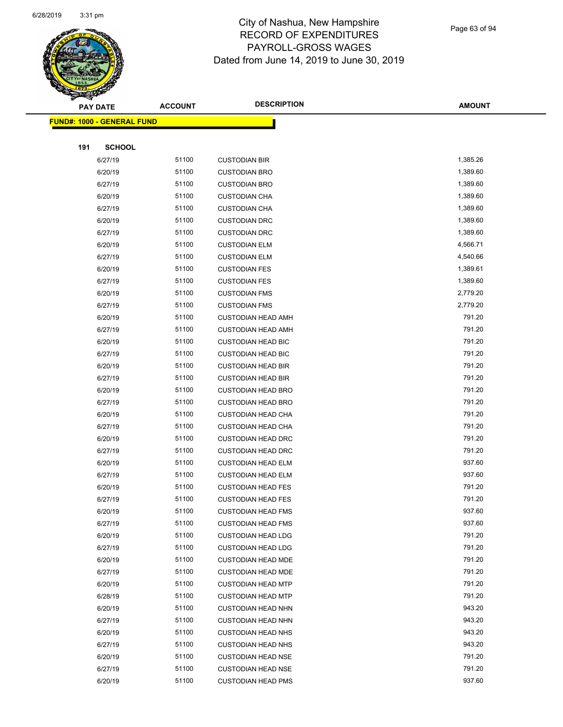

Page 63 of 94

| $\tilde{\phantom{a}}$ | <b>PAY DATE</b>                   | <b>ACCOUNT</b> | <b>DESCRIPTION</b>                                     | <b>AMOUNT</b>    |
|-----------------------|-----------------------------------|----------------|--------------------------------------------------------|------------------|
|                       | <b>FUND#: 1000 - GENERAL FUND</b> |                |                                                        |                  |
|                       |                                   |                |                                                        |                  |
| 191                   | <b>SCHOOL</b>                     |                |                                                        |                  |
|                       | 6/27/19                           | 51100          | <b>CUSTODIAN BIR</b>                                   | 1,385.26         |
|                       | 6/20/19                           | 51100          | <b>CUSTODIAN BRO</b>                                   | 1,389.60         |
|                       | 6/27/19                           | 51100          | <b>CUSTODIAN BRO</b>                                   | 1,389.60         |
|                       | 6/20/19                           | 51100          | <b>CUSTODIAN CHA</b>                                   | 1,389.60         |
|                       | 6/27/19                           | 51100          | <b>CUSTODIAN CHA</b>                                   | 1,389.60         |
|                       | 6/20/19                           | 51100          | <b>CUSTODIAN DRC</b>                                   | 1,389.60         |
|                       | 6/27/19                           | 51100          | <b>CUSTODIAN DRC</b>                                   | 1,389.60         |
|                       | 6/20/19                           | 51100          | <b>CUSTODIAN ELM</b>                                   | 4,566.71         |
|                       | 6/27/19                           | 51100          | <b>CUSTODIAN ELM</b>                                   | 4,540.66         |
|                       | 6/20/19                           | 51100          | <b>CUSTODIAN FES</b>                                   | 1,389.61         |
|                       | 6/27/19                           | 51100          | <b>CUSTODIAN FES</b>                                   | 1,389.60         |
|                       | 6/20/19                           | 51100          | <b>CUSTODIAN FMS</b>                                   | 2,779.20         |
|                       | 6/27/19                           | 51100          | <b>CUSTODIAN FMS</b>                                   | 2,779.20         |
|                       | 6/20/19                           | 51100          | <b>CUSTODIAN HEAD AMH</b>                              | 791.20           |
|                       | 6/27/19                           | 51100          | <b>CUSTODIAN HEAD AMH</b>                              | 791.20           |
|                       | 6/20/19                           | 51100          | <b>CUSTODIAN HEAD BIC</b>                              | 791.20           |
|                       | 6/27/19                           | 51100          | <b>CUSTODIAN HEAD BIC</b>                              | 791.20           |
|                       | 6/20/19                           | 51100          | <b>CUSTODIAN HEAD BIR</b>                              | 791.20           |
|                       | 6/27/19                           | 51100          | <b>CUSTODIAN HEAD BIR</b>                              | 791.20           |
|                       | 6/20/19                           | 51100          | <b>CUSTODIAN HEAD BRO</b>                              | 791.20           |
|                       | 6/27/19                           | 51100          | <b>CUSTODIAN HEAD BRO</b>                              | 791.20           |
|                       | 6/20/19                           | 51100          | <b>CUSTODIAN HEAD CHA</b>                              | 791.20           |
|                       | 6/27/19                           | 51100          | <b>CUSTODIAN HEAD CHA</b>                              | 791.20           |
|                       | 6/20/19                           | 51100          | <b>CUSTODIAN HEAD DRC</b>                              | 791.20           |
|                       | 6/27/19                           | 51100          | <b>CUSTODIAN HEAD DRC</b>                              | 791.20           |
|                       | 6/20/19                           | 51100          | <b>CUSTODIAN HEAD ELM</b>                              | 937.60           |
|                       | 6/27/19                           | 51100          | <b>CUSTODIAN HEAD ELM</b>                              | 937.60           |
|                       | 6/20/19                           | 51100          | <b>CUSTODIAN HEAD FES</b>                              | 791.20           |
|                       | 6/27/19                           | 51100          | <b>CUSTODIAN HEAD FES</b>                              | 791.20           |
|                       | 6/20/19                           | 51100          | <b>CUSTODIAN HEAD FMS</b>                              | 937.60           |
|                       | 6/27/19                           | 51100          | <b>CUSTODIAN HEAD FMS</b>                              | 937.60           |
|                       | 6/20/19                           | 51100          | <b>CUSTODIAN HEAD LDG</b>                              | 791.20           |
|                       | 6/27/19                           | 51100          | <b>CUSTODIAN HEAD LDG</b>                              | 791.20           |
|                       | 6/20/19                           | 51100<br>51100 | <b>CUSTODIAN HEAD MDE</b>                              | 791.20<br>791.20 |
|                       | 6/27/19                           | 51100          | <b>CUSTODIAN HEAD MDE</b>                              | 791.20           |
|                       | 6/20/19                           | 51100          | <b>CUSTODIAN HEAD MTP</b><br><b>CUSTODIAN HEAD MTP</b> | 791.20           |
|                       | 6/28/19                           |                |                                                        | 943.20           |
|                       | 6/20/19                           | 51100<br>51100 | <b>CUSTODIAN HEAD NHN</b>                              | 943.20           |
|                       | 6/27/19                           | 51100          | <b>CUSTODIAN HEAD NHN</b>                              | 943.20           |
|                       | 6/20/19<br>6/27/19                | 51100          | <b>CUSTODIAN HEAD NHS</b><br><b>CUSTODIAN HEAD NHS</b> | 943.20           |
|                       | 6/20/19                           | 51100          | <b>CUSTODIAN HEAD NSE</b>                              | 791.20           |
|                       | 6/27/19                           | 51100          | <b>CUSTODIAN HEAD NSE</b>                              | 791.20           |
|                       | 6/20/19                           | 51100          | <b>CUSTODIAN HEAD PMS</b>                              | 937.60           |
|                       |                                   |                |                                                        |                  |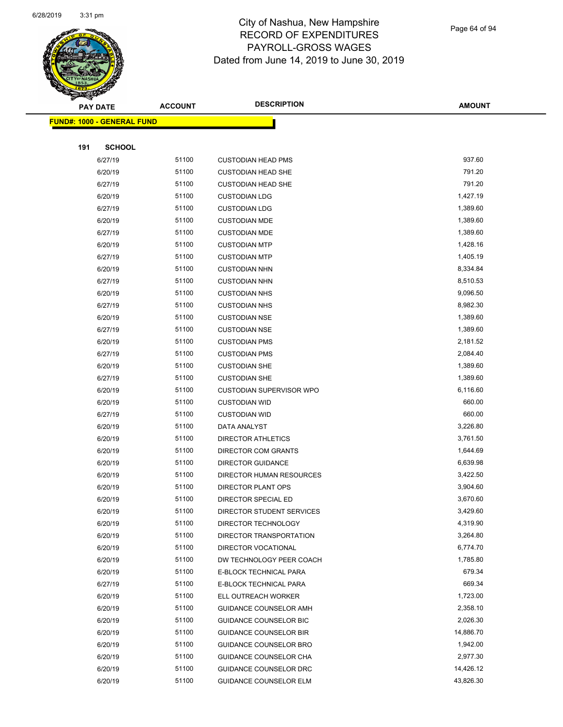

Page 64 of 94

|     | <b>PAY DATE</b>                    | <b>ACCOUNT</b> | <b>DESCRIPTION</b>                                   | <b>AMOUNT</b>    |
|-----|------------------------------------|----------------|------------------------------------------------------|------------------|
|     | <u> FUND#: 1000 - GENERAL FUND</u> |                |                                                      |                  |
|     |                                    |                |                                                      |                  |
| 191 | <b>SCHOOL</b>                      |                |                                                      |                  |
|     | 6/27/19                            | 51100          | <b>CUSTODIAN HEAD PMS</b>                            | 937.60           |
|     | 6/20/19                            | 51100          | <b>CUSTODIAN HEAD SHE</b>                            | 791.20           |
|     | 6/27/19                            | 51100          | <b>CUSTODIAN HEAD SHE</b>                            | 791.20           |
|     | 6/20/19                            | 51100          | <b>CUSTODIAN LDG</b>                                 | 1,427.19         |
|     | 6/27/19                            | 51100          | <b>CUSTODIAN LDG</b>                                 | 1,389.60         |
|     | 6/20/19                            | 51100          | <b>CUSTODIAN MDE</b>                                 | 1,389.60         |
|     | 6/27/19                            | 51100          | <b>CUSTODIAN MDE</b>                                 | 1,389.60         |
|     | 6/20/19                            | 51100          | <b>CUSTODIAN MTP</b>                                 | 1,428.16         |
|     | 6/27/19                            | 51100          | <b>CUSTODIAN MTP</b>                                 | 1,405.19         |
|     | 6/20/19                            | 51100          | <b>CUSTODIAN NHN</b>                                 | 8,334.84         |
|     | 6/27/19                            | 51100          | <b>CUSTODIAN NHN</b>                                 | 8,510.53         |
|     | 6/20/19                            | 51100          | <b>CUSTODIAN NHS</b>                                 | 9,096.50         |
|     | 6/27/19                            | 51100          | <b>CUSTODIAN NHS</b>                                 | 8,982.30         |
|     | 6/20/19                            | 51100          | <b>CUSTODIAN NSE</b>                                 | 1,389.60         |
|     | 6/27/19                            | 51100          | <b>CUSTODIAN NSE</b>                                 | 1,389.60         |
|     | 6/20/19                            | 51100          | <b>CUSTODIAN PMS</b>                                 | 2,181.52         |
|     | 6/27/19                            | 51100          | <b>CUSTODIAN PMS</b>                                 | 2,084.40         |
|     | 6/20/19                            | 51100          | <b>CUSTODIAN SHE</b>                                 | 1,389.60         |
|     | 6/27/19                            | 51100          | <b>CUSTODIAN SHE</b>                                 | 1,389.60         |
|     | 6/20/19                            | 51100          | <b>CUSTODIAN SUPERVISOR WPO</b>                      | 6,116.60         |
|     | 6/20/19                            | 51100          | <b>CUSTODIAN WID</b>                                 | 660.00           |
|     | 6/27/19                            | 51100          | <b>CUSTODIAN WID</b>                                 | 660.00           |
|     | 6/20/19                            | 51100          | DATA ANALYST                                         | 3,226.80         |
|     | 6/20/19                            | 51100          | DIRECTOR ATHLETICS                                   | 3,761.50         |
|     | 6/20/19                            | 51100          | DIRECTOR COM GRANTS                                  | 1,644.69         |
|     | 6/20/19                            | 51100          | <b>DIRECTOR GUIDANCE</b>                             | 6,639.98         |
|     | 6/20/19                            | 51100          | DIRECTOR HUMAN RESOURCES                             | 3,422.50         |
|     | 6/20/19                            | 51100          | DIRECTOR PLANT OPS                                   | 3,904.60         |
|     | 6/20/19                            | 51100          | DIRECTOR SPECIAL ED                                  | 3,670.60         |
|     | 6/20/19                            | 51100          | DIRECTOR STUDENT SERVICES                            | 3,429.60         |
|     | 6/20/19                            | 51100          | DIRECTOR TECHNOLOGY                                  | 4,319.90         |
|     | 6/20/19                            | 51100          | DIRECTOR TRANSPORTATION                              | 3,264.80         |
|     | 6/20/19                            | 51100          | DIRECTOR VOCATIONAL                                  | 6,774.70         |
|     | 6/20/19                            | 51100          | DW TECHNOLOGY PEER COACH                             | 1,785.80         |
|     | 6/20/19                            | 51100<br>51100 | E-BLOCK TECHNICAL PARA                               | 679.34<br>669.34 |
|     | 6/27/19<br>6/20/19                 | 51100          | E-BLOCK TECHNICAL PARA                               | 1,723.00         |
|     | 6/20/19                            | 51100          | ELL OUTREACH WORKER<br><b>GUIDANCE COUNSELOR AMH</b> | 2,358.10         |
|     | 6/20/19                            | 51100          | <b>GUIDANCE COUNSELOR BIC</b>                        | 2,026.30         |
|     | 6/20/19                            | 51100          | <b>GUIDANCE COUNSELOR BIR</b>                        | 14,886.70        |
|     | 6/20/19                            | 51100          | GUIDANCE COUNSELOR BRO                               | 1,942.00         |
|     | 6/20/19                            | 51100          | GUIDANCE COUNSELOR CHA                               | 2,977.30         |
|     | 6/20/19                            | 51100          | <b>GUIDANCE COUNSELOR DRC</b>                        | 14,426.12        |
|     | 6/20/19                            | 51100          | <b>GUIDANCE COUNSELOR ELM</b>                        | 43,826.30        |
|     |                                    |                |                                                      |                  |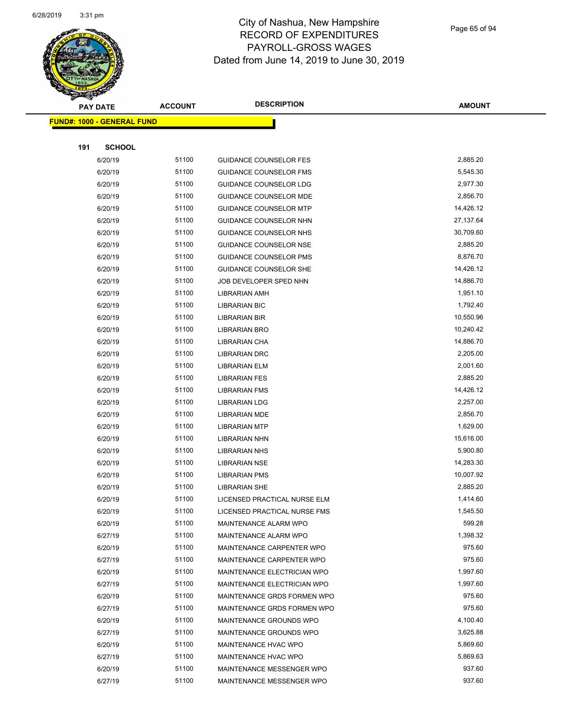

Page 65 of 94

| <b>SACTOR</b><br><b>PAY DATE</b> |                                   | <b>ACCOUNT</b> | <b>DESCRIPTION</b>            | <b>AMOUNT</b> |
|----------------------------------|-----------------------------------|----------------|-------------------------------|---------------|
|                                  |                                   |                |                               |               |
|                                  | <b>FUND#: 1000 - GENERAL FUND</b> |                |                               |               |
|                                  |                                   |                |                               |               |
| 191                              | <b>SCHOOL</b>                     |                |                               |               |
|                                  | 6/20/19                           | 51100          | <b>GUIDANCE COUNSELOR FES</b> | 2,885.20      |
|                                  | 6/20/19                           | 51100          | <b>GUIDANCE COUNSELOR FMS</b> | 5,545.30      |
|                                  | 6/20/19                           | 51100          | GUIDANCE COUNSELOR LDG        | 2,977.30      |
|                                  | 6/20/19                           | 51100          | GUIDANCE COUNSELOR MDE        | 2,856.70      |
|                                  | 6/20/19                           | 51100          | <b>GUIDANCE COUNSELOR MTP</b> | 14,426.12     |
|                                  | 6/20/19                           | 51100          | GUIDANCE COUNSELOR NHN        | 27,137.64     |
|                                  | 6/20/19                           | 51100          | GUIDANCE COUNSELOR NHS        | 30,709.60     |
|                                  | 6/20/19                           | 51100          | GUIDANCE COUNSELOR NSE        | 2,885.20      |
|                                  | 6/20/19                           | 51100          | GUIDANCE COUNSELOR PMS        | 8,876.70      |
|                                  | 6/20/19                           | 51100          | <b>GUIDANCE COUNSELOR SHE</b> | 14,426.12     |
|                                  | 6/20/19                           | 51100          | JOB DEVELOPER SPED NHN        | 14,886.70     |
|                                  | 6/20/19                           | 51100          | LIBRARIAN AMH                 | 1,951.10      |
|                                  | 6/20/19                           | 51100          | <b>LIBRARIAN BIC</b>          | 1,792.40      |
|                                  | 6/20/19                           | 51100          | <b>LIBRARIAN BIR</b>          | 10,550.96     |
|                                  | 6/20/19                           | 51100          | LIBRARIAN BRO                 | 10,240.42     |
|                                  | 6/20/19                           | 51100          | LIBRARIAN CHA                 | 14,886.70     |
|                                  | 6/20/19                           | 51100          | LIBRARIAN DRC                 | 2,205.00      |
|                                  | 6/20/19                           | 51100          | LIBRARIAN ELM                 | 2,001.60      |
|                                  | 6/20/19                           | 51100          | <b>LIBRARIAN FES</b>          | 2,885.20      |
|                                  | 6/20/19                           | 51100          | <b>LIBRARIAN FMS</b>          | 14,426.12     |
|                                  | 6/20/19                           | 51100          | <b>LIBRARIAN LDG</b>          | 2,257.00      |
|                                  | 6/20/19                           | 51100          | LIBRARIAN MDE                 | 2,856.70      |
|                                  | 6/20/19                           | 51100          | <b>LIBRARIAN MTP</b>          | 1,629.00      |
|                                  | 6/20/19                           | 51100          | LIBRARIAN NHN                 | 15,616.00     |
|                                  | 6/20/19                           | 51100          | <b>LIBRARIAN NHS</b>          | 5,900.80      |
|                                  | 6/20/19                           | 51100          | <b>LIBRARIAN NSE</b>          | 14,283.30     |
|                                  | 6/20/19                           | 51100          | <b>LIBRARIAN PMS</b>          | 10,007.92     |
|                                  | 6/20/19                           | 51100          | <b>LIBRARIAN SHE</b>          | 2,885.20      |
|                                  | 6/20/19                           | 51100          | LICENSED PRACTICAL NURSE ELM  | 1,414.60      |
|                                  | 6/20/19                           | 51100          | LICENSED PRACTICAL NURSE FMS  | 1,545.50      |
|                                  | 6/20/19                           | 51100          | MAINTENANCE ALARM WPO         | 599.28        |
|                                  | 6/27/19                           | 51100          | MAINTENANCE ALARM WPO         | 1,398.32      |
|                                  | 6/20/19                           | 51100          | MAINTENANCE CARPENTER WPO     | 975.60        |
|                                  | 6/27/19                           | 51100          | MAINTENANCE CARPENTER WPO     | 975.60        |
|                                  | 6/20/19                           | 51100          | MAINTENANCE ELECTRICIAN WPO   | 1,997.60      |
|                                  | 6/27/19                           | 51100          | MAINTENANCE ELECTRICIAN WPO   | 1,997.60      |
|                                  | 6/20/19                           | 51100          | MAINTENANCE GRDS FORMEN WPO   | 975.60        |
|                                  | 6/27/19                           | 51100          | MAINTENANCE GRDS FORMEN WPO   | 975.60        |
|                                  | 6/20/19                           | 51100          | MAINTENANCE GROUNDS WPO       | 4,100.40      |
|                                  | 6/27/19                           | 51100          | MAINTENANCE GROUNDS WPO       | 3,625.88      |
|                                  | 6/20/19                           | 51100          | MAINTENANCE HVAC WPO          | 5,869.60      |
|                                  | 6/27/19                           | 51100          | MAINTENANCE HVAC WPO          | 5,869.63      |
|                                  | 6/20/19                           | 51100          | MAINTENANCE MESSENGER WPO     | 937.60        |
|                                  | 6/27/19                           | 51100          | MAINTENANCE MESSENGER WPO     | 937.60        |
|                                  |                                   |                |                               |               |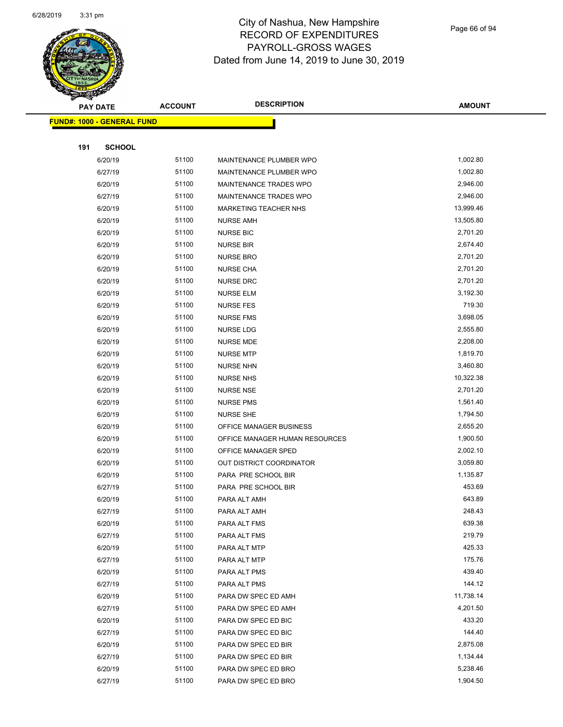

Page 66 of 94

| <b>SARGAL</b>                     |                | <b>DESCRIPTION</b>             |               |
|-----------------------------------|----------------|--------------------------------|---------------|
| <b>PAY DATE</b>                   | <b>ACCOUNT</b> |                                | <b>AMOUNT</b> |
| <b>FUND#: 1000 - GENERAL FUND</b> |                |                                |               |
|                                   |                |                                |               |
| 191<br><b>SCHOOL</b>              |                |                                |               |
| 6/20/19                           | 51100          | MAINTENANCE PLUMBER WPO        | 1,002.80      |
| 6/27/19                           | 51100          | MAINTENANCE PLUMBER WPO        | 1,002.80      |
| 6/20/19                           | 51100          | MAINTENANCE TRADES WPO         | 2,946.00      |
| 6/27/19                           | 51100          | MAINTENANCE TRADES WPO         | 2,946.00      |
| 6/20/19                           | 51100          | MARKETING TEACHER NHS          | 13,999.46     |
| 6/20/19                           | 51100          | <b>NURSE AMH</b>               | 13,505.80     |
| 6/20/19                           | 51100          | <b>NURSE BIC</b>               | 2,701.20      |
| 6/20/19                           | 51100          | <b>NURSE BIR</b>               | 2,674.40      |
| 6/20/19                           | 51100          | <b>NURSE BRO</b>               | 2,701.20      |
| 6/20/19                           | 51100          | <b>NURSE CHA</b>               | 2,701.20      |
| 6/20/19                           | 51100          | <b>NURSE DRC</b>               | 2,701.20      |
| 6/20/19                           | 51100          | NURSE ELM                      | 3,192.30      |
| 6/20/19                           | 51100          | <b>NURSE FES</b>               | 719.30        |
| 6/20/19                           | 51100          | <b>NURSE FMS</b>               | 3,698.05      |
| 6/20/19                           | 51100          | <b>NURSE LDG</b>               | 2,555.80      |
| 6/20/19                           | 51100          | <b>NURSE MDE</b>               | 2,208.00      |
| 6/20/19                           | 51100          | <b>NURSE MTP</b>               | 1,819.70      |
| 6/20/19                           | 51100          | <b>NURSE NHN</b>               | 3,460.80      |
| 6/20/19                           | 51100          | <b>NURSE NHS</b>               | 10,322.38     |
| 6/20/19                           | 51100          | NURSE NSE                      | 2,701.20      |
| 6/20/19                           | 51100          | <b>NURSE PMS</b>               | 1,561.40      |
| 6/20/19                           | 51100          | NURSE SHE                      | 1,794.50      |
| 6/20/19                           | 51100          | OFFICE MANAGER BUSINESS        | 2,655.20      |
| 6/20/19                           | 51100          | OFFICE MANAGER HUMAN RESOURCES | 1,900.50      |
| 6/20/19                           | 51100          | OFFICE MANAGER SPED            | 2,002.10      |
| 6/20/19                           | 51100          | OUT DISTRICT COORDINATOR       | 3,059.80      |
| 6/20/19                           | 51100          | PARA PRE SCHOOL BIR            | 1,135.87      |
| 6/27/19                           | 51100          | PARA PRE SCHOOL BIR            | 453.69        |
| 6/20/19                           | 51100          | PARA ALT AMH                   | 643.89        |
| 6/27/19                           | 51100          | PARA ALT AMH                   | 248.43        |
| 6/20/19                           | 51100          | PARA ALT FMS                   | 639.38        |
| 6/27/19                           | 51100          | PARA ALT FMS                   | 219.79        |
| 6/20/19                           | 51100          | PARA ALT MTP                   | 425.33        |
| 6/27/19                           | 51100          | PARA ALT MTP                   | 175.76        |
| 6/20/19                           | 51100          | PARA ALT PMS                   | 439.40        |
| 6/27/19                           | 51100          | PARA ALT PMS                   | 144.12        |
| 6/20/19                           | 51100          | PARA DW SPEC ED AMH            | 11,738.14     |
| 6/27/19                           | 51100          | PARA DW SPEC ED AMH            | 4,201.50      |
| 6/20/19                           | 51100          | PARA DW SPEC ED BIC            | 433.20        |
| 6/27/19                           | 51100          | PARA DW SPEC ED BIC            | 144.40        |
| 6/20/19                           | 51100          | PARA DW SPEC ED BIR            | 2,875.08      |
| 6/27/19                           | 51100          | PARA DW SPEC ED BIR            | 1,134.44      |
| 6/20/19                           | 51100          | PARA DW SPEC ED BRO            | 5,238.46      |
| 6/27/19                           | 51100          | PARA DW SPEC ED BRO            | 1,904.50      |
|                                   |                |                                |               |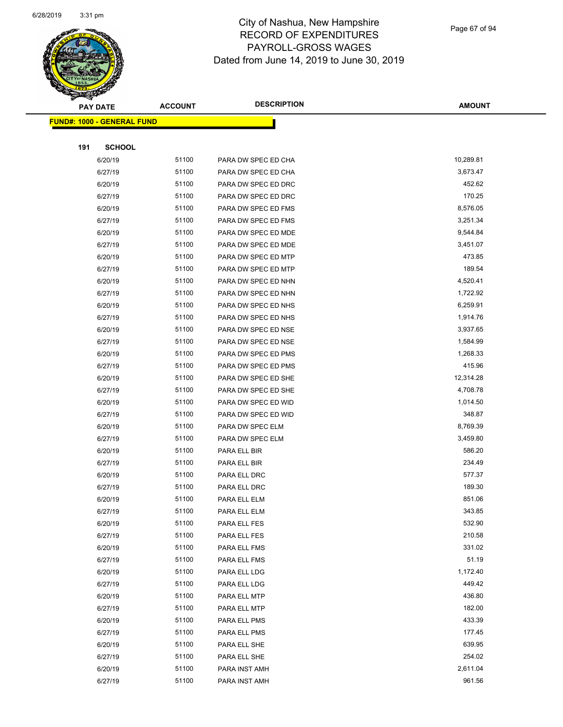

Page 67 of 94

| ॼ   | <b>PAY DATE</b>                   | <b>ACCOUNT</b> | <b>DESCRIPTION</b>  | <b>AMOUNT</b> |
|-----|-----------------------------------|----------------|---------------------|---------------|
|     | <b>FUND#: 1000 - GENERAL FUND</b> |                |                     |               |
|     |                                   |                |                     |               |
| 191 | <b>SCHOOL</b>                     |                |                     |               |
|     | 6/20/19                           | 51100          | PARA DW SPEC ED CHA | 10,289.81     |
|     | 6/27/19                           | 51100          | PARA DW SPEC ED CHA | 3,673.47      |
|     | 6/20/19                           | 51100          | PARA DW SPEC ED DRC | 452.62        |
|     | 6/27/19                           | 51100          | PARA DW SPEC ED DRC | 170.25        |
|     | 6/20/19                           | 51100          | PARA DW SPEC ED FMS | 8,576.05      |
|     | 6/27/19                           | 51100          | PARA DW SPEC ED FMS | 3,251.34      |
|     | 6/20/19                           | 51100          | PARA DW SPEC ED MDE | 9,544.84      |
|     | 6/27/19                           | 51100          | PARA DW SPEC ED MDE | 3,451.07      |
|     | 6/20/19                           | 51100          | PARA DW SPEC ED MTP | 473.85        |
|     | 6/27/19                           | 51100          | PARA DW SPEC ED MTP | 189.54        |
|     | 6/20/19                           | 51100          | PARA DW SPEC ED NHN | 4,520.41      |
|     | 6/27/19                           | 51100          | PARA DW SPEC ED NHN | 1,722.92      |
|     | 6/20/19                           | 51100          | PARA DW SPEC ED NHS | 6,259.91      |
|     | 6/27/19                           | 51100          | PARA DW SPEC ED NHS | 1,914.76      |
|     | 6/20/19                           | 51100          | PARA DW SPEC ED NSE | 3,937.65      |
|     | 6/27/19                           | 51100          | PARA DW SPEC ED NSE | 1,584.99      |
|     | 6/20/19                           | 51100          | PARA DW SPEC ED PMS | 1,268.33      |
|     | 6/27/19                           | 51100          | PARA DW SPEC ED PMS | 415.96        |
|     | 6/20/19                           | 51100          | PARA DW SPEC ED SHE | 12,314.28     |
|     | 6/27/19                           | 51100          | PARA DW SPEC ED SHE | 4,708.78      |
|     | 6/20/19                           | 51100          | PARA DW SPEC ED WID | 1,014.50      |
|     | 6/27/19                           | 51100          | PARA DW SPEC ED WID | 348.87        |
|     | 6/20/19                           | 51100          | PARA DW SPEC ELM    | 8,769.39      |
|     | 6/27/19                           | 51100          | PARA DW SPEC ELM    | 3,459.80      |
|     | 6/20/19                           | 51100          | PARA ELL BIR        | 586.20        |
|     | 6/27/19                           | 51100          | PARA ELL BIR        | 234.49        |
|     | 6/20/19                           | 51100          | PARA ELL DRC        | 577.37        |
|     | 6/27/19                           | 51100          | PARA ELL DRC        | 189.30        |
|     | 6/20/19                           | 51100          | PARA ELL ELM        | 851.06        |
|     | 6/27/19                           | 51100          | PARA ELL ELM        | 343.85        |
|     | 6/20/19                           | 51100          | PARA ELL FES        | 532.90        |
|     | 6/27/19                           | 51100          | PARA ELL FES        | 210.58        |
|     | 6/20/19                           | 51100          | PARA ELL FMS        | 331.02        |
|     | 6/27/19                           | 51100          | PARA ELL FMS        | 51.19         |
|     | 6/20/19                           | 51100          | PARA ELL LDG        | 1,172.40      |
|     | 6/27/19                           | 51100          | PARA ELL LDG        | 449.42        |
|     | 6/20/19                           | 51100          | PARA ELL MTP        | 436.80        |
|     | 6/27/19                           | 51100          | PARA ELL MTP        | 182.00        |
|     | 6/20/19                           | 51100          | PARA ELL PMS        | 433.39        |
|     | 6/27/19                           | 51100          | PARA ELL PMS        | 177.45        |
|     | 6/20/19                           | 51100          | PARA ELL SHE        | 639.95        |
|     | 6/27/19                           | 51100          | PARA ELL SHE        | 254.02        |
|     | 6/20/19                           | 51100          | PARA INST AMH       | 2,611.04      |
|     | 6/27/19                           | 51100          | PARA INST AMH       | 961.56        |
|     |                                   |                |                     |               |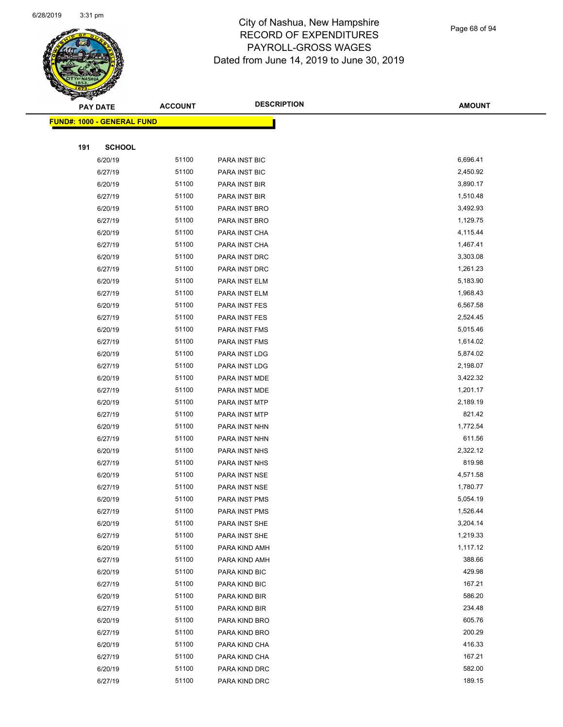

|     | <b>PAY DATE</b>            | <b>ACCOUNT</b> | <b>DESCRIPTION</b>   | <b>AMOUNT</b> |
|-----|----------------------------|----------------|----------------------|---------------|
|     | FUND#: 1000 - GENERAL FUND |                |                      |               |
|     |                            |                |                      |               |
| 191 | <b>SCHOOL</b>              |                |                      |               |
|     | 6/20/19                    | 51100          | PARA INST BIC        | 6,696.41      |
|     | 6/27/19                    | 51100          | <b>PARA INST BIC</b> | 2,450.92      |
|     | 6/20/19                    | 51100          | PARA INST BIR        | 3,890.17      |
|     | 6/27/19                    | 51100          | PARA INST BIR        | 1,510.48      |
|     | 6/20/19                    | 51100          | PARA INST BRO        | 3,492.93      |
|     | 6/27/19                    | 51100          | PARA INST BRO        | 1,129.75      |
|     | 6/20/19                    | 51100          | PARA INST CHA        | 4,115.44      |
|     | 6/27/19                    | 51100          | PARA INST CHA        | 1,467.41      |
|     | 6/20/19                    | 51100          | PARA INST DRC        | 3,303.08      |
|     | 6/27/19                    | 51100          | PARA INST DRC        | 1,261.23      |
|     | 6/20/19                    | 51100          | PARA INST ELM        | 5,183.90      |
|     | 6/27/19                    | 51100          | PARA INST ELM        | 1,968.43      |
|     | 6/20/19                    | 51100          | PARA INST FES        | 6,567.58      |
|     | 6/27/19                    | 51100          | PARA INST FES        | 2,524.45      |
|     | 6/20/19                    | 51100          | PARA INST FMS        | 5,015.46      |
|     | 6/27/19                    | 51100          | PARA INST FMS        | 1,614.02      |
|     | 6/20/19                    | 51100          | PARA INST LDG        | 5,874.02      |
|     | 6/27/19                    | 51100          | PARA INST LDG        | 2,198.07      |
|     | 6/20/19                    | 51100          | PARA INST MDE        | 3,422.32      |
|     | 6/27/19                    | 51100          | PARA INST MDE        | 1,201.17      |
|     | 6/20/19                    | 51100          | PARA INST MTP        | 2,189.19      |
|     | 6/27/19                    | 51100          | PARA INST MTP        | 821.42        |
|     | 6/20/19                    | 51100          | PARA INST NHN        | 1,772.54      |
|     | 6/27/19                    | 51100          | PARA INST NHN        | 611.56        |
|     | 6/20/19                    | 51100          | PARA INST NHS        | 2,322.12      |
|     | 6/27/19                    | 51100          | PARA INST NHS        | 819.98        |
|     | 6/20/19                    | 51100          | PARA INST NSE        | 4,571.58      |
|     | 6/27/19                    | 51100          | PARA INST NSE        | 1,780.77      |
|     | 6/20/19                    | 51100          | PARA INST PMS        | 5,054.19      |
|     | 6/27/19                    | 51100          | PARA INST PMS        | 1,526.44      |
|     | 6/20/19                    | 51100          | PARA INST SHE        | 3,204.14      |
|     | 6/27/19                    | 51100          | PARA INST SHE        | 1,219.33      |
|     | 6/20/19                    | 51100          | PARA KIND AMH        | 1,117.12      |
|     | 6/27/19                    | 51100          | PARA KIND AMH        | 388.66        |
|     | 6/20/19                    | 51100          | PARA KIND BIC        | 429.98        |
|     | 6/27/19                    | 51100          | PARA KIND BIC        | 167.21        |
|     | 6/20/19                    | 51100          | PARA KIND BIR        | 586.20        |
|     | 6/27/19                    | 51100          | PARA KIND BIR        | 234.48        |
|     | 6/20/19                    | 51100          | PARA KIND BRO        | 605.76        |
|     | 6/27/19                    | 51100          | PARA KIND BRO        | 200.29        |
|     | 6/20/19                    | 51100          | PARA KIND CHA        | 416.33        |
|     | 6/27/19                    | 51100          | PARA KIND CHA        | 167.21        |
|     | 6/20/19                    | 51100          | PARA KIND DRC        | 582.00        |
|     | 6/27/19                    | 51100          | PARA KIND DRC        | 189.15        |
|     |                            |                |                      |               |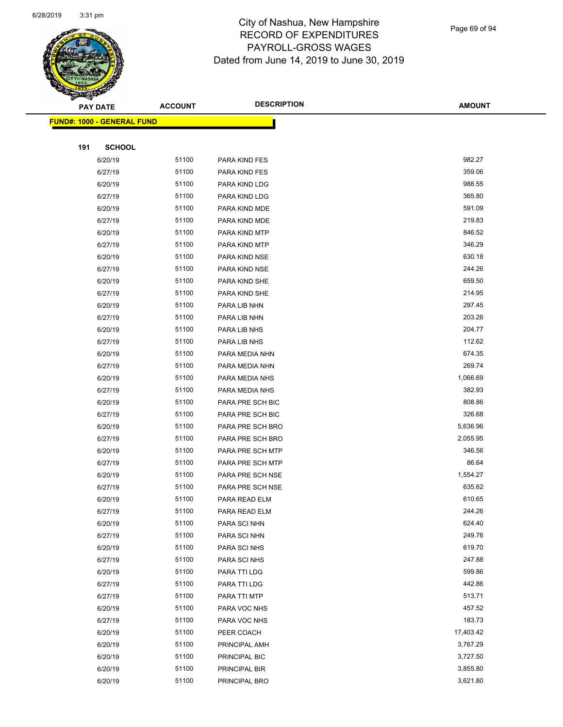

| <b>FUND#: 1000 - GENERAL FUND</b><br><b>SCHOOL</b><br>191<br>982.27<br>51100<br>PARA KIND FES<br>6/20/19<br>51100<br>359.06<br>6/27/19<br>PARA KIND FES<br>51100<br>988.55<br>6/20/19<br>PARA KIND LDG<br>51100<br>365.80<br>6/27/19<br>PARA KIND LDG<br>51100<br>591.09<br>6/20/19<br>PARA KIND MDE<br>51100<br>219.83<br>6/27/19<br>PARA KIND MDE<br>846.52<br>51100<br>6/20/19<br>PARA KIND MTP<br>51100<br>346.29<br>6/27/19<br>PARA KIND MTP<br>51100<br>630.18<br>6/20/19<br>PARA KIND NSE<br>51100<br>244.26<br>6/27/19<br>PARA KIND NSE<br>51100<br>659.50<br>6/20/19<br>PARA KIND SHE<br>51100<br>214.95<br>6/27/19<br>PARA KIND SHE<br>51100<br>297.45<br>6/20/19<br>PARA LIB NHN<br>51100<br>203.26<br>6/27/19<br>PARA LIB NHN<br>204.77<br>51100<br>6/20/19<br>PARA LIB NHS<br>51100<br>112.62<br>6/27/19<br>PARA LIB NHS<br>51100<br>674.35<br>6/20/19<br>PARA MEDIA NHN<br>51100<br>269.74<br>6/27/19<br>PARA MEDIA NHN<br>51100<br>6/20/19<br>1,066.69<br>PARA MEDIA NHS<br>51100<br>382.93<br>6/27/19<br>PARA MEDIA NHS<br>808.86<br>51100<br>6/20/19<br>PARA PRE SCH BIC<br>326.68<br>51100<br>6/27/19<br>PARA PRE SCH BIC<br>51100<br>6/20/19<br>5,636.96<br>PARA PRE SCH BRO<br>51100<br>6/27/19<br>PARA PRE SCH BRO<br>2,055.95<br>51100<br>346.56<br>6/20/19<br>PARA PRE SCH MTP<br>51100<br>86.64<br>6/27/19<br>PARA PRE SCH MTP<br>51100<br>1,554.27<br>6/20/19<br>PARA PRE SCH NSE |
|------------------------------------------------------------------------------------------------------------------------------------------------------------------------------------------------------------------------------------------------------------------------------------------------------------------------------------------------------------------------------------------------------------------------------------------------------------------------------------------------------------------------------------------------------------------------------------------------------------------------------------------------------------------------------------------------------------------------------------------------------------------------------------------------------------------------------------------------------------------------------------------------------------------------------------------------------------------------------------------------------------------------------------------------------------------------------------------------------------------------------------------------------------------------------------------------------------------------------------------------------------------------------------------------------------------------------------------------------------------------------------------------------------|
|                                                                                                                                                                                                                                                                                                                                                                                                                                                                                                                                                                                                                                                                                                                                                                                                                                                                                                                                                                                                                                                                                                                                                                                                                                                                                                                                                                                                            |
|                                                                                                                                                                                                                                                                                                                                                                                                                                                                                                                                                                                                                                                                                                                                                                                                                                                                                                                                                                                                                                                                                                                                                                                                                                                                                                                                                                                                            |
|                                                                                                                                                                                                                                                                                                                                                                                                                                                                                                                                                                                                                                                                                                                                                                                                                                                                                                                                                                                                                                                                                                                                                                                                                                                                                                                                                                                                            |
|                                                                                                                                                                                                                                                                                                                                                                                                                                                                                                                                                                                                                                                                                                                                                                                                                                                                                                                                                                                                                                                                                                                                                                                                                                                                                                                                                                                                            |
|                                                                                                                                                                                                                                                                                                                                                                                                                                                                                                                                                                                                                                                                                                                                                                                                                                                                                                                                                                                                                                                                                                                                                                                                                                                                                                                                                                                                            |
|                                                                                                                                                                                                                                                                                                                                                                                                                                                                                                                                                                                                                                                                                                                                                                                                                                                                                                                                                                                                                                                                                                                                                                                                                                                                                                                                                                                                            |
|                                                                                                                                                                                                                                                                                                                                                                                                                                                                                                                                                                                                                                                                                                                                                                                                                                                                                                                                                                                                                                                                                                                                                                                                                                                                                                                                                                                                            |
|                                                                                                                                                                                                                                                                                                                                                                                                                                                                                                                                                                                                                                                                                                                                                                                                                                                                                                                                                                                                                                                                                                                                                                                                                                                                                                                                                                                                            |
|                                                                                                                                                                                                                                                                                                                                                                                                                                                                                                                                                                                                                                                                                                                                                                                                                                                                                                                                                                                                                                                                                                                                                                                                                                                                                                                                                                                                            |
|                                                                                                                                                                                                                                                                                                                                                                                                                                                                                                                                                                                                                                                                                                                                                                                                                                                                                                                                                                                                                                                                                                                                                                                                                                                                                                                                                                                                            |
|                                                                                                                                                                                                                                                                                                                                                                                                                                                                                                                                                                                                                                                                                                                                                                                                                                                                                                                                                                                                                                                                                                                                                                                                                                                                                                                                                                                                            |
|                                                                                                                                                                                                                                                                                                                                                                                                                                                                                                                                                                                                                                                                                                                                                                                                                                                                                                                                                                                                                                                                                                                                                                                                                                                                                                                                                                                                            |
|                                                                                                                                                                                                                                                                                                                                                                                                                                                                                                                                                                                                                                                                                                                                                                                                                                                                                                                                                                                                                                                                                                                                                                                                                                                                                                                                                                                                            |
|                                                                                                                                                                                                                                                                                                                                                                                                                                                                                                                                                                                                                                                                                                                                                                                                                                                                                                                                                                                                                                                                                                                                                                                                                                                                                                                                                                                                            |
|                                                                                                                                                                                                                                                                                                                                                                                                                                                                                                                                                                                                                                                                                                                                                                                                                                                                                                                                                                                                                                                                                                                                                                                                                                                                                                                                                                                                            |
|                                                                                                                                                                                                                                                                                                                                                                                                                                                                                                                                                                                                                                                                                                                                                                                                                                                                                                                                                                                                                                                                                                                                                                                                                                                                                                                                                                                                            |
|                                                                                                                                                                                                                                                                                                                                                                                                                                                                                                                                                                                                                                                                                                                                                                                                                                                                                                                                                                                                                                                                                                                                                                                                                                                                                                                                                                                                            |
|                                                                                                                                                                                                                                                                                                                                                                                                                                                                                                                                                                                                                                                                                                                                                                                                                                                                                                                                                                                                                                                                                                                                                                                                                                                                                                                                                                                                            |
|                                                                                                                                                                                                                                                                                                                                                                                                                                                                                                                                                                                                                                                                                                                                                                                                                                                                                                                                                                                                                                                                                                                                                                                                                                                                                                                                                                                                            |
|                                                                                                                                                                                                                                                                                                                                                                                                                                                                                                                                                                                                                                                                                                                                                                                                                                                                                                                                                                                                                                                                                                                                                                                                                                                                                                                                                                                                            |
|                                                                                                                                                                                                                                                                                                                                                                                                                                                                                                                                                                                                                                                                                                                                                                                                                                                                                                                                                                                                                                                                                                                                                                                                                                                                                                                                                                                                            |
|                                                                                                                                                                                                                                                                                                                                                                                                                                                                                                                                                                                                                                                                                                                                                                                                                                                                                                                                                                                                                                                                                                                                                                                                                                                                                                                                                                                                            |
|                                                                                                                                                                                                                                                                                                                                                                                                                                                                                                                                                                                                                                                                                                                                                                                                                                                                                                                                                                                                                                                                                                                                                                                                                                                                                                                                                                                                            |
|                                                                                                                                                                                                                                                                                                                                                                                                                                                                                                                                                                                                                                                                                                                                                                                                                                                                                                                                                                                                                                                                                                                                                                                                                                                                                                                                                                                                            |
|                                                                                                                                                                                                                                                                                                                                                                                                                                                                                                                                                                                                                                                                                                                                                                                                                                                                                                                                                                                                                                                                                                                                                                                                                                                                                                                                                                                                            |
|                                                                                                                                                                                                                                                                                                                                                                                                                                                                                                                                                                                                                                                                                                                                                                                                                                                                                                                                                                                                                                                                                                                                                                                                                                                                                                                                                                                                            |
|                                                                                                                                                                                                                                                                                                                                                                                                                                                                                                                                                                                                                                                                                                                                                                                                                                                                                                                                                                                                                                                                                                                                                                                                                                                                                                                                                                                                            |
|                                                                                                                                                                                                                                                                                                                                                                                                                                                                                                                                                                                                                                                                                                                                                                                                                                                                                                                                                                                                                                                                                                                                                                                                                                                                                                                                                                                                            |
|                                                                                                                                                                                                                                                                                                                                                                                                                                                                                                                                                                                                                                                                                                                                                                                                                                                                                                                                                                                                                                                                                                                                                                                                                                                                                                                                                                                                            |
|                                                                                                                                                                                                                                                                                                                                                                                                                                                                                                                                                                                                                                                                                                                                                                                                                                                                                                                                                                                                                                                                                                                                                                                                                                                                                                                                                                                                            |
| 635.62<br>51100<br>6/27/19<br>PARA PRE SCH NSE                                                                                                                                                                                                                                                                                                                                                                                                                                                                                                                                                                                                                                                                                                                                                                                                                                                                                                                                                                                                                                                                                                                                                                                                                                                                                                                                                             |
| 610.65<br>6/20/19<br>51100<br>PARA READ ELM                                                                                                                                                                                                                                                                                                                                                                                                                                                                                                                                                                                                                                                                                                                                                                                                                                                                                                                                                                                                                                                                                                                                                                                                                                                                                                                                                                |
| 51100<br>244.26<br>6/27/19<br>PARA READ ELM                                                                                                                                                                                                                                                                                                                                                                                                                                                                                                                                                                                                                                                                                                                                                                                                                                                                                                                                                                                                                                                                                                                                                                                                                                                                                                                                                                |
| 51100<br>624.40<br>6/20/19<br>PARA SCI NHN                                                                                                                                                                                                                                                                                                                                                                                                                                                                                                                                                                                                                                                                                                                                                                                                                                                                                                                                                                                                                                                                                                                                                                                                                                                                                                                                                                 |
| 51100<br>249.76<br>6/27/19<br>PARA SCI NHN                                                                                                                                                                                                                                                                                                                                                                                                                                                                                                                                                                                                                                                                                                                                                                                                                                                                                                                                                                                                                                                                                                                                                                                                                                                                                                                                                                 |
| 51100<br>619.70<br>6/20/19<br>PARA SCI NHS                                                                                                                                                                                                                                                                                                                                                                                                                                                                                                                                                                                                                                                                                                                                                                                                                                                                                                                                                                                                                                                                                                                                                                                                                                                                                                                                                                 |
| 51100<br>247.88<br>6/27/19<br>PARA SCI NHS                                                                                                                                                                                                                                                                                                                                                                                                                                                                                                                                                                                                                                                                                                                                                                                                                                                                                                                                                                                                                                                                                                                                                                                                                                                                                                                                                                 |
| 51100<br>599.86<br>6/20/19<br>PARA TTI LDG                                                                                                                                                                                                                                                                                                                                                                                                                                                                                                                                                                                                                                                                                                                                                                                                                                                                                                                                                                                                                                                                                                                                                                                                                                                                                                                                                                 |
| 51100<br>442.86<br>6/27/19<br>PARA TTI LDG                                                                                                                                                                                                                                                                                                                                                                                                                                                                                                                                                                                                                                                                                                                                                                                                                                                                                                                                                                                                                                                                                                                                                                                                                                                                                                                                                                 |
| 51100<br>513.71<br>6/27/19<br>PARA TTI MTP                                                                                                                                                                                                                                                                                                                                                                                                                                                                                                                                                                                                                                                                                                                                                                                                                                                                                                                                                                                                                                                                                                                                                                                                                                                                                                                                                                 |
| 51100<br>457.52<br>6/20/19<br>PARA VOC NHS                                                                                                                                                                                                                                                                                                                                                                                                                                                                                                                                                                                                                                                                                                                                                                                                                                                                                                                                                                                                                                                                                                                                                                                                                                                                                                                                                                 |
| 51100<br>183.73<br>6/27/19<br>PARA VOC NHS                                                                                                                                                                                                                                                                                                                                                                                                                                                                                                                                                                                                                                                                                                                                                                                                                                                                                                                                                                                                                                                                                                                                                                                                                                                                                                                                                                 |
| 51100<br>17,403.42<br>6/20/19<br>PEER COACH                                                                                                                                                                                                                                                                                                                                                                                                                                                                                                                                                                                                                                                                                                                                                                                                                                                                                                                                                                                                                                                                                                                                                                                                                                                                                                                                                                |
|                                                                                                                                                                                                                                                                                                                                                                                                                                                                                                                                                                                                                                                                                                                                                                                                                                                                                                                                                                                                                                                                                                                                                                                                                                                                                                                                                                                                            |
| 51100<br>3,767.29<br>6/20/19<br>PRINCIPAL AMH                                                                                                                                                                                                                                                                                                                                                                                                                                                                                                                                                                                                                                                                                                                                                                                                                                                                                                                                                                                                                                                                                                                                                                                                                                                                                                                                                              |
| 51100<br>3,727.50<br>6/20/19<br>PRINCIPAL BIC                                                                                                                                                                                                                                                                                                                                                                                                                                                                                                                                                                                                                                                                                                                                                                                                                                                                                                                                                                                                                                                                                                                                                                                                                                                                                                                                                              |
| 51100<br>3,855.80<br>6/20/19<br>PRINCIPAL BIR<br>51100<br>3,621.80                                                                                                                                                                                                                                                                                                                                                                                                                                                                                                                                                                                                                                                                                                                                                                                                                                                                                                                                                                                                                                                                                                                                                                                                                                                                                                                                         |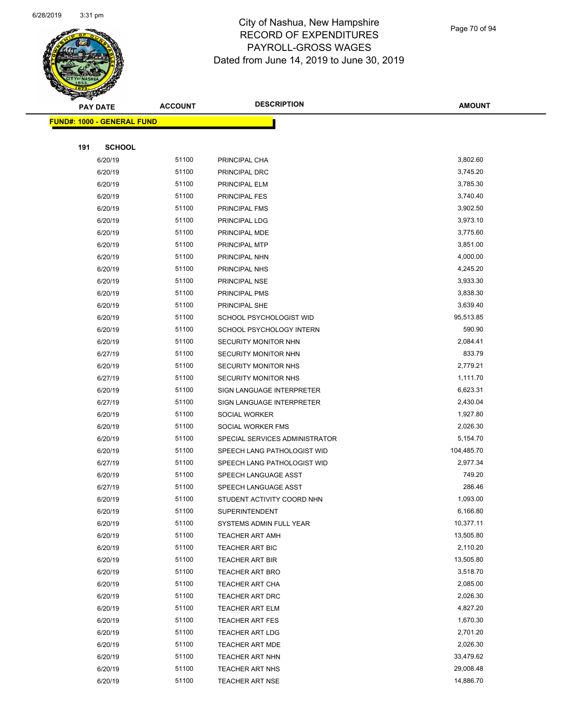

Page 70 of 94

| A.<br><b>PAY DATE</b> |                                   | <b>ACCOUNT</b> | <b>DESCRIPTION</b>             | <b>AMOUNT</b> |
|-----------------------|-----------------------------------|----------------|--------------------------------|---------------|
|                       | <b>FUND#: 1000 - GENERAL FUND</b> |                |                                |               |
|                       |                                   |                |                                |               |
| 191                   | <b>SCHOOL</b>                     |                |                                |               |
|                       | 6/20/19                           | 51100          | PRINCIPAL CHA                  | 3,802.60      |
|                       | 6/20/19                           | 51100          | PRINCIPAL DRC                  | 3,745.20      |
|                       | 6/20/19                           | 51100          | PRINCIPAL ELM                  | 3,785.30      |
|                       | 6/20/19                           | 51100          | PRINCIPAL FES                  | 3,740.40      |
|                       | 6/20/19                           | 51100          | PRINCIPAL FMS                  | 3,902.50      |
|                       | 6/20/19                           | 51100          | PRINCIPAL LDG                  | 3,973.10      |
|                       | 6/20/19                           | 51100          | PRINCIPAL MDE                  | 3,775.60      |
|                       | 6/20/19                           | 51100          | PRINCIPAL MTP                  | 3,851.00      |
|                       | 6/20/19                           | 51100          | PRINCIPAL NHN                  | 4,000.00      |
|                       | 6/20/19                           | 51100          | PRINCIPAL NHS                  | 4,245.20      |
|                       | 6/20/19                           | 51100          | PRINCIPAL NSE                  | 3,933.30      |
|                       | 6/20/19                           | 51100          | PRINCIPAL PMS                  | 3,838.30      |
|                       | 6/20/19                           | 51100          | PRINCIPAL SHE                  | 3,639.40      |
|                       | 6/20/19                           | 51100          | SCHOOL PSYCHOLOGIST WID        | 95,513.85     |
|                       | 6/20/19                           | 51100          | SCHOOL PSYCHOLOGY INTERN       | 590.90        |
|                       | 6/20/19                           | 51100          | SECURITY MONITOR NHN           | 2,084.41      |
|                       | 6/27/19                           | 51100          | <b>SECURITY MONITOR NHN</b>    | 833.79        |
|                       | 6/20/19                           | 51100          | SECURITY MONITOR NHS           | 2,779.21      |
|                       | 6/27/19                           | 51100          | SECURITY MONITOR NHS           | 1,111.70      |
|                       | 6/20/19                           | 51100          | SIGN LANGUAGE INTERPRETER      | 6,623.31      |
|                       | 6/27/19                           | 51100          | SIGN LANGUAGE INTERPRETER      | 2,430.04      |
|                       | 6/20/19                           | 51100          | SOCIAL WORKER                  | 1,927.80      |
|                       | 6/20/19                           | 51100          | SOCIAL WORKER FMS              | 2,026.30      |
|                       | 6/20/19                           | 51100          | SPECIAL SERVICES ADMINISTRATOR | 5,154.70      |
|                       | 6/20/19                           | 51100          | SPEECH LANG PATHOLOGIST WID    | 104,485.70    |
|                       | 6/27/19                           | 51100          | SPEECH LANG PATHOLOGIST WID    | 2,977.34      |
|                       | 6/20/19                           | 51100          | SPEECH LANGUAGE ASST           | 749.20        |
|                       | 6/27/19                           | 51100          | SPEECH LANGUAGE ASST           | 286.46        |
|                       | 6/20/19                           | 51100          | STUDENT ACTIVITY COORD NHN     | 1,093.00      |
|                       | 6/20/19                           | 51100          | <b>SUPERINTENDENT</b>          | 6,166.80      |
|                       | 6/20/19                           | 51100          | SYSTEMS ADMIN FULL YEAR        | 10,377.11     |
|                       | 6/20/19                           | 51100          | <b>TEACHER ART AMH</b>         | 13,505.80     |
|                       | 6/20/19                           | 51100          | <b>TEACHER ART BIC</b>         | 2,110.20      |
|                       | 6/20/19                           | 51100          | <b>TEACHER ART BIR</b>         | 13,505.80     |
|                       | 6/20/19                           | 51100          | TEACHER ART BRO                | 3,518.70      |
|                       | 6/20/19                           | 51100          | TEACHER ART CHA                | 2,085.00      |
|                       | 6/20/19                           | 51100          | TEACHER ART DRC                | 2,026.30      |
|                       | 6/20/19                           | 51100          | <b>TEACHER ART ELM</b>         | 4,827.20      |
|                       | 6/20/19                           | 51100          | <b>TEACHER ART FES</b>         | 1,670.30      |
|                       | 6/20/19                           | 51100          | <b>TEACHER ART LDG</b>         | 2,701.20      |
|                       | 6/20/19                           | 51100          | TEACHER ART MDE                | 2,026.30      |
|                       | 6/20/19                           | 51100          | <b>TEACHER ART NHN</b>         | 33,479.62     |
|                       | 6/20/19                           | 51100          | <b>TEACHER ART NHS</b>         | 29,008.48     |
|                       | 6/20/19                           | 51100          | <b>TEACHER ART NSE</b>         | 14,886.70     |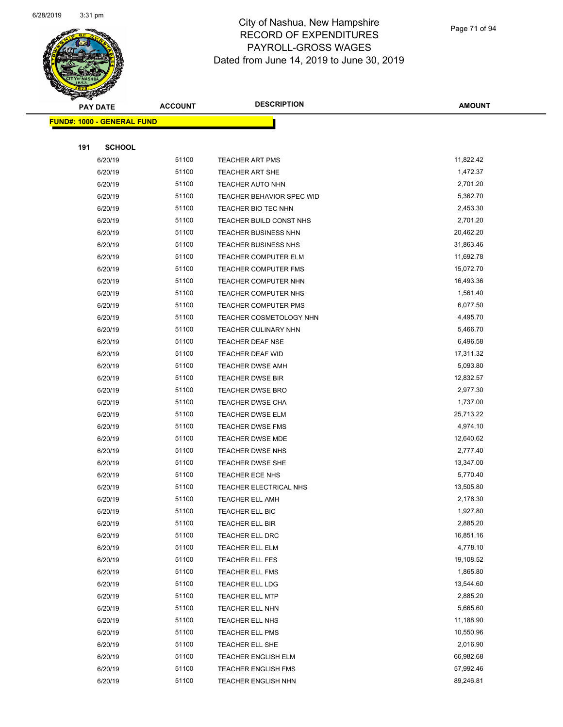

Page 71 of 94

| <b>Anthony</b><br><b>PAY DATE</b> |                                   | <b>ACCOUNT</b> | <b>DESCRIPTION</b>          | <b>AMOUNT</b> |
|-----------------------------------|-----------------------------------|----------------|-----------------------------|---------------|
|                                   | <b>FUND#: 1000 - GENERAL FUND</b> |                |                             |               |
|                                   |                                   |                |                             |               |
| 191                               | <b>SCHOOL</b>                     |                |                             |               |
|                                   | 6/20/19                           | 51100          | <b>TEACHER ART PMS</b>      | 11,822.42     |
|                                   | 6/20/19                           | 51100          | <b>TEACHER ART SHE</b>      | 1,472.37      |
|                                   | 6/20/19                           | 51100          | <b>TEACHER AUTO NHN</b>     | 2,701.20      |
|                                   | 6/20/19                           | 51100          | TEACHER BEHAVIOR SPEC WID   | 5,362.70      |
|                                   | 6/20/19                           | 51100          | TEACHER BIO TEC NHN         | 2,453.30      |
|                                   | 6/20/19                           | 51100          | TEACHER BUILD CONST NHS     | 2,701.20      |
|                                   | 6/20/19                           | 51100          | <b>TEACHER BUSINESS NHN</b> | 20,462.20     |
|                                   | 6/20/19                           | 51100          | <b>TEACHER BUSINESS NHS</b> | 31,863.46     |
|                                   | 6/20/19                           | 51100          | <b>TEACHER COMPUTER ELM</b> | 11,692.78     |
|                                   | 6/20/19                           | 51100          | <b>TEACHER COMPUTER FMS</b> | 15,072.70     |
|                                   | 6/20/19                           | 51100          | <b>TEACHER COMPUTER NHN</b> | 16,493.36     |
|                                   | 6/20/19                           | 51100          | <b>TEACHER COMPUTER NHS</b> | 1,561.40      |
|                                   | 6/20/19                           | 51100          | <b>TEACHER COMPUTER PMS</b> | 6,077.50      |
|                                   | 6/20/19                           | 51100          | TEACHER COSMETOLOGY NHN     | 4,495.70      |
|                                   | 6/20/19                           | 51100          | <b>TEACHER CULINARY NHN</b> | 5,466.70      |
|                                   | 6/20/19                           | 51100          | TEACHER DEAF NSE            | 6,496.58      |
|                                   | 6/20/19                           | 51100          | TEACHER DEAF WID            | 17,311.32     |
|                                   | 6/20/19                           | 51100          | <b>TEACHER DWSE AMH</b>     | 5,093.80      |
|                                   | 6/20/19                           | 51100          | <b>TEACHER DWSE BIR</b>     | 12,832.57     |
|                                   | 6/20/19                           | 51100          | TEACHER DWSE BRO            | 2,977.30      |
|                                   | 6/20/19                           | 51100          | <b>TEACHER DWSE CHA</b>     | 1,737.00      |
|                                   | 6/20/19                           | 51100          | <b>TEACHER DWSE ELM</b>     | 25,713.22     |
|                                   | 6/20/19                           | 51100          | <b>TEACHER DWSE FMS</b>     | 4,974.10      |
|                                   | 6/20/19                           | 51100          | TEACHER DWSE MDE            | 12,640.62     |
|                                   | 6/20/19                           | 51100          | <b>TEACHER DWSE NHS</b>     | 2,777.40      |
|                                   | 6/20/19                           | 51100          | <b>TEACHER DWSE SHE</b>     | 13,347.00     |
|                                   | 6/20/19                           | 51100          | TEACHER ECE NHS             | 5,770.40      |
|                                   | 6/20/19                           | 51100          | TEACHER ELECTRICAL NHS      | 13,505.80     |
|                                   | 6/20/19                           | 51100          | <b>TEACHER ELL AMH</b>      | 2,178.30      |
|                                   | 6/20/19                           | 51100          | TEACHER ELL BIC             | 1,927.80      |
|                                   | 6/20/19                           | 51100          | <b>TEACHER ELL BIR</b>      | 2,885.20      |
|                                   | 6/20/19                           | 51100          | TEACHER ELL DRC             | 16,851.16     |
|                                   | 6/20/19                           | 51100          | TEACHER ELL ELM             | 4,778.10      |
|                                   | 6/20/19                           | 51100          | TEACHER ELL FES             | 19,108.52     |
|                                   | 6/20/19                           | 51100          | <b>TEACHER ELL FMS</b>      | 1,865.80      |
|                                   | 6/20/19                           | 51100          | TEACHER ELL LDG             | 13,544.60     |
|                                   | 6/20/19                           | 51100          | <b>TEACHER ELL MTP</b>      | 2,885.20      |
|                                   | 6/20/19                           | 51100          | TEACHER ELL NHN             | 5,665.60      |
|                                   | 6/20/19                           | 51100          | TEACHER ELL NHS             | 11,188.90     |
|                                   | 6/20/19                           | 51100          | TEACHER ELL PMS             | 10,550.96     |
|                                   | 6/20/19                           | 51100          | TEACHER ELL SHE             | 2,016.90      |
|                                   | 6/20/19                           | 51100          | TEACHER ENGLISH ELM         | 66,982.68     |
|                                   | 6/20/19                           | 51100          | TEACHER ENGLISH FMS         | 57,992.46     |
|                                   | 6/20/19                           | 51100          | <b>TEACHER ENGLISH NHN</b>  | 89,246.81     |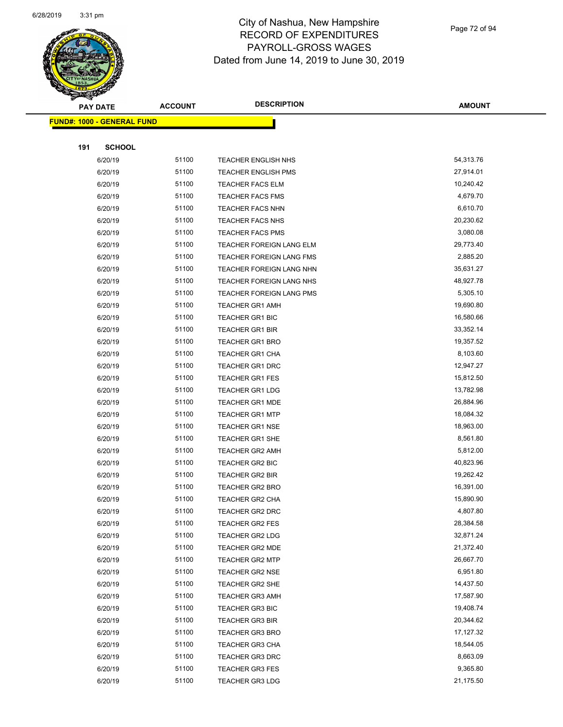

| T<br>$\mathcal{A}$ . | <b>PAY DATE</b>                   | <b>ACCOUNT</b> | <b>DESCRIPTION</b>         | <b>AMOUNT</b> |
|----------------------|-----------------------------------|----------------|----------------------------|---------------|
|                      | <b>FUND#: 1000 - GENERAL FUND</b> |                |                            |               |
|                      |                                   |                |                            |               |
| 191                  | <b>SCHOOL</b>                     |                |                            |               |
|                      | 6/20/19                           | 51100          | <b>TEACHER ENGLISH NHS</b> | 54,313.76     |
|                      | 6/20/19                           | 51100          | <b>TEACHER ENGLISH PMS</b> | 27,914.01     |
|                      | 6/20/19                           | 51100          | <b>TEACHER FACS ELM</b>    | 10,240.42     |
|                      | 6/20/19                           | 51100          | <b>TEACHER FACS FMS</b>    | 4,679.70      |
|                      | 6/20/19                           | 51100          | TEACHER FACS NHN           | 6,610.70      |
|                      | 6/20/19                           | 51100          | TEACHER FACS NHS           | 20,230.62     |
|                      | 6/20/19                           | 51100          | TEACHER FACS PMS           | 3,080.08      |
|                      | 6/20/19                           | 51100          | TEACHER FOREIGN LANG ELM   | 29,773.40     |
|                      | 6/20/19                           | 51100          | TEACHER FOREIGN LANG FMS   | 2,885.20      |
|                      | 6/20/19                           | 51100          | TEACHER FOREIGN LANG NHN   | 35,631.27     |
|                      | 6/20/19                           | 51100          | TEACHER FOREIGN LANG NHS   | 48,927.78     |
|                      | 6/20/19                           | 51100          | TEACHER FOREIGN LANG PMS   | 5,305.10      |
|                      | 6/20/19                           | 51100          | <b>TEACHER GR1 AMH</b>     | 19,690.80     |
|                      | 6/20/19                           | 51100          | <b>TEACHER GR1 BIC</b>     | 16,580.66     |
|                      | 6/20/19                           | 51100          | <b>TEACHER GR1 BIR</b>     | 33,352.14     |
|                      | 6/20/19                           | 51100          | TEACHER GR1 BRO            | 19,357.52     |
|                      | 6/20/19                           | 51100          | TEACHER GR1 CHA            | 8,103.60      |
|                      | 6/20/19                           | 51100          | <b>TEACHER GR1 DRC</b>     | 12,947.27     |
|                      | 6/20/19                           | 51100          | <b>TEACHER GR1 FES</b>     | 15,812.50     |
|                      | 6/20/19                           | 51100          | <b>TEACHER GR1 LDG</b>     | 13,782.98     |
|                      | 6/20/19                           | 51100          | <b>TEACHER GR1 MDE</b>     | 26,884.96     |
|                      | 6/20/19                           | 51100          | <b>TEACHER GR1 MTP</b>     | 18,084.32     |
|                      | 6/20/19                           | 51100          | <b>TEACHER GR1 NSE</b>     | 18,963.00     |
|                      | 6/20/19                           | 51100          | <b>TEACHER GR1 SHE</b>     | 8,561.80      |
|                      | 6/20/19                           | 51100          | <b>TEACHER GR2 AMH</b>     | 5,812.00      |
|                      | 6/20/19                           | 51100          | TEACHER GR2 BIC            | 40,823.96     |
|                      | 6/20/19                           | 51100          | <b>TEACHER GR2 BIR</b>     | 19,262.42     |
|                      | 6/20/19                           | 51100          | <b>TEACHER GR2 BRO</b>     | 16,391.00     |
|                      | 6/20/19                           | 51100          | <b>TEACHER GR2 CHA</b>     | 15,890.90     |
|                      | 6/20/19                           | 51100          | TEACHER GR2 DRC            | 4,807.80      |
|                      | 6/20/19                           | 51100          | <b>TEACHER GR2 FES</b>     | 28,384.58     |
|                      | 6/20/19                           | 51100          | <b>TEACHER GR2 LDG</b>     | 32,871.24     |
|                      | 6/20/19                           | 51100          | TEACHER GR2 MDE            | 21,372.40     |
|                      | 6/20/19                           | 51100          | <b>TEACHER GR2 MTP</b>     | 26,667.70     |
|                      | 6/20/19                           | 51100          | <b>TEACHER GR2 NSE</b>     | 6,951.80      |
|                      | 6/20/19                           | 51100          | TEACHER GR2 SHE            | 14,437.50     |
|                      | 6/20/19                           | 51100          | <b>TEACHER GR3 AMH</b>     | 17,587.90     |
|                      | 6/20/19                           | 51100          | <b>TEACHER GR3 BIC</b>     | 19,408.74     |
|                      | 6/20/19                           | 51100          | <b>TEACHER GR3 BIR</b>     | 20,344.62     |
|                      | 6/20/19                           | 51100          | <b>TEACHER GR3 BRO</b>     | 17,127.32     |
|                      | 6/20/19                           | 51100          | TEACHER GR3 CHA            | 18,544.05     |
|                      | 6/20/19                           | 51100          | TEACHER GR3 DRC            | 8,663.09      |
|                      | 6/20/19                           | 51100          | <b>TEACHER GR3 FES</b>     | 9,365.80      |
|                      | 6/20/19                           | 51100          | <b>TEACHER GR3 LDG</b>     | 21,175.50     |
|                      |                                   |                |                            |               |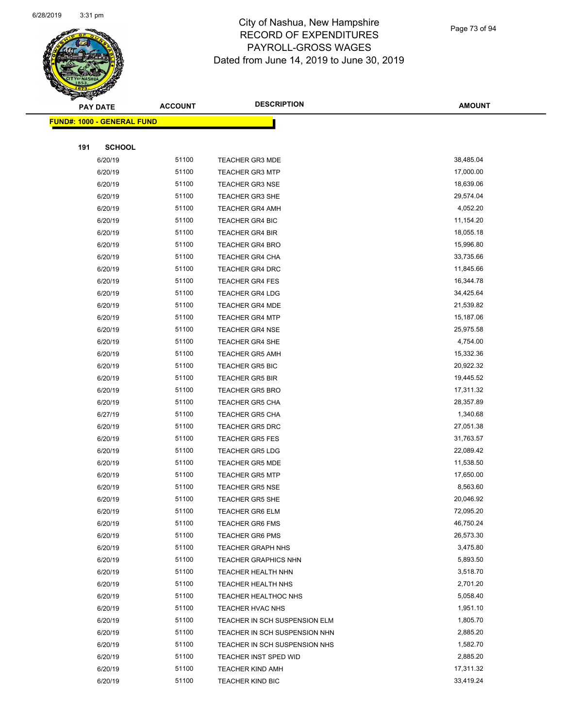

|     | <b>PAY DATE</b>                    | <b>ACCOUNT</b> | <b>DESCRIPTION</b>            | <b>AMOUNT</b> |
|-----|------------------------------------|----------------|-------------------------------|---------------|
|     | <u> FUND#: 1000 - GENERAL FUND</u> |                |                               |               |
|     |                                    |                |                               |               |
| 191 | <b>SCHOOL</b>                      |                |                               |               |
|     | 6/20/19                            | 51100          | <b>TEACHER GR3 MDE</b>        | 38,485.04     |
|     | 6/20/19                            | 51100          | <b>TEACHER GR3 MTP</b>        | 17,000.00     |
|     | 6/20/19                            | 51100          | <b>TEACHER GR3 NSE</b>        | 18,639.06     |
|     | 6/20/19                            | 51100          | <b>TEACHER GR3 SHE</b>        | 29,574.04     |
|     | 6/20/19                            | 51100          | <b>TEACHER GR4 AMH</b>        | 4,052.20      |
|     | 6/20/19                            | 51100          | <b>TEACHER GR4 BIC</b>        | 11,154.20     |
|     | 6/20/19                            | 51100          | <b>TEACHER GR4 BIR</b>        | 18,055.18     |
|     | 6/20/19                            | 51100          | <b>TEACHER GR4 BRO</b>        | 15,996.80     |
|     | 6/20/19                            | 51100          | <b>TEACHER GR4 CHA</b>        | 33,735.66     |
|     | 6/20/19                            | 51100          | TEACHER GR4 DRC               | 11,845.66     |
|     | 6/20/19                            | 51100          | <b>TEACHER GR4 FES</b>        | 16,344.78     |
|     | 6/20/19                            | 51100          | <b>TEACHER GR4 LDG</b>        | 34,425.64     |
|     | 6/20/19                            | 51100          | <b>TEACHER GR4 MDE</b>        | 21,539.82     |
|     | 6/20/19                            | 51100          | <b>TEACHER GR4 MTP</b>        | 15,187.06     |
|     | 6/20/19                            | 51100          | <b>TEACHER GR4 NSE</b>        | 25,975.58     |
|     | 6/20/19                            | 51100          | <b>TEACHER GR4 SHE</b>        | 4,754.00      |
|     | 6/20/19                            | 51100          | <b>TEACHER GR5 AMH</b>        | 15,332.36     |
|     | 6/20/19                            | 51100          | <b>TEACHER GR5 BIC</b>        | 20,922.32     |
|     | 6/20/19                            | 51100          | <b>TEACHER GR5 BIR</b>        | 19,445.52     |
|     | 6/20/19                            | 51100          | <b>TEACHER GR5 BRO</b>        | 17,311.32     |
|     | 6/20/19                            | 51100          | <b>TEACHER GR5 CHA</b>        | 28,357.89     |
|     | 6/27/19                            | 51100          | TEACHER GR5 CHA               | 1,340.68      |
|     | 6/20/19                            | 51100          | <b>TEACHER GR5 DRC</b>        | 27,051.38     |
|     | 6/20/19                            | 51100          | <b>TEACHER GR5 FES</b>        | 31,763.57     |
|     | 6/20/19                            | 51100          | <b>TEACHER GR5 LDG</b>        | 22,089.42     |
|     | 6/20/19                            | 51100          | <b>TEACHER GR5 MDE</b>        | 11,538.50     |
|     | 6/20/19                            | 51100          | <b>TEACHER GR5 MTP</b>        | 17,650.00     |
|     | 6/20/19                            | 51100          | <b>TEACHER GR5 NSE</b>        | 8,563.60      |
|     | 6/20/19                            | 51100          | <b>TEACHER GR5 SHE</b>        | 20,046.92     |
|     | 6/20/19                            | 51100          | TEACHER GR6 ELM               | 72,095.20     |
|     | 6/20/19                            | 51100          | <b>TEACHER GR6 FMS</b>        | 46,750.24     |
|     | 6/20/19                            | 51100          | <b>TEACHER GR6 PMS</b>        | 26,573.30     |
|     | 6/20/19                            | 51100          | <b>TEACHER GRAPH NHS</b>      | 3,475.80      |
|     | 6/20/19                            | 51100          | <b>TEACHER GRAPHICS NHN</b>   | 5,893.50      |
|     | 6/20/19                            | 51100          | TEACHER HEALTH NHN            | 3,518.70      |
|     | 6/20/19                            | 51100          | TEACHER HEALTH NHS            | 2,701.20      |
|     | 6/20/19                            | 51100          | TEACHER HEALTHOC NHS          | 5,058.40      |
|     | 6/20/19                            | 51100          | TEACHER HVAC NHS              | 1,951.10      |
|     | 6/20/19                            | 51100          | TEACHER IN SCH SUSPENSION ELM | 1,805.70      |
|     | 6/20/19                            | 51100          | TEACHER IN SCH SUSPENSION NHN | 2,885.20      |
|     | 6/20/19                            | 51100          | TEACHER IN SCH SUSPENSION NHS | 1,582.70      |
|     | 6/20/19                            | 51100          | TEACHER INST SPED WID         | 2,885.20      |
|     | 6/20/19                            | 51100          | <b>TEACHER KIND AMH</b>       | 17,311.32     |
|     | 6/20/19                            | 51100          | <b>TEACHER KIND BIC</b>       | 33,419.24     |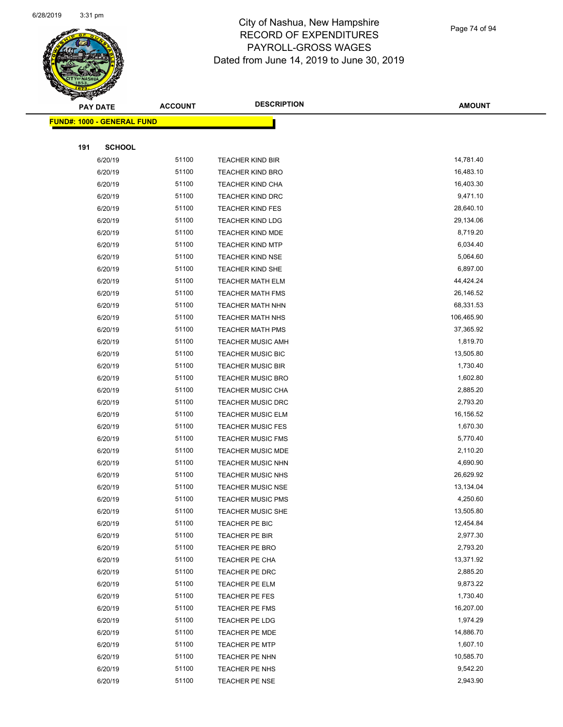

| <b>PAY DATE</b> |                                   | <b>ACCOUNT</b> | <b>DESCRIPTION</b>       | <b>AMOUNT</b>         |
|-----------------|-----------------------------------|----------------|--------------------------|-----------------------|
|                 | <b>FUND#: 1000 - GENERAL FUND</b> |                |                          |                       |
|                 |                                   |                |                          |                       |
| 191             | <b>SCHOOL</b>                     |                |                          |                       |
|                 | 6/20/19                           | 51100          | <b>TEACHER KIND BIR</b>  | 14,781.40             |
|                 | 6/20/19                           | 51100          | <b>TEACHER KIND BRO</b>  | 16,483.10             |
|                 | 6/20/19                           | 51100          | <b>TEACHER KIND CHA</b>  | 16,403.30             |
|                 | 6/20/19                           | 51100          | <b>TEACHER KIND DRC</b>  | 9,471.10              |
|                 | 6/20/19                           | 51100          | <b>TEACHER KIND FES</b>  | 28,640.10             |
|                 | 6/20/19                           | 51100          | <b>TEACHER KIND LDG</b>  | 29,134.06             |
|                 | 6/20/19                           | 51100          | TEACHER KIND MDE         | 8,719.20              |
|                 | 6/20/19                           | 51100          | <b>TEACHER KIND MTP</b>  | 6,034.40              |
|                 | 6/20/19                           | 51100          | <b>TEACHER KIND NSE</b>  | 5,064.60              |
|                 | 6/20/19                           | 51100          | <b>TEACHER KIND SHE</b>  | 6,897.00              |
|                 | 6/20/19                           | 51100          | <b>TEACHER MATH ELM</b>  | 44,424.24             |
|                 | 6/20/19                           | 51100          | <b>TEACHER MATH FMS</b>  | 26,146.52             |
|                 | 6/20/19                           | 51100          | <b>TEACHER MATH NHN</b>  | 68,331.53             |
|                 | 6/20/19                           | 51100          | <b>TEACHER MATH NHS</b>  | 106,465.90            |
|                 | 6/20/19                           | 51100          | <b>TEACHER MATH PMS</b>  | 37,365.92             |
|                 | 6/20/19                           | 51100          | <b>TEACHER MUSIC AMH</b> | 1,819.70              |
|                 | 6/20/19                           | 51100          | TEACHER MUSIC BIC        | 13,505.80             |
|                 | 6/20/19                           | 51100          | <b>TEACHER MUSIC BIR</b> | 1,730.40              |
|                 | 6/20/19                           | 51100          | <b>TEACHER MUSIC BRO</b> | 1,602.80              |
|                 | 6/20/19                           | 51100          | <b>TEACHER MUSIC CHA</b> | 2,885.20              |
|                 | 6/20/19                           | 51100          | <b>TEACHER MUSIC DRC</b> | 2,793.20              |
|                 | 6/20/19                           | 51100          | TEACHER MUSIC ELM        | 16,156.52             |
|                 | 6/20/19                           | 51100          | <b>TEACHER MUSIC FES</b> | 1,670.30              |
|                 | 6/20/19                           | 51100          | <b>TEACHER MUSIC FMS</b> | 5,770.40              |
|                 | 6/20/19                           | 51100          | <b>TEACHER MUSIC MDE</b> | 2,110.20              |
|                 | 6/20/19                           | 51100          | TEACHER MUSIC NHN        | 4,690.90              |
|                 | 6/20/19                           | 51100          | TEACHER MUSIC NHS        | 26,629.92             |
|                 | 6/20/19                           | 51100          | <b>TEACHER MUSIC NSE</b> | 13,134.04             |
|                 | 6/20/19                           | 51100          | <b>TEACHER MUSIC PMS</b> | 4,250.60              |
|                 | 6/20/19                           | 51100          | TEACHER MUSIC SHE        | 13,505.80             |
|                 | 6/20/19                           | 51100          | TEACHER PE BIC           | 12,454.84             |
|                 | 6/20/19                           | 51100          | TEACHER PE BIR           | 2,977.30              |
|                 | 6/20/19                           | 51100          | <b>TEACHER PE BRO</b>    | 2,793.20              |
|                 | 6/20/19                           | 51100          | TEACHER PE CHA           | 13,371.92             |
|                 | 6/20/19                           | 51100          | TEACHER PE DRC           | 2,885.20              |
|                 | 6/20/19                           | 51100          | TEACHER PE ELM           | 9,873.22              |
|                 | 6/20/19                           | 51100          | TEACHER PE FES           | 1,730.40              |
|                 | 6/20/19                           | 51100          | TEACHER PE FMS           | 16,207.00             |
|                 | 6/20/19                           | 51100          | TEACHER PE LDG           | 1,974.29              |
|                 | 6/20/19                           | 51100          | <b>TEACHER PE MDE</b>    | 14,886.70             |
|                 | 6/20/19                           | 51100<br>51100 | <b>TEACHER PE MTP</b>    | 1,607.10<br>10,585.70 |
|                 | 6/20/19                           | 51100          | TEACHER PE NHN           | 9,542.20              |
|                 | 6/20/19                           | 51100          | TEACHER PE NHS           | 2,943.90              |
|                 | 6/20/19                           |                | TEACHER PE NSE           |                       |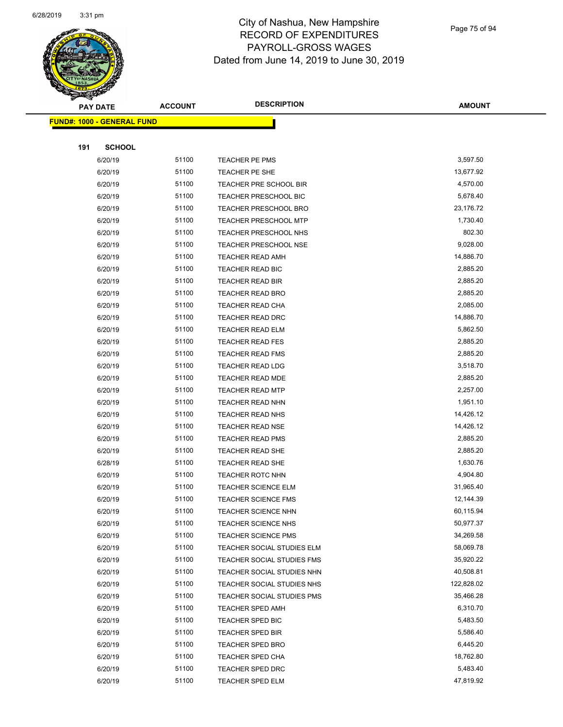

Page 75 of 94

| $\sum_{i=1}^n a_i$<br><b>PAY DATE</b> | <b>ACCOUNT</b> | <b>DESCRIPTION</b>           | <b>AMOUNT</b> |
|---------------------------------------|----------------|------------------------------|---------------|
| FUND#: 1000 - GENERAL FUND            |                |                              |               |
|                                       |                |                              |               |
| 191<br><b>SCHOOL</b>                  |                |                              |               |
| 6/20/19                               | 51100          | TEACHER PE PMS               | 3,597.50      |
| 6/20/19                               | 51100          | TEACHER PE SHE               | 13,677.92     |
| 6/20/19                               | 51100          | TEACHER PRE SCHOOL BIR       | 4,570.00      |
| 6/20/19                               | 51100          | TEACHER PRESCHOOL BIC        | 5,678.40      |
| 6/20/19                               | 51100          | TEACHER PRESCHOOL BRO        | 23,176.72     |
| 6/20/19                               | 51100          | <b>TEACHER PRESCHOOL MTP</b> | 1,730.40      |
| 6/20/19                               | 51100          | TEACHER PRESCHOOL NHS        | 802.30        |
| 6/20/19                               | 51100          | <b>TEACHER PRESCHOOL NSE</b> | 9,028.00      |
| 6/20/19                               | 51100          | <b>TEACHER READ AMH</b>      | 14,886.70     |
| 6/20/19                               | 51100          | TEACHER READ BIC             | 2,885.20      |
| 6/20/19                               | 51100          | TEACHER READ BIR             | 2,885.20      |
| 6/20/19                               | 51100          | <b>TEACHER READ BRO</b>      | 2,885.20      |
| 6/20/19                               | 51100          | <b>TEACHER READ CHA</b>      | 2,085.00      |
| 6/20/19                               | 51100          | TEACHER READ DRC             | 14,886.70     |
| 6/20/19                               | 51100          | TEACHER READ ELM             | 5,862.50      |
| 6/20/19                               | 51100          | <b>TEACHER READ FES</b>      | 2,885.20      |
| 6/20/19                               | 51100          | <b>TEACHER READ FMS</b>      | 2,885.20      |
| 6/20/19                               | 51100          | <b>TEACHER READ LDG</b>      | 3,518.70      |
| 6/20/19                               | 51100          | <b>TEACHER READ MDE</b>      | 2,885.20      |
| 6/20/19                               | 51100          | <b>TEACHER READ MTP</b>      | 2,257.00      |
| 6/20/19                               | 51100          | <b>TEACHER READ NHN</b>      | 1,951.10      |
| 6/20/19                               | 51100          | <b>TEACHER READ NHS</b>      | 14,426.12     |
| 6/20/19                               | 51100          | <b>TEACHER READ NSE</b>      | 14,426.12     |
| 6/20/19                               | 51100          | <b>TEACHER READ PMS</b>      | 2,885.20      |
| 6/20/19                               | 51100          | TEACHER READ SHE             | 2,885.20      |
| 6/28/19                               | 51100          | TEACHER READ SHE             | 1,630.76      |
| 6/20/19                               | 51100          | <b>TEACHER ROTC NHN</b>      | 4,904.80      |
| 6/20/19                               | 51100          | <b>TEACHER SCIENCE ELM</b>   | 31,965.40     |
| 6/20/19                               | 51100          | <b>TEACHER SCIENCE FMS</b>   | 12,144.39     |
| 6/20/19                               | 51100          | <b>TEACHER SCIENCE NHN</b>   | 60,115.94     |
| 6/20/19                               | 51100          | TEACHER SCIENCE NHS          | 50,977.37     |
| 6/20/19                               | 51100          | <b>TEACHER SCIENCE PMS</b>   | 34,269.58     |
| 6/20/19                               | 51100          | TEACHER SOCIAL STUDIES ELM   | 58,069.78     |
| 6/20/19                               | 51100          | TEACHER SOCIAL STUDIES FMS   | 35,920.22     |
| 6/20/19                               | 51100          | TEACHER SOCIAL STUDIES NHN   | 40,508.81     |
| 6/20/19                               | 51100          | TEACHER SOCIAL STUDIES NHS   | 122,828.02    |
| 6/20/19                               | 51100          | TEACHER SOCIAL STUDIES PMS   | 35,466.28     |
| 6/20/19                               | 51100          | <b>TEACHER SPED AMH</b>      | 6,310.70      |
| 6/20/19                               | 51100          | <b>TEACHER SPED BIC</b>      | 5,483.50      |
| 6/20/19                               | 51100          | TEACHER SPED BIR             | 5,586.40      |
| 6/20/19                               | 51100          | TEACHER SPED BRO             | 6,445.20      |
| 6/20/19                               | 51100          | <b>TEACHER SPED CHA</b>      | 18,762.80     |
| 6/20/19                               | 51100          | TEACHER SPED DRC             | 5,483.40      |
| 6/20/19                               | 51100          | <b>TEACHER SPED ELM</b>      | 47,819.92     |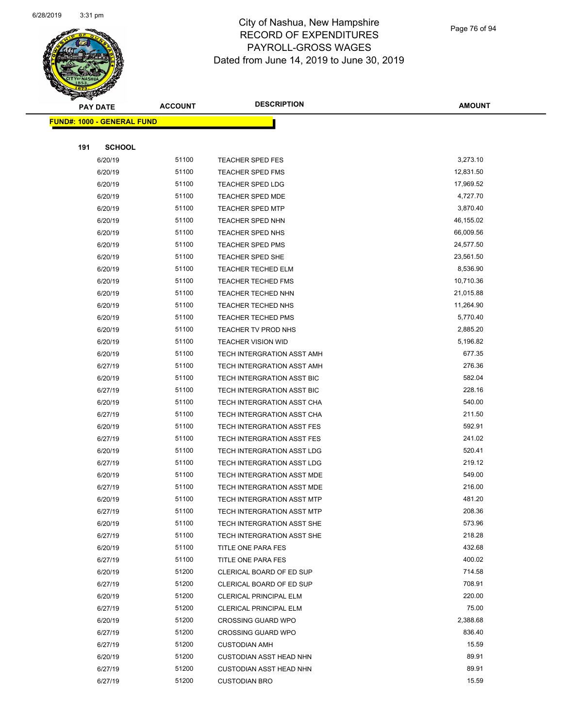

Page 76 of 94

| $\tilde{\phantom{a}}$<br><b>PAY DATE</b> | <b>ACCOUNT</b> | <b>DESCRIPTION</b>                | <b>AMOUNT</b> |
|------------------------------------------|----------------|-----------------------------------|---------------|
| <u> FUND#: 1000 - GENERAL FUND</u>       |                |                                   |               |
|                                          |                |                                   |               |
| 191<br><b>SCHOOL</b>                     |                |                                   |               |
| 6/20/19                                  | 51100          | <b>TEACHER SPED FES</b>           | 3,273.10      |
| 6/20/19                                  | 51100          | <b>TEACHER SPED FMS</b>           | 12,831.50     |
| 6/20/19                                  | 51100          | <b>TEACHER SPED LDG</b>           | 17,969.52     |
| 6/20/19                                  | 51100          | <b>TEACHER SPED MDE</b>           | 4,727.70      |
| 6/20/19                                  | 51100          | <b>TEACHER SPED MTP</b>           | 3,870.40      |
| 6/20/19                                  | 51100          | <b>TEACHER SPED NHN</b>           | 46,155.02     |
| 6/20/19                                  | 51100          | <b>TEACHER SPED NHS</b>           | 66,009.56     |
| 6/20/19                                  | 51100          | <b>TEACHER SPED PMS</b>           | 24,577.50     |
| 6/20/19                                  | 51100          | <b>TEACHER SPED SHE</b>           | 23,561.50     |
| 6/20/19                                  | 51100          | TEACHER TECHED ELM                | 8,536.90      |
| 6/20/19                                  | 51100          | <b>TEACHER TECHED FMS</b>         | 10,710.36     |
| 6/20/19                                  | 51100          | TEACHER TECHED NHN                | 21,015.88     |
| 6/20/19                                  | 51100          | TEACHER TECHED NHS                | 11,264.90     |
| 6/20/19                                  | 51100          | <b>TEACHER TECHED PMS</b>         | 5,770.40      |
| 6/20/19                                  | 51100          | TEACHER TV PROD NHS               | 2,885.20      |
| 6/20/19                                  | 51100          | <b>TEACHER VISION WID</b>         | 5,196.82      |
| 6/20/19                                  | 51100          | TECH INTERGRATION ASST AMH        | 677.35        |
| 6/27/19                                  | 51100          | TECH INTERGRATION ASST AMH        | 276.36        |
| 6/20/19                                  | 51100          | TECH INTERGRATION ASST BIC        | 582.04        |
| 6/27/19                                  | 51100          | TECH INTERGRATION ASST BIC        | 228.16        |
| 6/20/19                                  | 51100          | TECH INTERGRATION ASST CHA        | 540.00        |
| 6/27/19                                  | 51100          | TECH INTERGRATION ASST CHA        | 211.50        |
| 6/20/19                                  | 51100          | TECH INTERGRATION ASST FES        | 592.91        |
| 6/27/19                                  | 51100          | TECH INTERGRATION ASST FES        | 241.02        |
| 6/20/19                                  | 51100          | TECH INTERGRATION ASST LDG        | 520.41        |
| 6/27/19                                  | 51100          | TECH INTERGRATION ASST LDG        | 219.12        |
| 6/20/19                                  | 51100          | TECH INTERGRATION ASST MDE        | 549.00        |
| 6/27/19                                  | 51100          | TECH INTERGRATION ASST MDE        | 216.00        |
| 6/20/19                                  | 51100          | <b>TECH INTERGRATION ASST MTP</b> | 481.20        |
| 6/27/19                                  | 51100          | TECH INTERGRATION ASST MTP        | 208.36        |
| 6/20/19                                  | 51100          | TECH INTERGRATION ASST SHE        | 573.96        |
| 6/27/19                                  | 51100          | TECH INTERGRATION ASST SHE        | 218.28        |
| 6/20/19                                  | 51100          | TITLE ONE PARA FES                | 432.68        |
| 6/27/19                                  | 51100          | TITLE ONE PARA FES                | 400.02        |
| 6/20/19                                  | 51200          | CLERICAL BOARD OF ED SUP          | 714.58        |
| 6/27/19                                  | 51200          | CLERICAL BOARD OF ED SUP          | 708.91        |
| 6/20/19                                  | 51200          | CLERICAL PRINCIPAL ELM            | 220.00        |
| 6/27/19                                  | 51200          | CLERICAL PRINCIPAL ELM            | 75.00         |
| 6/20/19                                  | 51200          | <b>CROSSING GUARD WPO</b>         | 2,388.68      |
| 6/27/19                                  | 51200          | <b>CROSSING GUARD WPO</b>         | 836.40        |
| 6/27/19                                  | 51200          | <b>CUSTODIAN AMH</b>              | 15.59         |
| 6/20/19                                  | 51200          | CUSTODIAN ASST HEAD NHN           | 89.91         |
| 6/27/19                                  | 51200          | <b>CUSTODIAN ASST HEAD NHN</b>    | 89.91         |
| 6/27/19                                  | 51200          | <b>CUSTODIAN BRO</b>              | 15.59         |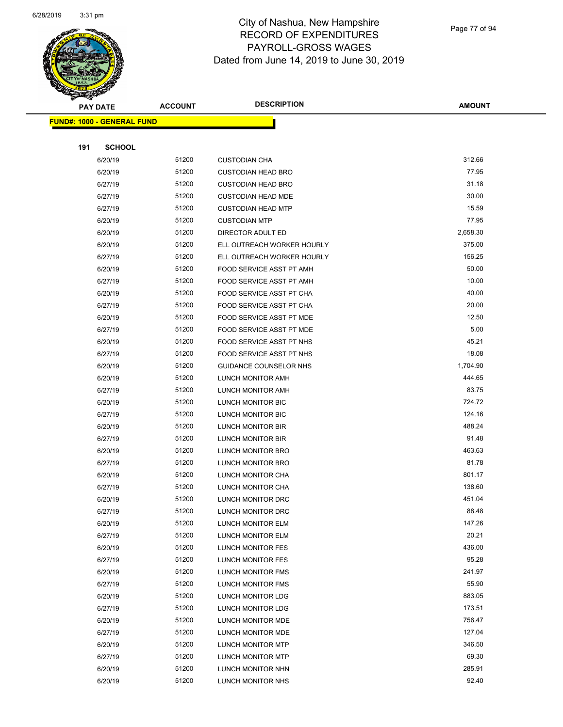

Page 77 of 94

| $\blacktriangleleft$ .<br><b>PAY DATE</b> | <b>ACCOUNT</b> | <b>DESCRIPTION</b>              | <b>AMOUNT</b> |
|-------------------------------------------|----------------|---------------------------------|---------------|
| <b>FUND#: 1000 - GENERAL FUND</b>         |                |                                 |               |
|                                           |                |                                 |               |
| 191<br><b>SCHOOL</b>                      |                |                                 |               |
| 6/20/19                                   | 51200          | <b>CUSTODIAN CHA</b>            | 312.66        |
| 6/20/19                                   | 51200          | <b>CUSTODIAN HEAD BRO</b>       | 77.95         |
| 6/27/19                                   | 51200          | <b>CUSTODIAN HEAD BRO</b>       | 31.18         |
| 6/27/19                                   | 51200          | <b>CUSTODIAN HEAD MDE</b>       | 30.00         |
| 6/27/19                                   | 51200          | <b>CUSTODIAN HEAD MTP</b>       | 15.59         |
| 6/20/19                                   | 51200          | <b>CUSTODIAN MTP</b>            | 77.95         |
| 6/20/19                                   | 51200          | DIRECTOR ADULT ED               | 2,658.30      |
| 6/20/19                                   | 51200          | ELL OUTREACH WORKER HOURLY      | 375.00        |
| 6/27/19                                   | 51200          | ELL OUTREACH WORKER HOURLY      | 156.25        |
| 6/20/19                                   | 51200          | FOOD SERVICE ASST PT AMH        | 50.00         |
| 6/27/19                                   | 51200          | FOOD SERVICE ASST PT AMH        | 10.00         |
| 6/20/19                                   | 51200          | FOOD SERVICE ASST PT CHA        | 40.00         |
| 6/27/19                                   | 51200          | FOOD SERVICE ASST PT CHA        | 20.00         |
| 6/20/19                                   | 51200          | FOOD SERVICE ASST PT MDE        | 12.50         |
| 6/27/19                                   | 51200          | <b>FOOD SERVICE ASST PT MDE</b> | 5.00          |
| 6/20/19                                   | 51200          | FOOD SERVICE ASST PT NHS        | 45.21         |
| 6/27/19                                   | 51200          | FOOD SERVICE ASST PT NHS        | 18.08         |
| 6/20/19                                   | 51200          | GUIDANCE COUNSELOR NHS          | 1,704.90      |
| 6/20/19                                   | 51200          | LUNCH MONITOR AMH               | 444.65        |
| 6/27/19                                   | 51200          | LUNCH MONITOR AMH               | 83.75         |
| 6/20/19                                   | 51200          | LUNCH MONITOR BIC               | 724.72        |
| 6/27/19                                   | 51200          | LUNCH MONITOR BIC               | 124.16        |
| 6/20/19                                   | 51200          | LUNCH MONITOR BIR               | 488.24        |
| 6/27/19                                   | 51200          | LUNCH MONITOR BIR               | 91.48         |
| 6/20/19                                   | 51200          | LUNCH MONITOR BRO               | 463.63        |
| 6/27/19                                   | 51200          | LUNCH MONITOR BRO               | 81.78         |
| 6/20/19                                   | 51200          | LUNCH MONITOR CHA               | 801.17        |
| 6/27/19                                   | 51200          | LUNCH MONITOR CHA               | 138.60        |
| 6/20/19                                   | 51200          | LUNCH MONITOR DRC               | 451.04        |
| 6/27/19                                   | 51200          | LUNCH MONITOR DRC               | 88.48         |
| 6/20/19                                   | 51200          | LUNCH MONITOR ELM               | 147.26        |
| 6/27/19                                   | 51200          | LUNCH MONITOR ELM               | 20.21         |
| 6/20/19                                   | 51200          | LUNCH MONITOR FES               | 436.00        |
| 6/27/19                                   | 51200          | LUNCH MONITOR FES               | 95.28         |
| 6/20/19                                   | 51200          | LUNCH MONITOR FMS               | 241.97        |
| 6/27/19                                   | 51200          | <b>LUNCH MONITOR FMS</b>        | 55.90         |
| 6/20/19                                   | 51200          | LUNCH MONITOR LDG               | 883.05        |
| 6/27/19                                   | 51200          | LUNCH MONITOR LDG               | 173.51        |
| 6/20/19                                   | 51200          | LUNCH MONITOR MDE               | 756.47        |
| 6/27/19                                   | 51200          | LUNCH MONITOR MDE               | 127.04        |
| 6/20/19                                   | 51200          | <b>LUNCH MONITOR MTP</b>        | 346.50        |
| 6/27/19                                   | 51200          | LUNCH MONITOR MTP               | 69.30         |
| 6/20/19                                   | 51200          | LUNCH MONITOR NHN               | 285.91        |
| 6/20/19                                   | 51200          | LUNCH MONITOR NHS               | 92.40         |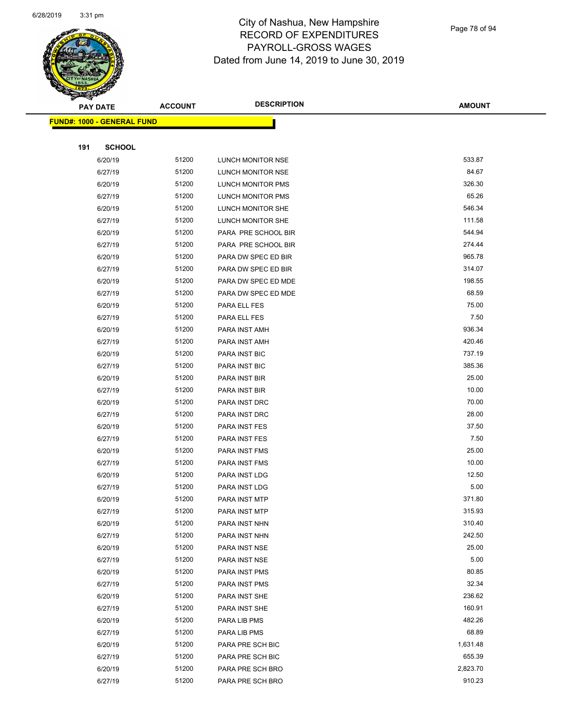

Page 78 of 94

| <b>STARTING CARDS</b> |                                   |                |                     |               |
|-----------------------|-----------------------------------|----------------|---------------------|---------------|
|                       | <b>PAY DATE</b>                   | <b>ACCOUNT</b> | <b>DESCRIPTION</b>  | <b>AMOUNT</b> |
|                       | <b>FUND#: 1000 - GENERAL FUND</b> |                |                     |               |
|                       |                                   |                |                     |               |
| 191                   | <b>SCHOOL</b>                     |                |                     |               |
|                       | 6/20/19                           | 51200          | LUNCH MONITOR NSE   | 533.87        |
|                       | 6/27/19                           | 51200          | LUNCH MONITOR NSE   | 84.67         |
|                       | 6/20/19                           | 51200          | LUNCH MONITOR PMS   | 326.30        |
|                       | 6/27/19                           | 51200          | LUNCH MONITOR PMS   | 65.26         |
|                       | 6/20/19                           | 51200          | LUNCH MONITOR SHE   | 546.34        |
|                       | 6/27/19                           | 51200          | LUNCH MONITOR SHE   | 111.58        |
|                       | 6/20/19                           | 51200          | PARA PRE SCHOOL BIR | 544.94        |
|                       | 6/27/19                           | 51200          | PARA PRE SCHOOL BIR | 274.44        |
|                       | 6/20/19                           | 51200          | PARA DW SPEC ED BIR | 965.78        |
|                       | 6/27/19                           | 51200          | PARA DW SPEC ED BIR | 314.07        |
|                       | 6/20/19                           | 51200          | PARA DW SPEC ED MDE | 198.55        |
|                       | 6/27/19                           | 51200          | PARA DW SPEC ED MDE | 68.59         |
|                       | 6/20/19                           | 51200          | PARA ELL FES        | 75.00         |
|                       | 6/27/19                           | 51200          | PARA ELL FES        | 7.50          |
|                       | 6/20/19                           | 51200          | PARA INST AMH       | 936.34        |
|                       | 6/27/19                           | 51200          | PARA INST AMH       | 420.46        |
|                       | 6/20/19                           | 51200          | PARA INST BIC       | 737.19        |
|                       | 6/27/19                           | 51200          | PARA INST BIC       | 385.36        |
|                       | 6/20/19                           | 51200          | PARA INST BIR       | 25.00         |
|                       | 6/27/19                           | 51200          | PARA INST BIR       | 10.00         |
|                       | 6/20/19                           | 51200          | PARA INST DRC       | 70.00         |
|                       | 6/27/19                           | 51200          | PARA INST DRC       | 28.00         |
|                       | 6/20/19                           | 51200          | PARA INST FES       | 37.50         |
|                       | 6/27/19                           | 51200          | PARA INST FES       | 7.50          |
|                       | 6/20/19                           | 51200          | PARA INST FMS       | 25.00         |
|                       | 6/27/19                           | 51200          | PARA INST FMS       | 10.00         |
|                       | 6/20/19                           | 51200          | PARA INST LDG       | 12.50         |
|                       | 6/27/19                           | 51200          | PARA INST LDG       | 5.00          |
|                       | 6/20/19                           | 51200          | PARA INST MTP       | 371.80        |
|                       |                                   | 51200          |                     | 315.93        |
|                       | 6/27/19                           | 51200          | PARA INST MTP       | 310.40        |
|                       | 6/20/19                           | 51200          | PARA INST NHN       | 242.50        |
|                       | 6/27/19                           |                | PARA INST NHN       |               |
|                       | 6/20/19                           | 51200          | PARA INST NSE       | 25.00         |
|                       | 6/27/19                           | 51200          | PARA INST NSE       | 5.00          |
|                       | 6/20/19                           | 51200          | PARA INST PMS       | 80.85         |
|                       | 6/27/19                           | 51200          | PARA INST PMS       | 32.34         |
|                       | 6/20/19                           | 51200          | PARA INST SHE       | 236.62        |
|                       | 6/27/19                           | 51200          | PARA INST SHE       | 160.91        |
|                       | 6/20/19                           | 51200          | PARA LIB PMS        | 482.26        |
|                       | 6/27/19                           | 51200          | PARA LIB PMS        | 68.89         |
|                       | 6/20/19                           | 51200          | PARA PRE SCH BIC    | 1,631.48      |
|                       | 6/27/19                           | 51200          | PARA PRE SCH BIC    | 655.39        |
|                       | 6/20/19                           | 51200          | PARA PRE SCH BRO    | 2,823.70      |
|                       | 6/27/19                           | 51200          | PARA PRE SCH BRO    | 910.23        |
|                       |                                   |                |                     |               |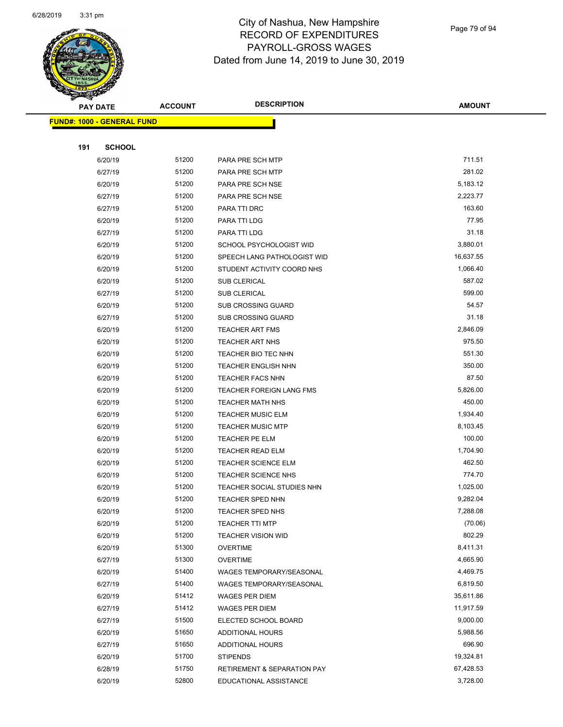

Page 79 of 94

| <b>STATERS</b>                    |                |                                        |               |
|-----------------------------------|----------------|----------------------------------------|---------------|
| <b>PAY DATE</b>                   | <b>ACCOUNT</b> | <b>DESCRIPTION</b>                     | <b>AMOUNT</b> |
| <b>FUND#: 1000 - GENERAL FUND</b> |                |                                        |               |
|                                   |                |                                        |               |
| 191<br><b>SCHOOL</b>              |                |                                        |               |
| 6/20/19                           | 51200          | PARA PRE SCH MTP                       | 711.51        |
| 6/27/19                           | 51200          | PARA PRE SCH MTP                       | 281.02        |
| 6/20/19                           | 51200          | PARA PRE SCH NSE                       | 5,183.12      |
| 6/27/19                           | 51200          | PARA PRE SCH NSE                       | 2,223.77      |
| 6/27/19                           | 51200          | PARA TTI DRC                           | 163.60        |
| 6/20/19                           | 51200          | PARA TTI LDG                           | 77.95         |
| 6/27/19                           | 51200          | PARA TTI LDG                           | 31.18         |
| 6/20/19                           | 51200          | SCHOOL PSYCHOLOGIST WID                | 3,880.01      |
| 6/20/19                           | 51200          | SPEECH LANG PATHOLOGIST WID            | 16,637.55     |
| 6/20/19                           | 51200          | STUDENT ACTIVITY COORD NHS             | 1,066.40      |
| 6/20/19                           | 51200          | <b>SUB CLERICAL</b>                    | 587.02        |
| 6/27/19                           | 51200          | <b>SUB CLERICAL</b>                    | 599.00        |
| 6/20/19                           | 51200          | SUB CROSSING GUARD                     | 54.57         |
| 6/27/19                           | 51200          | <b>SUB CROSSING GUARD</b>              | 31.18         |
| 6/20/19                           | 51200          | <b>TEACHER ART FMS</b>                 | 2,846.09      |
| 6/20/19                           | 51200          | <b>TEACHER ART NHS</b>                 | 975.50        |
| 6/20/19                           | 51200          | TEACHER BIO TEC NHN                    | 551.30        |
| 6/20/19                           | 51200          | TEACHER ENGLISH NHN                    | 350.00        |
| 6/20/19                           | 51200          | <b>TEACHER FACS NHN</b>                | 87.50         |
| 6/20/19                           | 51200          | <b>TEACHER FOREIGN LANG FMS</b>        | 5,826.00      |
| 6/20/19                           | 51200          | <b>TEACHER MATH NHS</b>                | 450.00        |
| 6/20/19                           | 51200          | <b>TEACHER MUSIC ELM</b>               | 1,934.40      |
| 6/20/19                           | 51200          | <b>TEACHER MUSIC MTP</b>               | 8,103.45      |
| 6/20/19                           | 51200          | TEACHER PE ELM                         | 100.00        |
| 6/20/19                           | 51200          | <b>TEACHER READ ELM</b>                | 1,704.90      |
| 6/20/19                           | 51200          | <b>TEACHER SCIENCE ELM</b>             | 462.50        |
| 6/20/19                           | 51200          | <b>TEACHER SCIENCE NHS</b>             | 774.70        |
| 6/20/19                           | 51200          | TEACHER SOCIAL STUDIES NHN             | 1,025.00      |
| 6/20/19                           | 51200          | TEACHER SPED NHN                       | 9,282.04      |
| 6/20/19                           | 51200          | <b>TEACHER SPED NHS</b>                | 7,288.08      |
| 6/20/19                           | 51200          | <b>TEACHER TTI MTP</b>                 | (70.06)       |
| 6/20/19                           | 51200          | <b>TEACHER VISION WID</b>              | 802.29        |
| 6/20/19                           | 51300          | <b>OVERTIME</b>                        | 8,411.31      |
| 6/27/19                           | 51300          | <b>OVERTIME</b>                        | 4,665.90      |
| 6/20/19                           | 51400          | WAGES TEMPORARY/SEASONAL               | 4,469.75      |
| 6/27/19                           | 51400          | WAGES TEMPORARY/SEASONAL               | 6,819.50      |
| 6/20/19                           | 51412          | WAGES PER DIEM                         | 35,611.86     |
| 6/27/19                           | 51412          | WAGES PER DIEM                         | 11,917.59     |
| 6/27/19                           | 51500          | ELECTED SCHOOL BOARD                   | 9,000.00      |
| 6/20/19                           | 51650          | ADDITIONAL HOURS                       | 5,988.56      |
| 6/27/19                           | 51650          | ADDITIONAL HOURS                       | 696.90        |
| 6/20/19                           | 51700          | <b>STIPENDS</b>                        | 19,324.81     |
| 6/28/19                           | 51750          | <b>RETIREMENT &amp; SEPARATION PAY</b> | 67,428.53     |
| 6/20/19                           | 52800          | EDUCATIONAL ASSISTANCE                 | 3,728.00      |
|                                   |                |                                        |               |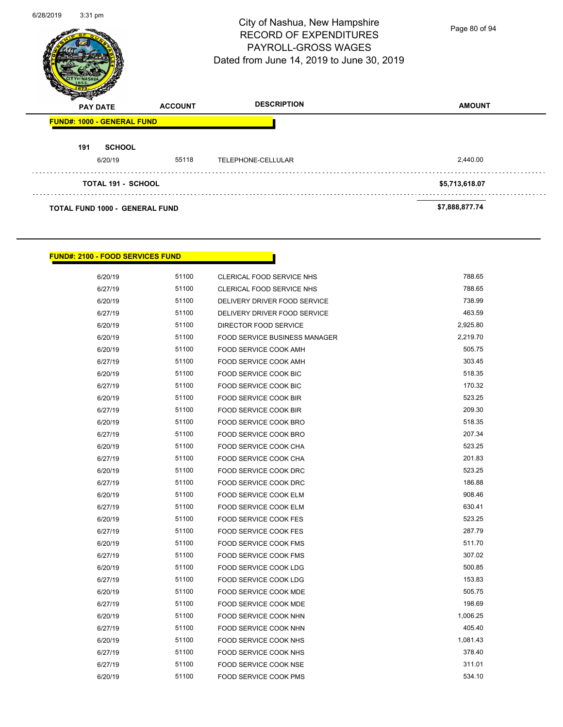| 6/28/2019 | $3:31$ pm                             |                | City of Nashua, New Hampshire<br><b>RECORD OF EXPENDITURES</b><br><b>PAYROLL-GROSS WAGES</b><br>Dated from June 14, 2019 to June 30, 2019 | Page 80 of 94  |
|-----------|---------------------------------------|----------------|-------------------------------------------------------------------------------------------------------------------------------------------|----------------|
|           | <b>PAY DATE</b>                       | <b>ACCOUNT</b> | <b>DESCRIPTION</b>                                                                                                                        | <b>AMOUNT</b>  |
|           | <b>FUND#: 1000 - GENERAL FUND</b>     |                |                                                                                                                                           |                |
|           | <b>SCHOOL</b><br>191<br>6/20/19       | 55118          | TELEPHONE-CELLULAR                                                                                                                        | 2,440.00       |
|           | <b>TOTAL 191 - SCHOOL</b>             |                |                                                                                                                                           | \$5,713,618.07 |
|           | <b>TOTAL FUND 1000 - GENERAL FUND</b> |                |                                                                                                                                           | \$7,888,877.74 |

ŗ

### **FUND#: 2100 - FOOD SERVICES FUND**

| 6/20/19 | 51100 | CLERICAL FOOD SERVICE NHS            | 788.65   |
|---------|-------|--------------------------------------|----------|
| 6/27/19 | 51100 | CLERICAL FOOD SERVICE NHS            | 788.65   |
| 6/20/19 | 51100 | DELIVERY DRIVER FOOD SERVICE         | 738.99   |
| 6/27/19 | 51100 | DELIVERY DRIVER FOOD SERVICE         | 463.59   |
| 6/20/19 | 51100 | DIRECTOR FOOD SERVICE                | 2,925.80 |
| 6/20/19 | 51100 | <b>FOOD SERVICE BUSINESS MANAGER</b> | 2,219.70 |
| 6/20/19 | 51100 | FOOD SERVICE COOK AMH                | 505.75   |
| 6/27/19 | 51100 | FOOD SERVICE COOK AMH                | 303.45   |
| 6/20/19 | 51100 | FOOD SERVICE COOK BIC                | 518.35   |
| 6/27/19 | 51100 | FOOD SERVICE COOK BIC                | 170.32   |
| 6/20/19 | 51100 | FOOD SERVICE COOK BIR                | 523.25   |
| 6/27/19 | 51100 | FOOD SERVICE COOK BIR                | 209.30   |
| 6/20/19 | 51100 | FOOD SERVICE COOK BRO                | 518.35   |
| 6/27/19 | 51100 | FOOD SERVICE COOK BRO                | 207.34   |
| 6/20/19 | 51100 | FOOD SERVICE COOK CHA                | 523.25   |
| 6/27/19 | 51100 | FOOD SERVICE COOK CHA                | 201.83   |
| 6/20/19 | 51100 | FOOD SERVICE COOK DRC                | 523.25   |
| 6/27/19 | 51100 | FOOD SERVICE COOK DRC                | 186.88   |
| 6/20/19 | 51100 | FOOD SERVICE COOK ELM                | 908.46   |
| 6/27/19 | 51100 | FOOD SERVICE COOK ELM                | 630.41   |
| 6/20/19 | 51100 | FOOD SERVICE COOK FES                | 523.25   |
| 6/27/19 | 51100 | FOOD SERVICE COOK FES                | 287.79   |
| 6/20/19 | 51100 | <b>FOOD SERVICE COOK FMS</b>         | 511.70   |
| 6/27/19 | 51100 | <b>FOOD SERVICE COOK FMS</b>         | 307.02   |
| 6/20/19 | 51100 | FOOD SERVICE COOK LDG                | 500.85   |
| 6/27/19 | 51100 | FOOD SERVICE COOK LDG                | 153.83   |
| 6/20/19 | 51100 | FOOD SERVICE COOK MDE                | 505.75   |
| 6/27/19 | 51100 | FOOD SERVICE COOK MDE                | 198.69   |
| 6/20/19 | 51100 | FOOD SERVICE COOK NHN                | 1,006.25 |
| 6/27/19 | 51100 | FOOD SERVICE COOK NHN                | 405.40   |
| 6/20/19 | 51100 | FOOD SERVICE COOK NHS                | 1,081.43 |
| 6/27/19 | 51100 | FOOD SERVICE COOK NHS                | 378.40   |
| 6/27/19 | 51100 | FOOD SERVICE COOK NSE                | 311.01   |
| 6/20/19 | 51100 | FOOD SERVICE COOK PMS                | 534.10   |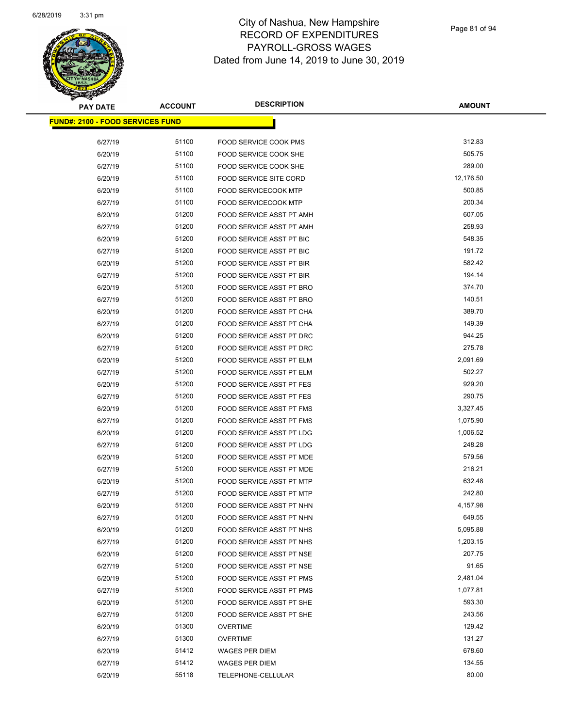

| <b>PAY DATE</b>                         | <b>ACCOUNT</b> | <b>DESCRIPTION</b>              | <b>AMOUNT</b> |
|-----------------------------------------|----------------|---------------------------------|---------------|
| <b>FUND#: 2100 - FOOD SERVICES FUND</b> |                |                                 |               |
| 6/27/19                                 | 51100          | FOOD SERVICE COOK PMS           | 312.83        |
| 6/20/19                                 | 51100          | FOOD SERVICE COOK SHE           | 505.75        |
| 6/27/19                                 | 51100          | FOOD SERVICE COOK SHE           | 289.00        |
| 6/20/19                                 | 51100          | <b>FOOD SERVICE SITE CORD</b>   | 12,176.50     |
| 6/20/19                                 | 51100          | <b>FOOD SERVICECOOK MTP</b>     | 500.85        |
| 6/27/19                                 | 51100          | <b>FOOD SERVICECOOK MTP</b>     | 200.34        |
| 6/20/19                                 | 51200          | <b>FOOD SERVICE ASST PT AMH</b> | 607.05        |
| 6/27/19                                 | 51200          | FOOD SERVICE ASST PT AMH        | 258.93        |
| 6/20/19                                 | 51200          | <b>FOOD SERVICE ASST PT BIC</b> | 548.35        |
| 6/27/19                                 | 51200          | <b>FOOD SERVICE ASST PT BIC</b> | 191.72        |
| 6/20/19                                 | 51200          | FOOD SERVICE ASST PT BIR        | 582.42        |
| 6/27/19                                 | 51200          | FOOD SERVICE ASST PT BIR        | 194.14        |
| 6/20/19                                 | 51200          | FOOD SERVICE ASST PT BRO        | 374.70        |
| 6/27/19                                 | 51200          | FOOD SERVICE ASST PT BRO        | 140.51        |
| 6/20/19                                 | 51200          | FOOD SERVICE ASST PT CHA        | 389.70        |
| 6/27/19                                 | 51200          | FOOD SERVICE ASST PT CHA        | 149.39        |
| 6/20/19                                 | 51200          | FOOD SERVICE ASST PT DRC        | 944.25        |
| 6/27/19                                 | 51200          | <b>FOOD SERVICE ASST PT DRC</b> | 275.78        |
| 6/20/19                                 | 51200          | FOOD SERVICE ASST PT ELM        | 2,091.69      |
| 6/27/19                                 | 51200          | FOOD SERVICE ASST PT ELM        | 502.27        |
| 6/20/19                                 | 51200          | FOOD SERVICE ASST PT FES        | 929.20        |
| 6/27/19                                 | 51200          | FOOD SERVICE ASST PT FES        | 290.75        |
| 6/20/19                                 | 51200          | FOOD SERVICE ASST PT FMS        | 3,327.45      |
| 6/27/19                                 | 51200          | FOOD SERVICE ASST PT FMS        | 1,075.90      |
| 6/20/19                                 | 51200          | FOOD SERVICE ASST PT LDG        | 1,006.52      |
| 6/27/19                                 | 51200          | FOOD SERVICE ASST PT LDG        | 248.28        |
| 6/20/19                                 | 51200          | FOOD SERVICE ASST PT MDE        | 579.56        |
| 6/27/19                                 | 51200          | FOOD SERVICE ASST PT MDE        | 216.21        |
| 6/20/19                                 | 51200          | FOOD SERVICE ASST PT MTP        | 632.48        |
| 6/27/19                                 | 51200          | FOOD SERVICE ASST PT MTP        | 242.80        |
| 6/20/19                                 | 51200          | FOOD SERVICE ASST PT NHN        | 4,157.98      |
| 6/27/19                                 | 51200          | FOOD SERVICE ASST PT NHN        | 649.55        |
| 6/20/19                                 | 51200          | FOOD SERVICE ASST PT NHS        | 5,095.88      |
| 6/27/19                                 | 51200          | FOOD SERVICE ASST PT NHS        | 1,203.15      |
| 6/20/19                                 | 51200          | FOOD SERVICE ASST PT NSE        | 207.75        |
| 6/27/19                                 | 51200          | FOOD SERVICE ASST PT NSE        | 91.65         |
| 6/20/19                                 | 51200          | FOOD SERVICE ASST PT PMS        | 2,481.04      |
| 6/27/19                                 | 51200          | FOOD SERVICE ASST PT PMS        | 1,077.81      |
| 6/20/19                                 | 51200          | FOOD SERVICE ASST PT SHE        | 593.30        |
| 6/27/19                                 | 51200          | FOOD SERVICE ASST PT SHE        | 243.56        |
| 6/20/19                                 | 51300          | <b>OVERTIME</b>                 | 129.42        |
| 6/27/19                                 | 51300          | <b>OVERTIME</b>                 | 131.27        |
| 6/20/19                                 | 51412          | WAGES PER DIEM                  | 678.60        |
| 6/27/19                                 | 51412          | WAGES PER DIEM                  | 134.55        |
| 6/20/19                                 | 55118          | TELEPHONE-CELLULAR              | 80.00         |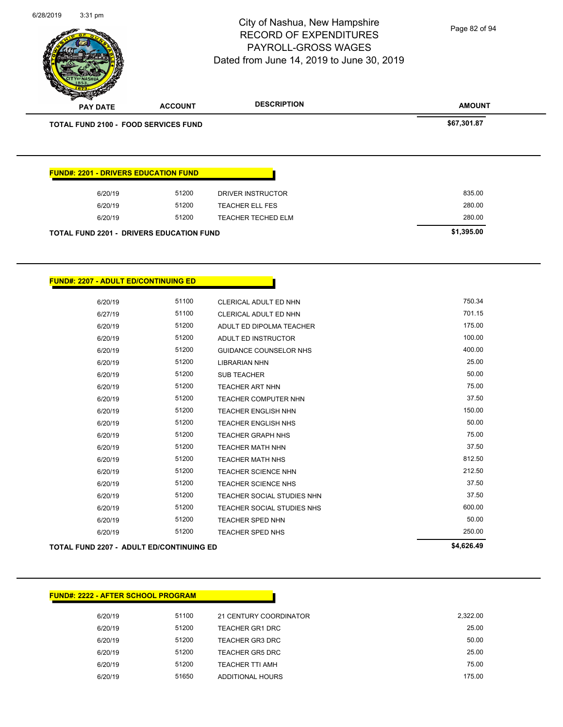**AMOUNT** City of Nashua, New Hampshire RECORD OF EXPENDITURES PAYROLL-GROSS WAGES Dated from June 14, 2019 to June 30, 2019 **PAY DATE ACCOUNT DESCRIPTION TOTAL FUND 2100 - FOOD SERVICES FUND 567,301.87 FUND#: 2201 - DRIVERS EDUCATION FUND** 6/20/19 51200 DRIVER INSTRUCTOR 835.00 6/20/19 51200 TEACHER ELL FES 280.00 6/20/19 51200 TEACHER TECHED ELM 280.00 **TOTAL FUND 2201 - DRIVERS EDUCATION FUND \$1,395.00**  Page 82 of 94

6/28/2019 3:31 pm

**FUND#: 2207 - ADULT ED/CONTINUING ED**

|         | TOTAL FUND 2207 - ADULT ED/CONTINUING ED |                                   | \$4,626.49 |
|---------|------------------------------------------|-----------------------------------|------------|
| 6/20/19 | 51200                                    | <b>TEACHER SPED NHS</b>           | 250.00     |
| 6/20/19 | 51200                                    | <b>TEACHER SPED NHN</b>           | 50.00      |
| 6/20/19 | 51200                                    | TEACHER SOCIAL STUDIES NHS        | 600.00     |
| 6/20/19 | 51200                                    | <b>TEACHER SOCIAL STUDIES NHN</b> | 37.50      |
| 6/20/19 | 51200                                    | <b>TEACHER SCIENCE NHS</b>        | 37.50      |
| 6/20/19 | 51200                                    | <b>TEACHER SCIENCE NHN</b>        | 212.50     |
| 6/20/19 | 51200                                    | <b>TEACHER MATH NHS</b>           | 812.50     |
| 6/20/19 | 51200                                    | <b>TEACHER MATH NHN</b>           | 37.50      |
| 6/20/19 | 51200                                    | <b>TEACHER GRAPH NHS</b>          | 75.00      |
| 6/20/19 | 51200                                    | <b>TEACHER ENGLISH NHS</b>        | 50.00      |
| 6/20/19 | 51200                                    | <b>TEACHER ENGLISH NHN</b>        | 150.00     |
| 6/20/19 | 51200                                    | <b>TEACHER COMPUTER NHN</b>       | 37.50      |
| 6/20/19 | 51200                                    | <b>TEACHER ART NHN</b>            | 75.00      |
| 6/20/19 | 51200                                    | <b>SUB TEACHER</b>                | 50.00      |
| 6/20/19 | 51200                                    | <b>LIBRARIAN NHN</b>              | 25.00      |
| 6/20/19 | 51200                                    | <b>GUIDANCE COUNSELOR NHS</b>     | 400.00     |
| 6/20/19 | 51200                                    | <b>ADULT ED INSTRUCTOR</b>        | 100.00     |
| 6/20/19 | 51200                                    | ADULT ED DIPOLMA TEACHER          | 175.00     |
| 6/27/19 | 51100                                    | CLERICAL ADULT ED NHN             | 701.15     |
| 6/20/19 | 51100                                    | <b>CLERICAL ADULT ED NHN</b>      | 750.34     |
|         |                                          |                                   |            |

Г

| <b>FUND#: 2222 - AFTER SCHOOL PROGRAM</b> |       |                        |          |
|-------------------------------------------|-------|------------------------|----------|
| 6/20/19                                   | 51100 | 21 CENTURY COORDINATOR | 2,322.00 |
| 6/20/19                                   | 51200 | <b>TEACHER GR1 DRC</b> | 25.00    |
| 6/20/19                                   | 51200 | TEACHER GR3 DRC        | 50.00    |
| 6/20/19                                   | 51200 | TEACHER GR5 DRC        | 25.00    |
| 6/20/19                                   | 51200 | TEACHER TTI AMH        | 75.00    |
| 6/20/19                                   | 51650 | ADDITIONAL HOURS       | 175.00   |
|                                           |       |                        |          |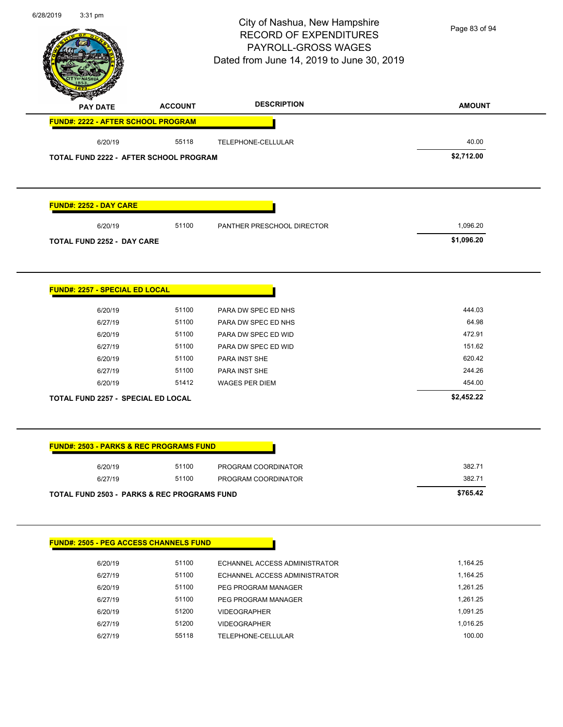# City of Nashua, New Hampshire RECORD OF EXPENDITURES PAYROLL-GROSS WAGES

Page 83 of 94

| <b>PAY DATE</b>                                        | <b>ACCOUNT</b> | <b>DESCRIPTION</b>            | <b>AMOUNT</b> |
|--------------------------------------------------------|----------------|-------------------------------|---------------|
| FUND#: 2222 - AFTER SCHOOL PROGRAM                     |                |                               |               |
| 6/20/19                                                | 55118          | TELEPHONE-CELLULAR            | 40.00         |
| TOTAL FUND 2222 - AFTER SCHOOL PROGRAM                 |                |                               | \$2,712.00    |
| <b>FUND#: 2252 - DAY CARE</b>                          |                |                               |               |
| 6/20/19                                                | 51100          | PANTHER PRESCHOOL DIRECTOR    | 1,096.20      |
| <b>TOTAL FUND 2252 - DAY CARE</b>                      |                |                               | \$1,096.20    |
| <b>FUND#: 2257 - SPECIAL ED LOCAL</b>                  |                |                               |               |
| 6/20/19                                                | 51100          | PARA DW SPEC ED NHS           | 444.03        |
| 6/27/19                                                | 51100          | PARA DW SPEC ED NHS           | 64.98         |
| 6/20/19                                                | 51100          | PARA DW SPEC ED WID           | 472.91        |
| 6/27/19                                                | 51100          | PARA DW SPEC ED WID           | 151.62        |
| 6/20/19                                                | 51100          | PARA INST SHE                 | 620.42        |
| 6/27/19                                                | 51100          | PARA INST SHE                 | 244.26        |
| 6/20/19                                                | 51412          | <b>WAGES PER DIEM</b>         | 454.00        |
| TOTAL FUND 2257 - SPECIAL ED LOCAL                     |                |                               | \$2,452.22    |
|                                                        |                |                               |               |
| <b>FUND#: 2503 - PARKS &amp; REC PROGRAMS FUND</b>     |                |                               |               |
| 6/20/19                                                | 51100          | PROGRAM COORDINATOR           | 382.71        |
| 6/27/19                                                | 51100          | PROGRAM COORDINATOR           | 382.71        |
| <b>TOTAL FUND 2503 - PARKS &amp; REC PROGRAMS FUND</b> |                |                               | \$765.42      |
|                                                        |                |                               |               |
| <b>FUND#: 2505 - PEG ACCESS CHANNELS FUND</b>          |                |                               |               |
| 6/20/19                                                | 51100          | ECHANNEL ACCESS ADMINISTRATOR | 1,164.25      |
| 6/27/19                                                | 51100          | ECHANNEL ACCESS ADMINISTRATOR | 1,164.25      |
| 6/20/19                                                | 51100          | PEG PROGRAM MANAGER           | 1,261.25      |
| 6/27/19                                                | 51100          | PEG PROGRAM MANAGER           | 1,261.25      |
| 6/20/19                                                | 51200          | <b>VIDEOGRAPHER</b>           | 1,091.25      |

6/27/19 51200 VIDEOGRAPHER 1,016.25 6/27/19 55118 TELEPHONE-CELLULAR 100.00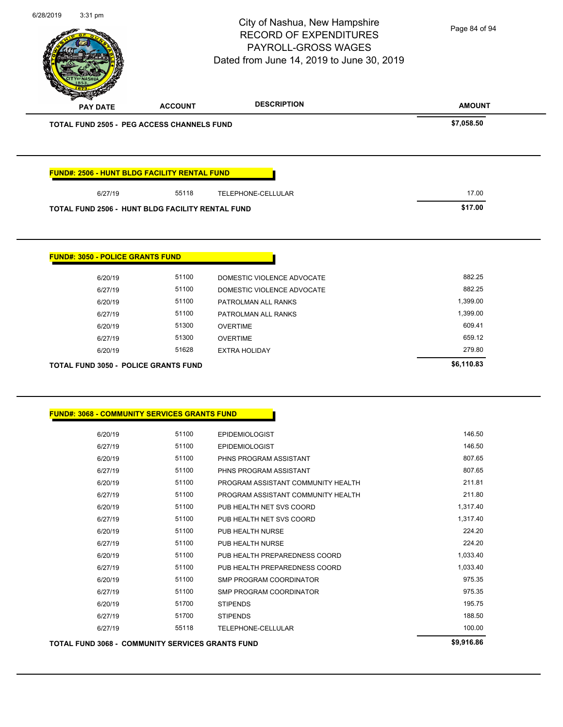| 6/28/2019 | 3:31 pm                                 |                                                         | City of Nashua, New Hampshire<br><b>RECORD OF EXPENDITURES</b><br>PAYROLL-GROSS WAGES<br>Dated from June 14, 2019 to June 30, 2019 | Page 84 of 94 |
|-----------|-----------------------------------------|---------------------------------------------------------|------------------------------------------------------------------------------------------------------------------------------------|---------------|
|           | PAY DATE                                | <b>ACCOUNT</b>                                          | <b>DESCRIPTION</b>                                                                                                                 | <b>AMOUNT</b> |
|           |                                         | <b>TOTAL FUND 2505 - PEG ACCESS CHANNELS FUND</b>       |                                                                                                                                    | \$7,058.50    |
|           |                                         | <b>FUND#: 2506 - HUNT BLDG FACILITY RENTAL FUND</b>     |                                                                                                                                    |               |
|           | 6/27/19                                 | 55118                                                   | TELEPHONE-CELLULAR                                                                                                                 | 17.00         |
|           |                                         | <b>TOTAL FUND 2506 - HUNT BLDG FACILITY RENTAL FUND</b> |                                                                                                                                    | \$17.00       |
|           | <b>FUND#: 3050 - POLICE GRANTS FUND</b> |                                                         |                                                                                                                                    |               |
|           | 6/20/19                                 | 51100                                                   | DOMESTIC VIOLENCE ADVOCATE                                                                                                         | 882.25        |
|           | 6/27/19                                 | 51100                                                   | DOMESTIC VIOLENCE ADVOCATE                                                                                                         | 882.25        |
|           | 6/20/19                                 | 51100                                                   | PATROLMAN ALL RANKS                                                                                                                | 1,399.00      |
|           | 6/27/19                                 | 51100                                                   | PATROLMAN ALL RANKS                                                                                                                | 1,399.00      |
|           | 6/20/19                                 | 51300                                                   | <b>OVERTIME</b>                                                                                                                    | 609.41        |
|           | 6/27/19                                 | 51300                                                   | <b>OVERTIME</b>                                                                                                                    | 659.12        |
|           | 6/20/19                                 | 51628                                                   | <b>EXTRA HOLIDAY</b>                                                                                                               | 279.80        |
|           |                                         | <b>TOTAL FUND 3050 - POLICE GRANTS FUND</b>             |                                                                                                                                    | \$6,110.83    |
|           |                                         | <b>FUND#: 3068 - COMMUNITY SERVICES GRANTS FUND</b>     |                                                                                                                                    |               |
|           | 6/20/19                                 | 51100                                                   | <b>EPIDEMIOLOGIST</b>                                                                                                              | 146.50        |
|           | 6/27/19                                 | 51100                                                   | <b>EPIDEMIOLOGIST</b>                                                                                                              | 146.50        |
|           | 6/20/19                                 | 51100                                                   | PHNS PROGRAM ASSISTANT                                                                                                             | 807.65        |
|           | 6/27/19                                 | 51100                                                   | PHNS PROGRAM ASSISTANT                                                                                                             | 807.65        |
|           | 6/20/19                                 | 51100                                                   | PROGRAM ASSISTANT COMMUNITY HEALTH                                                                                                 | 211.81        |
|           | 6/27/19                                 | 51100                                                   | PROGRAM ASSISTANT COMMUNITY HEALTH                                                                                                 | 211.80        |
|           | 6/20/19                                 | 51100                                                   | PUB HEALTH NET SVS COORD                                                                                                           | 1,317.40      |
|           | 6/27/19                                 | 51100                                                   | PUB HEALTH NET SVS COORD                                                                                                           | 1,317.40      |
|           | 6/20/19                                 | 51100                                                   | PUB HEALTH NURSE                                                                                                                   | 224.20        |
|           | 6/27/19                                 | 51100                                                   | PUB HEALTH NURSE                                                                                                                   | 224.20        |
|           | 6/20/19                                 | 51100                                                   | PUB HEALTH PREPAREDNESS COORD                                                                                                      | 1,033.40      |
|           | 6/27/19                                 | 51100                                                   | PUB HEALTH PREPAREDNESS COORD                                                                                                      | 1,033.40      |
|           | 6/20/19                                 | 51100                                                   | SMP PROGRAM COORDINATOR                                                                                                            | 975.35        |
|           | 6/27/19                                 | 51100                                                   | SMP PROGRAM COORDINATOR                                                                                                            | 975.35        |
|           | 6/20/19                                 | 51700                                                   | <b>STIPENDS</b>                                                                                                                    | 195.75        |
|           | 6/27/19                                 | 51700                                                   | <b>STIPENDS</b>                                                                                                                    | 188.50        |
|           | 6/27/19                                 | 55118                                                   | TELEPHONE-CELLULAR                                                                                                                 | 100.00        |

**TOTAL FUND 3068 - COMMUNITY SERVICES GRANTS FUND \$9,916.86**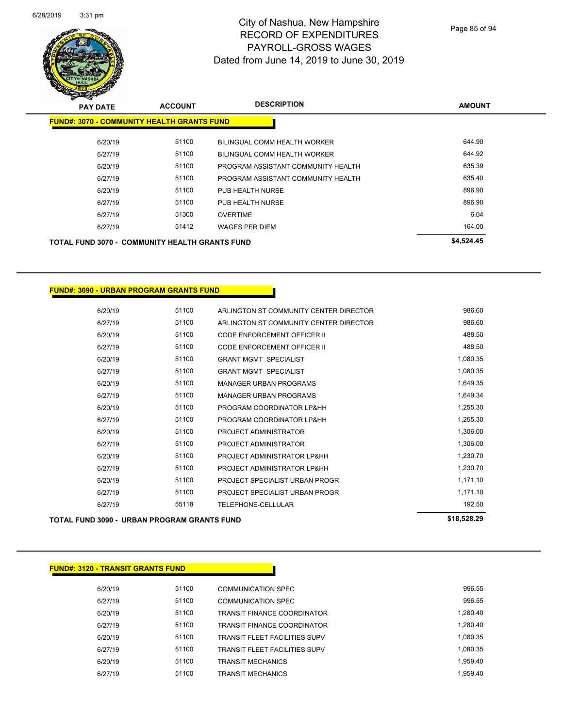

Page 85 of 94

| <b>PAY DATE</b>                                       | <b>ACCOUNT</b> | <b>DESCRIPTION</b>                 | <b>AMOUNT</b> |
|-------------------------------------------------------|----------------|------------------------------------|---------------|
| <b>FUND#: 3070 - COMMUNITY HEALTH GRANTS FUND</b>     |                |                                    |               |
| 6/20/19                                               | 51100          | BILINGUAL COMM HEALTH WORKER       | 644.90        |
| 6/27/19                                               | 51100          | BILINGUAL COMM HEALTH WORKER       | 644.92        |
| 6/20/19                                               | 51100          | PROGRAM ASSISTANT COMMUNITY HEALTH | 635.39        |
| 6/27/19                                               | 51100          | PROGRAM ASSISTANT COMMUNITY HEALTH | 635.40        |
| 6/20/19                                               | 51100          | PUB HEALTH NURSE                   | 896.90        |
| 6/27/19                                               | 51100          | PUB HEALTH NURSE                   | 896.90        |
| 6/27/19                                               | 51300          | <b>OVERTIME</b>                    | 6.04          |
| 6/27/19                                               | 51412          | <b>WAGES PER DIEM</b>              | 164.00        |
| <b>TOTAL FUND 3070 - COMMUNITY HEALTH GRANTS FUND</b> |                |                                    | \$4,524.45    |

### **FUND#: 3090 - URBAN PROGRAM GRANTS FUND**

|         |       |                                        | $$       |
|---------|-------|----------------------------------------|----------|
| 6/27/19 | 55118 | TELEPHONE-CELLULAR                     | 192.50   |
| 6/27/19 | 51100 | PROJECT SPECIALIST URBAN PROGR         | 1,171.10 |
| 6/20/19 | 51100 | PROJECT SPECIALIST URBAN PROGR         | 1,171.10 |
| 6/27/19 | 51100 | PROJECT ADMINISTRATOR LP&HH            | 1,230.70 |
| 6/20/19 | 51100 | PROJECT ADMINISTRATOR LP&HH            | 1,230.70 |
| 6/27/19 | 51100 | PROJECT ADMINISTRATOR                  | 1,306.00 |
| 6/20/19 | 51100 | PROJECT ADMINISTRATOR                  | 1,306.00 |
| 6/27/19 | 51100 | PROGRAM COORDINATOR LP&HH              | 1,255.30 |
| 6/20/19 | 51100 | PROGRAM COORDINATOR LP&HH              | 1,255.30 |
| 6/27/19 | 51100 | <b>MANAGER URBAN PROGRAMS</b>          | 1,649.34 |
| 6/20/19 | 51100 | <b>MANAGER URBAN PROGRAMS</b>          | 1,649.35 |
| 6/27/19 | 51100 | <b>GRANT MGMT SPECIALIST</b>           | 1,080.35 |
| 6/20/19 | 51100 | <b>GRANT MGMT SPECIALIST</b>           | 1,080.35 |
| 6/27/19 | 51100 | CODE ENFORCEMENT OFFICER II            | 488.50   |
| 6/20/19 | 51100 | CODE ENFORCEMENT OFFICER II            | 488.50   |
| 6/27/19 | 51100 | ARLINGTON ST COMMUNITY CENTER DIRECTOR | 986.60   |
| 6/20/19 | 51100 | ARLINGTON ST COMMUNITY CENTER DIRECTOR | 986.60   |
|         |       |                                        |          |

**TOTAL FUND 3090 - URBAN PROGRAM GRANTS FUND \$18,528.29** 

| <b>FUND#: 3120 - TRANSIT GRANTS FUND</b> |       |                                      |          |
|------------------------------------------|-------|--------------------------------------|----------|
| 6/20/19                                  | 51100 | <b>COMMUNICATION SPEC</b>            | 996.55   |
| 6/27/19                                  | 51100 | <b>COMMUNICATION SPEC</b>            | 996.55   |
| 6/20/19                                  | 51100 | <b>TRANSIT FINANCE COORDINATOR</b>   | 1,280.40 |
| 6/27/19                                  | 51100 | <b>TRANSIT FINANCE COORDINATOR</b>   | 1.280.40 |
| 6/20/19                                  | 51100 | <b>TRANSIT FLEET FACILITIES SUPV</b> | 1.080.35 |
| 6/27/19                                  | 51100 | <b>TRANSIT FLEET FACILITIES SUPV</b> | 1.080.35 |
| 6/20/19                                  | 51100 | <b>TRANSIT MECHANICS</b>             | 1.959.40 |
| 6/27/19                                  | 51100 | TRANSIT MECHANICS                    | 1.959.40 |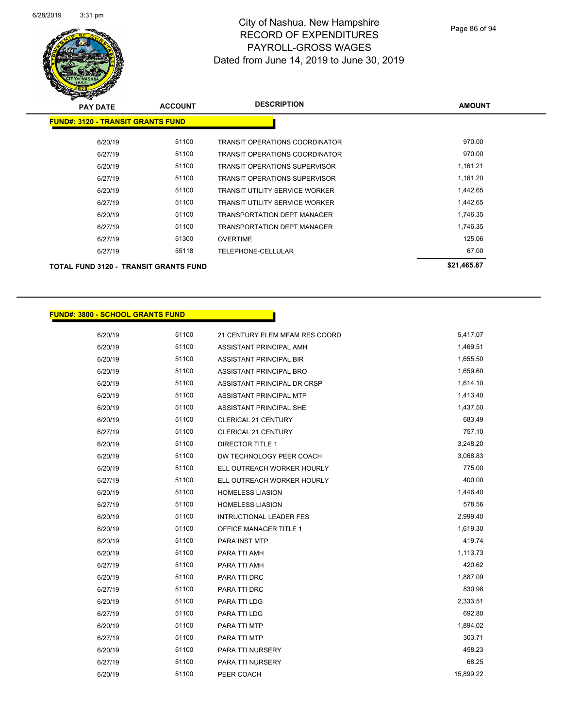

| <b>PAY DATE</b>                              | <b>ACCOUNT</b> | <b>DESCRIPTION</b>                    | <b>AMOUNT</b> |
|----------------------------------------------|----------------|---------------------------------------|---------------|
| <b>FUND#: 3120 - TRANSIT GRANTS FUND</b>     |                |                                       |               |
| 6/20/19                                      | 51100          | <b>TRANSIT OPERATIONS COORDINATOR</b> | 970.00        |
| 6/27/19                                      | 51100          | <b>TRANSIT OPERATIONS COORDINATOR</b> | 970.00        |
| 6/20/19                                      | 51100          | <b>TRANSIT OPERATIONS SUPERVISOR</b>  | 1,161.21      |
| 6/27/19                                      | 51100          | <b>TRANSIT OPERATIONS SUPERVISOR</b>  | 1,161.20      |
| 6/20/19                                      | 51100          | TRANSIT UTILITY SERVICE WORKER        | 1,442.65      |
| 6/27/19                                      | 51100          | <b>TRANSIT UTILITY SERVICE WORKER</b> | 1,442.65      |
| 6/20/19                                      | 51100          | <b>TRANSPORTATION DEPT MANAGER</b>    | 1,746.35      |
| 6/27/19                                      | 51100          | <b>TRANSPORTATION DEPT MANAGER</b>    | 1,746.35      |
| 6/27/19                                      | 51300          | <b>OVERTIME</b>                       | 125.06        |
| 6/27/19                                      | 55118          | TELEPHONE-CELLULAR                    | 67.00         |
| <b>TOTAL FUND 3120 - TRANSIT GRANTS FUND</b> |                |                                       | \$21,465.87   |

#### **FUND#: 3800 - SCHOOL GRANTS FUND**

6/20/19 51100 21 CENTURY ELEM MFAM RES COORD 5,417.07 6/20/19 51100 ASSISTANT PRINCIPAL AMH 6/20/19 51100 ASSISTANT PRINCIPAL BIR 1,655.50 6/20/19 51100 ASSISTANT PRINCIPAL BRO 1,659.60 6/20/19 51100 ASSISTANT PRINCIPAL DR CRSP 1,614.10 6/20/19 51100 ASSISTANT PRINCIPAL MTP 1,413.40 6/20/19 51100 ASSISTANT PRINCIPAL SHE 1,437.50 6/20/19 51100 CLERICAL 21 CENTURY 683.49 6/27/19 51100 CLERICAL 21 CENTURY 757.10 6/20/19 51100 DIRECTOR TITLE 1 3,248.20 6/20/19 51100 DW TECHNOLOGY PEER COACH 5 2008.83 6/20/19 51100 ELL OUTREACH WORKER HOURLY 775.00 6/27/19 51100 ELL OUTREACH WORKER HOURLY 400.00 6/20/19 51100 HOMELESS LIASION 51 51100 HOMELESS LIASION 6/27/19 51100 HOMELESS LIASION 578.56 6/20/19 51100 INTRUCTIONAL LEADER FES 2,999.40 6/20/19 51100 OFFICE MANAGER TITLE 1 1 2001 1,619.30 6/20/19 51100 PARA INST MTP 6/20/19 51100 51100 6/20/19 51100 PARA TTI AMH 1,113.73 6/27/19 51100 PARA TTI AMH 420.62 6/20/19 51100 PARA TTI DRC 1,887.09 6/27/19 51100 PARA TTI DRC 830.98 6/20/19 51100 PARA TTI LDG 2,333.51 6/27/19 51100 PARA TTI LDG 692.80 6/20/19 51100 PARA TTI MTP 1,894.02 6/27/19 51100 PARA TTI MTP 303.71 6/20/19 51100 PARA TTI NURSERY 56/2012 12:30 12:30 12:30 12:30 12:30 12:30 12:30 13:30 14:58.23 6/27/19 51100 PARA TTI NURSERY 68.25 6/20/19 51100 PEER COACH 56/2011 15,899.22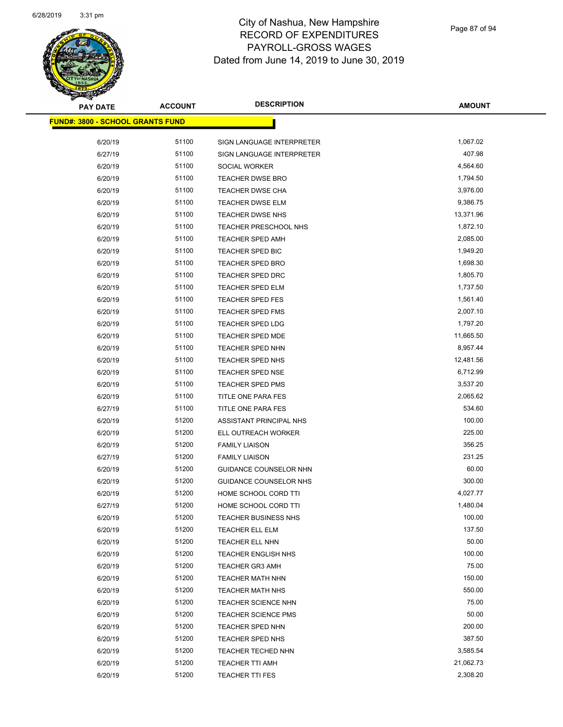

| <b>PAY DATE</b>                         | <b>ACCOUNT</b> | <b>DESCRIPTION</b>          | <b>AMOUNT</b>         |
|-----------------------------------------|----------------|-----------------------------|-----------------------|
| <b>FUND#: 3800 - SCHOOL GRANTS FUND</b> |                |                             |                       |
| 6/20/19                                 | 51100          | SIGN LANGUAGE INTERPRETER   | 1,067.02              |
| 6/27/19                                 | 51100          | SIGN LANGUAGE INTERPRETER   | 407.98                |
| 6/20/19                                 | 51100          | SOCIAL WORKER               | 4,564.60              |
| 6/20/19                                 | 51100          | TEACHER DWSE BRO            | 1,794.50              |
| 6/20/19                                 | 51100          | TEACHER DWSE CHA            | 3,976.00              |
| 6/20/19                                 | 51100          | <b>TEACHER DWSE ELM</b>     | 9,386.75              |
| 6/20/19                                 | 51100          | TEACHER DWSE NHS            | 13,371.96             |
| 6/20/19                                 | 51100          | TEACHER PRESCHOOL NHS       | 1,872.10              |
| 6/20/19                                 | 51100          | <b>TEACHER SPED AMH</b>     | 2,085.00              |
| 6/20/19                                 | 51100          | TEACHER SPED BIC            | 1,949.20              |
| 6/20/19                                 | 51100          | <b>TEACHER SPED BRO</b>     | 1,698.30              |
| 6/20/19                                 | 51100          | <b>TEACHER SPED DRC</b>     | 1,805.70              |
| 6/20/19                                 | 51100          | TEACHER SPED ELM            | 1,737.50              |
| 6/20/19                                 | 51100          | TEACHER SPED FES            | 1,561.40              |
|                                         | 51100          |                             | 2,007.10              |
| 6/20/19                                 | 51100          | TEACHER SPED FMS            | 1,797.20              |
| 6/20/19                                 |                | <b>TEACHER SPED LDG</b>     |                       |
| 6/20/19                                 | 51100          | <b>TEACHER SPED MDE</b>     | 11,665.50<br>8,957.44 |
| 6/20/19                                 | 51100          | TEACHER SPED NHN            |                       |
| 6/20/19                                 | 51100          | <b>TEACHER SPED NHS</b>     | 12,481.56             |
| 6/20/19                                 | 51100          | <b>TEACHER SPED NSE</b>     | 6,712.99              |
| 6/20/19                                 | 51100          | <b>TEACHER SPED PMS</b>     | 3,537.20              |
| 6/20/19                                 | 51100          | TITLE ONE PARA FES          | 2,065.62              |
| 6/27/19                                 | 51100          | TITLE ONE PARA FES          | 534.60                |
| 6/20/19                                 | 51200          | ASSISTANT PRINCIPAL NHS     | 100.00                |
| 6/20/19                                 | 51200          | ELL OUTREACH WORKER         | 225.00                |
| 6/20/19                                 | 51200          | <b>FAMILY LIAISON</b>       | 356.25                |
| 6/27/19                                 | 51200          | <b>FAMILY LIAISON</b>       | 231.25                |
| 6/20/19                                 | 51200          | GUIDANCE COUNSELOR NHN      | 60.00                 |
| 6/20/19                                 | 51200          | GUIDANCE COUNSELOR NHS      | 300.00                |
| 6/20/19                                 | 51200          | HOME SCHOOL CORD TTI        | 4,027.77              |
| 6/27/19                                 | 51200          | HOME SCHOOL CORD TTI        | 1,480.04              |
| 6/20/19                                 | 51200          | <b>TEACHER BUSINESS NHS</b> | 100.00                |
| 6/20/19                                 | 51200          | TEACHER ELL ELM             | 137.50                |
| 6/20/19                                 | 51200          | TEACHER ELL NHN             | 50.00                 |
| 6/20/19                                 | 51200          | TEACHER ENGLISH NHS         | 100.00                |
| 6/20/19                                 | 51200          | <b>TEACHER GR3 AMH</b>      | 75.00                 |
| 6/20/19                                 | 51200          | <b>TEACHER MATH NHN</b>     | 150.00                |
| 6/20/19                                 | 51200          | <b>TEACHER MATH NHS</b>     | 550.00                |
| 6/20/19                                 | 51200          | TEACHER SCIENCE NHN         | 75.00                 |
| 6/20/19                                 | 51200          | <b>TEACHER SCIENCE PMS</b>  | 50.00                 |
| 6/20/19                                 | 51200          | TEACHER SPED NHN            | 200.00                |
| 6/20/19                                 | 51200          | <b>TEACHER SPED NHS</b>     | 387.50                |
| 6/20/19                                 | 51200          | TEACHER TECHED NHN          | 3,585.54              |
| 6/20/19                                 | 51200          | TEACHER TTI AMH             | 21,062.73             |
| 6/20/19                                 | 51200          | <b>TEACHER TTI FES</b>      | 2,308.20              |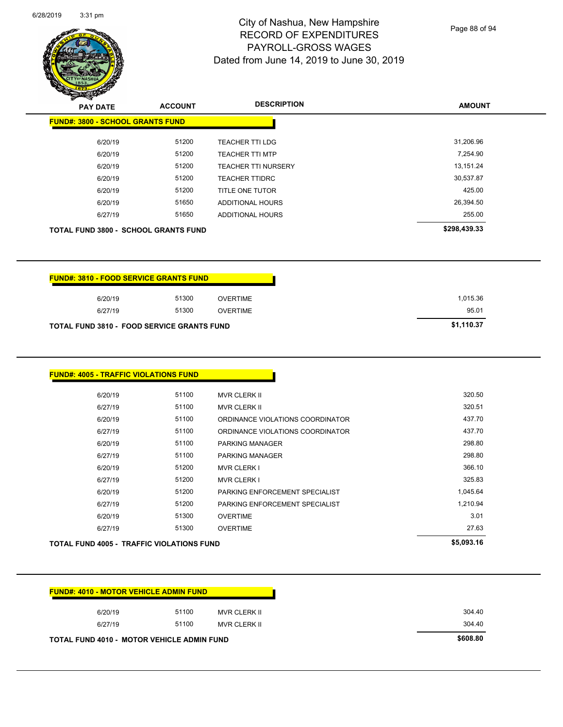$\overline{\phantom{0}}$ 



# City of Nashua, New Hampshire RECORD OF EXPENDITURES PAYROLL-GROSS WAGES Dated from June 14, 2019 to June 30, 2019

Page 88 of 94

|                                                   | <b>ACCOUNT</b> |                                  | <b>AMOUNT</b> |
|---------------------------------------------------|----------------|----------------------------------|---------------|
| <b>FUND#: 3800 - SCHOOL GRANTS FUND</b>           |                |                                  |               |
| 6/20/19                                           | 51200          | <b>TEACHER TTI LDG</b>           | 31,206.96     |
| 6/20/19                                           | 51200          | <b>TEACHER TTI MTP</b>           | 7,254.90      |
| 6/20/19                                           | 51200          | TEACHER TTI NURSERY              | 13,151.24     |
| 6/20/19                                           | 51200          | <b>TEACHER TTIDRC</b>            | 30,537.87     |
| 6/20/19                                           | 51200          | TITLE ONE TUTOR                  | 425.00        |
| 6/20/19                                           | 51650          | ADDITIONAL HOURS                 | 26,394.50     |
| 6/27/19                                           | 51650          | ADDITIONAL HOURS                 | 255.00        |
| <b>TOTAL FUND 3800 - SCHOOL GRANTS FUND</b>       |                |                                  | \$298,439.33  |
| <b>FUND#: 3810 - FOOD SERVICE GRANTS FUND</b>     |                |                                  |               |
| 6/20/19                                           | 51300          | <b>OVERTIME</b>                  | 1,015.36      |
|                                                   | 51300          | <b>OVERTIME</b>                  | 95.01         |
| 6/27/19                                           |                |                                  |               |
| <b>TOTAL FUND 3810 - FOOD SERVICE GRANTS FUND</b> |                |                                  | \$1,110.37    |
| <b>FUND#: 4005 - TRAFFIC VIOLATIONS FUND</b>      |                |                                  |               |
| 6/20/19                                           | 51100          | <b>MVR CLERK II</b>              | 320.50        |
| 6/27/19                                           | 51100          | MVR CLERK II                     | 320.51        |
| 6/20/19                                           | 51100          | ORDINANCE VIOLATIONS COORDINATOR | 437.70        |
| 6/27/19                                           | 51100          | ORDINANCE VIOLATIONS COORDINATOR | 437.70        |
| 6/20/19                                           | 51100          | PARKING MANAGER                  | 298.80        |
| 6/27/19                                           | 51100          | PARKING MANAGER                  | 298.80        |
| 6/20/19                                           | 51200          | <b>MVR CLERK I</b>               | 366.10        |
| 6/27/19                                           | 51200          | <b>MVR CLERK I</b>               | 325.83        |
| 6/20/19                                           | 51200          | PARKING ENFORCEMENT SPECIALIST   | 1,045.64      |
| 6/27/19                                           | 51200          | PARKING ENFORCEMENT SPECIALIST   | 1,210.94      |
| 6/20/19                                           | 51300          | <b>OVERTIME</b>                  | 3.01          |
| 6/27/19                                           | 51300          | <b>OVERTIME</b>                  | 27.63         |
| TOTAL FUND 4005 - TRAFFIC VIOLATIONS FUND         |                |                                  | \$5,093.16    |
|                                                   |                |                                  |               |

| <b>TOTAL FUND 4010 - MOTOR VEHICLE ADMIN FUND</b> |       |              | \$608.80 |
|---------------------------------------------------|-------|--------------|----------|
| 6/27/19                                           | 51100 | MVR CLERK II | 304.40   |
| 6/20/19                                           | 51100 | MVR CLERK II | 304.40   |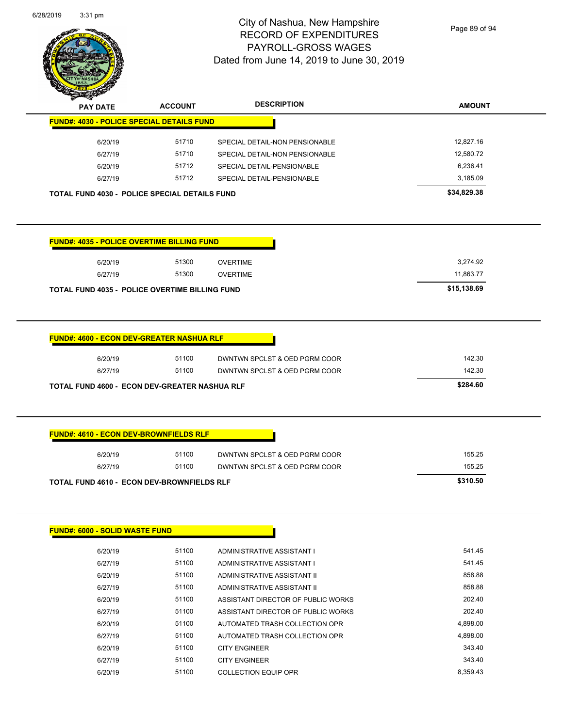

Page 89 of 94

| $\mathscr{D} \curvearrowright$<br><b>PAY DATE</b>    | <b>ACCOUNT</b> | <b>DESCRIPTION</b>             | <b>AMOUNT</b> |
|------------------------------------------------------|----------------|--------------------------------|---------------|
| <b>FUND#: 4030 - POLICE SPECIAL DETAILS FUND</b>     |                |                                |               |
| 6/20/19                                              | 51710          | SPECIAL DETAIL-NON PENSIONABLE | 12.827.16     |
| 6/27/19                                              | 51710          | SPECIAL DETAIL-NON PENSIONABLE | 12.580.72     |
| 6/20/19                                              | 51712          | SPECIAL DETAIL-PENSIONABLE     | 6.236.41      |
| 6/27/19                                              | 51712          | SPECIAL DETAIL-PENSIONABLE     | 3,185.09      |
| <b>TOTAL FUND 4030 - POLICE SPECIAL DETAILS FUND</b> |                |                                | \$34,829.38   |

|         | <b>FUND#: 4035 - POLICE OVERTIME BILLING FUND</b>     |          |  |  |
|---------|-------------------------------------------------------|----------|--|--|
| 6/20/19 | 51300                                                 | OVERTIME |  |  |
| 6/27/19 | 51300                                                 | OVERTIME |  |  |
|         | <b>TOTAL FUND 4035 - POLICE OVERTIME BILLING FUND</b> |          |  |  |

|                               |       | <b>FUND#: 4600 - ECON DEV-GREATER NASHUA RLF</b>     |
|-------------------------------|-------|------------------------------------------------------|
| DWNTWN SPCLST & OED PGRM COOR | 51100 | 6/20/19                                              |
| DWNTWN SPCLST & OED PGRM COOR | 51100 | 6/27/19                                              |
|                               |       | <b>TOTAL FUND 4600 - ECON DEV-GREATER NASHUA RLF</b> |

| 6/20/19 | 51100 | DWNTWN SPCLST & OED PGRM COOR | 155.25 |
|---------|-------|-------------------------------|--------|
| 6/27/19 | 51100 | DWNTWN SPCLST & OED PGRM COOR | 155.25 |

| <b>FUND#: 6000 - SOLID WASTE FUND</b> |       |                                    |          |
|---------------------------------------|-------|------------------------------------|----------|
| 6/20/19                               | 51100 | ADMINISTRATIVE ASSISTANT I         | 541.45   |
| 6/27/19                               | 51100 | ADMINISTRATIVE ASSISTANT I         | 541.45   |
| 6/20/19                               | 51100 | ADMINISTRATIVE ASSISTANT II        | 858.88   |
| 6/27/19                               | 51100 | ADMINISTRATIVE ASSISTANT II        | 858.88   |
| 6/20/19                               | 51100 | ASSISTANT DIRECTOR OF PUBLIC WORKS | 202.40   |
| 6/27/19                               | 51100 | ASSISTANT DIRECTOR OF PUBLIC WORKS | 202.40   |
| 6/20/19                               | 51100 | AUTOMATED TRASH COLLECTION OPR     | 4,898.00 |
| 6/27/19                               | 51100 | AUTOMATED TRASH COLLECTION OPR     | 4,898.00 |
| 6/20/19                               | 51100 | <b>CITY ENGINEER</b>               | 343.40   |
| 6/27/19                               | 51100 | <b>CITY ENGINEER</b>               | 343.40   |
| 6/20/19                               | 51100 | <b>COLLECTION EQUIP OPR</b>        | 8.359.43 |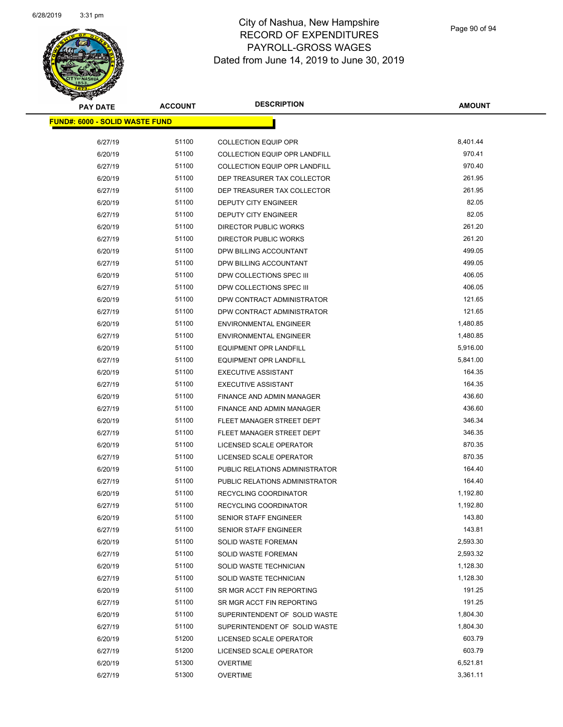

| <b>PAY DATE</b>                       | <b>ACCOUNT</b> | <b>DESCRIPTION</b>                   | <b>AMOUNT</b> |
|---------------------------------------|----------------|--------------------------------------|---------------|
| <b>FUND#: 6000 - SOLID WASTE FUND</b> |                |                                      |               |
| 6/27/19                               | 51100          | <b>COLLECTION EQUIP OPR</b>          | 8,401.44      |
| 6/20/19                               | 51100          | COLLECTION EQUIP OPR LANDFILL        | 970.41        |
| 6/27/19                               | 51100          | <b>COLLECTION EQUIP OPR LANDFILL</b> | 970.40        |
| 6/20/19                               | 51100          | DEP TREASURER TAX COLLECTOR          | 261.95        |
| 6/27/19                               | 51100          | DEP TREASURER TAX COLLECTOR          | 261.95        |
|                                       | 51100          |                                      | 82.05         |
| 6/20/19                               |                | DEPUTY CITY ENGINEER                 | 82.05         |
| 6/27/19                               | 51100<br>51100 | DEPUTY CITY ENGINEER                 | 261.20        |
| 6/20/19                               |                | <b>DIRECTOR PUBLIC WORKS</b>         | 261.20        |
| 6/27/19                               | 51100          | <b>DIRECTOR PUBLIC WORKS</b>         |               |
| 6/20/19                               | 51100          | DPW BILLING ACCOUNTANT               | 499.05        |
| 6/27/19                               | 51100          | DPW BILLING ACCOUNTANT               | 499.05        |
| 6/20/19                               | 51100          | DPW COLLECTIONS SPEC III             | 406.05        |
| 6/27/19                               | 51100          | DPW COLLECTIONS SPEC III             | 406.05        |
| 6/20/19                               | 51100          | DPW CONTRACT ADMINISTRATOR           | 121.65        |
| 6/27/19                               | 51100          | DPW CONTRACT ADMINISTRATOR           | 121.65        |
| 6/20/19                               | 51100          | <b>ENVIRONMENTAL ENGINEER</b>        | 1,480.85      |
| 6/27/19                               | 51100          | <b>ENVIRONMENTAL ENGINEER</b>        | 1,480.85      |
| 6/20/19                               | 51100          | <b>EQUIPMENT OPR LANDFILL</b>        | 5,916.00      |
| 6/27/19                               | 51100          | <b>EQUIPMENT OPR LANDFILL</b>        | 5,841.00      |
| 6/20/19                               | 51100          | <b>EXECUTIVE ASSISTANT</b>           | 164.35        |
| 6/27/19                               | 51100          | <b>EXECUTIVE ASSISTANT</b>           | 164.35        |
| 6/20/19                               | 51100          | FINANCE AND ADMIN MANAGER            | 436.60        |
| 6/27/19                               | 51100          | FINANCE AND ADMIN MANAGER            | 436.60        |
| 6/20/19                               | 51100          | FLEET MANAGER STREET DEPT            | 346.34        |
| 6/27/19                               | 51100          | FLEET MANAGER STREET DEPT            | 346.35        |
| 6/20/19                               | 51100          | LICENSED SCALE OPERATOR              | 870.35        |
| 6/27/19                               | 51100          | LICENSED SCALE OPERATOR              | 870.35        |
| 6/20/19                               | 51100          | PUBLIC RELATIONS ADMINISTRATOR       | 164.40        |
| 6/27/19                               | 51100          | PUBLIC RELATIONS ADMINISTRATOR       | 164.40        |
| 6/20/19                               | 51100          | RECYCLING COORDINATOR                | 1,192.80      |
| 6/27/19                               | 51100          | RECYCLING COORDINATOR                | 1,192.80      |
| 6/20/19                               | 51100          | SENIOR STAFF ENGINEER                | 143.80        |
| 6/27/19                               | 51100          | <b>SENIOR STAFF ENGINEER</b>         | 143.81        |
| 6/20/19                               | 51100          | SOLID WASTE FOREMAN                  | 2,593.30      |
| 6/27/19                               | 51100          | <b>SOLID WASTE FOREMAN</b>           | 2,593.32      |
| 6/20/19                               | 51100          | SOLID WASTE TECHNICIAN               | 1,128.30      |
| 6/27/19                               | 51100          | SOLID WASTE TECHNICIAN               | 1,128.30      |
| 6/20/19                               | 51100          | SR MGR ACCT FIN REPORTING            | 191.25        |
| 6/27/19                               | 51100          | SR MGR ACCT FIN REPORTING            | 191.25        |
| 6/20/19                               | 51100          | SUPERINTENDENT OF SOLID WASTE        | 1,804.30      |
| 6/27/19                               | 51100          | SUPERINTENDENT OF SOLID WASTE        | 1,804.30      |
| 6/20/19                               | 51200          | LICENSED SCALE OPERATOR              | 603.79        |
| 6/27/19                               | 51200          | LICENSED SCALE OPERATOR              | 603.79        |
| 6/20/19                               | 51300          | <b>OVERTIME</b>                      | 6,521.81      |
| 6/27/19                               | 51300          | <b>OVERTIME</b>                      | 3,361.11      |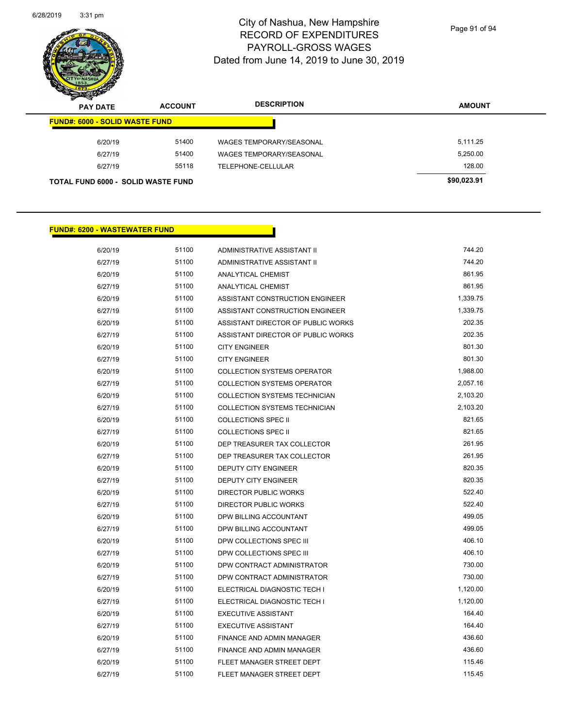

Page 91 of 94

| $\mathscr{D} \rightarrow \mathscr{D}$<br><b>PAY DATE</b> | <b>ACCOUNT</b> | <b>DESCRIPTION</b>       | <b>AMOUNT</b> |
|----------------------------------------------------------|----------------|--------------------------|---------------|
| <b>FUND#: 6000 - SOLID WASTE FUND</b>                    |                |                          |               |
| 6/20/19                                                  | 51400          | WAGES TEMPORARY/SEASONAL | 5,111.25      |
| 6/27/19                                                  | 51400          | WAGES TEMPORARY/SEASONAL | 5,250.00      |
| 6/27/19                                                  | 55118          | TELEPHONE-CELLULAR       | 128.00        |
| <b>TOTAL FUND 6000 - SOLID WASTE FUND</b>                |                |                          | \$90,023.91   |

#### **FUND#: 6200 - WASTEWATER FUND**

| 6/20/19 | 51100 | ADMINISTRATIVE ASSISTANT II        | 744.20   |
|---------|-------|------------------------------------|----------|
| 6/27/19 | 51100 | ADMINISTRATIVE ASSISTANT II        | 744.20   |
| 6/20/19 | 51100 | ANALYTICAL CHEMIST                 | 861.95   |
| 6/27/19 | 51100 | <b>ANALYTICAL CHEMIST</b>          | 861.95   |
| 6/20/19 | 51100 | ASSISTANT CONSTRUCTION ENGINEER    | 1,339.75 |
| 6/27/19 | 51100 | ASSISTANT CONSTRUCTION ENGINEER    | 1,339.75 |
| 6/20/19 | 51100 | ASSISTANT DIRECTOR OF PUBLIC WORKS | 202.35   |
| 6/27/19 | 51100 | ASSISTANT DIRECTOR OF PUBLIC WORKS | 202.35   |
| 6/20/19 | 51100 | <b>CITY ENGINEER</b>               | 801.30   |
| 6/27/19 | 51100 | <b>CITY ENGINEER</b>               | 801.30   |
| 6/20/19 | 51100 | <b>COLLECTION SYSTEMS OPERATOR</b> | 1,988.00 |
| 6/27/19 | 51100 | <b>COLLECTION SYSTEMS OPERATOR</b> | 2,057.16 |
| 6/20/19 | 51100 | COLLECTION SYSTEMS TECHNICIAN      | 2,103.20 |
| 6/27/19 | 51100 | COLLECTION SYSTEMS TECHNICIAN      | 2,103.20 |
| 6/20/19 | 51100 | <b>COLLECTIONS SPEC II</b>         | 821.65   |
| 6/27/19 | 51100 | <b>COLLECTIONS SPEC II</b>         | 821.65   |
| 6/20/19 | 51100 | DEP TREASURER TAX COLLECTOR        | 261.95   |
| 6/27/19 | 51100 | DEP TREASURER TAX COLLECTOR        | 261.95   |
| 6/20/19 | 51100 | DEPUTY CITY ENGINEER               | 820.35   |
| 6/27/19 | 51100 | DEPUTY CITY ENGINEER               | 820.35   |
| 6/20/19 | 51100 | <b>DIRECTOR PUBLIC WORKS</b>       | 522.40   |
| 6/27/19 | 51100 | <b>DIRECTOR PUBLIC WORKS</b>       | 522.40   |
| 6/20/19 | 51100 | DPW BILLING ACCOUNTANT             | 499.05   |
| 6/27/19 | 51100 | DPW BILLING ACCOUNTANT             | 499.05   |
| 6/20/19 | 51100 | DPW COLLECTIONS SPEC III           | 406.10   |
| 6/27/19 | 51100 | DPW COLLECTIONS SPEC III           | 406.10   |
| 6/20/19 | 51100 | DPW CONTRACT ADMINISTRATOR         | 730.00   |
| 6/27/19 | 51100 | DPW CONTRACT ADMINISTRATOR         | 730.00   |
| 6/20/19 | 51100 | ELECTRICAL DIAGNOSTIC TECH I       | 1,120.00 |
| 6/27/19 | 51100 | ELECTRICAL DIAGNOSTIC TECH I       | 1,120.00 |
| 6/20/19 | 51100 | <b>EXECUTIVE ASSISTANT</b>         | 164.40   |
| 6/27/19 | 51100 | <b>EXECUTIVE ASSISTANT</b>         | 164.40   |
| 6/20/19 | 51100 | FINANCE AND ADMIN MANAGER          | 436.60   |
| 6/27/19 | 51100 | FINANCE AND ADMIN MANAGER          | 436.60   |
| 6/20/19 | 51100 | FLEET MANAGER STREET DEPT          | 115.46   |
| 6/27/19 | 51100 | FLEET MANAGER STREET DEPT          | 115.45   |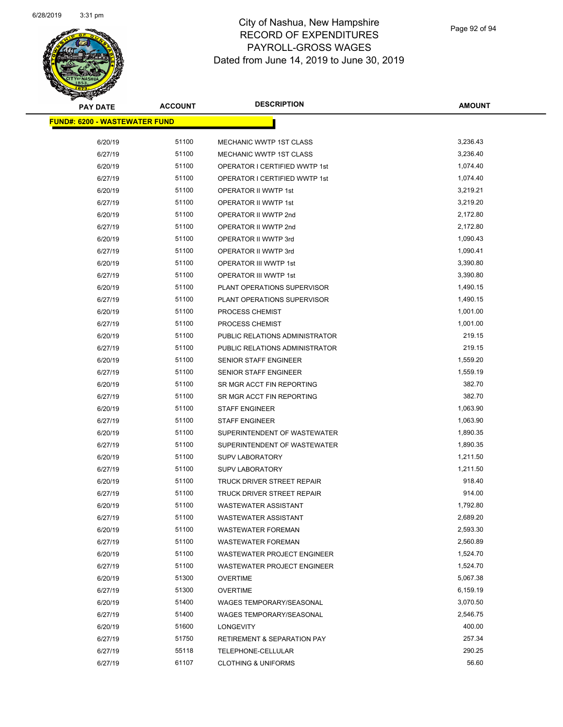

| <b>PAY DATE</b>                      | <b>ACCOUNT</b> | <b>DESCRIPTION</b>                                   | <b>AMOUNT</b> |
|--------------------------------------|----------------|------------------------------------------------------|---------------|
| <b>FUND#: 6200 - WASTEWATER FUND</b> |                |                                                      |               |
| 6/20/19                              | 51100          | MECHANIC WWTP 1ST CLASS                              | 3,236.43      |
| 6/27/19                              | 51100          | <b>MECHANIC WWTP 1ST CLASS</b>                       | 3,236.40      |
|                                      | 51100          |                                                      | 1,074.40      |
| 6/20/19                              | 51100          | OPERATOR I CERTIFIED WWTP 1st                        | 1,074.40      |
| 6/27/19                              | 51100          | OPERATOR I CERTIFIED WWTP 1st                        | 3,219.21      |
| 6/20/19                              |                | OPERATOR II WWTP 1st                                 | 3,219.20      |
| 6/27/19<br>6/20/19                   | 51100<br>51100 | OPERATOR II WWTP 1st                                 | 2,172.80      |
|                                      | 51100          | OPERATOR II WWTP 2nd                                 | 2,172.80      |
| 6/27/19<br>6/20/19                   | 51100          | OPERATOR II WWTP 2nd<br>OPERATOR II WWTP 3rd         | 1,090.43      |
| 6/27/19                              | 51100          | OPERATOR II WWTP 3rd                                 | 1,090.41      |
|                                      |                |                                                      | 3,390.80      |
| 6/20/19                              | 51100<br>51100 | OPERATOR III WWTP 1st                                | 3,390.80      |
| 6/27/19                              | 51100          | OPERATOR III WWTP 1st<br>PLANT OPERATIONS SUPERVISOR | 1,490.15      |
| 6/20/19                              | 51100          | PLANT OPERATIONS SUPERVISOR                          | 1,490.15      |
| 6/27/19                              | 51100          |                                                      | 1,001.00      |
| 6/20/19                              |                | PROCESS CHEMIST                                      |               |
| 6/27/19                              | 51100          | PROCESS CHEMIST                                      | 1,001.00      |
| 6/20/19                              | 51100          | PUBLIC RELATIONS ADMINISTRATOR                       | 219.15        |
| 6/27/19                              | 51100          | PUBLIC RELATIONS ADMINISTRATOR                       | 219.15        |
| 6/20/19                              | 51100          | SENIOR STAFF ENGINEER                                | 1,559.20      |
| 6/27/19                              | 51100          | SENIOR STAFF ENGINEER                                | 1,559.19      |
| 6/20/19                              | 51100          | SR MGR ACCT FIN REPORTING                            | 382.70        |
| 6/27/19                              | 51100          | SR MGR ACCT FIN REPORTING                            | 382.70        |
| 6/20/19                              | 51100          | <b>STAFF ENGINEER</b>                                | 1,063.90      |
| 6/27/19                              | 51100          | <b>STAFF ENGINEER</b>                                | 1,063.90      |
| 6/20/19                              | 51100          | SUPERINTENDENT OF WASTEWATER                         | 1,890.35      |
| 6/27/19                              | 51100          | SUPERINTENDENT OF WASTEWATER                         | 1,890.35      |
| 6/20/19                              | 51100          | <b>SUPV LABORATORY</b>                               | 1,211.50      |
| 6/27/19                              | 51100          | <b>SUPV LABORATORY</b>                               | 1,211.50      |
| 6/20/19                              | 51100          | TRUCK DRIVER STREET REPAIR                           | 918.40        |
| 6/27/19                              | 51100          | TRUCK DRIVER STREET REPAIR                           | 914.00        |
| 6/20/19                              | 51100          | <b>WASTEWATER ASSISTANT</b>                          | 1,792.80      |
| 6/27/19                              | 51100          | WASTEWATER ASSISTANT                                 | 2,689.20      |
| 6/20/19                              | 51100          | <b>WASTEWATER FOREMAN</b>                            | 2,593.30      |
| 6/27/19                              | 51100          | <b>WASTEWATER FOREMAN</b>                            | 2,560.89      |
| 6/20/19                              | 51100          | WASTEWATER PROJECT ENGINEER                          | 1,524.70      |
| 6/27/19                              | 51100          | WASTEWATER PROJECT ENGINEER                          | 1,524.70      |
| 6/20/19                              | 51300          | <b>OVERTIME</b>                                      | 5,067.38      |
| 6/27/19                              | 51300          | <b>OVERTIME</b>                                      | 6,159.19      |
| 6/20/19                              | 51400          | WAGES TEMPORARY/SEASONAL                             | 3,070.50      |
| 6/27/19                              | 51400          | <b>WAGES TEMPORARY/SEASONAL</b>                      | 2,546.75      |
| 6/20/19                              | 51600          | <b>LONGEVITY</b>                                     | 400.00        |
| 6/27/19                              | 51750          | <b>RETIREMENT &amp; SEPARATION PAY</b>               | 257.34        |
| 6/27/19                              | 55118          | TELEPHONE-CELLULAR                                   | 290.25        |
| 6/27/19                              | 61107          | <b>CLOTHING &amp; UNIFORMS</b>                       | 56.60         |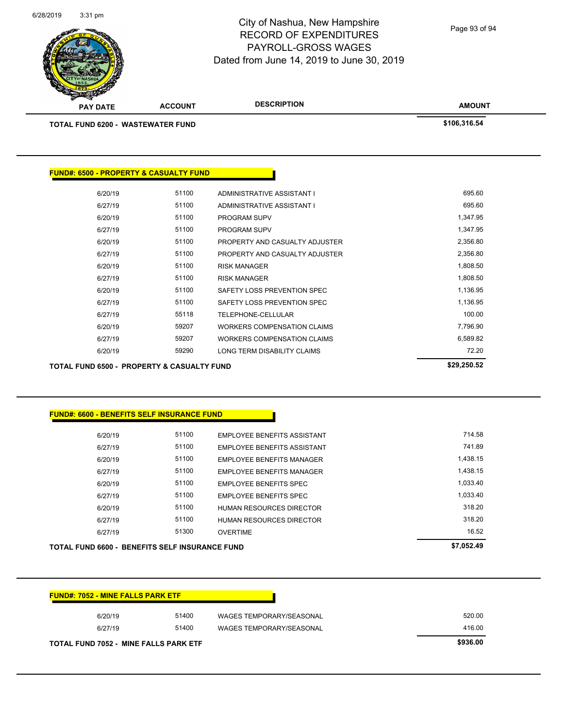| 6/20/19                                                                                    | 51100 | <b>EMPLOYEE BENEFITS ASSISTANT</b> | 714.58     |
|--------------------------------------------------------------------------------------------|-------|------------------------------------|------------|
| 6/27/19                                                                                    | 51100 | <b>EMPLOYEE BENEFITS ASSISTANT</b> | 741.89     |
| 6/20/19                                                                                    | 51100 | <b>EMPLOYEE BENEFITS MANAGER</b>   | 1,438.15   |
| 6/27/19                                                                                    | 51100 | <b>EMPLOYEE BENEFITS MANAGER</b>   | 1,438.15   |
| 6/20/19                                                                                    | 51100 | <b>EMPLOYEE BENEFITS SPEC</b>      | 1,033.40   |
| 6/27/19                                                                                    | 51100 | <b>EMPLOYEE BENEFITS SPEC</b>      | 1,033.40   |
| 6/20/19                                                                                    | 51100 | <b>HUMAN RESOURCES DIRECTOR</b>    | 318.20     |
| 6/27/19                                                                                    | 51100 | <b>HUMAN RESOURCES DIRECTOR</b>    | 318.20     |
|                                                                                            | 51300 | <b>OVERTIME</b>                    | 16.52      |
| 6/27/19                                                                                    |       |                                    |            |
| TOTAL FUND 6600 - BENEFITS SELF INSURANCE FUND<br><b>FUND#: 7052 - MINE FALLS PARK ETF</b> |       |                                    | \$7,052.49 |
| 6/20/19                                                                                    | 51400 | <b>WAGES TEMPORARY/SEASONAL</b>    | 520.00     |

| 55118<br>59207<br>59207<br>59290 | <b>TELEPHONE-CELLULAR</b><br><b>WORKERS COMPENSATION CLAIMS</b><br><b>WORKERS COMPENSATION CLAIMS</b><br>LONG TERM DISABILITY CLAIMS | 100.00<br>7,796.90<br>6,589.82<br>72.20 |
|----------------------------------|--------------------------------------------------------------------------------------------------------------------------------------|-----------------------------------------|
|                                  |                                                                                                                                      |                                         |
|                                  |                                                                                                                                      |                                         |
|                                  |                                                                                                                                      |                                         |
|                                  |                                                                                                                                      |                                         |
| 51100                            | SAFETY LOSS PREVENTION SPEC                                                                                                          | 1,136.95                                |
| 51100                            | SAFETY LOSS PREVENTION SPEC                                                                                                          | 1,136.95                                |
| 51100                            | <b>RISK MANAGER</b>                                                                                                                  | 1,808.50                                |
| 51100                            | <b>RISK MANAGER</b>                                                                                                                  | 1,808.50                                |
| 51100                            | PROPERTY AND CASUALTY ADJUSTER                                                                                                       | 2,356.80                                |
| 51100                            | PROPERTY AND CASUALTY ADJUSTER                                                                                                       | 2,356.80                                |
| 51100                            | <b>PROGRAM SUPV</b>                                                                                                                  | 1,347.95                                |
| 51100                            | <b>PROGRAM SUPV</b>                                                                                                                  | 1,347.95                                |
| 51100                            | ADMINISTRATIVE ASSISTANT I                                                                                                           | 695.60                                  |
|                                  | ADMINISTRATIVE ASSISTANT I                                                                                                           | 695.60                                  |
|                                  | 51100                                                                                                                                |                                         |

**DESCRIPTION** 

| <b>PAY DATE</b>                    | <b>ACCOUNT</b> | <b>DESCRIPTION</b> | <b>AMOUN</b> |
|------------------------------------|----------------|--------------------|--------------|
| TOTAL FUND 6200 -  WASTEWATER FUND |                |                    | \$106.316.54 |

**FUND#: 6500 - PROPERTY & CASUALTY FUND**

6/28/2019 3:31 pm

# City of Nashua, New Hampshire RECORD OF EXPENDITURES PAYROLL-GROSS WAGES Dated from June 14, 2019 to June 30, 2019

Page 93 of 94

**AMOUNT**